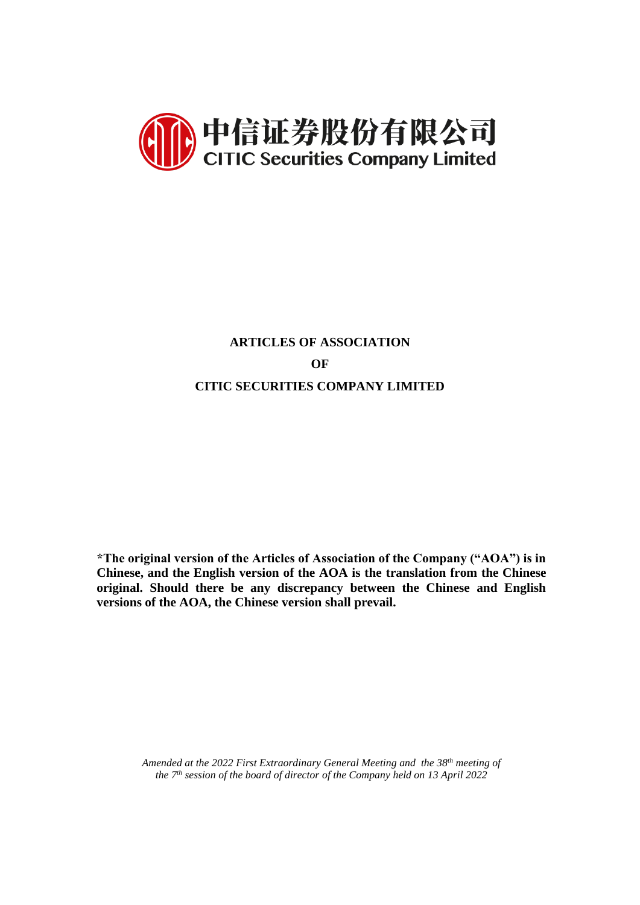

# **ARTICLES OF ASSOCIATION OF CITIC SECURITIES COMPANY LIMITED**

**\*The original version of the Articles of Association of the Company ("AOA") is in Chinese, and the English version of the AOA is the translation from the Chinese original. Should there be any discrepancy between the Chinese and English versions of the AOA, the Chinese version shall prevail.**

*Amended at the 2022 First Extraordinary General Meeting and the 38th meeting of the 7 th session of the board of director of the Company held on 13 April 2022*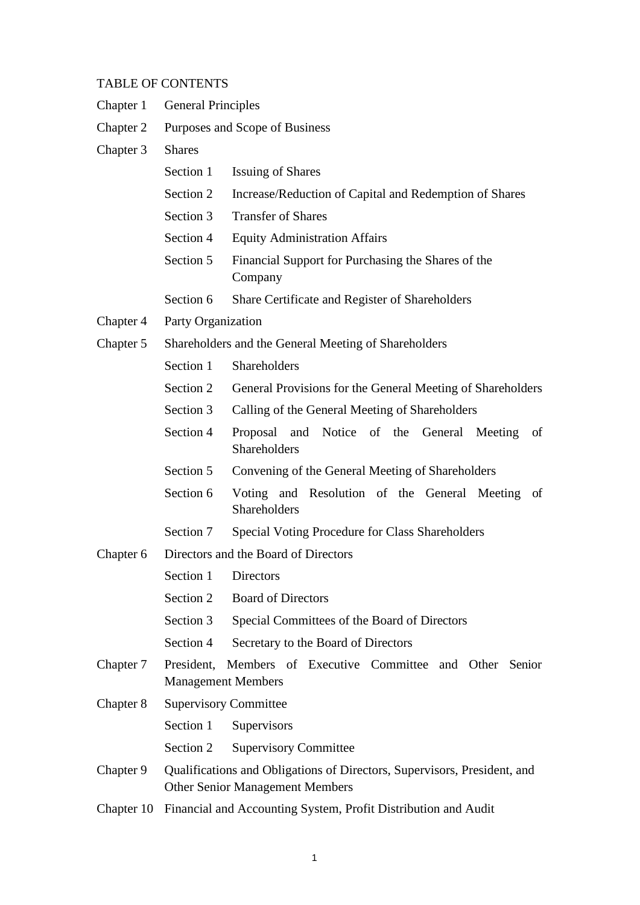## TABLE OF CONTENTS

| Chapter 1 | <b>General Principles</b>                                                                                          |                                                                               |  |  |  |
|-----------|--------------------------------------------------------------------------------------------------------------------|-------------------------------------------------------------------------------|--|--|--|
| Chapter 2 | Purposes and Scope of Business                                                                                     |                                                                               |  |  |  |
| Chapter 3 | <b>Shares</b>                                                                                                      |                                                                               |  |  |  |
|           | Section 1                                                                                                          | <b>Issuing of Shares</b>                                                      |  |  |  |
|           | Section 2                                                                                                          | Increase/Reduction of Capital and Redemption of Shares                        |  |  |  |
|           | Section 3                                                                                                          | <b>Transfer of Shares</b>                                                     |  |  |  |
|           | Section 4                                                                                                          | <b>Equity Administration Affairs</b>                                          |  |  |  |
|           | Section 5                                                                                                          | Financial Support for Purchasing the Shares of the<br>Company                 |  |  |  |
|           | Section 6                                                                                                          | Share Certificate and Register of Shareholders                                |  |  |  |
| Chapter 4 | Party Organization                                                                                                 |                                                                               |  |  |  |
| Chapter 5 |                                                                                                                    | Shareholders and the General Meeting of Shareholders                          |  |  |  |
|           | Section 1                                                                                                          | Shareholders                                                                  |  |  |  |
|           | Section 2                                                                                                          | General Provisions for the General Meeting of Shareholders                    |  |  |  |
|           | Section 3                                                                                                          | Calling of the General Meeting of Shareholders                                |  |  |  |
|           | Section 4                                                                                                          | Proposal and Notice of the<br>General<br>Meeting<br>of<br><b>Shareholders</b> |  |  |  |
|           | Section 5                                                                                                          | Convening of the General Meeting of Shareholders                              |  |  |  |
|           | Section 6                                                                                                          | Voting and Resolution of the General Meeting of<br>Shareholders               |  |  |  |
|           | Section 7                                                                                                          | Special Voting Procedure for Class Shareholders                               |  |  |  |
| Chapter 6 | Directors and the Board of Directors                                                                               |                                                                               |  |  |  |
|           | Section 1 Directors                                                                                                |                                                                               |  |  |  |
|           | Section 2                                                                                                          | <b>Board of Directors</b>                                                     |  |  |  |
|           | Section 3                                                                                                          | Special Committees of the Board of Directors                                  |  |  |  |
|           | Section 4                                                                                                          | Secretary to the Board of Directors                                           |  |  |  |
| Chapter 7 | President,                                                                                                         | Members of Executive Committee and Other Senior<br><b>Management Members</b>  |  |  |  |
| Chapter 8 | <b>Supervisory Committee</b>                                                                                       |                                                                               |  |  |  |
|           | Section 1                                                                                                          | Supervisors                                                                   |  |  |  |
|           | Section 2                                                                                                          | <b>Supervisory Committee</b>                                                  |  |  |  |
| Chapter 9 | Qualifications and Obligations of Directors, Supervisors, President, and<br><b>Other Senior Management Members</b> |                                                                               |  |  |  |
|           | Chapter 10 Financial and Accounting System, Profit Distribution and Audit                                          |                                                                               |  |  |  |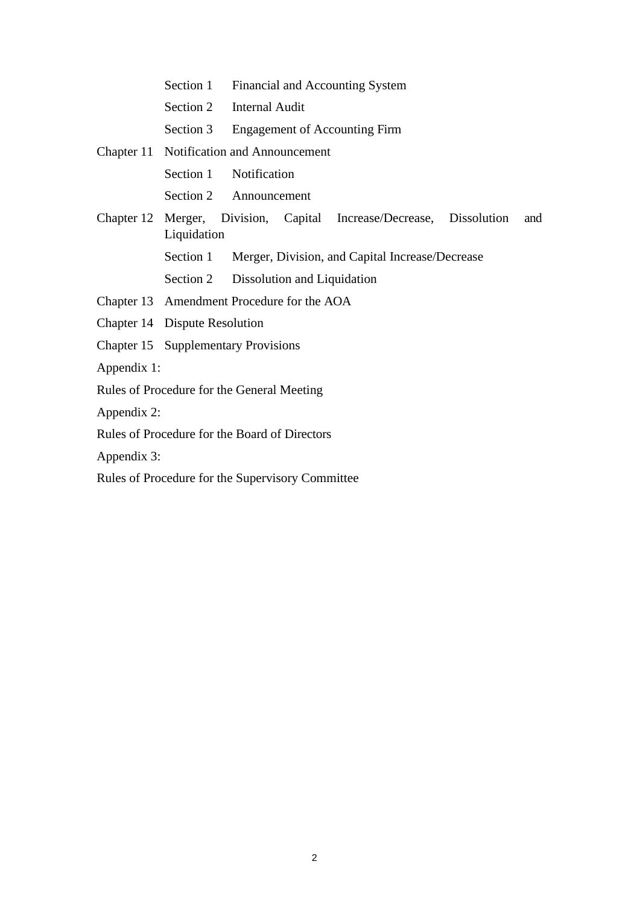Section 2 Internal Audit Section 3 Engagement of Accounting Firm Chapter 11 Notification and Announcement Section 1 Notification Section 2 Announcement Chapter 12 Merger, Division, Capital Increase/Decrease, Dissolution and Liquidation Section 1 Merger, Division, and Capital Increase/Decrease Section 2 Dissolution and Liquidation Chapter 13 Amendment Procedure for the AOA Chapter 14 Dispute Resolution Chapter 15 Supplementary Provisions Appendix 1: Rules of Procedure for the General Meeting Appendix 2: Rules of Procedure for the Board of Directors

Section 1 Financial and Accounting System

Appendix 3:

Rules of Procedure for the Supervisory Committee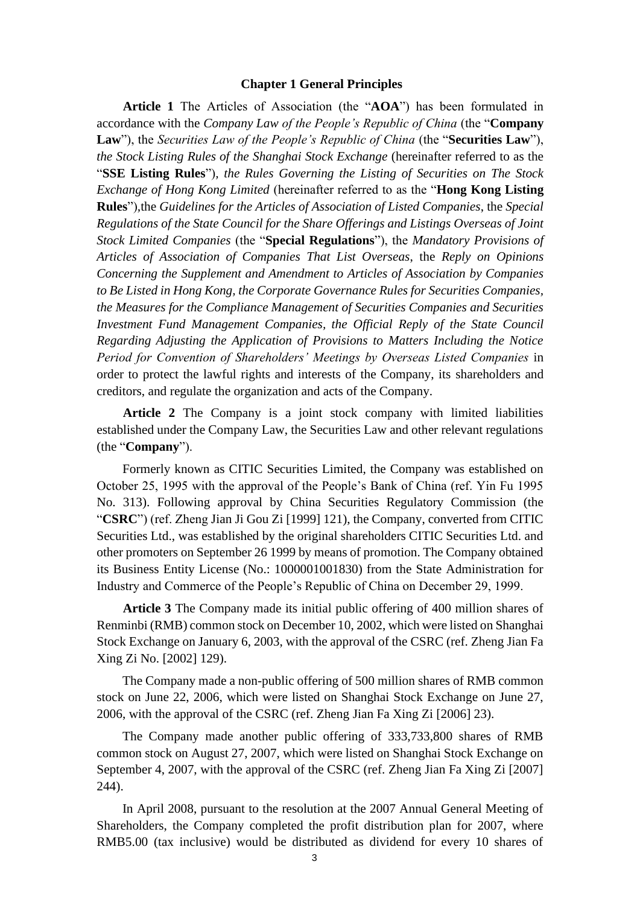#### **Chapter 1 General Principles**

**Article 1** The Articles of Association (the "**AOA**") has been formulated in accordance with the *Company Law of the People's Republic of China* (the "**Company Law**"), the *Securities Law of the People's Republic of China* (the "**Securities Law**"), *the Stock Listing Rules of the Shanghai Stock Exchange* (hereinafter referred to as the "**SSE Listing Rules**")*, the Rules Governing the Listing of Securities on The Stock Exchange of Hong Kong Limited* (hereinafter referred to as the "**Hong Kong Listing Rules**")*,*the *Guidelines for the Articles of Association of Listed Companies*, the *Special Regulations of the State Council for the Share Offerings and Listings Overseas of Joint Stock Limited Companies* (the "**Special Regulations**"), the *Mandatory Provisions of Articles of Association of Companies That List Overseas*, the *Reply on Opinions Concerning the Supplement and Amendment to Articles of Association by Companies to Be Listed in Hong Kong, the Corporate Governance Rules for Securities Companies, the Measures for the Compliance Management of Securities Companies and Securities Investment Fund Management Companies, the Official Reply of the State Council Regarding Adjusting the Application of Provisions to Matters Including the Notice Period for Convention of Shareholders' Meetings by Overseas Listed Companies* in order to protect the lawful rights and interests of the Company, its shareholders and creditors, and regulate the organization and acts of the Company.

**Article 2** The Company is a joint stock company with limited liabilities established under the Company Law, the Securities Law and other relevant regulations (the "**Company**").

Formerly known as CITIC Securities Limited, the Company was established on October 25, 1995 with the approval of the People's Bank of China (ref. Yin Fu 1995 No. 313). Following approval by China Securities Regulatory Commission (the "**CSRC**") (ref. Zheng Jian Ji Gou Zi [1999] 121), the Company, converted from CITIC Securities Ltd., was established by the original shareholders CITIC Securities Ltd. and other promoters on September 26 1999 by means of promotion. The Company obtained its Business Entity License (No.: 1000001001830) from the State Administration for Industry and Commerce of the People's Republic of China on December 29, 1999.

**Article 3** The Company made its initial public offering of 400 million shares of Renminbi (RMB) common stock on December 10, 2002, which were listed on Shanghai Stock Exchange on January 6, 2003, with the approval of the CSRC (ref. Zheng Jian Fa Xing Zi No. [2002] 129).

The Company made a non-public offering of 500 million shares of RMB common stock on June 22, 2006, which were listed on Shanghai Stock Exchange on June 27, 2006, with the approval of the CSRC (ref. Zheng Jian Fa Xing Zi [2006] 23).

The Company made another public offering of 333,733,800 shares of RMB common stock on August 27, 2007, which were listed on Shanghai Stock Exchange on September 4, 2007, with the approval of the CSRC (ref. Zheng Jian Fa Xing Zi [2007] 244).

In April 2008, pursuant to the resolution at the 2007 Annual General Meeting of Shareholders, the Company completed the profit distribution plan for 2007, where RMB5.00 (tax inclusive) would be distributed as dividend for every 10 shares of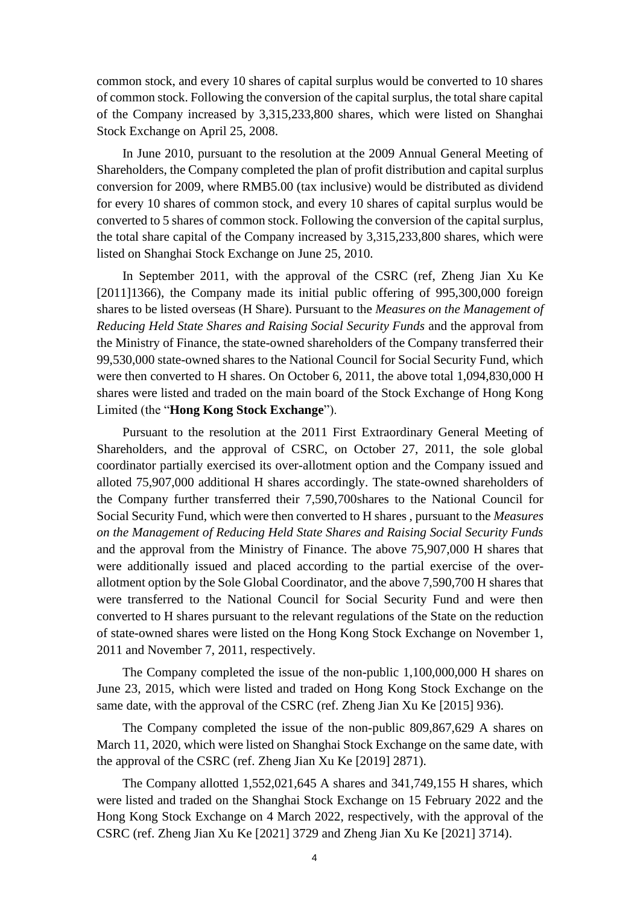common stock, and every 10 shares of capital surplus would be converted to 10 shares of common stock. Following the conversion of the capital surplus, the total share capital of the Company increased by 3,315,233,800 shares, which were listed on Shanghai Stock Exchange on April 25, 2008.

In June 2010, pursuant to the resolution at the 2009 Annual General Meeting of Shareholders, the Company completed the plan of profit distribution and capital surplus conversion for 2009, where RMB5.00 (tax inclusive) would be distributed as dividend for every 10 shares of common stock, and every 10 shares of capital surplus would be converted to 5 shares of common stock. Following the conversion of the capital surplus, the total share capital of the Company increased by 3,315,233,800 shares, which were listed on Shanghai Stock Exchange on June 25, 2010.

In September 2011, with the approval of the CSRC (ref, Zheng Jian Xu Ke [2011]1366), the Company made its initial public offering of 995,300,000 foreign shares to be listed overseas (H Share). Pursuant to the *Measures on the Management of Reducing Held State Shares and Raising Social Security Funds* and the approval from the Ministry of Finance, the state-owned shareholders of the Company transferred their 99,530,000 state-owned shares to the National Council for Social Security Fund, which were then converted to H shares. On October 6, 2011, the above total 1,094,830,000 H shares were listed and traded on the main board of the Stock Exchange of Hong Kong Limited (the "**Hong Kong Stock Exchange**").

Pursuant to the resolution at the 2011 First Extraordinary General Meeting of Shareholders, and the approval of CSRC, on October 27, 2011, the sole global coordinator partially exercised its over-allotment option and the Company issued and alloted 75,907,000 additional H shares accordingly. The state-owned shareholders of the Company further transferred their 7,590,700shares to the National Council for Social Security Fund, which were then converted to H shares , pursuant to the *Measures on the Management of Reducing Held State Shares and Raising Social Security Funds*  and the approval from the Ministry of Finance. The above 75,907,000 H shares that were additionally issued and placed according to the partial exercise of the overallotment option by the Sole Global Coordinator, and the above 7,590,700 H shares that were transferred to the National Council for Social Security Fund and were then converted to H shares pursuant to the relevant regulations of the State on the reduction of state-owned shares were listed on the Hong Kong Stock Exchange on November 1, 2011 and November 7, 2011, respectively.

The Company completed the issue of the non-public 1,100,000,000 H shares on June 23, 2015, which were listed and traded on Hong Kong Stock Exchange on the same date, with the approval of the CSRC (ref. Zheng Jian Xu Ke [2015] 936).

The Company completed the issue of the non-public 809,867,629 A shares on March 11, 2020, which were listed on Shanghai Stock Exchange on the same date, with the approval of the CSRC (ref. Zheng Jian Xu Ke [2019] 2871).

The Company allotted 1,552,021,645 A shares and 341,749,155 H shares, which were listed and traded on the Shanghai Stock Exchange on 15 February 2022 and the Hong Kong Stock Exchange on 4 March 2022, respectively, with the approval of the CSRC (ref. Zheng Jian Xu Ke [2021] 3729 and Zheng Jian Xu Ke [2021] 3714).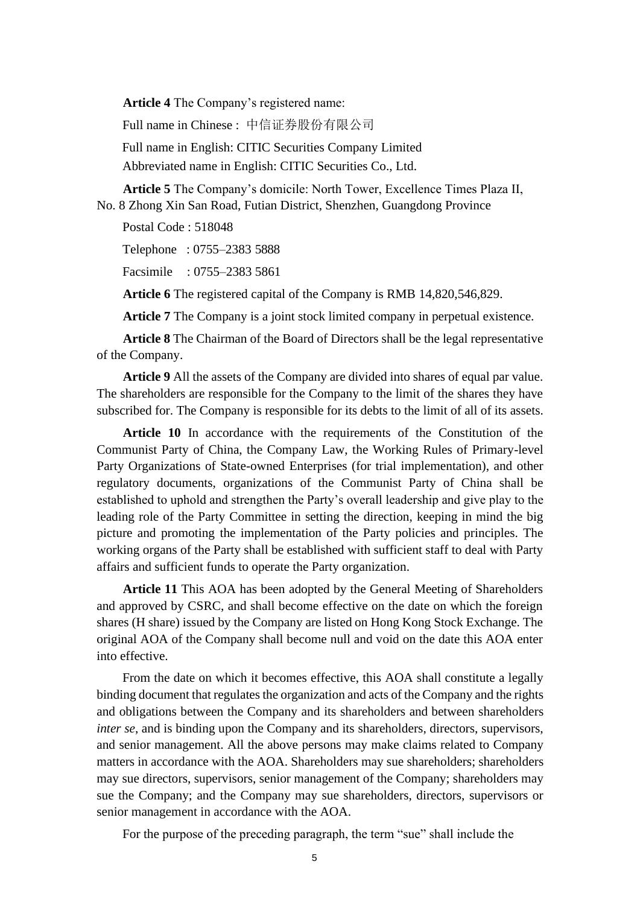**Article 4** The Company's registered name:

Full name in Chinese : 中信证券股份有限公司 Full name in English: CITIC Securities Company Limited Abbreviated name in English: CITIC Securities Co., Ltd.

**Article 5** The Company's domicile: North Tower, Excellence Times Plaza II, No. 8 Zhong Xin San Road, Futian District, Shenzhen, Guangdong Province

Postal Code : 518048

Telephone : 0755–2383 5888

Facsimile : 0755–2383 5861

**Article 6** The registered capital of the Company is RMB 14,820,546,829.

**Article 7** The Company is a joint stock limited company in perpetual existence.

**Article 8** The Chairman of the Board of Directors shall be the legal representative of the Company.

**Article 9** All the assets of the Company are divided into shares of equal par value. The shareholders are responsible for the Company to the limit of the shares they have subscribed for. The Company is responsible for its debts to the limit of all of its assets.

**Article 10** In accordance with the requirements of the Constitution of the Communist Party of China, the Company Law, the Working Rules of Primary-level Party Organizations of State-owned Enterprises (for trial implementation), and other regulatory documents, organizations of the Communist Party of China shall be established to uphold and strengthen the Party's overall leadership and give play to the leading role of the Party Committee in setting the direction, keeping in mind the big picture and promoting the implementation of the Party policies and principles. The working organs of the Party shall be established with sufficient staff to deal with Party affairs and sufficient funds to operate the Party organization.

**Article 11** This AOA has been adopted by the General Meeting of Shareholders and approved by CSRC, and shall become effective on the date on which the foreign shares (H share) issued by the Company are listed on Hong Kong Stock Exchange. The original AOA of the Company shall become null and void on the date this AOA enter into effective.

From the date on which it becomes effective, this AOA shall constitute a legally binding document that regulates the organization and acts of the Company and the rights and obligations between the Company and its shareholders and between shareholders *inter se*, and is binding upon the Company and its shareholders, directors, supervisors, and senior management. All the above persons may make claims related to Company matters in accordance with the AOA. Shareholders may sue shareholders; shareholders may sue directors, supervisors, senior management of the Company; shareholders may sue the Company; and the Company may sue shareholders, directors, supervisors or senior management in accordance with the AOA.

For the purpose of the preceding paragraph, the term "sue" shall include the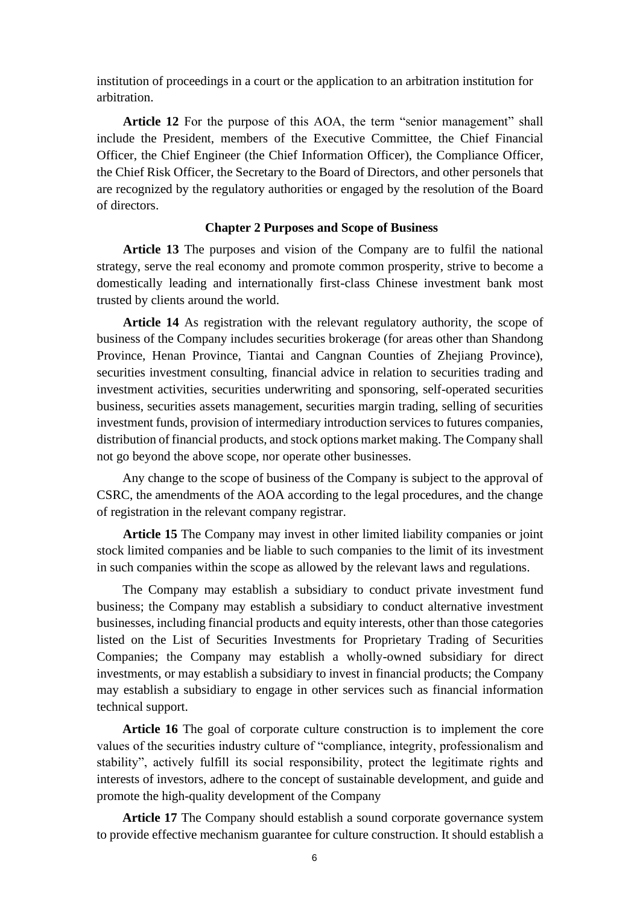institution of proceedings in a court or the application to an arbitration institution for arbitration.

**Article 12** For the purpose of this AOA, the term "senior management" shall include the President, members of the Executive Committee, the Chief Financial Officer, the Chief Engineer (the Chief Information Officer), the Compliance Officer, the Chief Risk Officer, the Secretary to the Board of Directors, and other personels that are recognized by the regulatory authorities or engaged by the resolution of the Board of directors.

### **Chapter 2 Purposes and Scope of Business**

**Article 13** The purposes and vision of the Company are to fulfil the national strategy, serve the real economy and promote common prosperity, strive to become a domestically leading and internationally first-class Chinese investment bank most trusted by clients around the world.

**Article 14** As registration with the relevant regulatory authority, the scope of business of the Company includes securities brokerage (for areas other than Shandong Province, Henan Province, Tiantai and Cangnan Counties of Zhejiang Province), securities investment consulting, financial advice in relation to securities trading and investment activities, securities underwriting and sponsoring, self-operated securities business, securities assets management, securities margin trading, selling of securities investment funds, provision of intermediary introduction services to futures companies, distribution of financial products, and stock options market making. The Company shall not go beyond the above scope, nor operate other businesses.

Any change to the scope of business of the Company is subject to the approval of CSRC, the amendments of the AOA according to the legal procedures, and the change of registration in the relevant company registrar.

**Article 15** The Company may invest in other limited liability companies or joint stock limited companies and be liable to such companies to the limit of its investment in such companies within the scope as allowed by the relevant laws and regulations.

The Company may establish a subsidiary to conduct private investment fund business; the Company may establish a subsidiary to conduct alternative investment businesses, including financial products and equity interests, other than those categories listed on the List of Securities Investments for Proprietary Trading of Securities Companies; the Company may establish a wholly-owned subsidiary for direct investments, or may establish a subsidiary to invest in financial products; the Company may establish a subsidiary to engage in other services such as financial information technical support.

**Article 16** The goal of corporate culture construction is to implement the core values of the securities industry culture of "compliance, integrity, professionalism and stability", actively fulfill its social responsibility, protect the legitimate rights and interests of investors, adhere to the concept of sustainable development, and guide and promote the high-quality development of the Company

**Article 17** The Company should establish a sound corporate governance system to provide effective mechanism guarantee for culture construction. It should establish a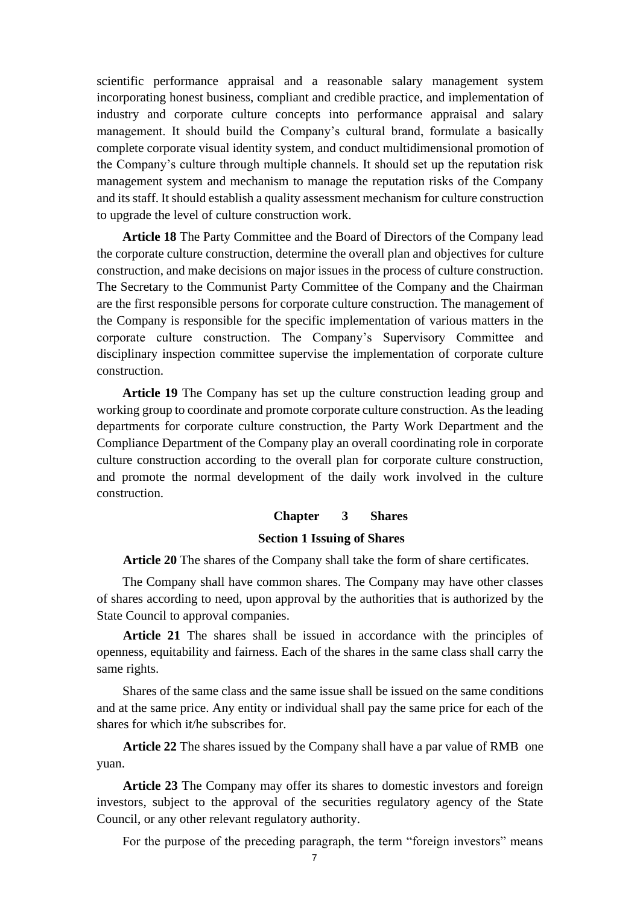scientific performance appraisal and a reasonable salary management system incorporating honest business, compliant and credible practice, and implementation of industry and corporate culture concepts into performance appraisal and salary management. It should build the Company's cultural brand, formulate a basically complete corporate visual identity system, and conduct multidimensional promotion of the Company's culture through multiple channels. It should set up the reputation risk management system and mechanism to manage the reputation risks of the Company and its staff. It should establish a quality assessment mechanism for culture construction to upgrade the level of culture construction work.

**Article 18** The Party Committee and the Board of Directors of the Company lead the corporate culture construction, determine the overall plan and objectives for culture construction, and make decisions on major issues in the process of culture construction. The Secretary to the Communist Party Committee of the Company and the Chairman are the first responsible persons for corporate culture construction. The management of the Company is responsible for the specific implementation of various matters in the corporate culture construction. The Company's Supervisory Committee and disciplinary inspection committee supervise the implementation of corporate culture construction.

**Article 19** The Company has set up the culture construction leading group and working group to coordinate and promote corporate culture construction. As the leading departments for corporate culture construction, the Party Work Department and the Compliance Department of the Company play an overall coordinating role in corporate culture construction according to the overall plan for corporate culture construction, and promote the normal development of the daily work involved in the culture construction.

### **Chapter 3 Shares**

### **Section 1 Issuing of Shares**

**Article 20** The shares of the Company shall take the form of share certificates.

The Company shall have common shares. The Company may have other classes of shares according to need, upon approval by the authorities that is authorized by the State Council to approval companies.

**Article 21** The shares shall be issued in accordance with the principles of openness, equitability and fairness. Each of the shares in the same class shall carry the same rights.

Shares of the same class and the same issue shall be issued on the same conditions and at the same price. Any entity or individual shall pay the same price for each of the shares for which it/he subscribes for.

**Article 22** The shares issued by the Company shall have a par value of RMB one yuan.

**Article 23** The Company may offer its shares to domestic investors and foreign investors, subject to the approval of the securities regulatory agency of the State Council, or any other relevant regulatory authority.

For the purpose of the preceding paragraph, the term "foreign investors" means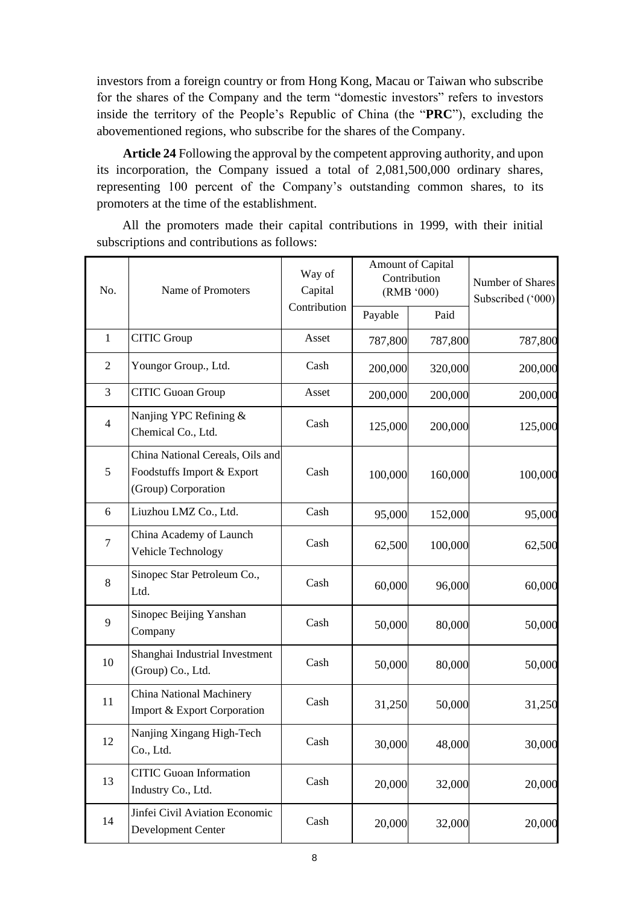investors from a foreign country or from Hong Kong, Macau or Taiwan who subscribe for the shares of the Company and the term "domestic investors" refers to investors inside the territory of the People's Republic of China (the "**PRC**"), excluding the abovementioned regions, who subscribe for the shares of the Company.

**Article 24** Following the approval by the competent approving authority, and upon its incorporation, the Company issued a total of 2,081,500,000 ordinary shares, representing 100 percent of the Company's outstanding common shares, to its promoters at the time of the establishment.

All the promoters made their capital contributions in 1999, with their initial subscriptions and contributions as follows:

| No.            | Name of Promoters                                                                     | Way of<br>Capital<br>Contribution | <b>Amount of Capital</b><br>Contribution<br>(RMB '000) |         | Number of Shares<br>Subscribed ('000) |
|----------------|---------------------------------------------------------------------------------------|-----------------------------------|--------------------------------------------------------|---------|---------------------------------------|
|                |                                                                                       |                                   | Payable                                                | Paid    |                                       |
| $\mathbf{1}$   | <b>CITIC Group</b>                                                                    | Asset                             | 787,800                                                | 787,800 | 787,800                               |
| $\overline{2}$ | Youngor Group., Ltd.                                                                  | Cash                              | 200,000                                                | 320,000 | 200,000                               |
| 3              | <b>CITIC Guoan Group</b>                                                              | Asset                             | 200,000                                                | 200,000 | 200,000                               |
| $\overline{4}$ | Nanjing YPC Refining &<br>Chemical Co., Ltd.                                          | Cash                              | 125,000                                                | 200,000 | 125,000                               |
| 5              | China National Cereals, Oils and<br>Foodstuffs Import & Export<br>(Group) Corporation | Cash                              | 100,000                                                | 160,000 | 100,000                               |
| 6              | Liuzhou LMZ Co., Ltd.                                                                 | Cash                              | 95,000                                                 | 152,000 | 95,000                                |
| $\tau$         | China Academy of Launch<br>Vehicle Technology                                         | Cash                              | 62,500                                                 | 100,000 | 62,500                                |
| 8              | Sinopec Star Petroleum Co.,<br>Ltd.                                                   | Cash                              | 60,000                                                 | 96,000  | 60,000                                |
| 9              | Sinopec Beijing Yanshan<br>Company                                                    | Cash                              | 50,000                                                 | 80,000  | 50,000                                |
| 10             | Shanghai Industrial Investment<br>(Group) Co., Ltd.                                   | Cash                              | 50,000                                                 | 80,000  | 50,000                                |
| 11             | China National Machinery<br>Import & Export Corporation                               | Cash                              | 31,250                                                 | 50,000  | 31,250                                |
| 12             | Nanjing Xingang High-Tech<br>Co., Ltd.                                                | Cash                              | 30,000                                                 | 48,000  | 30,000                                |
| 13             | <b>CITIC Guoan Information</b><br>Industry Co., Ltd.                                  | Cash                              | 20,000                                                 | 32,000  | 20,000                                |
| 14             | Jinfei Civil Aviation Economic<br>Development Center                                  | Cash                              | 20,000                                                 | 32,000  | 20,000                                |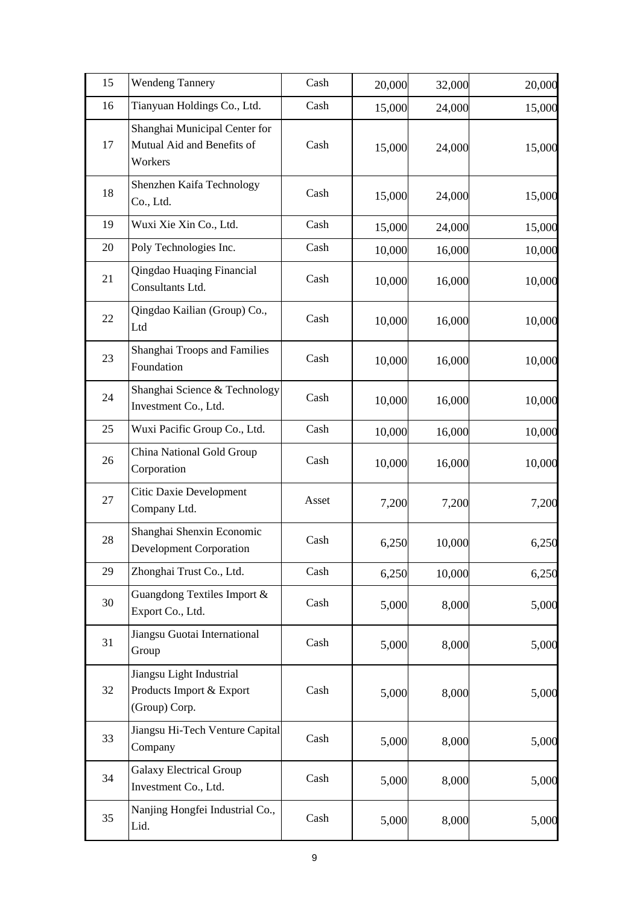| 15 | <b>Wendeng Tannery</b>                                                 | Cash  | 20,000 | 32,000 | 20,000 |
|----|------------------------------------------------------------------------|-------|--------|--------|--------|
| 16 | Tianyuan Holdings Co., Ltd.                                            | Cash  | 15,000 | 24,000 | 15,000 |
| 17 | Shanghai Municipal Center for<br>Mutual Aid and Benefits of<br>Workers | Cash  | 15,000 | 24,000 | 15,000 |
| 18 | Shenzhen Kaifa Technology<br>Co., Ltd.                                 | Cash  | 15,000 | 24,000 | 15,000 |
| 19 | Wuxi Xie Xin Co., Ltd.                                                 | Cash  | 15,000 | 24,000 | 15,000 |
| 20 | Poly Technologies Inc.                                                 | Cash  | 10,000 | 16,000 | 10,000 |
| 21 | Qingdao Huaqing Financial<br>Consultants Ltd.                          | Cash  | 10,000 | 16,000 | 10,000 |
| 22 | Qingdao Kailian (Group) Co.,<br>Ltd                                    | Cash  | 10,000 | 16,000 | 10,000 |
| 23 | Shanghai Troops and Families<br>Foundation                             | Cash  | 10,000 | 16,000 | 10,000 |
| 24 | Shanghai Science & Technology<br>Investment Co., Ltd.                  | Cash  | 10,000 | 16,000 | 10,000 |
| 25 | Wuxi Pacific Group Co., Ltd.                                           | Cash  | 10,000 | 16,000 | 10,000 |
| 26 | China National Gold Group<br>Corporation                               | Cash  | 10,000 | 16,000 | 10,000 |
| 27 | Citic Daxie Development<br>Company Ltd.                                | Asset | 7,200  | 7,200  | 7,200  |
| 28 | Shanghai Shenxin Economic<br><b>Development Corporation</b>            | Cash  | 6,250  | 10,000 | 6,250  |
| 29 | Zhonghai Trust Co., Ltd.                                               | Cash  | 6,250  | 10,000 | 6,250  |
| 30 | Guangdong Textiles Import &<br>Export Co., Ltd.                        | Cash  | 5,000  | 8,000  | 5,000  |
| 31 | Jiangsu Guotai International<br>Group                                  | Cash  | 5,000  | 8,000  | 5,000  |
| 32 | Jiangsu Light Industrial<br>Products Import & Export<br>(Group) Corp.  | Cash  | 5,000  | 8,000  | 5,000  |
| 33 | Jiangsu Hi-Tech Venture Capital<br>Company                             | Cash  | 5,000  | 8,000  | 5,000  |
| 34 | <b>Galaxy Electrical Group</b><br>Investment Co., Ltd.                 | Cash  | 5,000  | 8,000  | 5,000  |
| 35 | Nanjing Hongfei Industrial Co.,<br>Lid.                                | Cash  | 5,000  | 8,000  | 5,000  |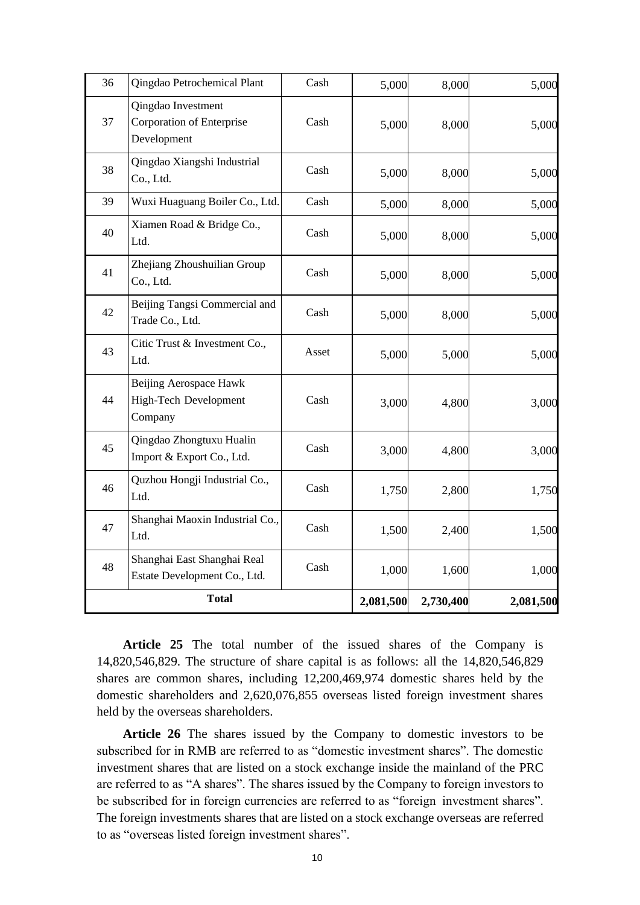| 36           | Qingdao Petrochemical Plant                                    | Cash  | 5,000     | 8,000     | 5,000     |
|--------------|----------------------------------------------------------------|-------|-----------|-----------|-----------|
| 37           | Qingdao Investment<br>Corporation of Enterprise<br>Development | Cash  | 5,000     | 8,000     | 5,000     |
| 38           | Qingdao Xiangshi Industrial<br>Co., Ltd.                       | Cash  | 5,000     | 8,000     | 5,000     |
| 39           | Wuxi Huaguang Boiler Co., Ltd.                                 | Cash  | 5,000     | 8,000     | 5,000     |
| 40           | Xiamen Road & Bridge Co.,<br>Ltd.                              | Cash  | 5,000     | 8,000     | 5,000     |
| 41           | Zhejiang Zhoushuilian Group<br>Co., Ltd.                       | Cash  | 5,000     | 8,000     | 5,000     |
| 42           | Beijing Tangsi Commercial and<br>Trade Co., Ltd.               | Cash  | 5,000     | 8,000     | 5,000     |
| 43           | Citic Trust & Investment Co.,<br>Ltd.                          | Asset | 5,000     | 5,000     | 5,000     |
| 44           | Beijing Aerospace Hawk<br>High-Tech Development<br>Company     | Cash  | 3,000     | 4,800     | 3,000     |
| 45           | Qingdao Zhongtuxu Hualin<br>Import & Export Co., Ltd.          | Cash  | 3,000     | 4,800     | 3,000     |
| 46           | Quzhou Hongji Industrial Co.,<br>Ltd.                          | Cash  | 1,750     | 2,800     | 1,750     |
| 47           | Shanghai Maoxin Industrial Co.,<br>Ltd.                        | Cash  | 1,500     | 2,400     | 1,500     |
| 48           | Shanghai East Shanghai Real<br>Estate Development Co., Ltd.    | Cash  | 1,000     | 1,600     | 1,000     |
| <b>Total</b> |                                                                |       | 2,081,500 | 2,730,400 | 2,081,500 |

**Article 25** The total number of the issued shares of the Company is 14,820,546,829. The structure of share capital is as follows: all the 14,820,546,829 shares are common shares, including 12,200,469,974 domestic shares held by the domestic shareholders and 2,620,076,855 overseas listed foreign investment shares held by the overseas shareholders.

**Article 26** The shares issued by the Company to domestic investors to be subscribed for in RMB are referred to as "domestic investment shares". The domestic investment shares that are listed on a stock exchange inside the mainland of the PRC are referred to as "A shares". The shares issued by the Company to foreign investors to be subscribed for in foreign currencies are referred to as "foreign investment shares". The foreign investments shares that are listed on a stock exchange overseas are referred to as "overseas listed foreign investment shares".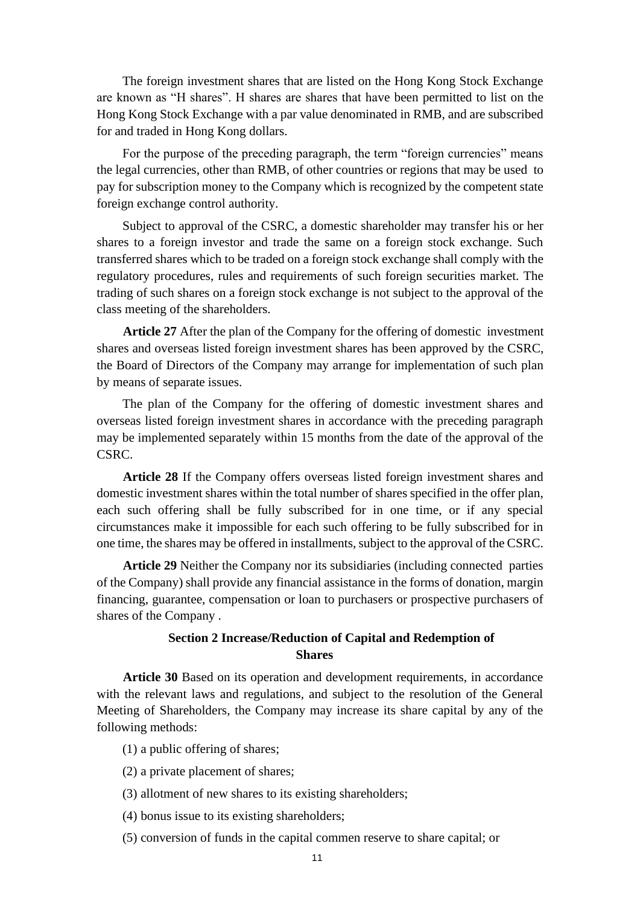The foreign investment shares that are listed on the Hong Kong Stock Exchange are known as "H shares". H shares are shares that have been permitted to list on the Hong Kong Stock Exchange with a par value denominated in RMB, and are subscribed for and traded in Hong Kong dollars.

For the purpose of the preceding paragraph, the term "foreign currencies" means the legal currencies, other than RMB, of other countries or regions that may be used to pay for subscription money to the Company which is recognized by the competent state foreign exchange control authority.

Subject to approval of the CSRC, a domestic shareholder may transfer his or her shares to a foreign investor and trade the same on a foreign stock exchange. Such transferred shares which to be traded on a foreign stock exchange shall comply with the regulatory procedures, rules and requirements of such foreign securities market. The trading of such shares on a foreign stock exchange is not subject to the approval of the class meeting of the shareholders.

**Article 27** After the plan of the Company for the offering of domestic investment shares and overseas listed foreign investment shares has been approved by the CSRC, the Board of Directors of the Company may arrange for implementation of such plan by means of separate issues.

The plan of the Company for the offering of domestic investment shares and overseas listed foreign investment shares in accordance with the preceding paragraph may be implemented separately within 15 months from the date of the approval of the CSRC.

**Article 28** If the Company offers overseas listed foreign investment shares and domestic investment shares within the total number of shares specified in the offer plan, each such offering shall be fully subscribed for in one time, or if any special circumstances make it impossible for each such offering to be fully subscribed for in one time, the shares may be offered in installments, subject to the approval of the CSRC.

**Article 29** Neither the Company nor its subsidiaries (including connected parties of the Company) shall provide any financial assistance in the forms of donation, margin financing, guarantee, compensation or loan to purchasers or prospective purchasers of shares of the Company .

### **Section 2 Increase/Reduction of Capital and Redemption of Shares**

**Article 30** Based on its operation and development requirements, in accordance with the relevant laws and regulations, and subject to the resolution of the General Meeting of Shareholders, the Company may increase its share capital by any of the following methods:

- (1) a public offering of shares;
- (2) a private placement of shares;
- (3) allotment of new shares to its existing shareholders;
- (4) bonus issue to its existing shareholders;
- (5) conversion of funds in the capital commen reserve to share capital; or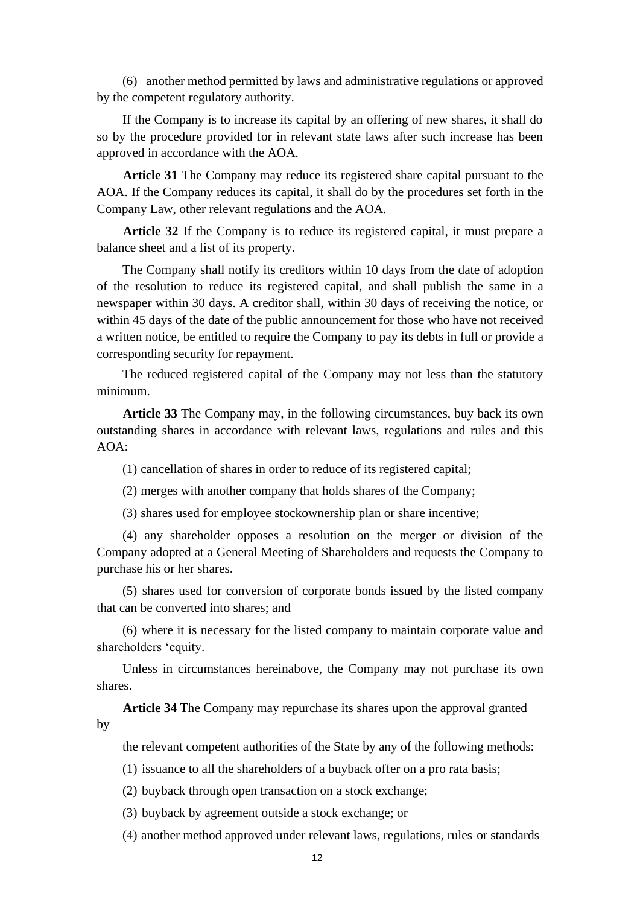(6) another method permitted by laws and administrative regulations or approved by the competent regulatory authority.

If the Company is to increase its capital by an offering of new shares, it shall do so by the procedure provided for in relevant state laws after such increase has been approved in accordance with the AOA.

**Article 31** The Company may reduce its registered share capital pursuant to the AOA. If the Company reduces its capital, it shall do by the procedures set forth in the Company Law, other relevant regulations and the AOA.

**Article 32** If the Company is to reduce its registered capital, it must prepare a balance sheet and a list of its property.

The Company shall notify its creditors within 10 days from the date of adoption of the resolution to reduce its registered capital, and shall publish the same in a newspaper within 30 days. A creditor shall, within 30 days of receiving the notice, or within 45 days of the date of the public announcement for those who have not received a written notice, be entitled to require the Company to pay its debts in full or provide a corresponding security for repayment.

The reduced registered capital of the Company may not less than the statutory minimum.

**Article 33** The Company may, in the following circumstances, buy back its own outstanding shares in accordance with relevant laws, regulations and rules and this AOA:

(1) cancellation of shares in order to reduce of its registered capital;

(2) merges with another company that holds shares of the Company;

(3) shares used for employee stockownership plan or share incentive;

(4) any shareholder opposes a resolution on the merger or division of the Company adopted at a General Meeting of Shareholders and requests the Company to purchase his or her shares.

(5) shares used for conversion of corporate bonds issued by the listed company that can be converted into shares; and

(6) where it is necessary for the listed company to maintain corporate value and shareholders 'equity.

Unless in circumstances hereinabove, the Company may not purchase its own shares.

**Article 34** The Company may repurchase its shares upon the approval granted by

the relevant competent authorities of the State by any of the following methods:

(1) issuance to all the shareholders of a buyback offer on a pro rata basis;

(2) buyback through open transaction on a stock exchange;

(3) buyback by agreement outside a stock exchange; or

(4) another method approved under relevant laws, regulations, rules or standards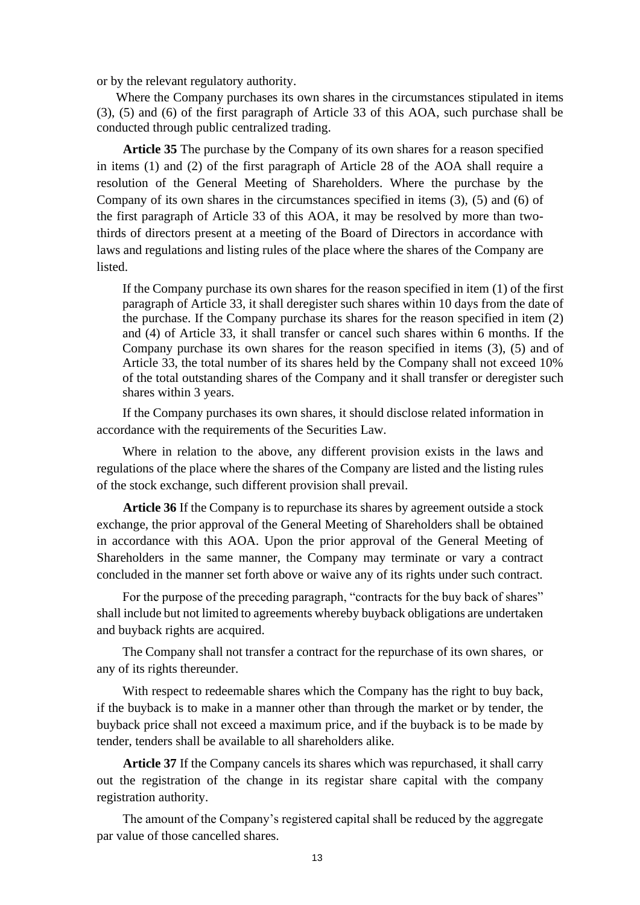or by the relevant regulatory authority.

Where the Company purchases its own shares in the circumstances stipulated in items (3), (5) and (6) of the first paragraph of Article 33 of this AOA, such purchase shall be conducted through public centralized trading.

**Article 35** The purchase by the Company of its own shares for a reason specified in items (1) and (2) of the first paragraph of Article 28 of the AOA shall require a resolution of the General Meeting of Shareholders. Where the purchase by the Company of its own shares in the circumstances specified in items (3), (5) and (6) of the first paragraph of Article 33 of this AOA, it may be resolved by more than twothirds of directors present at a meeting of the Board of Directors in accordance with laws and regulations and listing rules of the place where the shares of the Company are listed.

If the Company purchase its own shares for the reason specified in item (1) of the first paragraph of Article 33, it shall deregister such shares within 10 days from the date of the purchase. If the Company purchase its shares for the reason specified in item (2) and (4) of Article 33, it shall transfer or cancel such shares within 6 months. If the Company purchase its own shares for the reason specified in items (3), (5) and of Article 33, the total number of its shares held by the Company shall not exceed 10% of the total outstanding shares of the Company and it shall transfer or deregister such shares within 3 years.

If the Company purchases its own shares, it should disclose related information in accordance with the requirements of the Securities Law.

Where in relation to the above, any different provision exists in the laws and regulations of the place where the shares of the Company are listed and the listing rules of the stock exchange, such different provision shall prevail.

**Article 36** If the Company is to repurchase its shares by agreement outside a stock exchange, the prior approval of the General Meeting of Shareholders shall be obtained in accordance with this AOA. Upon the prior approval of the General Meeting of Shareholders in the same manner, the Company may terminate or vary a contract concluded in the manner set forth above or waive any of its rights under such contract.

For the purpose of the preceding paragraph, "contracts for the buy back of shares" shall include but not limited to agreements whereby buyback obligations are undertaken and buyback rights are acquired.

The Company shall not transfer a contract for the repurchase of its own shares, or any of its rights thereunder.

With respect to redeemable shares which the Company has the right to buy back, if the buyback is to make in a manner other than through the market or by tender, the buyback price shall not exceed a maximum price, and if the buyback is to be made by tender, tenders shall be available to all shareholders alike.

**Article 37** If the Company cancels its shares which was repurchased, it shall carry out the registration of the change in its registar share capital with the company registration authority.

The amount of the Company's registered capital shall be reduced by the aggregate par value of those cancelled shares.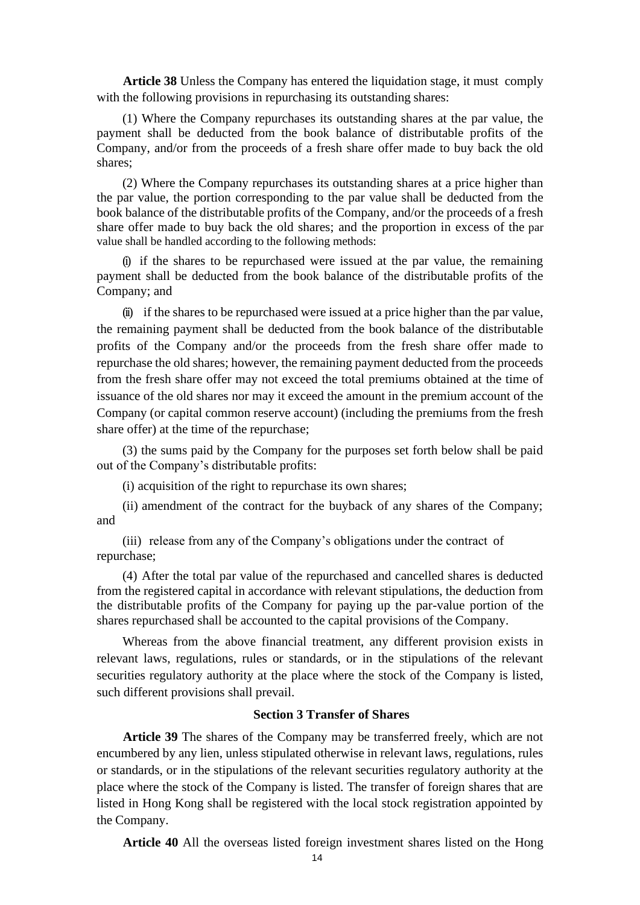**Article 38** Unless the Company has entered the liquidation stage, it must comply with the following provisions in repurchasing its outstanding shares:

(1) Where the Company repurchases its outstanding shares at the par value, the payment shall be deducted from the book balance of distributable profits of the Company, and/or from the proceeds of a fresh share offer made to buy back the old shares;

(2) Where the Company repurchases its outstanding shares at a price higher than the par value, the portion corresponding to the par value shall be deducted from the book balance of the distributable profits of the Company, and/or the proceeds of a fresh share offer made to buy back the old shares; and the proportion in excess of the par value shall be handled according to the following methods:

(i) if the shares to be repurchased were issued at the par value, the remaining payment shall be deducted from the book balance of the distributable profits of the Company; and

(ii) if the shares to be repurchased were issued at a price higher than the par value, the remaining payment shall be deducted from the book balance of the distributable profits of the Company and/or the proceeds from the fresh share offer made to repurchase the old shares; however, the remaining payment deducted from the proceeds from the fresh share offer may not exceed the total premiums obtained at the time of issuance of the old shares nor may it exceed the amount in the premium account of the Company (or capital common reserve account) (including the premiums from the fresh share offer) at the time of the repurchase;

(3) the sums paid by the Company for the purposes set forth below shall be paid out of the Company's distributable profits:

(i) acquisition of the right to repurchase its own shares;

(ii) amendment of the contract for the buyback of any shares of the Company; and

(iii) release from any of the Company's obligations under the contract of repurchase;

(4) After the total par value of the repurchased and cancelled shares is deducted from the registered capital in accordance with relevant stipulations, the deduction from the distributable profits of the Company for paying up the par-value portion of the shares repurchased shall be accounted to the capital provisions of the Company.

Whereas from the above financial treatment, any different provision exists in relevant laws, regulations, rules or standards, or in the stipulations of the relevant securities regulatory authority at the place where the stock of the Company is listed, such different provisions shall prevail.

#### **Section 3 Transfer of Shares**

**Article 39** The shares of the Company may be transferred freely, which are not encumbered by any lien, unless stipulated otherwise in relevant laws, regulations, rules or standards, or in the stipulations of the relevant securities regulatory authority at the place where the stock of the Company is listed. The transfer of foreign shares that are listed in Hong Kong shall be registered with the local stock registration appointed by the Company.

**Article 40** All the overseas listed foreign investment shares listed on the Hong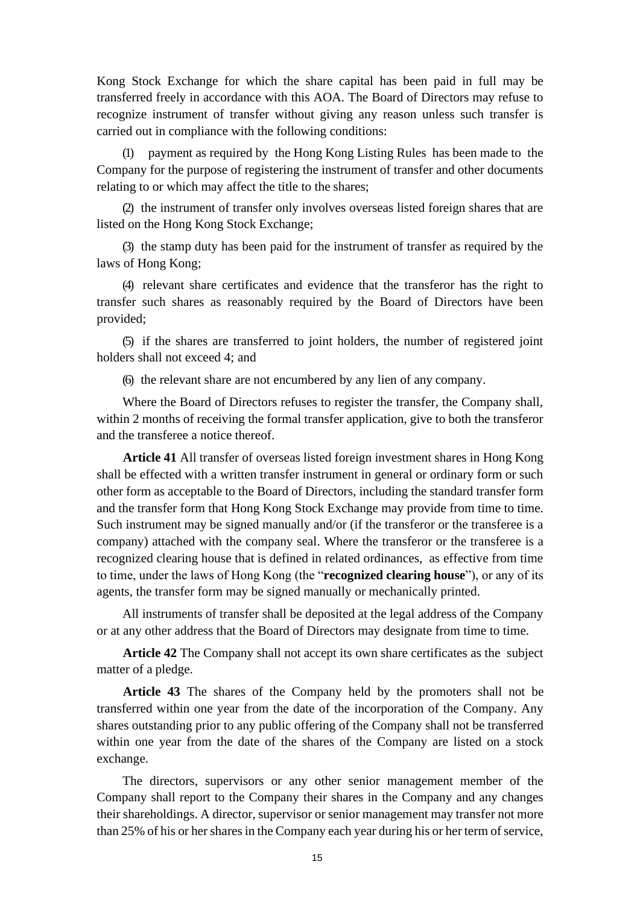Kong Stock Exchange for which the share capital has been paid in full may be transferred freely in accordance with this AOA. The Board of Directors may refuse to recognize instrument of transfer without giving any reason unless such transfer is carried out in compliance with the following conditions:

(1) payment as required by the Hong Kong Listing Rules has been made to the Company for the purpose of registering the instrument of transfer and other documents relating to or which may affect the title to the shares;

(2) the instrument of transfer only involves overseas listed foreign shares that are listed on the Hong Kong Stock Exchange;

(3) the stamp duty has been paid for the instrument of transfer as required by the laws of Hong Kong;

(4) relevant share certificates and evidence that the transferor has the right to transfer such shares as reasonably required by the Board of Directors have been provided;

(5) if the shares are transferred to joint holders, the number of registered joint holders shall not exceed 4; and

(6) the relevant share are not encumbered by any lien of any company.

Where the Board of Directors refuses to register the transfer, the Company shall, within 2 months of receiving the formal transfer application, give to both the transferor and the transferee a notice thereof.

**Article 41** All transfer of overseas listed foreign investment shares in Hong Kong shall be effected with a written transfer instrument in general or ordinary form or such other form as acceptable to the Board of Directors, including the standard transfer form and the transfer form that Hong Kong Stock Exchange may provide from time to time. Such instrument may be signed manually and/or (if the transferor or the transferee is a company) attached with the company seal. Where the transferor or the transferee is a recognized clearing house that is defined in related ordinances, as effective from time to time, under the laws of Hong Kong (the "**recognized clearing house**"), or any of its agents, the transfer form may be signed manually or mechanically printed.

All instruments of transfer shall be deposited at the legal address of the Company or at any other address that the Board of Directors may designate from time to time.

**Article 42** The Company shall not accept its own share certificates as the subject matter of a pledge.

**Article 43** The shares of the Company held by the promoters shall not be transferred within one year from the date of the incorporation of the Company. Any shares outstanding prior to any public offering of the Company shall not be transferred within one year from the date of the shares of the Company are listed on a stock exchange.

The directors, supervisors or any other senior management member of the Company shall report to the Company their shares in the Company and any changes their shareholdings. A director, supervisor or senior management may transfer not more than 25% of his or her shares in the Company each year during his or her term of service,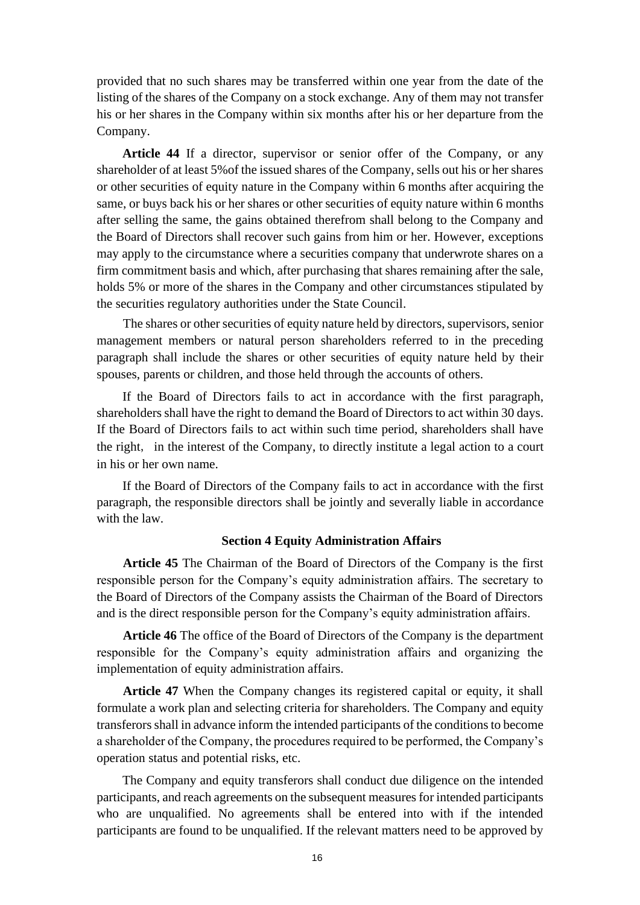provided that no such shares may be transferred within one year from the date of the listing of the shares of the Company on a stock exchange. Any of them may not transfer his or her shares in the Company within six months after his or her departure from the Company.

**Article 44** If a director, supervisor or senior offer of the Company, or any shareholder of at least 5%of the issued shares of the Company, sells out his or her shares or other securities of equity nature in the Company within 6 months after acquiring the same, or buys back his or her shares or other securities of equity nature within 6 months after selling the same, the gains obtained therefrom shall belong to the Company and the Board of Directors shall recover such gains from him or her. However, exceptions may apply to the circumstance where a securities company that underwrote shares on a firm commitment basis and which, after purchasing that shares remaining after the sale, holds 5% or more of the shares in the Company and other circumstances stipulated by the securities regulatory authorities under the State Council.

The shares or other securities of equity nature held by directors, supervisors, senior management members or natural person shareholders referred to in the preceding paragraph shall include the shares or other securities of equity nature held by their spouses, parents or children, and those held through the accounts of others.

If the Board of Directors fails to act in accordance with the first paragraph, shareholders shall have the right to demand the Board of Directors to act within 30 days. If the Board of Directors fails to act within such time period, shareholders shall have the right, in the interest of the Company, to directly institute a legal action to a court in his or her own name.

If the Board of Directors of the Company fails to act in accordance with the first paragraph, the responsible directors shall be jointly and severally liable in accordance with the law.

#### **Section 4 Equity Administration Affairs**

**Article 45** The Chairman of the Board of Directors of the Company is the first responsible person for the Company's equity administration affairs. The secretary to the Board of Directors of the Company assists the Chairman of the Board of Directors and is the direct responsible person for the Company's equity administration affairs.

**Article 46** The office of the Board of Directors of the Company is the department responsible for the Company's equity administration affairs and organizing the implementation of equity administration affairs.

**Article 47** When the Company changes its registered capital or equity, it shall formulate a work plan and selecting criteria for shareholders. The Company and equity transferors shall in advance inform the intended participants of the conditions to become a shareholder of the Company, the procedures required to be performed, the Company's operation status and potential risks, etc.

The Company and equity transferors shall conduct due diligence on the intended participants, and reach agreements on the subsequent measures for intended participants who are unqualified. No agreements shall be entered into with if the intended participants are found to be unqualified. If the relevant matters need to be approved by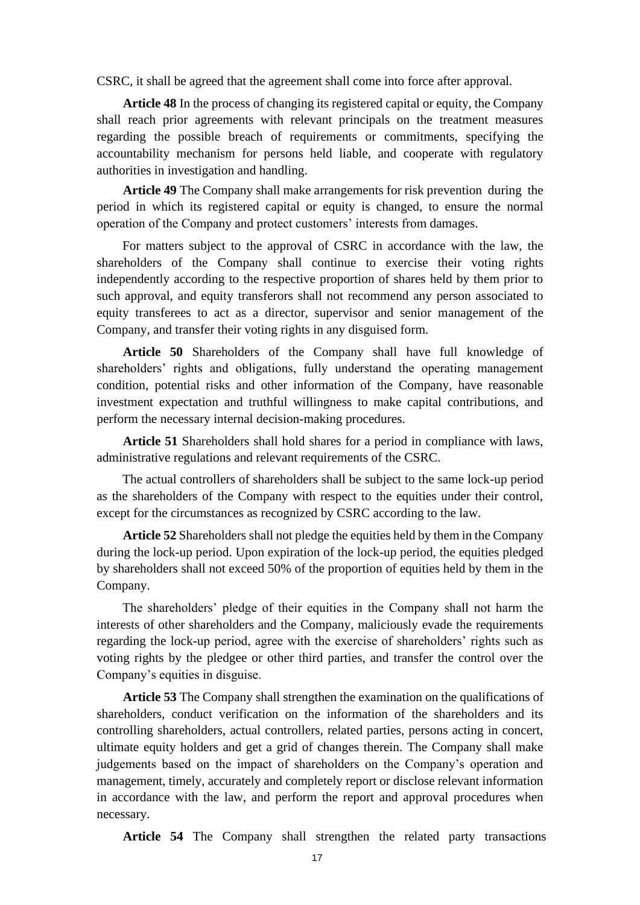CSRC, it shall be agreed that the agreement shall come into force after approval.

**Article 48** In the process of changing its registered capital or equity, the Company shall reach prior agreements with relevant principals on the treatment measures regarding the possible breach of requirements or commitments, specifying the accountability mechanism for persons held liable, and cooperate with regulatory authorities in investigation and handling.

**Article 49** The Company shall make arrangements for risk prevention during the period in which its registered capital or equity is changed, to ensure the normal operation of the Company and protect customers' interests from damages.

For matters subject to the approval of CSRC in accordance with the law, the shareholders of the Company shall continue to exercise their voting rights independently according to the respective proportion of shares held by them prior to such approval, and equity transferors shall not recommend any person associated to equity transferees to act as a director, supervisor and senior management of the Company, and transfer their voting rights in any disguised form.

**Article 50** Shareholders of the Company shall have full knowledge of shareholders' rights and obligations, fully understand the operating management condition, potential risks and other information of the Company, have reasonable investment expectation and truthful willingness to make capital contributions, and perform the necessary internal decision-making procedures.

**Article 51** Shareholders shall hold shares for a period in compliance with laws, administrative regulations and relevant requirements of the CSRC.

The actual controllers of shareholders shall be subject to the same lock-up period as the shareholders of the Company with respect to the equities under their control, except for the circumstances as recognized by CSRC according to the law.

**Article 52** Shareholders shall not pledge the equities held by them in the Company during the lock-up period. Upon expiration of the lock-up period, the equities pledged by shareholders shall not exceed 50% of the proportion of equities held by them in the Company.

The shareholders' pledge of their equities in the Company shall not harm the interests of other shareholders and the Company, maliciously evade the requirements regarding the lock-up period, agree with the exercise of shareholders' rights such as voting rights by the pledgee or other third parties, and transfer the control over the Company's equities in disguise.

**Article 53** The Company shall strengthen the examination on the qualifications of shareholders, conduct verification on the information of the shareholders and its controlling shareholders, actual controllers, related parties, persons acting in concert, ultimate equity holders and get a grid of changes therein. The Company shall make judgements based on the impact of shareholders on the Company's operation and management, timely, accurately and completely report or disclose relevant information in accordance with the law, and perform the report and approval procedures when necessary.

**Article 54** The Company shall strengthen the related party transactions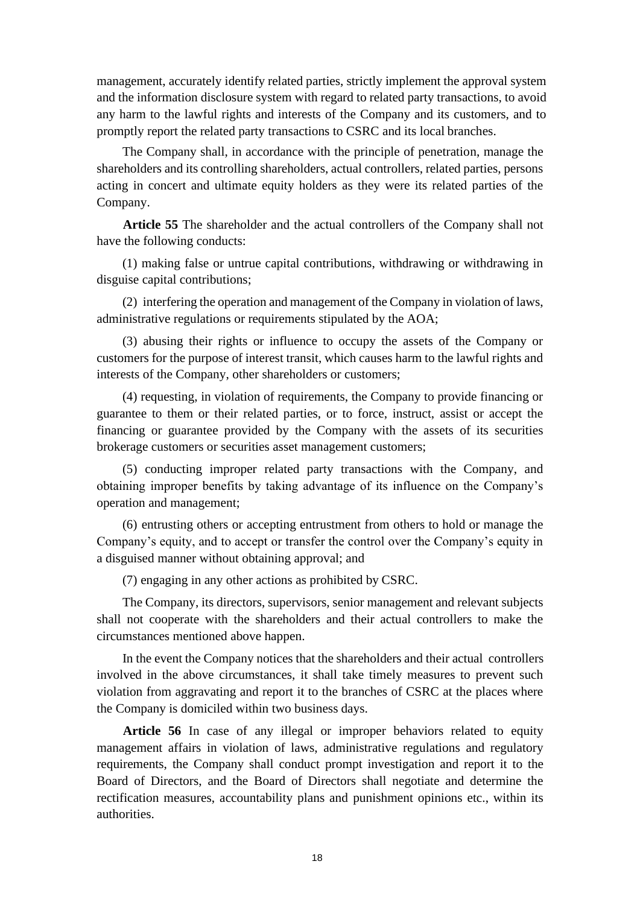management, accurately identify related parties, strictly implement the approval system and the information disclosure system with regard to related party transactions, to avoid any harm to the lawful rights and interests of the Company and its customers, and to promptly report the related party transactions to CSRC and its local branches.

The Company shall, in accordance with the principle of penetration, manage the shareholders and its controlling shareholders, actual controllers, related parties, persons acting in concert and ultimate equity holders as they were its related parties of the Company.

**Article 55** The shareholder and the actual controllers of the Company shall not have the following conducts:

(1) making false or untrue capital contributions, withdrawing or withdrawing in disguise capital contributions;

(2) interfering the operation and management of the Company in violation of laws, administrative regulations or requirements stipulated by the AOA;

(3) abusing their rights or influence to occupy the assets of the Company or customers for the purpose of interest transit, which causes harm to the lawful rights and interests of the Company, other shareholders or customers;

(4) requesting, in violation of requirements, the Company to provide financing or guarantee to them or their related parties, or to force, instruct, assist or accept the financing or guarantee provided by the Company with the assets of its securities brokerage customers or securities asset management customers;

(5) conducting improper related party transactions with the Company, and obtaining improper benefits by taking advantage of its influence on the Company's operation and management;

(6) entrusting others or accepting entrustment from others to hold or manage the Company's equity, and to accept or transfer the control over the Company's equity in a disguised manner without obtaining approval; and

(7) engaging in any other actions as prohibited by CSRC.

The Company, its directors, supervisors, senior management and relevant subjects shall not cooperate with the shareholders and their actual controllers to make the circumstances mentioned above happen.

In the event the Company notices that the shareholders and their actual controllers involved in the above circumstances, it shall take timely measures to prevent such violation from aggravating and report it to the branches of CSRC at the places where the Company is domiciled within two business days.

**Article 56** In case of any illegal or improper behaviors related to equity management affairs in violation of laws, administrative regulations and regulatory requirements, the Company shall conduct prompt investigation and report it to the Board of Directors, and the Board of Directors shall negotiate and determine the rectification measures, accountability plans and punishment opinions etc., within its authorities.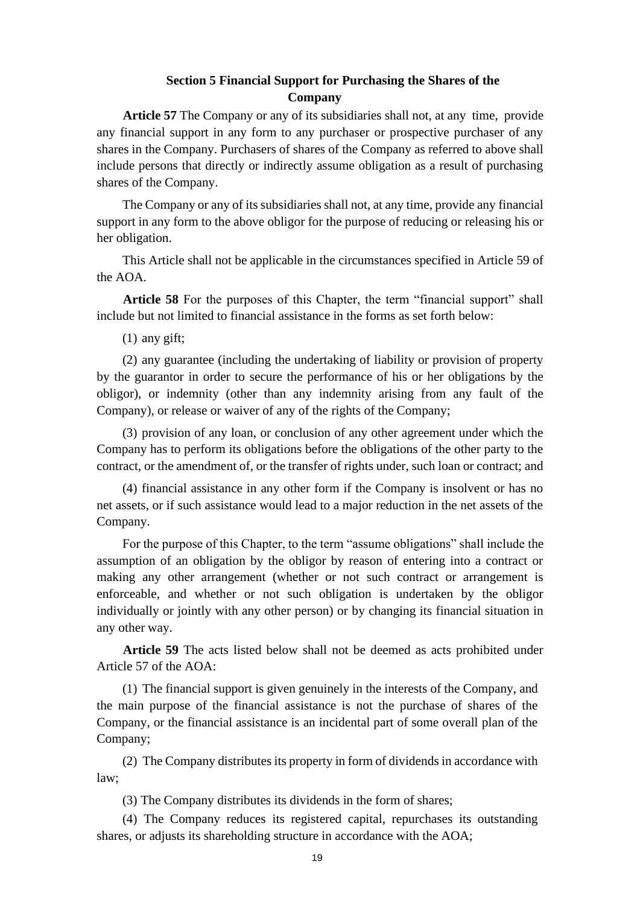### **Section 5 Financial Support for Purchasing the Shares of the Company**

**Article 57** The Company or any of its subsidiaries shall not, at any time, provide any financial support in any form to any purchaser or prospective purchaser of any shares in the Company. Purchasers of shares of the Company as referred to above shall include persons that directly or indirectly assume obligation as a result of purchasing shares of the Company.

The Company or any of its subsidiaries shall not, at any time, provide any financial support in any form to the above obligor for the purpose of reducing or releasing his or her obligation.

This Article shall not be applicable in the circumstances specified in Article 59 of the AOA.

**Article 58** For the purposes of this Chapter, the term "financial support" shall include but not limited to financial assistance in the forms as set forth below:

(1) any gift;

(2) any guarantee (including the undertaking of liability or provision of property by the guarantor in order to secure the performance of his or her obligations by the obligor), or indemnity (other than any indemnity arising from any fault of the Company), or release or waiver of any of the rights of the Company;

(3) provision of any loan, or conclusion of any other agreement under which the Company has to perform its obligations before the obligations of the other party to the contract, or the amendment of, or the transfer of rights under, such loan or contract; and

(4) financial assistance in any other form if the Company is insolvent or has no net assets, or if such assistance would lead to a major reduction in the net assets of the Company.

For the purpose of this Chapter, to the term "assume obligations" shall include the assumption of an obligation by the obligor by reason of entering into a contract or making any other arrangement (whether or not such contract or arrangement is enforceable, and whether or not such obligation is undertaken by the obligor individually or jointly with any other person) or by changing its financial situation in any other way.

**Article 59** The acts listed below shall not be deemed as acts prohibited under Article 57 of the AOA:

(1) The financial support is given genuinely in the interests of the Company, and the main purpose of the financial assistance is not the purchase of shares of the Company, or the financial assistance is an incidental part of some overall plan of the Company;

(2) The Company distributes its property in form of dividends in accordance with law;

(3) The Company distributes its dividends in the form of shares;

(4) The Company reduces its registered capital, repurchases its outstanding shares, or adjusts its shareholding structure in accordance with the AOA;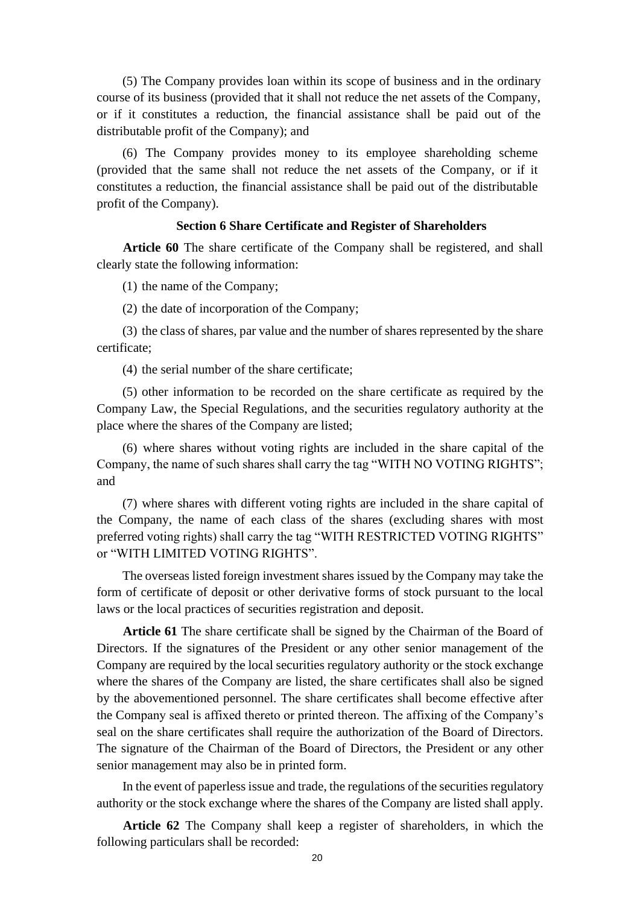(5) The Company provides loan within its scope of business and in the ordinary course of its business (provided that it shall not reduce the net assets of the Company, or if it constitutes a reduction, the financial assistance shall be paid out of the distributable profit of the Company); and

(6) The Company provides money to its employee shareholding scheme (provided that the same shall not reduce the net assets of the Company, or if it constitutes a reduction, the financial assistance shall be paid out of the distributable profit of the Company).

#### **Section 6 Share Certificate and Register of Shareholders**

**Article 60** The share certificate of the Company shall be registered, and shall clearly state the following information:

(1) the name of the Company;

(2) the date of incorporation of the Company;

(3) the class of shares, par value and the number of shares represented by the share certificate;

(4) the serial number of the share certificate;

(5) other information to be recorded on the share certificate as required by the Company Law, the Special Regulations, and the securities regulatory authority at the place where the shares of the Company are listed;

(6) where shares without voting rights are included in the share capital of the Company, the name of such shares shall carry the tag "WITH NO VOTING RIGHTS"; and

(7) where shares with different voting rights are included in the share capital of the Company, the name of each class of the shares (excluding shares with most preferred voting rights) shall carry the tag "WITH RESTRICTED VOTING RIGHTS" or "WITH LIMITED VOTING RIGHTS".

The overseas listed foreign investment shares issued by the Company may take the form of certificate of deposit or other derivative forms of stock pursuant to the local laws or the local practices of securities registration and deposit.

**Article 61** The share certificate shall be signed by the Chairman of the Board of Directors. If the signatures of the President or any other senior management of the Company are required by the local securities regulatory authority or the stock exchange where the shares of the Company are listed, the share certificates shall also be signed by the abovementioned personnel. The share certificates shall become effective after the Company seal is affixed thereto or printed thereon. The affixing of the Company's seal on the share certificates shall require the authorization of the Board of Directors. The signature of the Chairman of the Board of Directors, the President or any other senior management may also be in printed form.

In the event of paperless issue and trade, the regulations of the securities regulatory authority or the stock exchange where the shares of the Company are listed shall apply.

**Article 62** The Company shall keep a register of shareholders, in which the following particulars shall be recorded: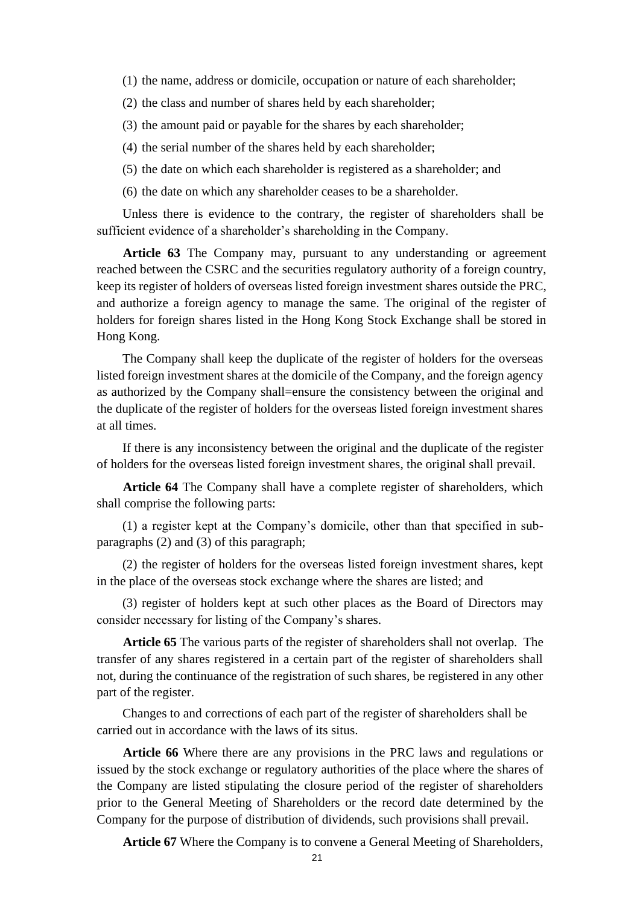- (1) the name, address or domicile, occupation or nature of each shareholder;
- (2) the class and number of shares held by each shareholder;
- (3) the amount paid or payable for the shares by each shareholder;
- (4) the serial number of the shares held by each shareholder;
- (5) the date on which each shareholder is registered as a shareholder; and
- (6) the date on which any shareholder ceases to be a shareholder.

Unless there is evidence to the contrary, the register of shareholders shall be sufficient evidence of a shareholder's shareholding in the Company.

**Article 63** The Company may, pursuant to any understanding or agreement reached between the CSRC and the securities regulatory authority of a foreign country, keep its register of holders of overseas listed foreign investment shares outside the PRC, and authorize a foreign agency to manage the same. The original of the register of holders for foreign shares listed in the Hong Kong Stock Exchange shall be stored in Hong Kong.

The Company shall keep the duplicate of the register of holders for the overseas listed foreign investment shares at the domicile of the Company, and the foreign agency as authorized by the Company shall=ensure the consistency between the original and the duplicate of the register of holders for the overseas listed foreign investment shares at all times.

If there is any inconsistency between the original and the duplicate of the register of holders for the overseas listed foreign investment shares, the original shall prevail.

**Article 64** The Company shall have a complete register of shareholders, which shall comprise the following parts:

(1) a register kept at the Company's domicile, other than that specified in subparagraphs (2) and (3) of this paragraph;

(2) the register of holders for the overseas listed foreign investment shares, kept in the place of the overseas stock exchange where the shares are listed; and

(3) register of holders kept at such other places as the Board of Directors may consider necessary for listing of the Company's shares.

**Article 65** The various parts of the register of shareholders shall not overlap. The transfer of any shares registered in a certain part of the register of shareholders shall not, during the continuance of the registration of such shares, be registered in any other part of the register.

Changes to and corrections of each part of the register of shareholders shall be carried out in accordance with the laws of its situs.

**Article 66** Where there are any provisions in the PRC laws and regulations or issued by the stock exchange or regulatory authorities of the place where the shares of the Company are listed stipulating the closure period of the register of shareholders prior to the General Meeting of Shareholders or the record date determined by the Company for the purpose of distribution of dividends, such provisions shall prevail.

**Article 67** Where the Company is to convene a General Meeting of Shareholders,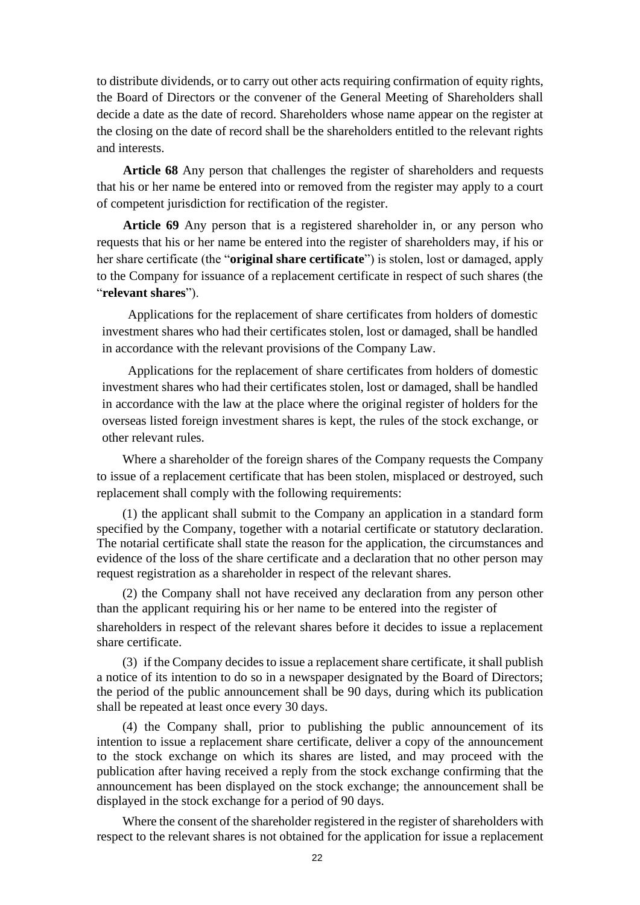to distribute dividends, or to carry out other acts requiring confirmation of equity rights, the Board of Directors or the convener of the General Meeting of Shareholders shall decide a date as the date of record. Shareholders whose name appear on the register at the closing on the date of record shall be the shareholders entitled to the relevant rights and interests.

**Article 68** Any person that challenges the register of shareholders and requests that his or her name be entered into or removed from the register may apply to a court of competent jurisdiction for rectification of the register.

**Article 69** Any person that is a registered shareholder in, or any person who requests that his or her name be entered into the register of shareholders may, if his or her share certificate (the "**original share certificate**") is stolen, lost or damaged, apply to the Company for issuance of a replacement certificate in respect of such shares (the "**relevant shares**").

Applications for the replacement of share certificates from holders of domestic investment shares who had their certificates stolen, lost or damaged, shall be handled in accordance with the relevant provisions of the Company Law.

Applications for the replacement of share certificates from holders of domestic investment shares who had their certificates stolen, lost or damaged, shall be handled in accordance with the law at the place where the original register of holders for the overseas listed foreign investment shares is kept, the rules of the stock exchange, or other relevant rules.

Where a shareholder of the foreign shares of the Company requests the Company to issue of a replacement certificate that has been stolen, misplaced or destroyed, such replacement shall comply with the following requirements:

(1) the applicant shall submit to the Company an application in a standard form specified by the Company, together with a notarial certificate or statutory declaration. The notarial certificate shall state the reason for the application, the circumstances and evidence of the loss of the share certificate and a declaration that no other person may request registration as a shareholder in respect of the relevant shares.

(2) the Company shall not have received any declaration from any person other than the applicant requiring his or her name to be entered into the register of shareholders in respect of the relevant shares before it decides to issue a replacement share certificate.

(3) if the Company decides to issue a replacement share certificate, it shall publish a notice of its intention to do so in a newspaper designated by the Board of Directors; the period of the public announcement shall be 90 days, during which its publication shall be repeated at least once every 30 days.

(4) the Company shall, prior to publishing the public announcement of its intention to issue a replacement share certificate, deliver a copy of the announcement to the stock exchange on which its shares are listed, and may proceed with the publication after having received a reply from the stock exchange confirming that the announcement has been displayed on the stock exchange; the announcement shall be displayed in the stock exchange for a period of 90 days.

Where the consent of the shareholder registered in the register of shareholders with respect to the relevant shares is not obtained for the application for issue a replacement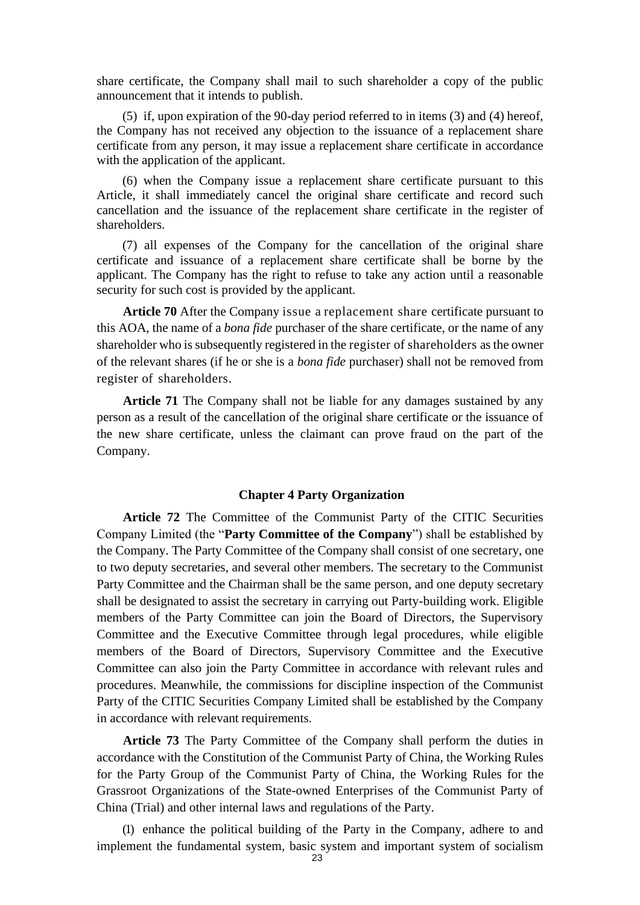share certificate, the Company shall mail to such shareholder a copy of the public announcement that it intends to publish.

(5) if, upon expiration of the 90-day period referred to in items (3) and (4) hereof, the Company has not received any objection to the issuance of a replacement share certificate from any person, it may issue a replacement share certificate in accordance with the application of the applicant.

(6) when the Company issue a replacement share certificate pursuant to this Article, it shall immediately cancel the original share certificate and record such cancellation and the issuance of the replacement share certificate in the register of shareholders.

(7) all expenses of the Company for the cancellation of the original share certificate and issuance of a replacement share certificate shall be borne by the applicant. The Company has the right to refuse to take any action until a reasonable security for such cost is provided by the applicant.

**Article 70** After the Company issue a replacement share certificate pursuant to this AOA, the name of a *bona fide* purchaser of the share certificate, or the name of any shareholder who is subsequently registered in the register of shareholders as the owner of the relevant shares (if he or she is a *bona fide* purchaser) shall not be removed from register of shareholders.

**Article 71** The Company shall not be liable for any damages sustained by any person as a result of the cancellation of the original share certificate or the issuance of the new share certificate, unless the claimant can prove fraud on the part of the Company.

#### **Chapter 4 Party Organization**

**Article 72** The Committee of the Communist Party of the CITIC Securities Company Limited (the "**Party Committee of the Company**") shall be established by the Company. The Party Committee of the Company shall consist of one secretary, one to two deputy secretaries, and several other members. The secretary to the Communist Party Committee and the Chairman shall be the same person, and one deputy secretary shall be designated to assist the secretary in carrying out Party-building work. Eligible members of the Party Committee can join the Board of Directors, the Supervisory Committee and the Executive Committee through legal procedures, while eligible members of the Board of Directors, Supervisory Committee and the Executive Committee can also join the Party Committee in accordance with relevant rules and procedures. Meanwhile, the commissions for discipline inspection of the Communist Party of the CITIC Securities Company Limited shall be established by the Company in accordance with relevant requirements.

**Article 73** The Party Committee of the Company shall perform the duties in accordance with the Constitution of the Communist Party of China, the Working Rules for the Party Group of the Communist Party of China, the Working Rules for the Grassroot Organizations of the State-owned Enterprises of the Communist Party of China (Trial) and other internal laws and regulations of the Party.

(1) enhance the political building of the Party in the Company, adhere to and implement the fundamental system, basic system and important system of socialism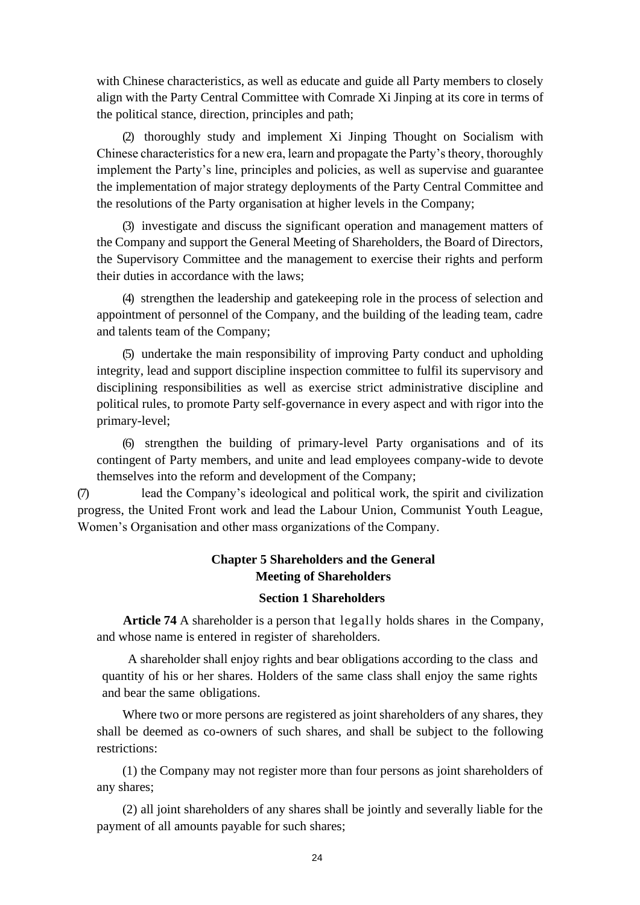with Chinese characteristics, as well as educate and guide all Party members to closely align with the Party Central Committee with Comrade Xi Jinping at its core in terms of the political stance, direction, principles and path;

(2) thoroughly study and implement Xi Jinping Thought on Socialism with Chinese characteristics for a new era, learn and propagate the Party's theory, thoroughly implement the Party's line, principles and policies, as well as supervise and guarantee the implementation of major strategy deployments of the Party Central Committee and the resolutions of the Party organisation at higher levels in the Company;

(3) investigate and discuss the significant operation and management matters of the Company and support the General Meeting of Shareholders, the Board of Directors, the Supervisory Committee and the management to exercise their rights and perform their duties in accordance with the laws;

(4) strengthen the leadership and gatekeeping role in the process of selection and appointment of personnel of the Company, and the building of the leading team, cadre and talents team of the Company;

(5) undertake the main responsibility of improving Party conduct and upholding integrity, lead and support discipline inspection committee to fulfil its supervisory and disciplining responsibilities as well as exercise strict administrative discipline and political rules, to promote Party self-governance in every aspect and with rigor into the primary-level;

(6) strengthen the building of primary-level Party organisations and of its contingent of Party members, and unite and lead employees company-wide to devote themselves into the reform and development of the Company;

(7) lead the Company's ideological and political work, the spirit and civilization progress, the United Front work and lead the Labour Union, Communist Youth League, Women's Organisation and other mass organizations of the Company.

### **Chapter 5 Shareholders and the General Meeting of Shareholders**

### **Section 1 Shareholders**

**Article 74** A shareholder is a person that legally holds shares in the Company, and whose name is entered in register of shareholders.

A shareholder shall enjoy rights and bear obligations according to the class and quantity of his or her shares. Holders of the same class shall enjoy the same rights and bear the same obligations.

Where two or more persons are registered as joint shareholders of any shares, they shall be deemed as co-owners of such shares, and shall be subject to the following restrictions:

(1) the Company may not register more than four persons as joint shareholders of any shares;

(2) all joint shareholders of any shares shall be jointly and severally liable for the payment of all amounts payable for such shares;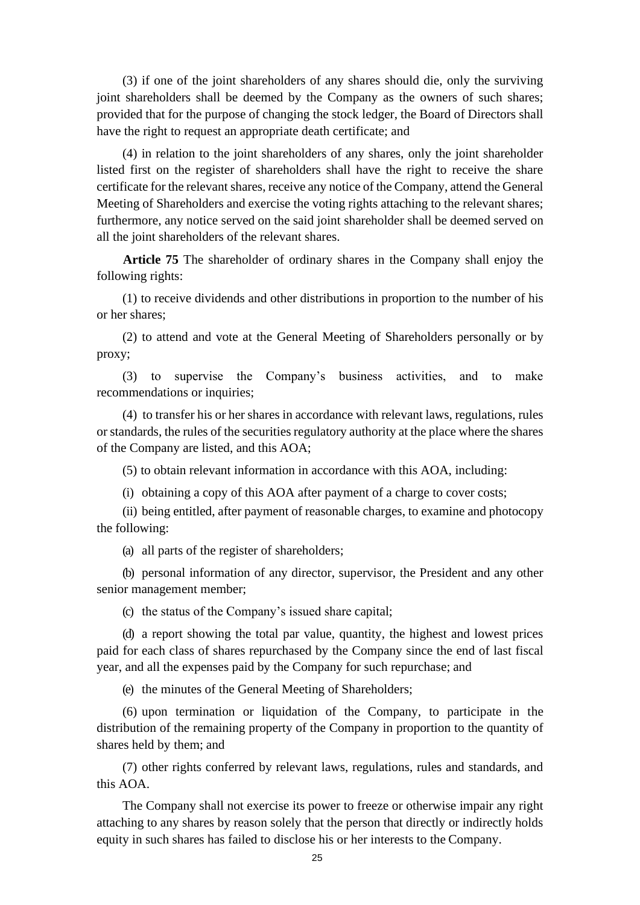(3) if one of the joint shareholders of any shares should die, only the surviving joint shareholders shall be deemed by the Company as the owners of such shares; provided that for the purpose of changing the stock ledger, the Board of Directors shall have the right to request an appropriate death certificate; and

(4) in relation to the joint shareholders of any shares, only the joint shareholder listed first on the register of shareholders shall have the right to receive the share certificate for the relevant shares, receive any notice of the Company, attend the General Meeting of Shareholders and exercise the voting rights attaching to the relevant shares; furthermore, any notice served on the said joint shareholder shall be deemed served on all the joint shareholders of the relevant shares.

**Article 75** The shareholder of ordinary shares in the Company shall enjoy the following rights:

(1) to receive dividends and other distributions in proportion to the number of his or her shares;

(2) to attend and vote at the General Meeting of Shareholders personally or by proxy;

(3) to supervise the Company's business activities, and to make recommendations or inquiries;

(4) to transfer his or her shares in accordance with relevant laws, regulations, rules or standards, the rules of the securities regulatory authority at the place where the shares of the Company are listed, and this AOA;

(5) to obtain relevant information in accordance with this AOA, including:

(i) obtaining a copy of this AOA after payment of a charge to cover costs;

(ii) being entitled, after payment of reasonable charges, to examine and photocopy the following:

(a) all parts of the register of shareholders;

(b) personal information of any director, supervisor, the President and any other senior management member;

(c) the status of the Company's issued share capital;

(d) a report showing the total par value, quantity, the highest and lowest prices paid for each class of shares repurchased by the Company since the end of last fiscal year, and all the expenses paid by the Company for such repurchase; and

(e) the minutes of the General Meeting of Shareholders;

(6) upon termination or liquidation of the Company, to participate in the distribution of the remaining property of the Company in proportion to the quantity of shares held by them; and

(7) other rights conferred by relevant laws, regulations, rules and standards, and this AOA.

The Company shall not exercise its power to freeze or otherwise impair any right attaching to any shares by reason solely that the person that directly or indirectly holds equity in such shares has failed to disclose his or her interests to the Company.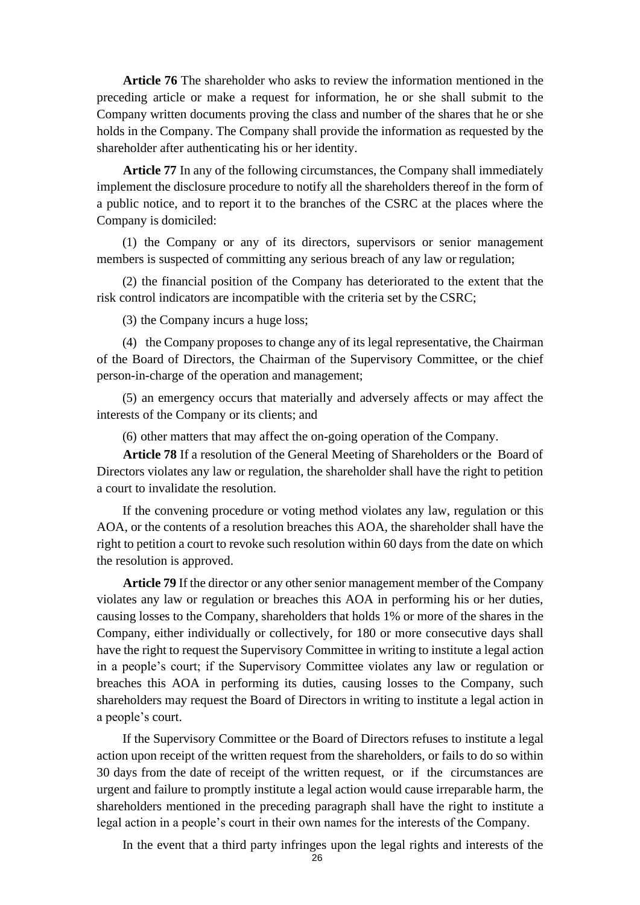**Article 76** The shareholder who asks to review the information mentioned in the preceding article or make a request for information, he or she shall submit to the Company written documents proving the class and number of the shares that he or she holds in the Company. The Company shall provide the information as requested by the shareholder after authenticating his or her identity.

**Article 77** In any of the following circumstances, the Company shall immediately implement the disclosure procedure to notify all the shareholders thereof in the form of a public notice, and to report it to the branches of the CSRC at the places where the Company is domiciled:

(1) the Company or any of its directors, supervisors or senior management members is suspected of committing any serious breach of any law or regulation;

(2) the financial position of the Company has deteriorated to the extent that the risk control indicators are incompatible with the criteria set by the CSRC;

(3) the Company incurs a huge loss;

(4) the Company proposes to change any of its legal representative, the Chairman of the Board of Directors, the Chairman of the Supervisory Committee, or the chief person-in-charge of the operation and management;

(5) an emergency occurs that materially and adversely affects or may affect the interests of the Company or its clients; and

(6) other matters that may affect the on-going operation of the Company.

**Article 78** If a resolution of the General Meeting of Shareholders or the Board of Directors violates any law or regulation, the shareholder shall have the right to petition a court to invalidate the resolution.

If the convening procedure or voting method violates any law, regulation or this AOA, or the contents of a resolution breaches this AOA, the shareholder shall have the right to petition a court to revoke such resolution within 60 days from the date on which the resolution is approved.

**Article 79** If the director or any other senior management member of the Company violates any law or regulation or breaches this AOA in performing his or her duties, causing losses to the Company, shareholders that holds 1% or more of the shares in the Company, either individually or collectively, for 180 or more consecutive days shall have the right to request the Supervisory Committee in writing to institute a legal action in a people's court; if the Supervisory Committee violates any law or regulation or breaches this AOA in performing its duties, causing losses to the Company, such shareholders may request the Board of Directors in writing to institute a legal action in a people's court.

If the Supervisory Committee or the Board of Directors refuses to institute a legal action upon receipt of the written request from the shareholders, or fails to do so within 30 days from the date of receipt of the written request, or if the circumstances are urgent and failure to promptly institute a legal action would cause irreparable harm, the shareholders mentioned in the preceding paragraph shall have the right to institute a legal action in a people's court in their own names for the interests of the Company.

In the event that a third party infringes upon the legal rights and interests of the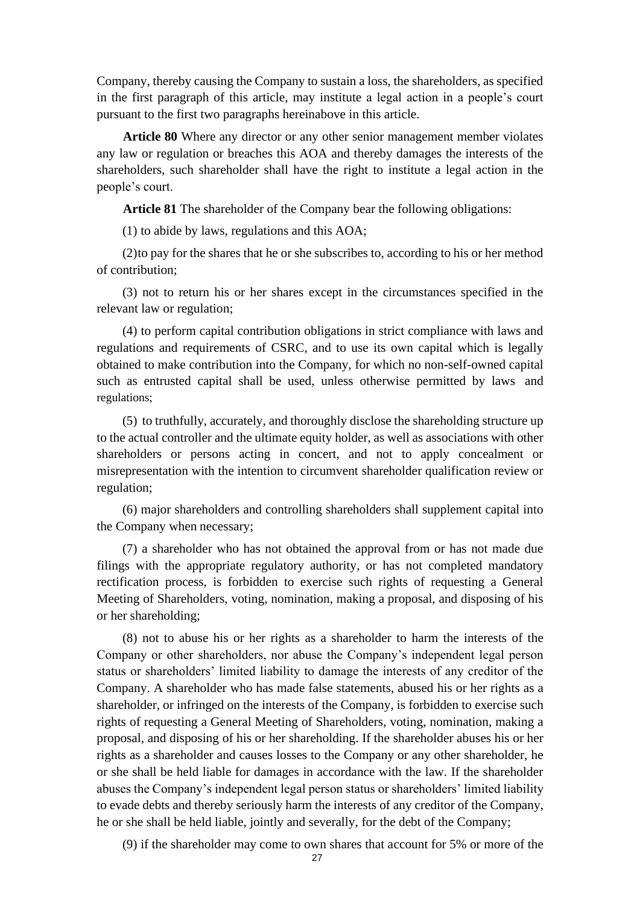Company, thereby causing the Company to sustain a loss, the shareholders, as specified in the first paragraph of this article, may institute a legal action in a people's court pursuant to the first two paragraphs hereinabove in this article.

**Article 80** Where any director or any other senior management member violates any law or regulation or breaches this AOA and thereby damages the interests of the shareholders, such shareholder shall have the right to institute a legal action in the people's court.

**Article 81** The shareholder of the Company bear the following obligations:

(1) to abide by laws, regulations and this AOA;

(2)to pay for the shares that he or she subscribes to, according to his or her method of contribution;

(3) not to return his or her shares except in the circumstances specified in the relevant law or regulation;

(4) to perform capital contribution obligations in strict compliance with laws and regulations and requirements of CSRC, and to use its own capital which is legally obtained to make contribution into the Company, for which no non-self-owned capital such as entrusted capital shall be used, unless otherwise permitted by laws and regulations;

(5) to truthfully, accurately, and thoroughly disclose the shareholding structure up to the actual controller and the ultimate equity holder, as well as associations with other shareholders or persons acting in concert, and not to apply concealment or misrepresentation with the intention to circumvent shareholder qualification review or regulation;

(6) major shareholders and controlling shareholders shall supplement capital into the Company when necessary;

(7) a shareholder who has not obtained the approval from or has not made due filings with the appropriate regulatory authority, or has not completed mandatory rectification process, is forbidden to exercise such rights of requesting a General Meeting of Shareholders, voting, nomination, making a proposal, and disposing of his or her shareholding;

(8) not to abuse his or her rights as a shareholder to harm the interests of the Company or other shareholders, nor abuse the Company's independent legal person status or shareholders' limited liability to damage the interests of any creditor of the Company. A shareholder who has made false statements, abused his or her rights as a shareholder, or infringed on the interests of the Company, is forbidden to exercise such rights of requesting a General Meeting of Shareholders, voting, nomination, making a proposal, and disposing of his or her shareholding. If the shareholder abuses his or her rights as a shareholder and causes losses to the Company or any other shareholder, he or she shall be held liable for damages in accordance with the law. If the shareholder abuses the Company's independent legal person status or shareholders' limited liability to evade debts and thereby seriously harm the interests of any creditor of the Company, he or she shall be held liable, jointly and severally, for the debt of the Company;

(9) if the shareholder may come to own shares that account for 5% or more of the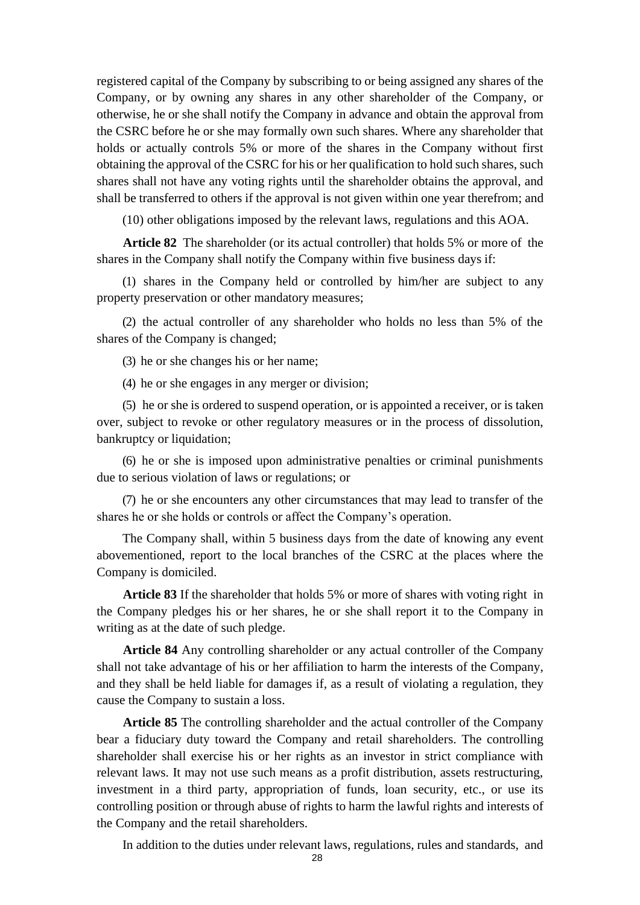registered capital of the Company by subscribing to or being assigned any shares of the Company, or by owning any shares in any other shareholder of the Company, or otherwise, he or she shall notify the Company in advance and obtain the approval from the CSRC before he or she may formally own such shares. Where any shareholder that holds or actually controls 5% or more of the shares in the Company without first obtaining the approval of the CSRC for his or her qualification to hold such shares, such shares shall not have any voting rights until the shareholder obtains the approval, and shall be transferred to others if the approval is not given within one year therefrom; and

(10) other obligations imposed by the relevant laws, regulations and this AOA.

**Article 82** The shareholder (or its actual controller) that holds 5% or more of the shares in the Company shall notify the Company within five business days if:

(1) shares in the Company held or controlled by him/her are subject to any property preservation or other mandatory measures;

(2) the actual controller of any shareholder who holds no less than 5% of the shares of the Company is changed;

(3) he or she changes his or her name;

(4) he or she engages in any merger or division;

(5) he or she is ordered to suspend operation, or is appointed a receiver, or is taken over, subject to revoke or other regulatory measures or in the process of dissolution, bankruptcy or liquidation;

(6) he or she is imposed upon administrative penalties or criminal punishments due to serious violation of laws or regulations; or

(7) he or she encounters any other circumstances that may lead to transfer of the shares he or she holds or controls or affect the Company's operation.

The Company shall, within 5 business days from the date of knowing any event abovementioned, report to the local branches of the CSRC at the places where the Company is domiciled.

**Article 83** If the shareholder that holds 5% or more of shares with voting right in the Company pledges his or her shares, he or she shall report it to the Company in writing as at the date of such pledge.

**Article 84** Any controlling shareholder or any actual controller of the Company shall not take advantage of his or her affiliation to harm the interests of the Company, and they shall be held liable for damages if, as a result of violating a regulation, they cause the Company to sustain a loss.

**Article 85** The controlling shareholder and the actual controller of the Company bear a fiduciary duty toward the Company and retail shareholders. The controlling shareholder shall exercise his or her rights as an investor in strict compliance with relevant laws. It may not use such means as a profit distribution, assets restructuring, investment in a third party, appropriation of funds, loan security, etc., or use its controlling position or through abuse of rights to harm the lawful rights and interests of the Company and the retail shareholders.

In addition to the duties under relevant laws, regulations, rules and standards, and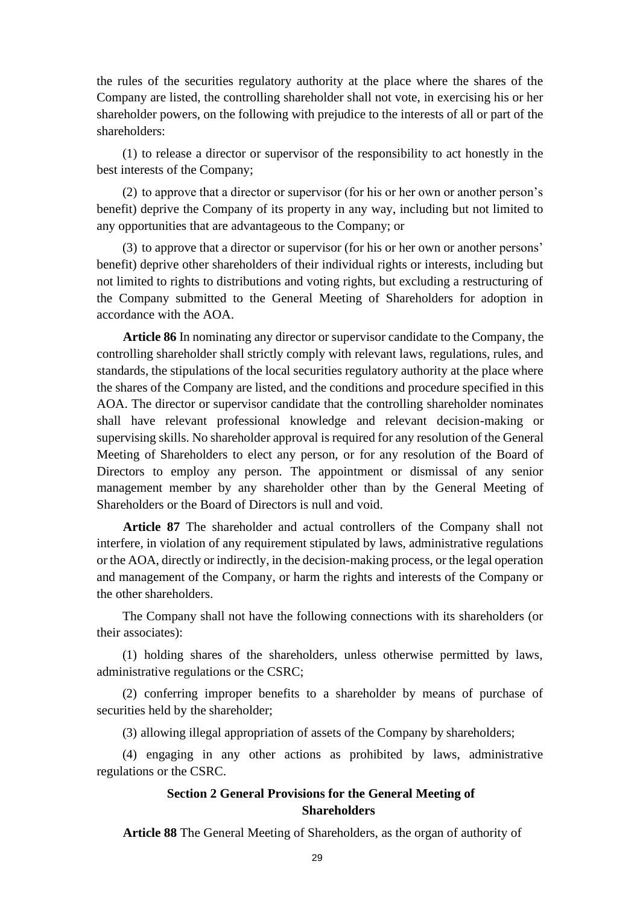the rules of the securities regulatory authority at the place where the shares of the Company are listed, the controlling shareholder shall not vote, in exercising his or her shareholder powers, on the following with prejudice to the interests of all or part of the shareholders:

(1) to release a director or supervisor of the responsibility to act honestly in the best interests of the Company;

(2) to approve that a director or supervisor (for his or her own or another person's benefit) deprive the Company of its property in any way, including but not limited to any opportunities that are advantageous to the Company; or

(3) to approve that a director or supervisor (for his or her own or another persons' benefit) deprive other shareholders of their individual rights or interests, including but not limited to rights to distributions and voting rights, but excluding a restructuring of the Company submitted to the General Meeting of Shareholders for adoption in accordance with the AOA.

**Article 86** In nominating any director or supervisor candidate to the Company, the controlling shareholder shall strictly comply with relevant laws, regulations, rules, and standards, the stipulations of the local securities regulatory authority at the place where the shares of the Company are listed, and the conditions and procedure specified in this AOA. The director or supervisor candidate that the controlling shareholder nominates shall have relevant professional knowledge and relevant decision-making or supervising skills. No shareholder approval is required for any resolution of the General Meeting of Shareholders to elect any person, or for any resolution of the Board of Directors to employ any person. The appointment or dismissal of any senior management member by any shareholder other than by the General Meeting of Shareholders or the Board of Directors is null and void.

**Article 87** The shareholder and actual controllers of the Company shall not interfere, in violation of any requirement stipulated by laws, administrative regulations or the AOA, directly or indirectly, in the decision-making process, or the legal operation and management of the Company, or harm the rights and interests of the Company or the other shareholders.

The Company shall not have the following connections with its shareholders (or their associates):

(1) holding shares of the shareholders, unless otherwise permitted by laws, administrative regulations or the CSRC;

(2) conferring improper benefits to a shareholder by means of purchase of securities held by the shareholder;

(3) allowing illegal appropriation of assets of the Company by shareholders;

(4) engaging in any other actions as prohibited by laws, administrative regulations or the CSRC.

### **Section 2 General Provisions for the General Meeting of Shareholders**

**Article 88** The General Meeting of Shareholders, as the organ of authority of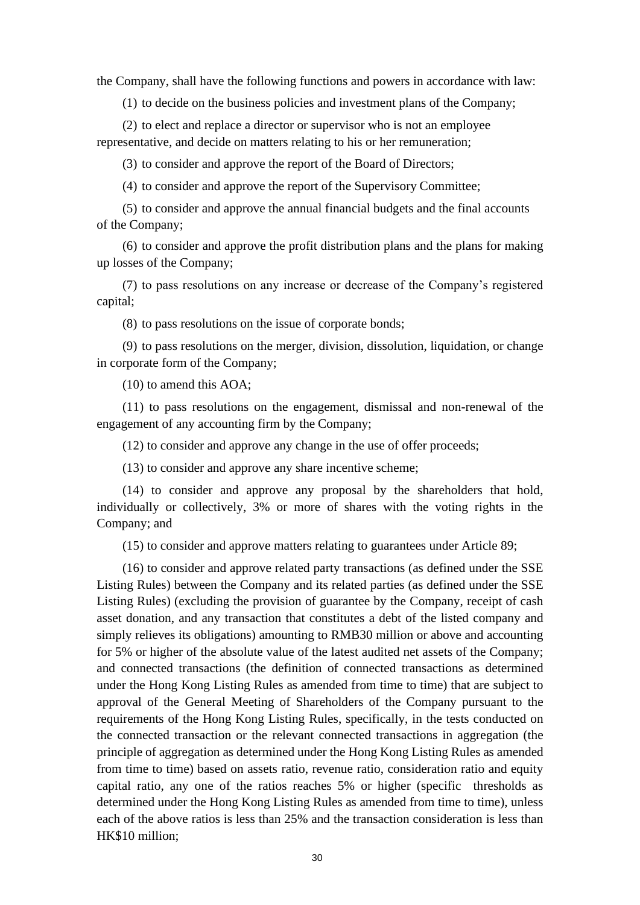the Company, shall have the following functions and powers in accordance with law:

(1) to decide on the business policies and investment plans of the Company;

(2) to elect and replace a director or supervisor who is not an employee representative, and decide on matters relating to his or her remuneration;

(3) to consider and approve the report of the Board of Directors;

(4) to consider and approve the report of the Supervisory Committee;

(5) to consider and approve the annual financial budgets and the final accounts of the Company;

(6) to consider and approve the profit distribution plans and the plans for making up losses of the Company;

(7) to pass resolutions on any increase or decrease of the Company's registered capital;

(8) to pass resolutions on the issue of corporate bonds;

(9) to pass resolutions on the merger, division, dissolution, liquidation, or change in corporate form of the Company;

(10) to amend this AOA;

(11) to pass resolutions on the engagement, dismissal and non-renewal of the engagement of any accounting firm by the Company;

(12) to consider and approve any change in the use of offer proceeds;

(13) to consider and approve any share incentive scheme;

(14) to consider and approve any proposal by the shareholders that hold, individually or collectively, 3% or more of shares with the voting rights in the Company; and

(15) to consider and approve matters relating to guarantees under Article 89;

(16) to consider and approve related party transactions (as defined under the SSE Listing Rules) between the Company and its related parties (as defined under the SSE Listing Rules) (excluding the provision of guarantee by the Company, receipt of cash asset donation, and any transaction that constitutes a debt of the listed company and simply relieves its obligations) amounting to RMB30 million or above and accounting for 5% or higher of the absolute value of the latest audited net assets of the Company; and connected transactions (the definition of connected transactions as determined under the Hong Kong Listing Rules as amended from time to time) that are subject to approval of the General Meeting of Shareholders of the Company pursuant to the requirements of the Hong Kong Listing Rules, specifically, in the tests conducted on the connected transaction or the relevant connected transactions in aggregation (the principle of aggregation as determined under the Hong Kong Listing Rules as amended from time to time) based on assets ratio, revenue ratio, consideration ratio and equity capital ratio, any one of the ratios reaches 5% or higher (specific thresholds as determined under the Hong Kong Listing Rules as amended from time to time), unless each of the above ratios is less than 25% and the transaction consideration is less than HK\$10 million;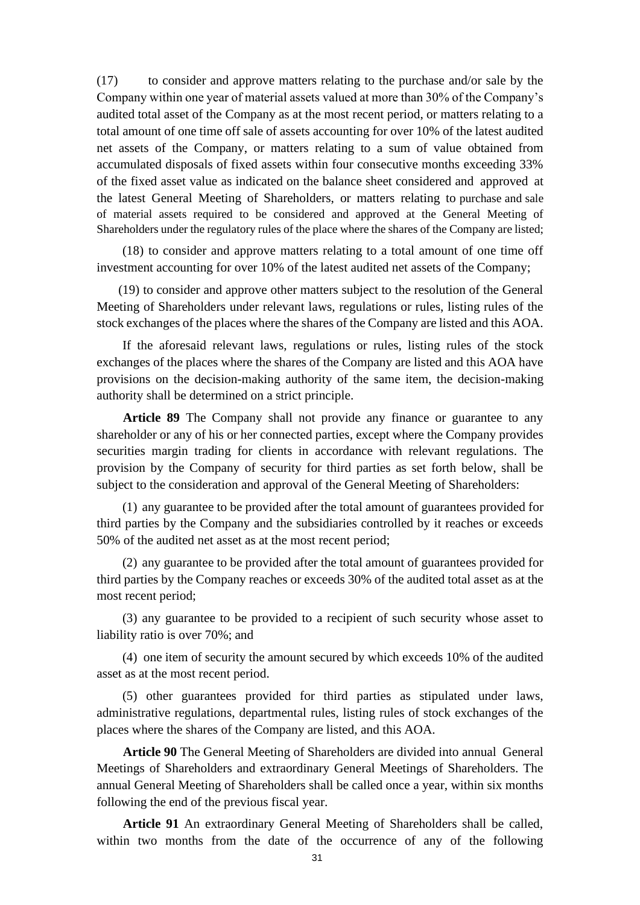(17) to consider and approve matters relating to the purchase and/or sale by the Company within one year of material assets valued at more than 30% of the Company's audited total asset of the Company as at the most recent period, or matters relating to a total amount of one time off sale of assets accounting for over 10% of the latest audited net assets of the Company, or matters relating to a sum of value obtained from accumulated disposals of fixed assets within four consecutive months exceeding 33% of the fixed asset value as indicated on the balance sheet considered and approved at the latest General Meeting of Shareholders, or matters relating to purchase and sale of material assets required to be considered and approved at the General Meeting of Shareholders under the regulatory rules of the place where the shares of the Company are listed;

(18) to consider and approve matters relating to a total amount of one time off investment accounting for over 10% of the latest audited net assets of the Company;

(19) to consider and approve other matters subject to the resolution of the General Meeting of Shareholders under relevant laws, regulations or rules, listing rules of the stock exchanges of the places where the shares of the Company are listed and this AOA.

If the aforesaid relevant laws, regulations or rules, listing rules of the stock exchanges of the places where the shares of the Company are listed and this AOA have provisions on the decision-making authority of the same item, the decision-making authority shall be determined on a strict principle.

**Article 89** The Company shall not provide any finance or guarantee to any shareholder or any of his or her connected parties, except where the Company provides securities margin trading for clients in accordance with relevant regulations. The provision by the Company of security for third parties as set forth below, shall be subject to the consideration and approval of the General Meeting of Shareholders:

(1) any guarantee to be provided after the total amount of guarantees provided for third parties by the Company and the subsidiaries controlled by it reaches or exceeds 50% of the audited net asset as at the most recent period;

(2) any guarantee to be provided after the total amount of guarantees provided for third parties by the Company reaches or exceeds 30% of the audited total asset as at the most recent period;

(3) any guarantee to be provided to a recipient of such security whose asset to liability ratio is over 70%; and

(4) one item of security the amount secured by which exceeds 10% of the audited asset as at the most recent period.

(5) other guarantees provided for third parties as stipulated under laws, administrative regulations, departmental rules, listing rules of stock exchanges of the places where the shares of the Company are listed, and this AOA.

**Article 90** The General Meeting of Shareholders are divided into annual General Meetings of Shareholders and extraordinary General Meetings of Shareholders. The annual General Meeting of Shareholders shall be called once a year, within six months following the end of the previous fiscal year.

**Article 91** An extraordinary General Meeting of Shareholders shall be called, within two months from the date of the occurrence of any of the following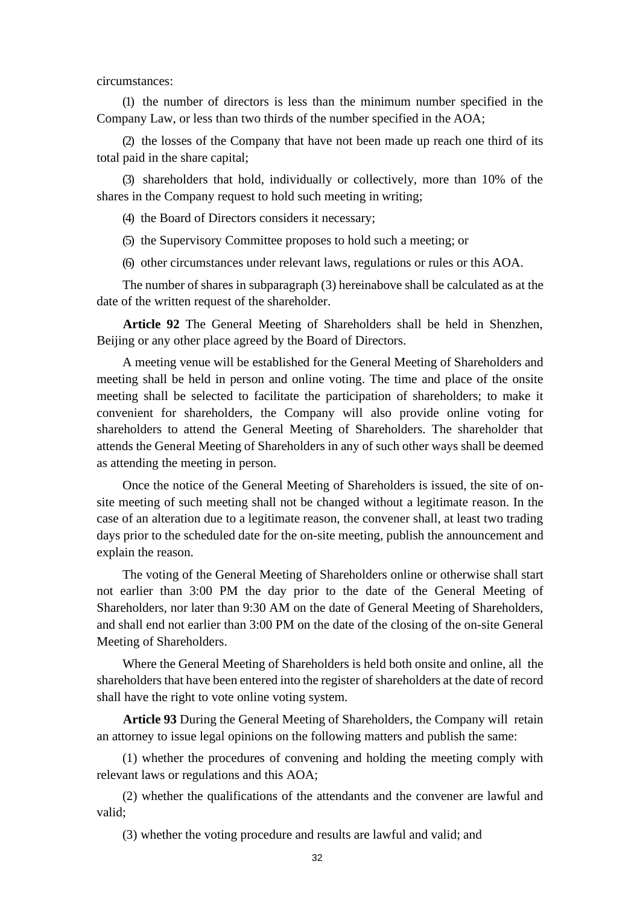circumstances:

(1) the number of directors is less than the minimum number specified in the Company Law, or less than two thirds of the number specified in the AOA;

(2) the losses of the Company that have not been made up reach one third of its total paid in the share capital;

(3) shareholders that hold, individually or collectively, more than 10% of the shares in the Company request to hold such meeting in writing;

(4) the Board of Directors considers it necessary;

(5) the Supervisory Committee proposes to hold such a meeting; or

(6) other circumstances under relevant laws, regulations or rules or this AOA.

The number of shares in subparagraph (3) hereinabove shall be calculated as at the date of the written request of the shareholder.

**Article 92** The General Meeting of Shareholders shall be held in Shenzhen, Beijing or any other place agreed by the Board of Directors.

A meeting venue will be established for the General Meeting of Shareholders and meeting shall be held in person and online voting. The time and place of the onsite meeting shall be selected to facilitate the participation of shareholders; to make it convenient for shareholders, the Company will also provide online voting for shareholders to attend the General Meeting of Shareholders. The shareholder that attends the General Meeting of Shareholders in any of such other ways shall be deemed as attending the meeting in person.

Once the notice of the General Meeting of Shareholders is issued, the site of onsite meeting of such meeting shall not be changed without a legitimate reason. In the case of an alteration due to a legitimate reason, the convener shall, at least two trading days prior to the scheduled date for the on-site meeting, publish the announcement and explain the reason.

The voting of the General Meeting of Shareholders online or otherwise shall start not earlier than 3:00 PM the day prior to the date of the General Meeting of Shareholders, nor later than 9:30 AM on the date of General Meeting of Shareholders, and shall end not earlier than 3:00 PM on the date of the closing of the on-site General Meeting of Shareholders.

Where the General Meeting of Shareholders is held both onsite and online, all the shareholders that have been entered into the register of shareholders at the date of record shall have the right to vote online voting system.

**Article 93** During the General Meeting of Shareholders, the Company will retain an attorney to issue legal opinions on the following matters and publish the same:

(1) whether the procedures of convening and holding the meeting comply with relevant laws or regulations and this AOA;

(2) whether the qualifications of the attendants and the convener are lawful and valid;

(3) whether the voting procedure and results are lawful and valid; and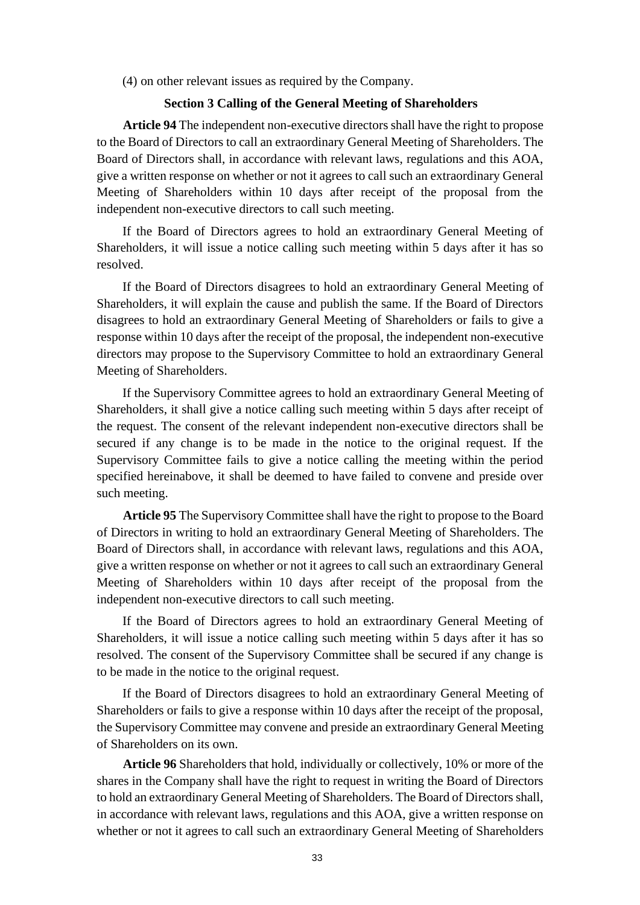(4) on other relevant issues as required by the Company.

#### **Section 3 Calling of the General Meeting of Shareholders**

**Article 94** The independent non-executive directors shall have the right to propose to the Board of Directors to call an extraordinary General Meeting of Shareholders. The Board of Directors shall, in accordance with relevant laws, regulations and this AOA, give a written response on whether or not it agrees to call such an extraordinary General Meeting of Shareholders within 10 days after receipt of the proposal from the independent non-executive directors to call such meeting.

If the Board of Directors agrees to hold an extraordinary General Meeting of Shareholders, it will issue a notice calling such meeting within 5 days after it has so resolved.

If the Board of Directors disagrees to hold an extraordinary General Meeting of Shareholders, it will explain the cause and publish the same. If the Board of Directors disagrees to hold an extraordinary General Meeting of Shareholders or fails to give a response within 10 days after the receipt of the proposal, the independent non-executive directors may propose to the Supervisory Committee to hold an extraordinary General Meeting of Shareholders.

If the Supervisory Committee agrees to hold an extraordinary General Meeting of Shareholders, it shall give a notice calling such meeting within 5 days after receipt of the request. The consent of the relevant independent non-executive directors shall be secured if any change is to be made in the notice to the original request. If the Supervisory Committee fails to give a notice calling the meeting within the period specified hereinabove, it shall be deemed to have failed to convene and preside over such meeting.

**Article 95** The Supervisory Committee shall have the right to propose to the Board of Directors in writing to hold an extraordinary General Meeting of Shareholders. The Board of Directors shall, in accordance with relevant laws, regulations and this AOA, give a written response on whether or not it agrees to call such an extraordinary General Meeting of Shareholders within 10 days after receipt of the proposal from the independent non-executive directors to call such meeting.

If the Board of Directors agrees to hold an extraordinary General Meeting of Shareholders, it will issue a notice calling such meeting within 5 days after it has so resolved. The consent of the Supervisory Committee shall be secured if any change is to be made in the notice to the original request.

If the Board of Directors disagrees to hold an extraordinary General Meeting of Shareholders or fails to give a response within 10 days after the receipt of the proposal, the Supervisory Committee may convene and preside an extraordinary General Meeting of Shareholders on its own.

**Article 96** Shareholders that hold, individually or collectively, 10% or more of the shares in the Company shall have the right to request in writing the Board of Directors to hold an extraordinary General Meeting of Shareholders. The Board of Directors shall, in accordance with relevant laws, regulations and this AOA, give a written response on whether or not it agrees to call such an extraordinary General Meeting of Shareholders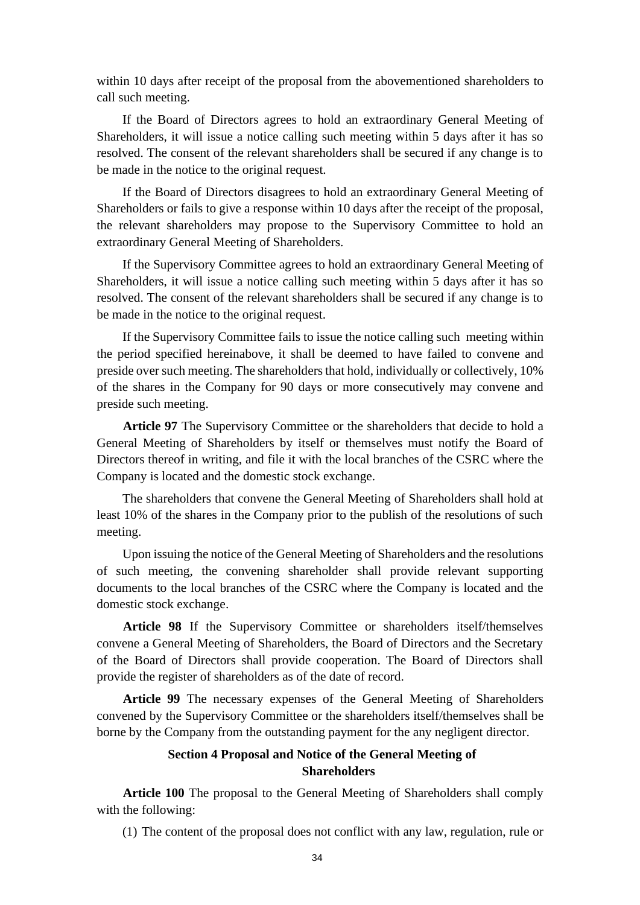within 10 days after receipt of the proposal from the abovementioned shareholders to call such meeting.

If the Board of Directors agrees to hold an extraordinary General Meeting of Shareholders, it will issue a notice calling such meeting within 5 days after it has so resolved. The consent of the relevant shareholders shall be secured if any change is to be made in the notice to the original request.

If the Board of Directors disagrees to hold an extraordinary General Meeting of Shareholders or fails to give a response within 10 days after the receipt of the proposal, the relevant shareholders may propose to the Supervisory Committee to hold an extraordinary General Meeting of Shareholders.

If the Supervisory Committee agrees to hold an extraordinary General Meeting of Shareholders, it will issue a notice calling such meeting within 5 days after it has so resolved. The consent of the relevant shareholders shall be secured if any change is to be made in the notice to the original request.

If the Supervisory Committee fails to issue the notice calling such meeting within the period specified hereinabove, it shall be deemed to have failed to convene and preside over such meeting. The shareholders that hold, individually or collectively, 10% of the shares in the Company for 90 days or more consecutively may convene and preside such meeting.

**Article 97** The Supervisory Committee or the shareholders that decide to hold a General Meeting of Shareholders by itself or themselves must notify the Board of Directors thereof in writing, and file it with the local branches of the CSRC where the Company is located and the domestic stock exchange.

The shareholders that convene the General Meeting of Shareholders shall hold at least 10% of the shares in the Company prior to the publish of the resolutions of such meeting.

Upon issuing the notice of the General Meeting of Shareholders and the resolutions of such meeting, the convening shareholder shall provide relevant supporting documents to the local branches of the CSRC where the Company is located and the domestic stock exchange.

**Article 98** If the Supervisory Committee or shareholders itself/themselves convene a General Meeting of Shareholders, the Board of Directors and the Secretary of the Board of Directors shall provide cooperation. The Board of Directors shall provide the register of shareholders as of the date of record.

**Article 99** The necessary expenses of the General Meeting of Shareholders convened by the Supervisory Committee or the shareholders itself/themselves shall be borne by the Company from the outstanding payment for the any negligent director.

### **Section 4 Proposal and Notice of the General Meeting of Shareholders**

**Article 100** The proposal to the General Meeting of Shareholders shall comply with the following:

(1) The content of the proposal does not conflict with any law, regulation, rule or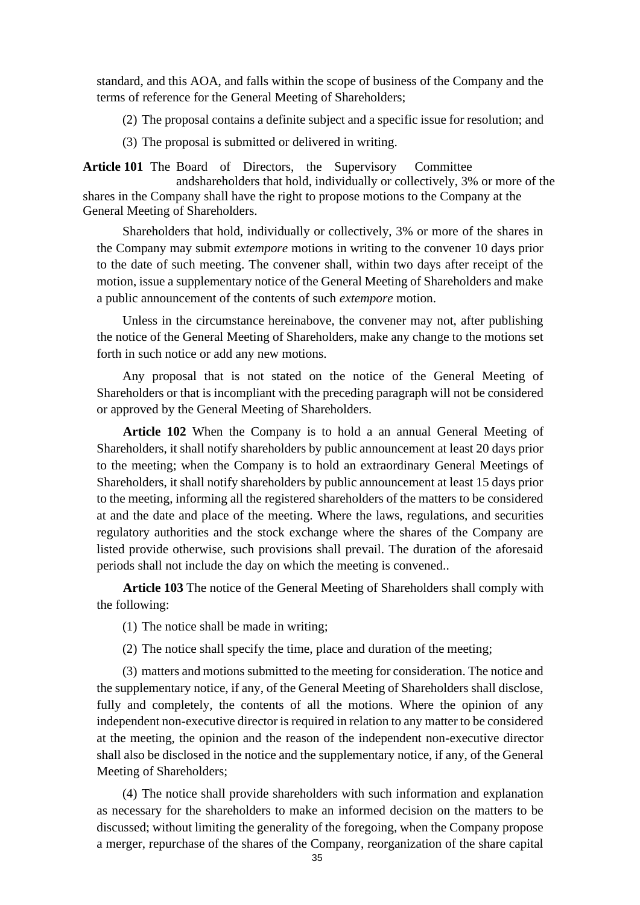standard, and this AOA, and falls within the scope of business of the Company and the terms of reference for the General Meeting of Shareholders;

(2) The proposal contains a definite subject and a specific issue for resolution; and

(3) The proposal is submitted or delivered in writing.

**Article 101** The Board of Directors, the Supervisory Committee

andshareholders that hold, individually or collectively, 3% or more of the shares in the Company shall have the right to propose motions to the Company at the General Meeting of Shareholders.

Shareholders that hold, individually or collectively, 3% or more of the shares in the Company may submit *extempore* motions in writing to the convener 10 days prior to the date of such meeting. The convener shall, within two days after receipt of the motion, issue a supplementary notice of the General Meeting of Shareholders and make a public announcement of the contents of such *extempore* motion.

Unless in the circumstance hereinabove, the convener may not, after publishing the notice of the General Meeting of Shareholders, make any change to the motions set forth in such notice or add any new motions.

Any proposal that is not stated on the notice of the General Meeting of Shareholders or that is incompliant with the preceding paragraph will not be considered or approved by the General Meeting of Shareholders.

**Article 102** When the Company is to hold a an annual General Meeting of Shareholders, it shall notify shareholders by public announcement at least 20 days prior to the meeting; when the Company is to hold an extraordinary General Meetings of Shareholders, it shall notify shareholders by public announcement at least 15 days prior to the meeting, informing all the registered shareholders of the matters to be considered at and the date and place of the meeting. Where the laws, regulations, and securities regulatory authorities and the stock exchange where the shares of the Company are listed provide otherwise, such provisions shall prevail. The duration of the aforesaid periods shall not include the day on which the meeting is convened..

**Article 103** The notice of the General Meeting of Shareholders shall comply with the following:

(1) The notice shall be made in writing;

(2) The notice shall specify the time, place and duration of the meeting;

(3) matters and motions submitted to the meeting for consideration. The notice and the supplementary notice, if any, of the General Meeting of Shareholders shall disclose, fully and completely, the contents of all the motions. Where the opinion of any independent non-executive director is required in relation to any matter to be considered at the meeting, the opinion and the reason of the independent non-executive director shall also be disclosed in the notice and the supplementary notice, if any, of the General Meeting of Shareholders;

(4) The notice shall provide shareholders with such information and explanation as necessary for the shareholders to make an informed decision on the matters to be discussed; without limiting the generality of the foregoing, when the Company propose a merger, repurchase of the shares of the Company, reorganization of the share capital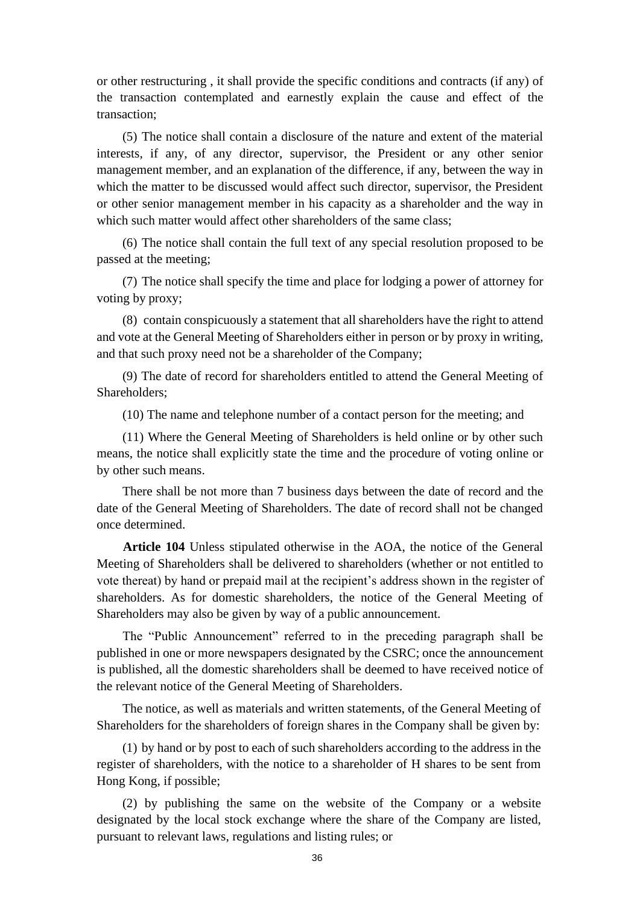or other restructuring , it shall provide the specific conditions and contracts (if any) of the transaction contemplated and earnestly explain the cause and effect of the transaction;

(5) The notice shall contain a disclosure of the nature and extent of the material interests, if any, of any director, supervisor, the President or any other senior management member, and an explanation of the difference, if any, between the way in which the matter to be discussed would affect such director, supervisor, the President or other senior management member in his capacity as a shareholder and the way in which such matter would affect other shareholders of the same class;

(6) The notice shall contain the full text of any special resolution proposed to be passed at the meeting;

(7) The notice shall specify the time and place for lodging a power of attorney for voting by proxy;

(8) contain conspicuously a statement that all shareholders have the right to attend and vote at the General Meeting of Shareholders either in person or by proxy in writing, and that such proxy need not be a shareholder of the Company;

(9) The date of record for shareholders entitled to attend the General Meeting of Shareholders;

(10) The name and telephone number of a contact person for the meeting; and

(11) Where the General Meeting of Shareholders is held online or by other such means, the notice shall explicitly state the time and the procedure of voting online or by other such means.

There shall be not more than 7 business days between the date of record and the date of the General Meeting of Shareholders. The date of record shall not be changed once determined.

**Article 104** Unless stipulated otherwise in the AOA, the notice of the General Meeting of Shareholders shall be delivered to shareholders (whether or not entitled to vote thereat) by hand or prepaid mail at the recipient's address shown in the register of shareholders. As for domestic shareholders, the notice of the General Meeting of Shareholders may also be given by way of a public announcement.

The "Public Announcement" referred to in the preceding paragraph shall be published in one or more newspapers designated by the CSRC; once the announcement is published, all the domestic shareholders shall be deemed to have received notice of the relevant notice of the General Meeting of Shareholders.

The notice, as well as materials and written statements, of the General Meeting of Shareholders for the shareholders of foreign shares in the Company shall be given by:

(1) by hand or by post to each of such shareholders according to the address in the register of shareholders, with the notice to a shareholder of H shares to be sent from Hong Kong, if possible;

(2) by publishing the same on the website of the Company or a website designated by the local stock exchange where the share of the Company are listed, pursuant to relevant laws, regulations and listing rules; or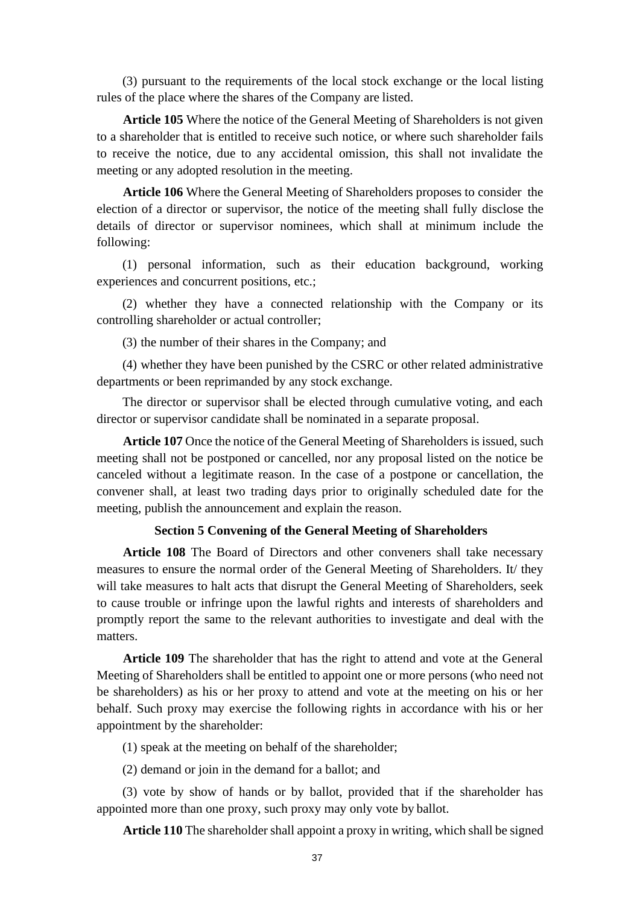(3) pursuant to the requirements of the local stock exchange or the local listing rules of the place where the shares of the Company are listed.

**Article 105** Where the notice of the General Meeting of Shareholders is not given to a shareholder that is entitled to receive such notice, or where such shareholder fails to receive the notice, due to any accidental omission, this shall not invalidate the meeting or any adopted resolution in the meeting.

**Article 106** Where the General Meeting of Shareholders proposes to consider the election of a director or supervisor, the notice of the meeting shall fully disclose the details of director or supervisor nominees, which shall at minimum include the following:

(1) personal information, such as their education background, working experiences and concurrent positions, etc.;

(2) whether they have a connected relationship with the Company or its controlling shareholder or actual controller;

(3) the number of their shares in the Company; and

(4) whether they have been punished by the CSRC or other related administrative departments or been reprimanded by any stock exchange.

The director or supervisor shall be elected through cumulative voting, and each director or supervisor candidate shall be nominated in a separate proposal.

**Article 107** Once the notice of the General Meeting of Shareholders is issued, such meeting shall not be postponed or cancelled, nor any proposal listed on the notice be canceled without a legitimate reason. In the case of a postpone or cancellation, the convener shall, at least two trading days prior to originally scheduled date for the meeting, publish the announcement and explain the reason.

## **Section 5 Convening of the General Meeting of Shareholders**

**Article 108** The Board of Directors and other conveners shall take necessary measures to ensure the normal order of the General Meeting of Shareholders. It/ they will take measures to halt acts that disrupt the General Meeting of Shareholders, seek to cause trouble or infringe upon the lawful rights and interests of shareholders and promptly report the same to the relevant authorities to investigate and deal with the matters.

**Article 109** The shareholder that has the right to attend and vote at the General Meeting of Shareholders shall be entitled to appoint one or more persons (who need not be shareholders) as his or her proxy to attend and vote at the meeting on his or her behalf. Such proxy may exercise the following rights in accordance with his or her appointment by the shareholder:

(1) speak at the meeting on behalf of the shareholder;

(2) demand or join in the demand for a ballot; and

(3) vote by show of hands or by ballot, provided that if the shareholder has appointed more than one proxy, such proxy may only vote by ballot.

**Article 110** The shareholder shall appoint a proxy in writing, which shall be signed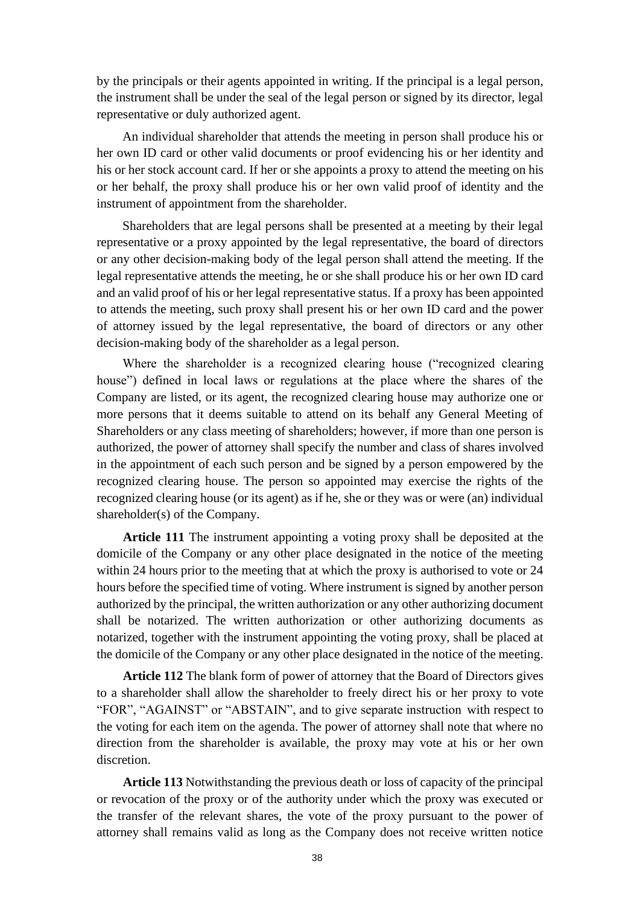by the principals or their agents appointed in writing. If the principal is a legal person, the instrument shall be under the seal of the legal person or signed by its director, legal representative or duly authorized agent.

An individual shareholder that attends the meeting in person shall produce his or her own ID card or other valid documents or proof evidencing his or her identity and his or her stock account card. If her or she appoints a proxy to attend the meeting on his or her behalf, the proxy shall produce his or her own valid proof of identity and the instrument of appointment from the shareholder.

Shareholders that are legal persons shall be presented at a meeting by their legal representative or a proxy appointed by the legal representative, the board of directors or any other decision-making body of the legal person shall attend the meeting. If the legal representative attends the meeting, he or she shall produce his or her own ID card and an valid proof of his or her legal representative status. If a proxy has been appointed to attends the meeting, such proxy shall present his or her own ID card and the power of attorney issued by the legal representative, the board of directors or any other decision-making body of the shareholder as a legal person.

Where the shareholder is a recognized clearing house ("recognized clearing house") defined in local laws or regulations at the place where the shares of the Company are listed, or its agent, the recognized clearing house may authorize one or more persons that it deems suitable to attend on its behalf any General Meeting of Shareholders or any class meeting of shareholders; however, if more than one person is authorized, the power of attorney shall specify the number and class of shares involved in the appointment of each such person and be signed by a person empowered by the recognized clearing house. The person so appointed may exercise the rights of the recognized clearing house (or its agent) as if he, she or they was or were (an) individual shareholder(s) of the Company.

**Article 111** The instrument appointing a voting proxy shall be deposited at the domicile of the Company or any other place designated in the notice of the meeting within 24 hours prior to the meeting that at which the proxy is authorised to vote or 24 hours before the specified time of voting. Where instrument is signed by another person authorized by the principal, the written authorization or any other authorizing document shall be notarized. The written authorization or other authorizing documents as notarized, together with the instrument appointing the voting proxy, shall be placed at the domicile of the Company or any other place designated in the notice of the meeting.

**Article 112** The blank form of power of attorney that the Board of Directors gives to a shareholder shall allow the shareholder to freely direct his or her proxy to vote "FOR", "AGAINST" or "ABSTAIN", and to give separate instruction with respect to the voting for each item on the agenda. The power of attorney shall note that where no direction from the shareholder is available, the proxy may vote at his or her own discretion.

**Article 113** Notwithstanding the previous death or loss of capacity of the principal or revocation of the proxy or of the authority under which the proxy was executed or the transfer of the relevant shares, the vote of the proxy pursuant to the power of attorney shall remains valid as long as the Company does not receive written notice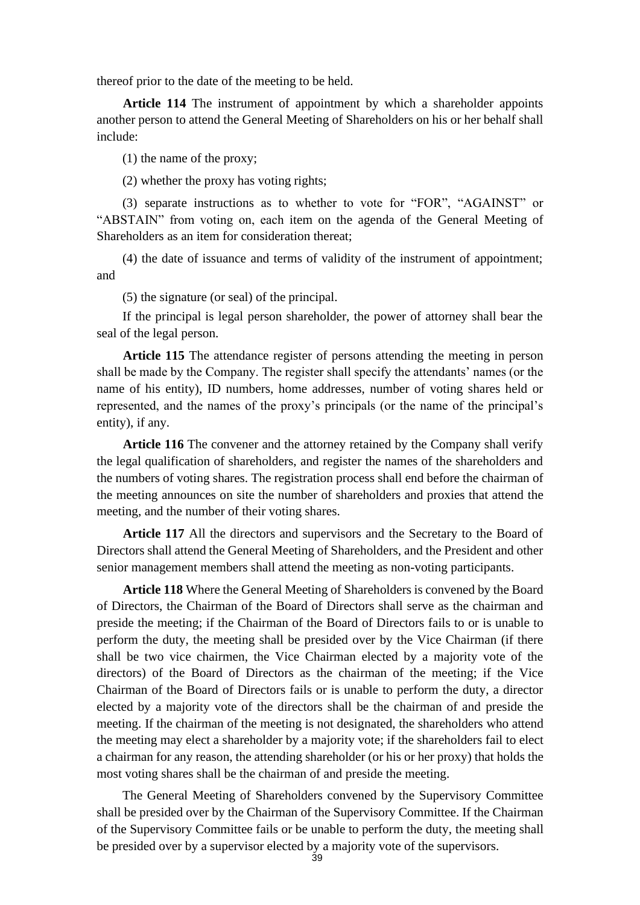thereof prior to the date of the meeting to be held.

**Article 114** The instrument of appointment by which a shareholder appoints another person to attend the General Meeting of Shareholders on his or her behalf shall include:

(1) the name of the proxy;

(2) whether the proxy has voting rights;

(3) separate instructions as to whether to vote for "FOR", "AGAINST" or "ABSTAIN" from voting on, each item on the agenda of the General Meeting of Shareholders as an item for consideration thereat;

(4) the date of issuance and terms of validity of the instrument of appointment; and

(5) the signature (or seal) of the principal.

If the principal is legal person shareholder, the power of attorney shall bear the seal of the legal person.

**Article 115** The attendance register of persons attending the meeting in person shall be made by the Company. The register shall specify the attendants' names (or the name of his entity), ID numbers, home addresses, number of voting shares held or represented, and the names of the proxy's principals (or the name of the principal's entity), if any.

**Article 116** The convener and the attorney retained by the Company shall verify the legal qualification of shareholders, and register the names of the shareholders and the numbers of voting shares. The registration process shall end before the chairman of the meeting announces on site the number of shareholders and proxies that attend the meeting, and the number of their voting shares.

**Article 117** All the directors and supervisors and the Secretary to the Board of Directors shall attend the General Meeting of Shareholders, and the President and other senior management members shall attend the meeting as non-voting participants.

**Article 118** Where the General Meeting of Shareholders is convened by the Board of Directors, the Chairman of the Board of Directors shall serve as the chairman and preside the meeting; if the Chairman of the Board of Directors fails to or is unable to perform the duty, the meeting shall be presided over by the Vice Chairman (if there shall be two vice chairmen, the Vice Chairman elected by a majority vote of the directors) of the Board of Directors as the chairman of the meeting; if the Vice Chairman of the Board of Directors fails or is unable to perform the duty, a director elected by a majority vote of the directors shall be the chairman of and preside the meeting. If the chairman of the meeting is not designated, the shareholders who attend the meeting may elect a shareholder by a majority vote; if the shareholders fail to elect a chairman for any reason, the attending shareholder (or his or her proxy) that holds the most voting shares shall be the chairman of and preside the meeting.

The General Meeting of Shareholders convened by the Supervisory Committee shall be presided over by the Chairman of the Supervisory Committee. If the Chairman of the Supervisory Committee fails or be unable to perform the duty, the meeting shall be presided over by a supervisor elected by a majority vote of the supervisors.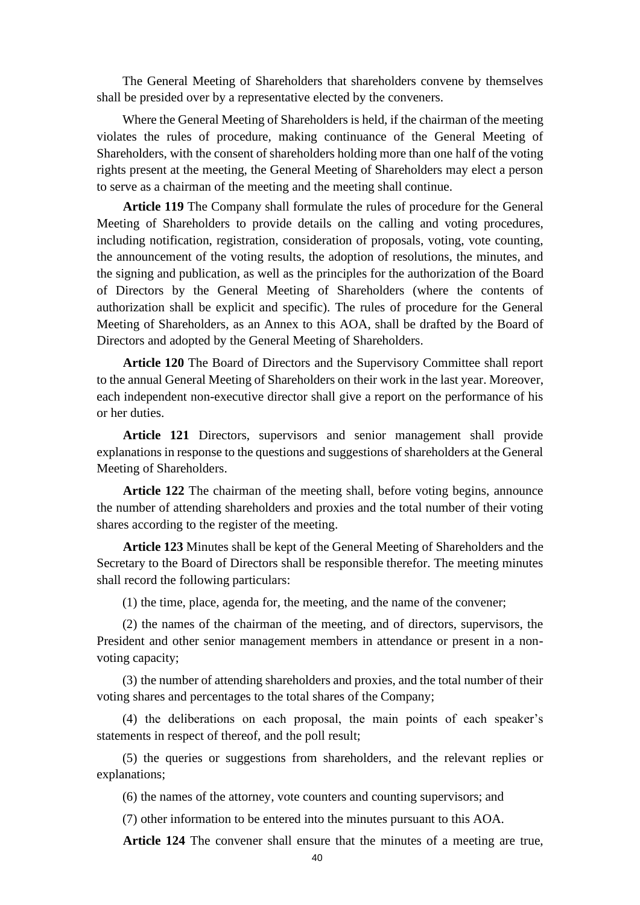The General Meeting of Shareholders that shareholders convene by themselves shall be presided over by a representative elected by the conveners.

Where the General Meeting of Shareholders is held, if the chairman of the meeting violates the rules of procedure, making continuance of the General Meeting of Shareholders, with the consent of shareholders holding more than one half of the voting rights present at the meeting, the General Meeting of Shareholders may elect a person to serve as a chairman of the meeting and the meeting shall continue.

**Article 119** The Company shall formulate the rules of procedure for the General Meeting of Shareholders to provide details on the calling and voting procedures, including notification, registration, consideration of proposals, voting, vote counting, the announcement of the voting results, the adoption of resolutions, the minutes, and the signing and publication, as well as the principles for the authorization of the Board of Directors by the General Meeting of Shareholders (where the contents of authorization shall be explicit and specific). The rules of procedure for the General Meeting of Shareholders, as an Annex to this AOA, shall be drafted by the Board of Directors and adopted by the General Meeting of Shareholders.

**Article 120** The Board of Directors and the Supervisory Committee shall report to the annual General Meeting of Shareholders on their work in the last year. Moreover, each independent non-executive director shall give a report on the performance of his or her duties.

**Article 121** Directors, supervisors and senior management shall provide explanations in response to the questions and suggestions of shareholders at the General Meeting of Shareholders.

**Article 122** The chairman of the meeting shall, before voting begins, announce the number of attending shareholders and proxies and the total number of their voting shares according to the register of the meeting.

**Article 123** Minutes shall be kept of the General Meeting of Shareholders and the Secretary to the Board of Directors shall be responsible therefor. The meeting minutes shall record the following particulars:

(1) the time, place, agenda for, the meeting, and the name of the convener;

(2) the names of the chairman of the meeting, and of directors, supervisors, the President and other senior management members in attendance or present in a nonvoting capacity;

(3) the number of attending shareholders and proxies, and the total number of their voting shares and percentages to the total shares of the Company;

(4) the deliberations on each proposal, the main points of each speaker's statements in respect of thereof, and the poll result;

(5) the queries or suggestions from shareholders, and the relevant replies or explanations;

(6) the names of the attorney, vote counters and counting supervisors; and

(7) other information to be entered into the minutes pursuant to this AOA.

**Article 124** The convener shall ensure that the minutes of a meeting are true,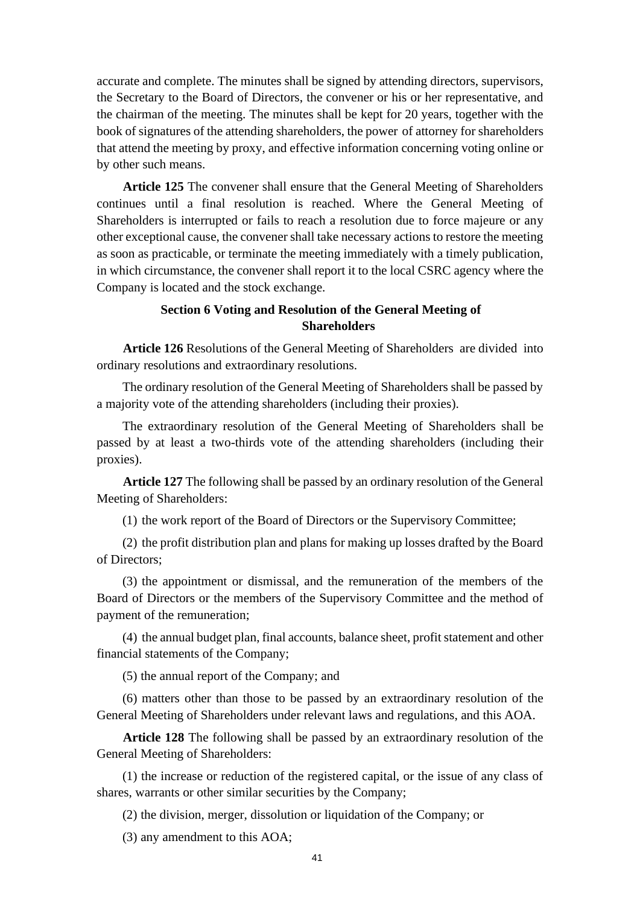accurate and complete. The minutes shall be signed by attending directors, supervisors, the Secretary to the Board of Directors, the convener or his or her representative, and the chairman of the meeting. The minutes shall be kept for 20 years, together with the book of signatures of the attending shareholders, the power of attorney for shareholders that attend the meeting by proxy, and effective information concerning voting online or by other such means.

**Article 125** The convener shall ensure that the General Meeting of Shareholders continues until a final resolution is reached. Where the General Meeting of Shareholders is interrupted or fails to reach a resolution due to force majeure or any other exceptional cause, the convener shall take necessary actions to restore the meeting as soon as practicable, or terminate the meeting immediately with a timely publication, in which circumstance, the convener shall report it to the local CSRC agency where the Company is located and the stock exchange.

# **Section 6 Voting and Resolution of the General Meeting of Shareholders**

**Article 126** Resolutions of the General Meeting of Shareholders are divided into ordinary resolutions and extraordinary resolutions.

The ordinary resolution of the General Meeting of Shareholders shall be passed by a majority vote of the attending shareholders (including their proxies).

The extraordinary resolution of the General Meeting of Shareholders shall be passed by at least a two-thirds vote of the attending shareholders (including their proxies).

**Article 127** The following shall be passed by an ordinary resolution of the General Meeting of Shareholders:

(1) the work report of the Board of Directors or the Supervisory Committee;

(2) the profit distribution plan and plans for making up losses drafted by the Board of Directors;

(3) the appointment or dismissal, and the remuneration of the members of the Board of Directors or the members of the Supervisory Committee and the method of payment of the remuneration;

(4) the annual budget plan, final accounts, balance sheet, profit statement and other financial statements of the Company;

(5) the annual report of the Company; and

(6) matters other than those to be passed by an extraordinary resolution of the General Meeting of Shareholders under relevant laws and regulations, and this AOA.

**Article 128** The following shall be passed by an extraordinary resolution of the General Meeting of Shareholders:

(1) the increase or reduction of the registered capital, or the issue of any class of shares, warrants or other similar securities by the Company;

(2) the division, merger, dissolution or liquidation of the Company; or

(3) any amendment to this AOA;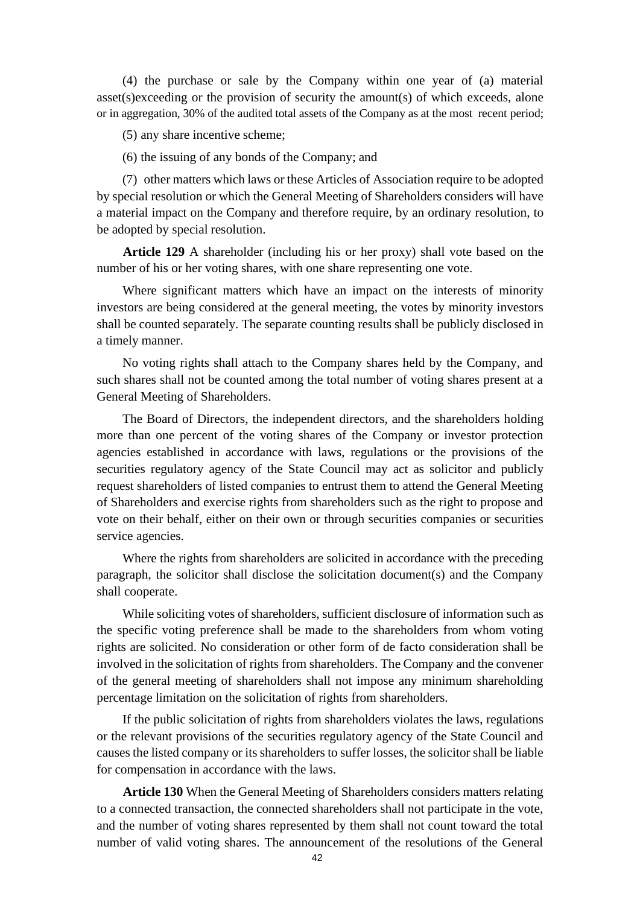(4) the purchase or sale by the Company within one year of (a) material asset(s)exceeding or the provision of security the amount(s) of which exceeds, alone or in aggregation, 30% of the audited total assets of the Company as at the most recent period;

(5) any share incentive scheme;

(6) the issuing of any bonds of the Company; and

(7) other matters which laws or these Articles of Association require to be adopted by special resolution or which the General Meeting of Shareholders considers will have a material impact on the Company and therefore require, by an ordinary resolution, to be adopted by special resolution.

**Article 129** A shareholder (including his or her proxy) shall vote based on the number of his or her voting shares, with one share representing one vote.

Where significant matters which have an impact on the interests of minority investors are being considered at the general meeting, the votes by minority investors shall be counted separately. The separate counting results shall be publicly disclosed in a timely manner.

No voting rights shall attach to the Company shares held by the Company, and such shares shall not be counted among the total number of voting shares present at a General Meeting of Shareholders.

The Board of Directors, the independent directors, and the shareholders holding more than one percent of the voting shares of the Company or investor protection agencies established in accordance with laws, regulations or the provisions of the securities regulatory agency of the State Council may act as solicitor and publicly request shareholders of listed companies to entrust them to attend the General Meeting of Shareholders and exercise rights from shareholders such as the right to propose and vote on their behalf, either on their own or through securities companies or securities service agencies.

Where the rights from shareholders are solicited in accordance with the preceding paragraph, the solicitor shall disclose the solicitation document(s) and the Company shall cooperate.

While soliciting votes of shareholders, sufficient disclosure of information such as the specific voting preference shall be made to the shareholders from whom voting rights are solicited. No consideration or other form of de facto consideration shall be involved in the solicitation of rights from shareholders. The Company and the convener of the general meeting of shareholders shall not impose any minimum shareholding percentage limitation on the solicitation of rights from shareholders.

If the public solicitation of rights from shareholders violates the laws, regulations or the relevant provisions of the securities regulatory agency of the State Council and causes the listed company or its shareholders to suffer losses, the solicitor shall be liable for compensation in accordance with the laws.

**Article 130** When the General Meeting of Shareholders considers matters relating to a connected transaction, the connected shareholders shall not participate in the vote, and the number of voting shares represented by them shall not count toward the total number of valid voting shares. The announcement of the resolutions of the General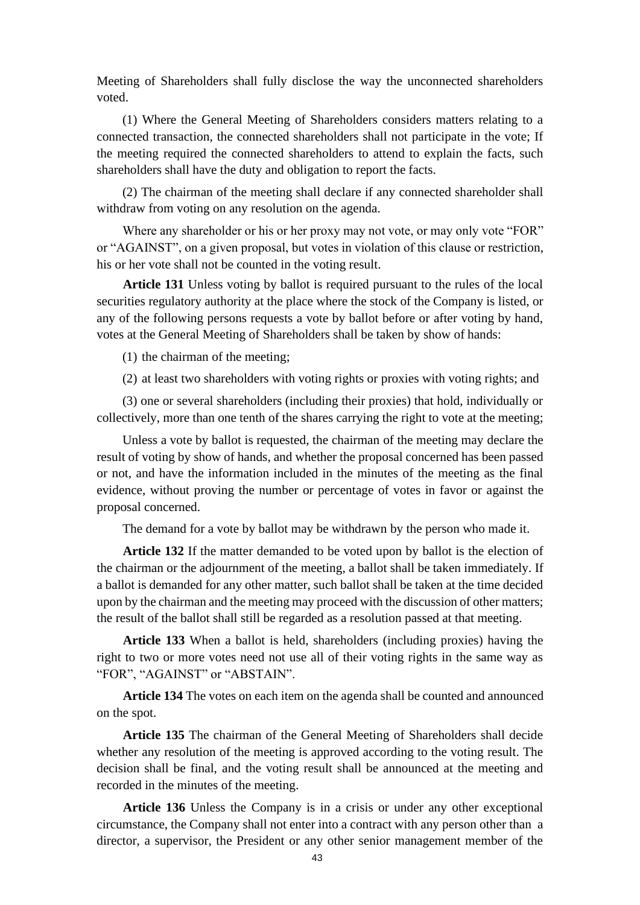Meeting of Shareholders shall fully disclose the way the unconnected shareholders voted.

(1) Where the General Meeting of Shareholders considers matters relating to a connected transaction, the connected shareholders shall not participate in the vote; If the meeting required the connected shareholders to attend to explain the facts, such shareholders shall have the duty and obligation to report the facts.

(2) The chairman of the meeting shall declare if any connected shareholder shall withdraw from voting on any resolution on the agenda.

Where any shareholder or his or her proxy may not vote, or may only vote "FOR" or "AGAINST", on a given proposal, but votes in violation of this clause or restriction, his or her vote shall not be counted in the voting result.

**Article 131** Unless voting by ballot is required pursuant to the rules of the local securities regulatory authority at the place where the stock of the Company is listed, or any of the following persons requests a vote by ballot before or after voting by hand, votes at the General Meeting of Shareholders shall be taken by show of hands:

(1) the chairman of the meeting;

(2) at least two shareholders with voting rights or proxies with voting rights; and

(3) one or several shareholders (including their proxies) that hold, individually or collectively, more than one tenth of the shares carrying the right to vote at the meeting;

Unless a vote by ballot is requested, the chairman of the meeting may declare the result of voting by show of hands, and whether the proposal concerned has been passed or not, and have the information included in the minutes of the meeting as the final evidence, without proving the number or percentage of votes in favor or against the proposal concerned.

The demand for a vote by ballot may be withdrawn by the person who made it.

**Article 132** If the matter demanded to be voted upon by ballot is the election of the chairman or the adjournment of the meeting, a ballot shall be taken immediately. If a ballot is demanded for any other matter, such ballot shall be taken at the time decided upon by the chairman and the meeting may proceed with the discussion of other matters; the result of the ballot shall still be regarded as a resolution passed at that meeting.

**Article 133** When a ballot is held, shareholders (including proxies) having the right to two or more votes need not use all of their voting rights in the same way as "FOR", "AGAINST" or "ABSTAIN".

**Article 134** The votes on each item on the agenda shall be counted and announced on the spot.

**Article 135** The chairman of the General Meeting of Shareholders shall decide whether any resolution of the meeting is approved according to the voting result. The decision shall be final, and the voting result shall be announced at the meeting and recorded in the minutes of the meeting.

**Article 136** Unless the Company is in a crisis or under any other exceptional circumstance, the Company shall not enter into a contract with any person other than a director, a supervisor, the President or any other senior management member of the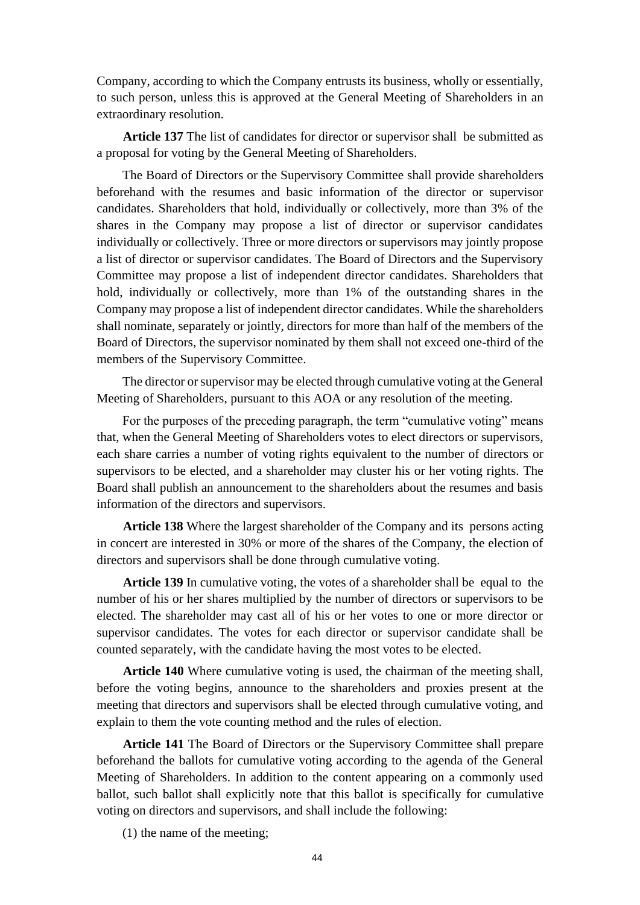Company, according to which the Company entrusts its business, wholly or essentially, to such person, unless this is approved at the General Meeting of Shareholders in an extraordinary resolution.

**Article 137** The list of candidates for director or supervisor shall be submitted as a proposal for voting by the General Meeting of Shareholders.

The Board of Directors or the Supervisory Committee shall provide shareholders beforehand with the resumes and basic information of the director or supervisor candidates. Shareholders that hold, individually or collectively, more than 3% of the shares in the Company may propose a list of director or supervisor candidates individually or collectively. Three or more directors or supervisors may jointly propose a list of director or supervisor candidates. The Board of Directors and the Supervisory Committee may propose a list of independent director candidates. Shareholders that hold, individually or collectively, more than 1% of the outstanding shares in the Company may propose a list of independent director candidates. While the shareholders shall nominate, separately or jointly, directors for more than half of the members of the Board of Directors, the supervisor nominated by them shall not exceed one-third of the members of the Supervisory Committee.

The director or supervisor may be elected through cumulative voting at the General Meeting of Shareholders, pursuant to this AOA or any resolution of the meeting.

For the purposes of the preceding paragraph, the term "cumulative voting" means that, when the General Meeting of Shareholders votes to elect directors or supervisors, each share carries a number of voting rights equivalent to the number of directors or supervisors to be elected, and a shareholder may cluster his or her voting rights. The Board shall publish an announcement to the shareholders about the resumes and basis information of the directors and supervisors.

**Article 138** Where the largest shareholder of the Company and its persons acting in concert are interested in 30% or more of the shares of the Company, the election of directors and supervisors shall be done through cumulative voting.

**Article 139** In cumulative voting, the votes of a shareholder shall be equal to the number of his or her shares multiplied by the number of directors or supervisors to be elected. The shareholder may cast all of his or her votes to one or more director or supervisor candidates. The votes for each director or supervisor candidate shall be counted separately, with the candidate having the most votes to be elected.

**Article 140** Where cumulative voting is used, the chairman of the meeting shall, before the voting begins, announce to the shareholders and proxies present at the meeting that directors and supervisors shall be elected through cumulative voting, and explain to them the vote counting method and the rules of election.

**Article 141** The Board of Directors or the Supervisory Committee shall prepare beforehand the ballots for cumulative voting according to the agenda of the General Meeting of Shareholders. In addition to the content appearing on a commonly used ballot, such ballot shall explicitly note that this ballot is specifically for cumulative voting on directors and supervisors, and shall include the following:

(1) the name of the meeting;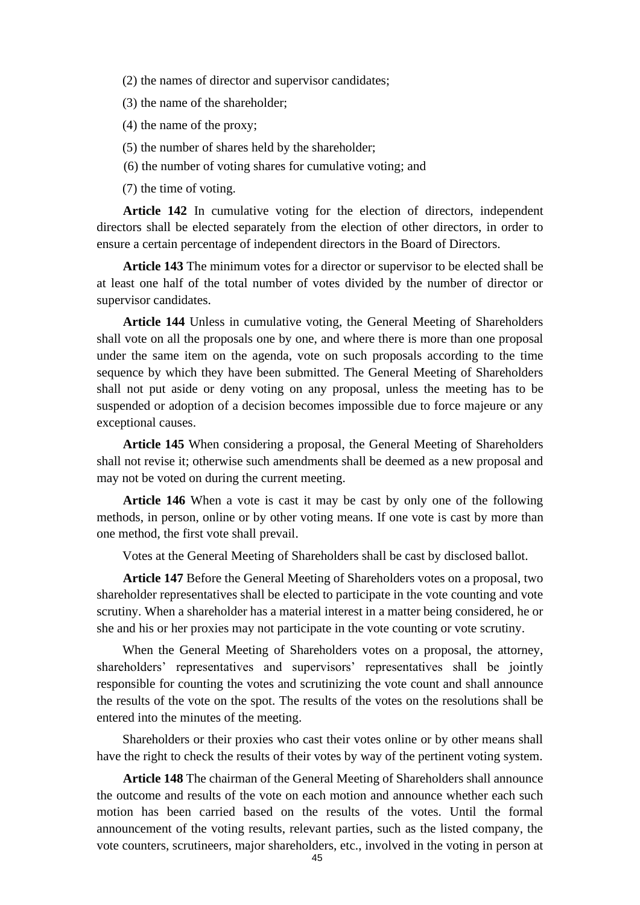- (2) the names of director and supervisor candidates;
- (3) the name of the shareholder;
- (4) the name of the proxy;
- (5) the number of shares held by the shareholder;
- (6) the number of voting shares for cumulative voting; and
- (7) the time of voting.

**Article 142** In cumulative voting for the election of directors, independent directors shall be elected separately from the election of other directors, in order to ensure a certain percentage of independent directors in the Board of Directors.

**Article 143** The minimum votes for a director or supervisor to be elected shall be at least one half of the total number of votes divided by the number of director or supervisor candidates.

**Article 144** Unless in cumulative voting, the General Meeting of Shareholders shall vote on all the proposals one by one, and where there is more than one proposal under the same item on the agenda, vote on such proposals according to the time sequence by which they have been submitted. The General Meeting of Shareholders shall not put aside or deny voting on any proposal, unless the meeting has to be suspended or adoption of a decision becomes impossible due to force majeure or any exceptional causes.

**Article 145** When considering a proposal, the General Meeting of Shareholders shall not revise it; otherwise such amendments shall be deemed as a new proposal and may not be voted on during the current meeting.

**Article 146** When a vote is cast it may be cast by only one of the following methods, in person, online or by other voting means. If one vote is cast by more than one method, the first vote shall prevail.

Votes at the General Meeting of Shareholders shall be cast by disclosed ballot.

**Article 147** Before the General Meeting of Shareholders votes on a proposal, two shareholder representatives shall be elected to participate in the vote counting and vote scrutiny. When a shareholder has a material interest in a matter being considered, he or she and his or her proxies may not participate in the vote counting or vote scrutiny.

When the General Meeting of Shareholders votes on a proposal, the attorney, shareholders' representatives and supervisors' representatives shall be jointly responsible for counting the votes and scrutinizing the vote count and shall announce the results of the vote on the spot. The results of the votes on the resolutions shall be entered into the minutes of the meeting.

Shareholders or their proxies who cast their votes online or by other means shall have the right to check the results of their votes by way of the pertinent voting system.

**Article 148** The chairman of the General Meeting of Shareholders shall announce the outcome and results of the vote on each motion and announce whether each such motion has been carried based on the results of the votes. Until the formal announcement of the voting results, relevant parties, such as the listed company, the vote counters, scrutineers, major shareholders, etc., involved in the voting in person at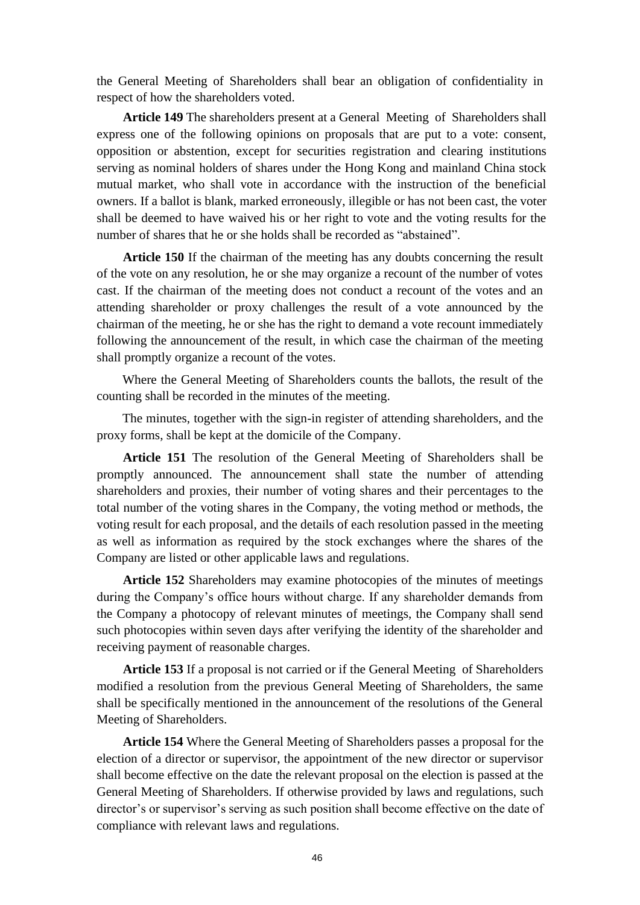the General Meeting of Shareholders shall bear an obligation of confidentiality in respect of how the shareholders voted.

**Article 149** The shareholders present at a General Meeting of Shareholders shall express one of the following opinions on proposals that are put to a vote: consent, opposition or abstention, except for securities registration and clearing institutions serving as nominal holders of shares under the Hong Kong and mainland China stock mutual market, who shall vote in accordance with the instruction of the beneficial owners. If a ballot is blank, marked erroneously, illegible or has not been cast, the voter shall be deemed to have waived his or her right to vote and the voting results for the number of shares that he or she holds shall be recorded as "abstained".

**Article 150** If the chairman of the meeting has any doubts concerning the result of the vote on any resolution, he or she may organize a recount of the number of votes cast. If the chairman of the meeting does not conduct a recount of the votes and an attending shareholder or proxy challenges the result of a vote announced by the chairman of the meeting, he or she has the right to demand a vote recount immediately following the announcement of the result, in which case the chairman of the meeting shall promptly organize a recount of the votes.

Where the General Meeting of Shareholders counts the ballots, the result of the counting shall be recorded in the minutes of the meeting.

The minutes, together with the sign-in register of attending shareholders, and the proxy forms, shall be kept at the domicile of the Company.

**Article 151** The resolution of the General Meeting of Shareholders shall be promptly announced. The announcement shall state the number of attending shareholders and proxies, their number of voting shares and their percentages to the total number of the voting shares in the Company, the voting method or methods, the voting result for each proposal, and the details of each resolution passed in the meeting as well as information as required by the stock exchanges where the shares of the Company are listed or other applicable laws and regulations.

**Article 152** Shareholders may examine photocopies of the minutes of meetings during the Company's office hours without charge. If any shareholder demands from the Company a photocopy of relevant minutes of meetings, the Company shall send such photocopies within seven days after verifying the identity of the shareholder and receiving payment of reasonable charges.

**Article 153** If a proposal is not carried or if the General Meeting of Shareholders modified a resolution from the previous General Meeting of Shareholders, the same shall be specifically mentioned in the announcement of the resolutions of the General Meeting of Shareholders.

**Article 154** Where the General Meeting of Shareholders passes a proposal for the election of a director or supervisor, the appointment of the new director or supervisor shall become effective on the date the relevant proposal on the election is passed at the General Meeting of Shareholders. If otherwise provided by laws and regulations, such director's or supervisor's serving as such position shall become effective on the date of compliance with relevant laws and regulations.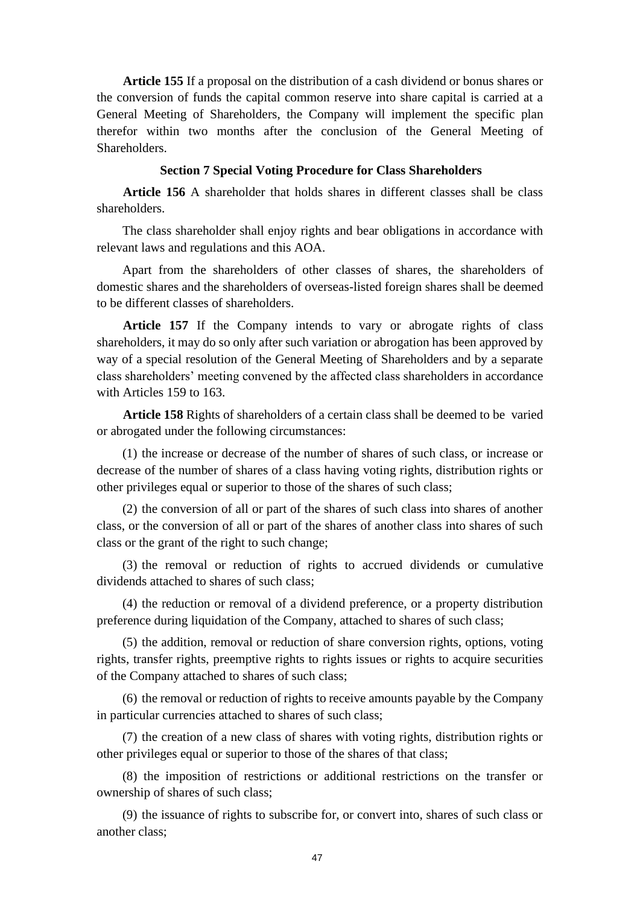**Article 155** If a proposal on the distribution of a cash dividend or bonus shares or the conversion of funds the capital common reserve into share capital is carried at a General Meeting of Shareholders, the Company will implement the specific plan therefor within two months after the conclusion of the General Meeting of Shareholders.

## **Section 7 Special Voting Procedure for Class Shareholders**

**Article 156** A shareholder that holds shares in different classes shall be class shareholders.

The class shareholder shall enjoy rights and bear obligations in accordance with relevant laws and regulations and this AOA.

Apart from the shareholders of other classes of shares, the shareholders of domestic shares and the shareholders of overseas-listed foreign shares shall be deemed to be different classes of shareholders.

**Article 157** If the Company intends to vary or abrogate rights of class shareholders, it may do so only after such variation or abrogation has been approved by way of a special resolution of the General Meeting of Shareholders and by a separate class shareholders' meeting convened by the affected class shareholders in accordance with Articles 159 to 163.

**Article 158** Rights of shareholders of a certain class shall be deemed to be varied or abrogated under the following circumstances:

(1) the increase or decrease of the number of shares of such class, or increase or decrease of the number of shares of a class having voting rights, distribution rights or other privileges equal or superior to those of the shares of such class;

(2) the conversion of all or part of the shares of such class into shares of another class, or the conversion of all or part of the shares of another class into shares of such class or the grant of the right to such change;

(3) the removal or reduction of rights to accrued dividends or cumulative dividends attached to shares of such class;

(4) the reduction or removal of a dividend preference, or a property distribution preference during liquidation of the Company, attached to shares of such class;

(5) the addition, removal or reduction of share conversion rights, options, voting rights, transfer rights, preemptive rights to rights issues or rights to acquire securities of the Company attached to shares of such class;

(6) the removal or reduction of rights to receive amounts payable by the Company in particular currencies attached to shares of such class;

(7) the creation of a new class of shares with voting rights, distribution rights or other privileges equal or superior to those of the shares of that class;

(8) the imposition of restrictions or additional restrictions on the transfer or ownership of shares of such class;

(9) the issuance of rights to subscribe for, or convert into, shares of such class or another class;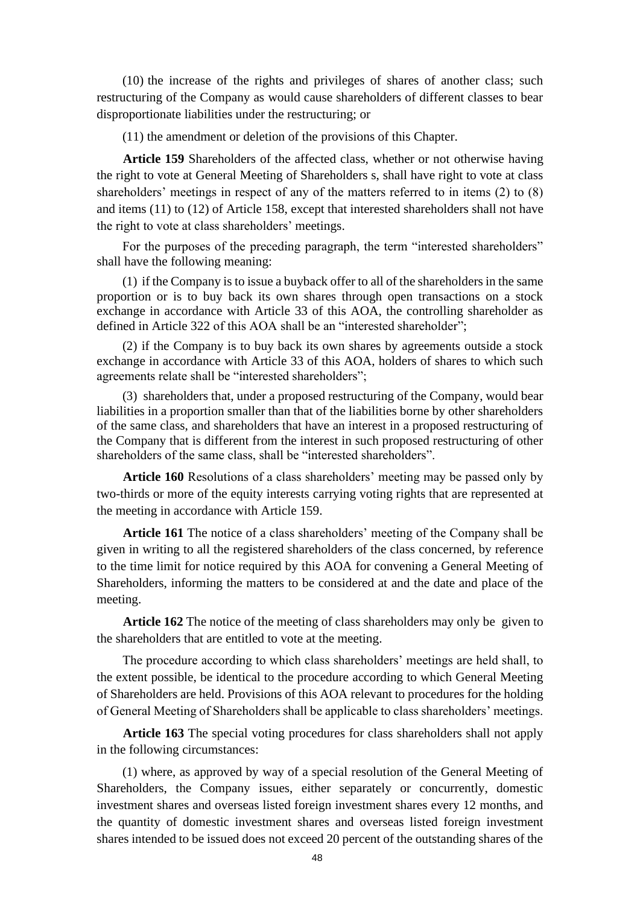(10) the increase of the rights and privileges of shares of another class; such restructuring of the Company as would cause shareholders of different classes to bear disproportionate liabilities under the restructuring; or

(11) the amendment or deletion of the provisions of this Chapter.

**Article 159** Shareholders of the affected class, whether or not otherwise having the right to vote at General Meeting of Shareholders s, shall have right to vote at class shareholders' meetings in respect of any of the matters referred to in items (2) to (8) and items (11) to (12) of Article 158, except that interested shareholders shall not have the right to vote at class shareholders' meetings.

For the purposes of the preceding paragraph, the term "interested shareholders" shall have the following meaning:

(1) if the Company is to issue a buyback offer to all of the shareholders in the same proportion or is to buy back its own shares through open transactions on a stock exchange in accordance with Article 33 of this AOA, the controlling shareholder as defined in Article 322 of this AOA shall be an "interested shareholder";

(2) if the Company is to buy back its own shares by agreements outside a stock exchange in accordance with Article 33 of this AOA, holders of shares to which such agreements relate shall be "interested shareholders";

(3) shareholders that, under a proposed restructuring of the Company, would bear liabilities in a proportion smaller than that of the liabilities borne by other shareholders of the same class, and shareholders that have an interest in a proposed restructuring of the Company that is different from the interest in such proposed restructuring of other shareholders of the same class, shall be "interested shareholders".

**Article 160** Resolutions of a class shareholders' meeting may be passed only by two-thirds or more of the equity interests carrying voting rights that are represented at the meeting in accordance with Article 159.

**Article 161** The notice of a class shareholders' meeting of the Company shall be given in writing to all the registered shareholders of the class concerned, by reference to the time limit for notice required by this AOA for convening a General Meeting of Shareholders, informing the matters to be considered at and the date and place of the meeting.

**Article 162** The notice of the meeting of class shareholders may only be given to the shareholders that are entitled to vote at the meeting.

The procedure according to which class shareholders' meetings are held shall, to the extent possible, be identical to the procedure according to which General Meeting of Shareholders are held. Provisions of this AOA relevant to procedures for the holding of General Meeting of Shareholders shall be applicable to class shareholders' meetings.

**Article 163** The special voting procedures for class shareholders shall not apply in the following circumstances:

(1) where, as approved by way of a special resolution of the General Meeting of Shareholders, the Company issues, either separately or concurrently, domestic investment shares and overseas listed foreign investment shares every 12 months, and the quantity of domestic investment shares and overseas listed foreign investment shares intended to be issued does not exceed 20 percent of the outstanding shares of the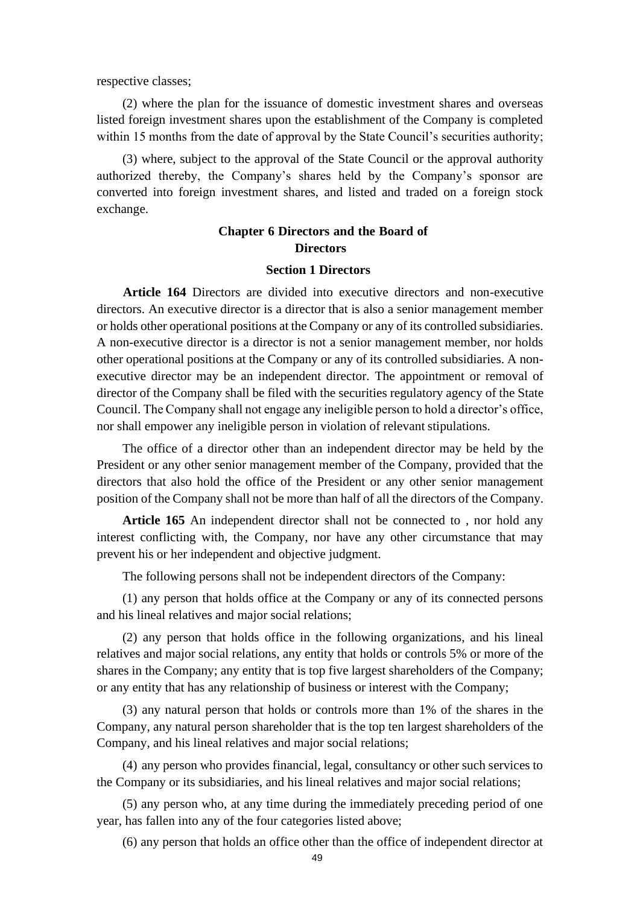respective classes;

(2) where the plan for the issuance of domestic investment shares and overseas listed foreign investment shares upon the establishment of the Company is completed within 15 months from the date of approval by the State Council's securities authority;

(3) where, subject to the approval of the State Council or the approval authority authorized thereby, the Company's shares held by the Company's sponsor are converted into foreign investment shares, and listed and traded on a foreign stock exchange.

# **Chapter 6 Directors and the Board of Directors**

# **Section 1 Directors**

**Article 164** Directors are divided into executive directors and non-executive directors. An executive director is a director that is also a senior management member or holds other operational positions at the Company or any of its controlled subsidiaries. A non-executive director is a director is not a senior management member, nor holds other operational positions at the Company or any of its controlled subsidiaries. A nonexecutive director may be an independent director. The appointment or removal of director of the Company shall be filed with the securities regulatory agency of the State Council. The Company shall not engage any ineligible person to hold a director's office, nor shall empower any ineligible person in violation of relevant stipulations.

The office of a director other than an independent director may be held by the President or any other senior management member of the Company, provided that the directors that also hold the office of the President or any other senior management position of the Company shall not be more than half of all the directors of the Company.

**Article 165** An independent director shall not be connected to , nor hold any interest conflicting with, the Company, nor have any other circumstance that may prevent his or her independent and objective judgment.

The following persons shall not be independent directors of the Company:

(1) any person that holds office at the Company or any of its connected persons and his lineal relatives and major social relations;

(2) any person that holds office in the following organizations, and his lineal relatives and major social relations, any entity that holds or controls 5% or more of the shares in the Company; any entity that is top five largest shareholders of the Company; or any entity that has any relationship of business or interest with the Company;

(3) any natural person that holds or controls more than 1% of the shares in the Company, any natural person shareholder that is the top ten largest shareholders of the Company, and his lineal relatives and major social relations;

(4) any person who provides financial, legal, consultancy or other such services to the Company or its subsidiaries, and his lineal relatives and major social relations;

(5) any person who, at any time during the immediately preceding period of one year, has fallen into any of the four categories listed above;

(6) any person that holds an office other than the office of independent director at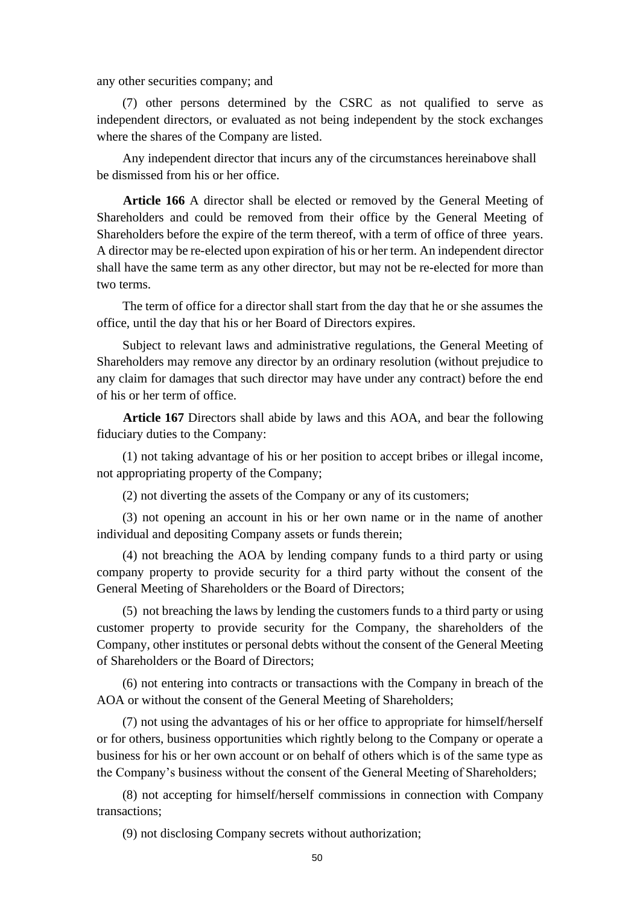any other securities company; and

(7) other persons determined by the CSRC as not qualified to serve as independent directors, or evaluated as not being independent by the stock exchanges where the shares of the Company are listed.

Any independent director that incurs any of the circumstances hereinabove shall be dismissed from his or her office.

**Article 166** A director shall be elected or removed by the General Meeting of Shareholders and could be removed from their office by the General Meeting of Shareholders before the expire of the term thereof, with a term of office of three years. A director may be re-elected upon expiration of his or her term. An independent director shall have the same term as any other director, but may not be re-elected for more than two terms.

The term of office for a director shall start from the day that he or she assumes the office, until the day that his or her Board of Directors expires.

Subject to relevant laws and administrative regulations, the General Meeting of Shareholders may remove any director by an ordinary resolution (without prejudice to any claim for damages that such director may have under any contract) before the end of his or her term of office.

**Article 167** Directors shall abide by laws and this AOA, and bear the following fiduciary duties to the Company:

(1) not taking advantage of his or her position to accept bribes or illegal income, not appropriating property of the Company;

(2) not diverting the assets of the Company or any of its customers;

(3) not opening an account in his or her own name or in the name of another individual and depositing Company assets or funds therein;

(4) not breaching the AOA by lending company funds to a third party or using company property to provide security for a third party without the consent of the General Meeting of Shareholders or the Board of Directors;

(5) not breaching the laws by lending the customers funds to a third party or using customer property to provide security for the Company, the shareholders of the Company, other institutes or personal debts without the consent of the General Meeting of Shareholders or the Board of Directors;

(6) not entering into contracts or transactions with the Company in breach of the AOA or without the consent of the General Meeting of Shareholders;

(7) not using the advantages of his or her office to appropriate for himself/herself or for others, business opportunities which rightly belong to the Company or operate a business for his or her own account or on behalf of others which is of the same type as the Company's business without the consent of the General Meeting of Shareholders;

(8) not accepting for himself/herself commissions in connection with Company transactions;

(9) not disclosing Company secrets without authorization;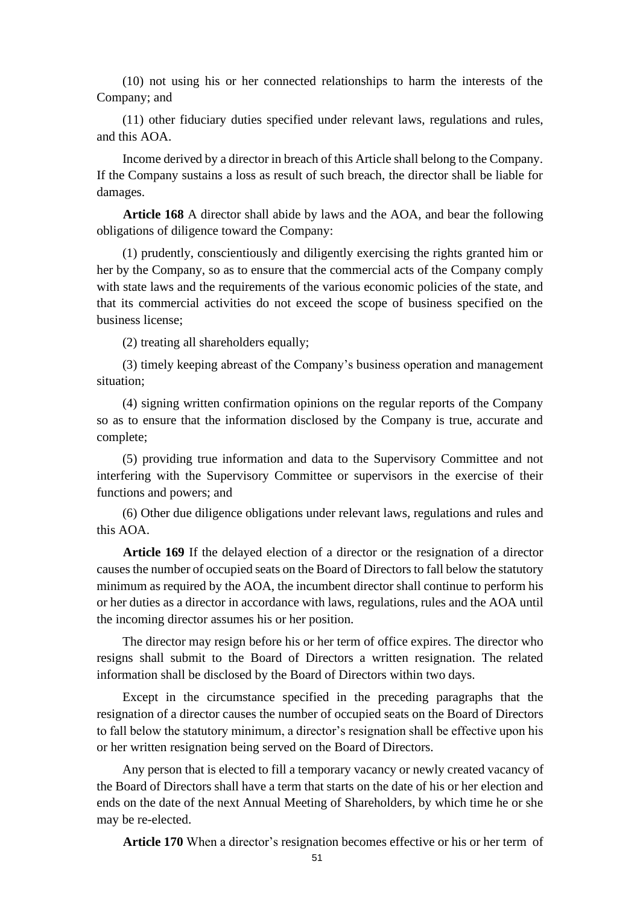(10) not using his or her connected relationships to harm the interests of the Company; and

(11) other fiduciary duties specified under relevant laws, regulations and rules, and this AOA.

Income derived by a director in breach of this Article shall belong to the Company. If the Company sustains a loss as result of such breach, the director shall be liable for damages.

**Article 168** A director shall abide by laws and the AOA, and bear the following obligations of diligence toward the Company:

(1) prudently, conscientiously and diligently exercising the rights granted him or her by the Company, so as to ensure that the commercial acts of the Company comply with state laws and the requirements of the various economic policies of the state, and that its commercial activities do not exceed the scope of business specified on the business license;

(2) treating all shareholders equally;

(3) timely keeping abreast of the Company's business operation and management situation;

(4) signing written confirmation opinions on the regular reports of the Company so as to ensure that the information disclosed by the Company is true, accurate and complete;

(5) providing true information and data to the Supervisory Committee and not interfering with the Supervisory Committee or supervisors in the exercise of their functions and powers; and

(6) Other due diligence obligations under relevant laws, regulations and rules and this AOA.

**Article 169** If the delayed election of a director or the resignation of a director causes the number of occupied seats on the Board of Directors to fall below the statutory minimum as required by the AOA, the incumbent director shall continue to perform his or her duties as a director in accordance with laws, regulations, rules and the AOA until the incoming director assumes his or her position.

The director may resign before his or her term of office expires. The director who resigns shall submit to the Board of Directors a written resignation. The related information shall be disclosed by the Board of Directors within two days.

Except in the circumstance specified in the preceding paragraphs that the resignation of a director causes the number of occupied seats on the Board of Directors to fall below the statutory minimum, a director's resignation shall be effective upon his or her written resignation being served on the Board of Directors.

Any person that is elected to fill a temporary vacancy or newly created vacancy of the Board of Directors shall have a term that starts on the date of his or her election and ends on the date of the next Annual Meeting of Shareholders, by which time he or she may be re-elected.

**Article 170** When a director's resignation becomes effective or his or her term of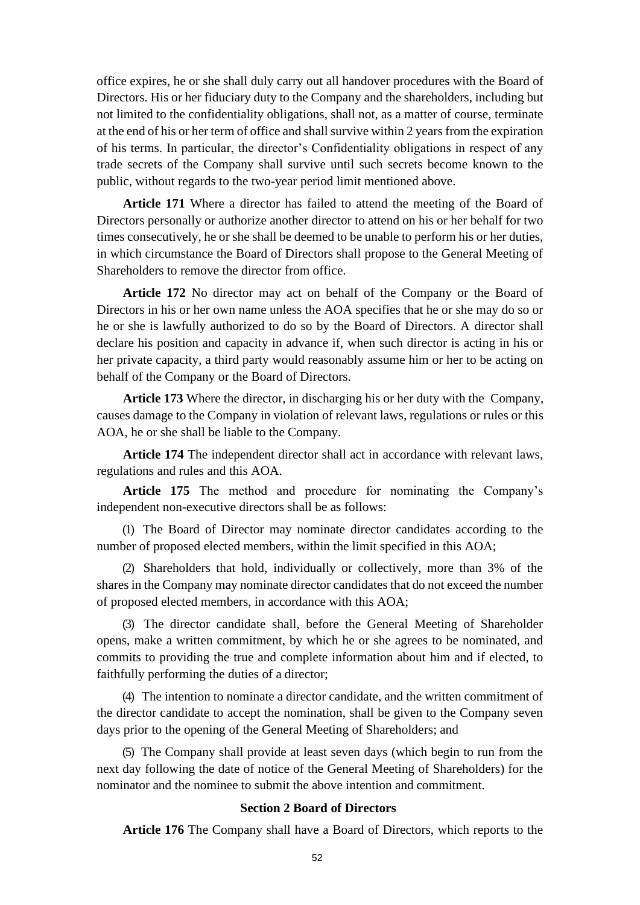office expires, he or she shall duly carry out all handover procedures with the Board of Directors. His or her fiduciary duty to the Company and the shareholders, including but not limited to the confidentiality obligations, shall not, as a matter of course, terminate at the end of his or her term of office and shall survive within 2 years from the expiration of his terms. In particular, the director's Confidentiality obligations in respect of any trade secrets of the Company shall survive until such secrets become known to the public, without regards to the two-year period limit mentioned above.

**Article 171** Where a director has failed to attend the meeting of the Board of Directors personally or authorize another director to attend on his or her behalf for two times consecutively, he or she shall be deemed to be unable to perform his or her duties, in which circumstance the Board of Directors shall propose to the General Meeting of Shareholders to remove the director from office.

**Article 172** No director may act on behalf of the Company or the Board of Directors in his or her own name unless the AOA specifies that he or she may do so or he or she is lawfully authorized to do so by the Board of Directors. A director shall declare his position and capacity in advance if, when such director is acting in his or her private capacity, a third party would reasonably assume him or her to be acting on behalf of the Company or the Board of Directors.

**Article 173** Where the director, in discharging his or her duty with the Company, causes damage to the Company in violation of relevant laws, regulations or rules or this AOA, he or she shall be liable to the Company.

**Article 174** The independent director shall act in accordance with relevant laws, regulations and rules and this AOA.

**Article 175** The method and procedure for nominating the Company's independent non-executive directors shall be as follows:

(1) The Board of Director may nominate director candidates according to the number of proposed elected members, within the limit specified in this AOA;

(2) Shareholders that hold, individually or collectively, more than 3% of the shares in the Company may nominate director candidates that do not exceed the number of proposed elected members, in accordance with this AOA;

(3) The director candidate shall, before the General Meeting of Shareholder opens, make a written commitment, by which he or she agrees to be nominated, and commits to providing the true and complete information about him and if elected, to faithfully performing the duties of a director;

(4) The intention to nominate a director candidate, and the written commitment of the director candidate to accept the nomination, shall be given to the Company seven days prior to the opening of the General Meeting of Shareholders; and

(5) The Company shall provide at least seven days (which begin to run from the next day following the date of notice of the General Meeting of Shareholders) for the nominator and the nominee to submit the above intention and commitment.

# **Section 2 Board of Directors**

**Article 176** The Company shall have a Board of Directors, which reports to the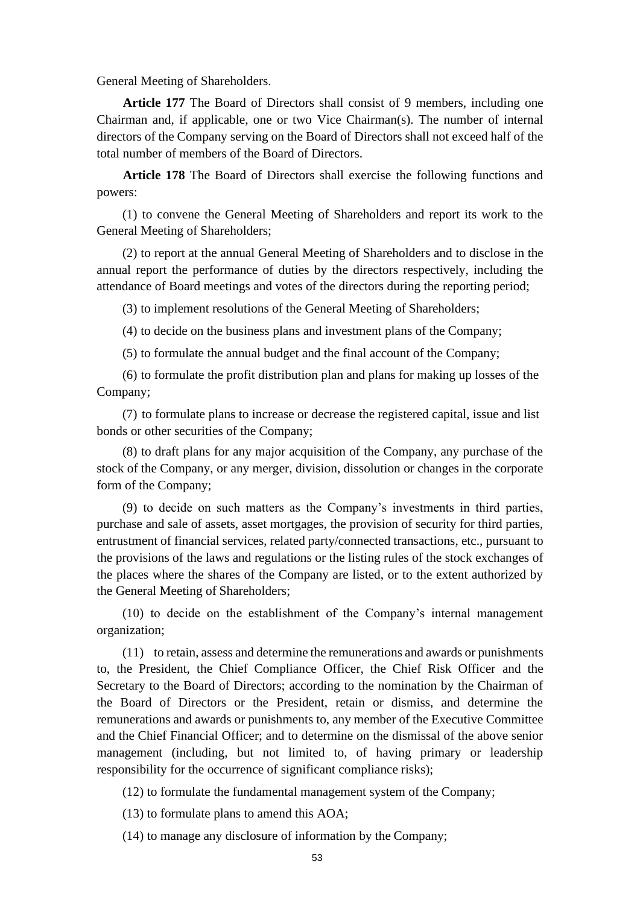General Meeting of Shareholders.

**Article 177** The Board of Directors shall consist of 9 members, including one Chairman and, if applicable, one or two Vice Chairman(s). The number of internal directors of the Company serving on the Board of Directors shall not exceed half of the total number of members of the Board of Directors.

**Article 178** The Board of Directors shall exercise the following functions and powers:

(1) to convene the General Meeting of Shareholders and report its work to the General Meeting of Shareholders;

(2) to report at the annual General Meeting of Shareholders and to disclose in the annual report the performance of duties by the directors respectively, including the attendance of Board meetings and votes of the directors during the reporting period;

(3) to implement resolutions of the General Meeting of Shareholders;

(4) to decide on the business plans and investment plans of the Company;

(5) to formulate the annual budget and the final account of the Company;

(6) to formulate the profit distribution plan and plans for making up losses of the Company;

(7) to formulate plans to increase or decrease the registered capital, issue and list bonds or other securities of the Company;

(8) to draft plans for any major acquisition of the Company, any purchase of the stock of the Company, or any merger, division, dissolution or changes in the corporate form of the Company;

(9) to decide on such matters as the Company's investments in third parties, purchase and sale of assets, asset mortgages, the provision of security for third parties, entrustment of financial services, related party/connected transactions, etc., pursuant to the provisions of the laws and regulations or the listing rules of the stock exchanges of the places where the shares of the Company are listed, or to the extent authorized by the General Meeting of Shareholders;

(10) to decide on the establishment of the Company's internal management organization;

(11) to retain, assess and determine the remunerations and awards or punishments to, the President, the Chief Compliance Officer, the Chief Risk Officer and the Secretary to the Board of Directors; according to the nomination by the Chairman of the Board of Directors or the President, retain or dismiss, and determine the remunerations and awards or punishments to, any member of the Executive Committee and the Chief Financial Officer; and to determine on the dismissal of the above senior management (including, but not limited to, of having primary or leadership responsibility for the occurrence of significant compliance risks);

(12) to formulate the fundamental management system of the Company;

(13) to formulate plans to amend this AOA;

(14) to manage any disclosure of information by the Company;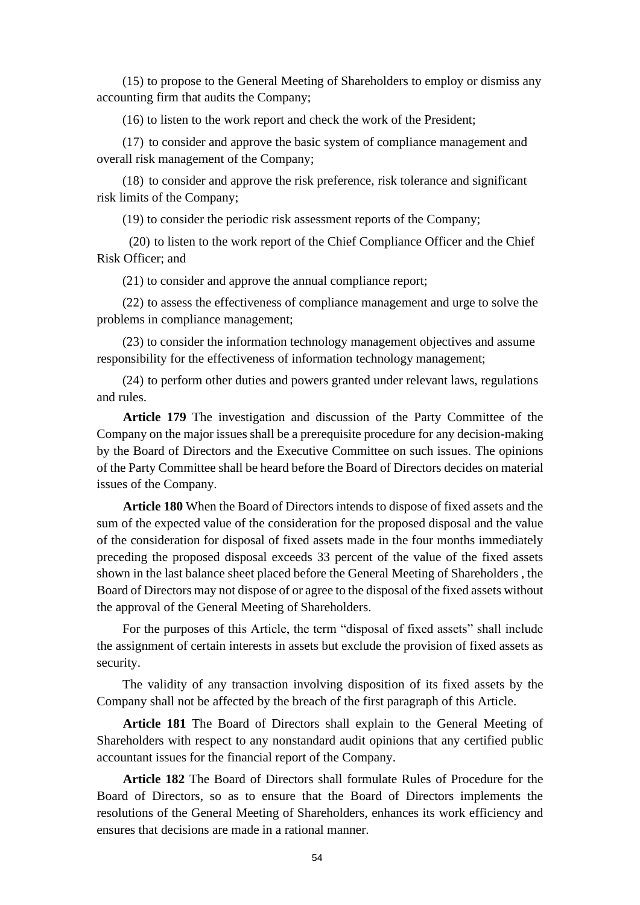(15) to propose to the General Meeting of Shareholders to employ or dismiss any accounting firm that audits the Company;

(16) to listen to the work report and check the work of the President;

(17) to consider and approve the basic system of compliance management and overall risk management of the Company;

(18) to consider and approve the risk preference, risk tolerance and significant risk limits of the Company;

(19) to consider the periodic risk assessment reports of the Company;

(20) to listen to the work report of the Chief Compliance Officer and the Chief Risk Officer; and

(21) to consider and approve the annual compliance report;

(22) to assess the effectiveness of compliance management and urge to solve the problems in compliance management;

(23) to consider the information technology management objectives and assume responsibility for the effectiveness of information technology management;

(24) to perform other duties and powers granted under relevant laws, regulations and rules.

**Article 179** The investigation and discussion of the Party Committee of the Company on the major issues shall be a prerequisite procedure for any decision-making by the Board of Directors and the Executive Committee on such issues. The opinions of the Party Committee shall be heard before the Board of Directors decides on material issues of the Company.

**Article 180** When the Board of Directors intends to dispose of fixed assets and the sum of the expected value of the consideration for the proposed disposal and the value of the consideration for disposal of fixed assets made in the four months immediately preceding the proposed disposal exceeds 33 percent of the value of the fixed assets shown in the last balance sheet placed before the General Meeting of Shareholders , the Board of Directors may not dispose of or agree to the disposal of the fixed assets without the approval of the General Meeting of Shareholders.

For the purposes of this Article, the term "disposal of fixed assets" shall include the assignment of certain interests in assets but exclude the provision of fixed assets as security.

The validity of any transaction involving disposition of its fixed assets by the Company shall not be affected by the breach of the first paragraph of this Article.

**Article 181** The Board of Directors shall explain to the General Meeting of Shareholders with respect to any nonstandard audit opinions that any certified public accountant issues for the financial report of the Company.

**Article 182** The Board of Directors shall formulate Rules of Procedure for the Board of Directors, so as to ensure that the Board of Directors implements the resolutions of the General Meeting of Shareholders, enhances its work efficiency and ensures that decisions are made in a rational manner.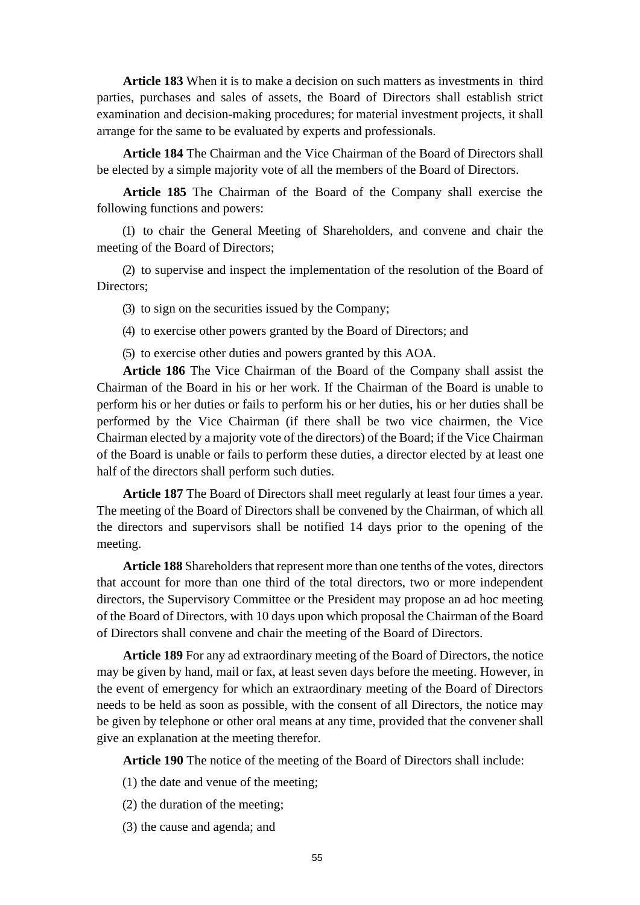**Article 183** When it is to make a decision on such matters as investments in third parties, purchases and sales of assets, the Board of Directors shall establish strict examination and decision-making procedures; for material investment projects, it shall arrange for the same to be evaluated by experts and professionals.

**Article 184** The Chairman and the Vice Chairman of the Board of Directors shall be elected by a simple majority vote of all the members of the Board of Directors.

**Article 185** The Chairman of the Board of the Company shall exercise the following functions and powers:

(1) to chair the General Meeting of Shareholders, and convene and chair the meeting of the Board of Directors;

(2) to supervise and inspect the implementation of the resolution of the Board of Directors:

(3) to sign on the securities issued by the Company;

(4) to exercise other powers granted by the Board of Directors; and

(5) to exercise other duties and powers granted by this AOA.

**Article 186** The Vice Chairman of the Board of the Company shall assist the Chairman of the Board in his or her work. If the Chairman of the Board is unable to perform his or her duties or fails to perform his or her duties, his or her duties shall be performed by the Vice Chairman (if there shall be two vice chairmen, the Vice Chairman elected by a majority vote of the directors) of the Board; if the Vice Chairman of the Board is unable or fails to perform these duties, a director elected by at least one half of the directors shall perform such duties.

**Article 187** The Board of Directors shall meet regularly at least four times a year. The meeting of the Board of Directors shall be convened by the Chairman, of which all the directors and supervisors shall be notified 14 days prior to the opening of the meeting.

**Article 188** Shareholders that represent more than one tenths of the votes, directors that account for more than one third of the total directors, two or more independent directors, the Supervisory Committee or the President may propose an ad hoc meeting of the Board of Directors, with 10 days upon which proposal the Chairman of the Board of Directors shall convene and chair the meeting of the Board of Directors.

**Article 189** For any ad extraordinary meeting of the Board of Directors, the notice may be given by hand, mail or fax, at least seven days before the meeting. However, in the event of emergency for which an extraordinary meeting of the Board of Directors needs to be held as soon as possible, with the consent of all Directors, the notice may be given by telephone or other oral means at any time, provided that the convener shall give an explanation at the meeting therefor.

**Article 190** The notice of the meeting of the Board of Directors shall include:

- (1) the date and venue of the meeting;
- (2) the duration of the meeting;
- (3) the cause and agenda; and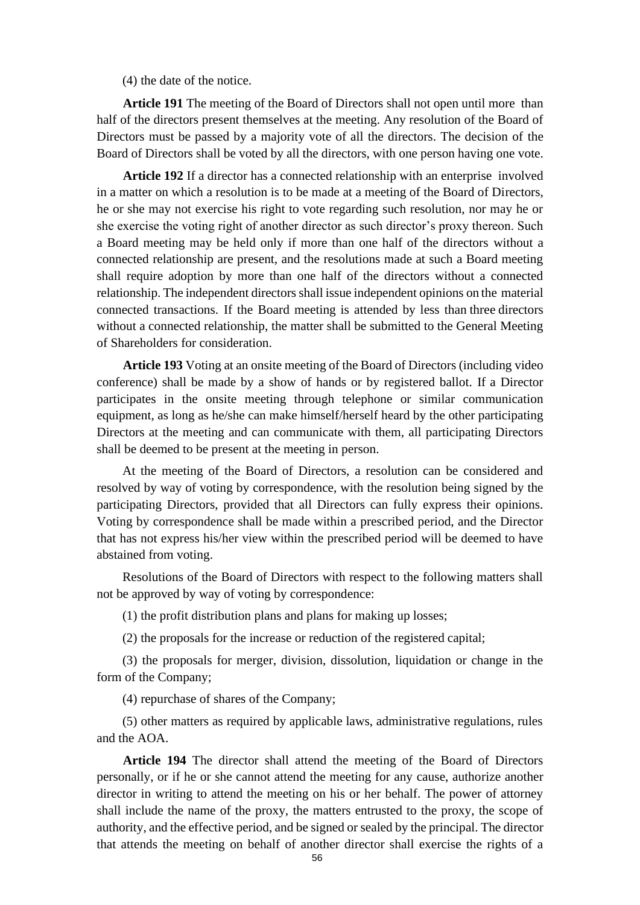(4) the date of the notice.

**Article 191** The meeting of the Board of Directors shall not open until more than half of the directors present themselves at the meeting. Any resolution of the Board of Directors must be passed by a majority vote of all the directors. The decision of the Board of Directors shall be voted by all the directors, with one person having one vote.

**Article 192** If a director has a connected relationship with an enterprise involved in a matter on which a resolution is to be made at a meeting of the Board of Directors, he or she may not exercise his right to vote regarding such resolution, nor may he or she exercise the voting right of another director as such director's proxy thereon. Such a Board meeting may be held only if more than one half of the directors without a connected relationship are present, and the resolutions made at such a Board meeting shall require adoption by more than one half of the directors without a connected relationship. The independent directors shall issue independent opinions on the material connected transactions. If the Board meeting is attended by less than three directors without a connected relationship, the matter shall be submitted to the General Meeting of Shareholders for consideration.

**Article 193** Voting at an onsite meeting of the Board of Directors (including video conference) shall be made by a show of hands or by registered ballot. If a Director participates in the onsite meeting through telephone or similar communication equipment, as long as he/she can make himself/herself heard by the other participating Directors at the meeting and can communicate with them, all participating Directors shall be deemed to be present at the meeting in person.

At the meeting of the Board of Directors, a resolution can be considered and resolved by way of voting by correspondence, with the resolution being signed by the participating Directors, provided that all Directors can fully express their opinions. Voting by correspondence shall be made within a prescribed period, and the Director that has not express his/her view within the prescribed period will be deemed to have abstained from voting.

Resolutions of the Board of Directors with respect to the following matters shall not be approved by way of voting by correspondence:

(1) the profit distribution plans and plans for making up losses;

(2) the proposals for the increase or reduction of the registered capital;

(3) the proposals for merger, division, dissolution, liquidation or change in the form of the Company;

(4) repurchase of shares of the Company;

(5) other matters as required by applicable laws, administrative regulations, rules and the AOA.

**Article 194** The director shall attend the meeting of the Board of Directors personally, or if he or she cannot attend the meeting for any cause, authorize another director in writing to attend the meeting on his or her behalf. The power of attorney shall include the name of the proxy, the matters entrusted to the proxy, the scope of authority, and the effective period, and be signed or sealed by the principal. The director that attends the meeting on behalf of another director shall exercise the rights of a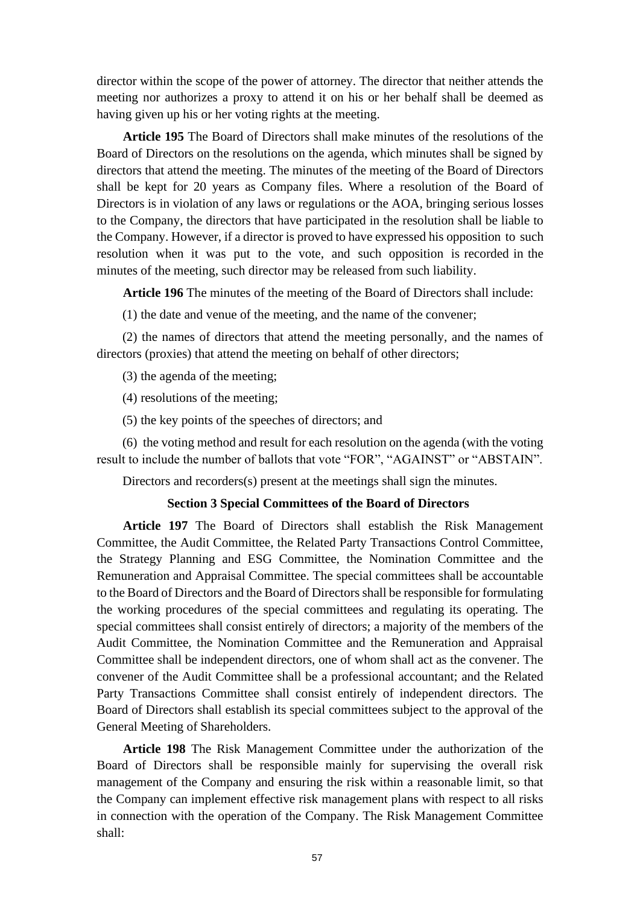director within the scope of the power of attorney. The director that neither attends the meeting nor authorizes a proxy to attend it on his or her behalf shall be deemed as having given up his or her voting rights at the meeting.

**Article 195** The Board of Directors shall make minutes of the resolutions of the Board of Directors on the resolutions on the agenda, which minutes shall be signed by directors that attend the meeting. The minutes of the meeting of the Board of Directors shall be kept for 20 years as Company files. Where a resolution of the Board of Directors is in violation of any laws or regulations or the AOA, bringing serious losses to the Company, the directors that have participated in the resolution shall be liable to the Company. However, if a director is proved to have expressed his opposition to such resolution when it was put to the vote, and such opposition is recorded in the minutes of the meeting, such director may be released from such liability.

**Article 196** The minutes of the meeting of the Board of Directors shall include:

(1) the date and venue of the meeting, and the name of the convener;

(2) the names of directors that attend the meeting personally, and the names of directors (proxies) that attend the meeting on behalf of other directors;

(3) the agenda of the meeting;

(4) resolutions of the meeting;

(5) the key points of the speeches of directors; and

(6) the voting method and result for each resolution on the agenda (with the voting result to include the number of ballots that vote "FOR", "AGAINST" or "ABSTAIN".

Directors and recorders(s) present at the meetings shall sign the minutes.

## **Section 3 Special Committees of the Board of Directors**

**Article 197** The Board of Directors shall establish the Risk Management Committee, the Audit Committee, the Related Party Transactions Control Committee, the Strategy Planning and ESG Committee, the Nomination Committee and the Remuneration and Appraisal Committee. The special committees shall be accountable to the Board of Directors and the Board of Directors shall be responsible for formulating the working procedures of the special committees and regulating its operating. The special committees shall consist entirely of directors; a majority of the members of the Audit Committee, the Nomination Committee and the Remuneration and Appraisal Committee shall be independent directors, one of whom shall act as the convener. The convener of the Audit Committee shall be a professional accountant; and the Related Party Transactions Committee shall consist entirely of independent directors. The Board of Directors shall establish its special committees subject to the approval of the General Meeting of Shareholders.

**Article 198** The Risk Management Committee under the authorization of the Board of Directors shall be responsible mainly for supervising the overall risk management of the Company and ensuring the risk within a reasonable limit, so that the Company can implement effective risk management plans with respect to all risks in connection with the operation of the Company. The Risk Management Committee shall: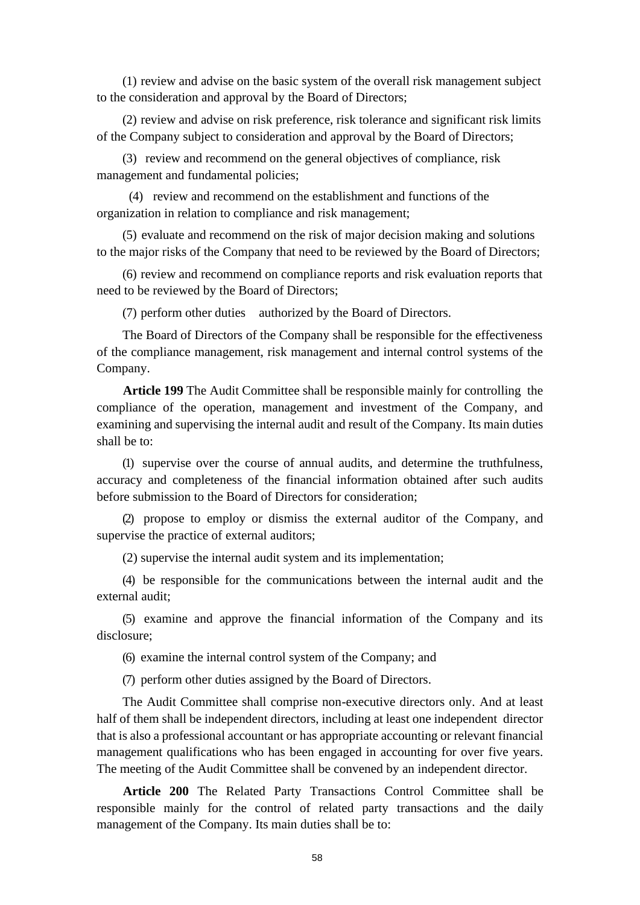(1) review and advise on the basic system of the overall risk management subject to the consideration and approval by the Board of Directors;

(2) review and advise on risk preference, risk tolerance and significant risk limits of the Company subject to consideration and approval by the Board of Directors;

(3) review and recommend on the general objectives of compliance, risk management and fundamental policies;

(4) review and recommend on the establishment and functions of the organization in relation to compliance and risk management;

(5) evaluate and recommend on the risk of major decision making and solutions to the major risks of the Company that need to be reviewed by the Board of Directors;

(6) review and recommend on compliance reports and risk evaluation reports that need to be reviewed by the Board of Directors;

(7) perform other duties authorized by the Board of Directors.

The Board of Directors of the Company shall be responsible for the effectiveness of the compliance management, risk management and internal control systems of the Company.

**Article 199** The Audit Committee shall be responsible mainly for controlling the compliance of the operation, management and investment of the Company, and examining and supervising the internal audit and result of the Company. Its main duties shall be to:

(1) supervise over the course of annual audits, and determine the truthfulness, accuracy and completeness of the financial information obtained after such audits before submission to the Board of Directors for consideration;

(2) propose to employ or dismiss the external auditor of the Company, and supervise the practice of external auditors;

(2) supervise the internal audit system and its implementation;

(4) be responsible for the communications between the internal audit and the external audit;

(5) examine and approve the financial information of the Company and its disclosure;

(6) examine the internal control system of the Company; and

(7) perform other duties assigned by the Board of Directors.

The Audit Committee shall comprise non-executive directors only. And at least half of them shall be independent directors, including at least one independent director that is also a professional accountant or has appropriate accounting or relevant financial management qualifications who has been engaged in accounting for over five years. The meeting of the Audit Committee shall be convened by an independent director.

**Article 200** The Related Party Transactions Control Committee shall be responsible mainly for the control of related party transactions and the daily management of the Company. Its main duties shall be to: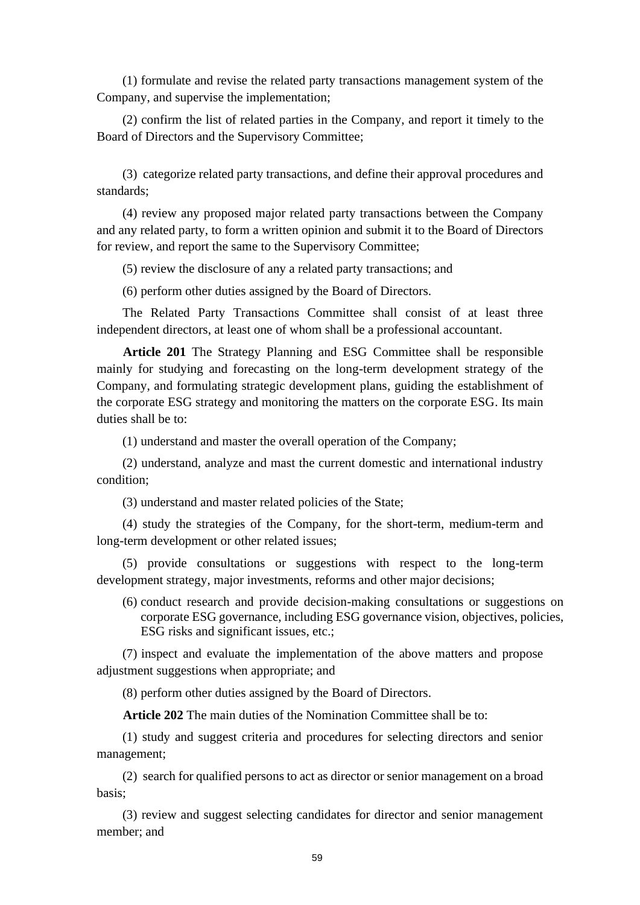(1) formulate and revise the related party transactions management system of the Company, and supervise the implementation;

(2) confirm the list of related parties in the Company, and report it timely to the Board of Directors and the Supervisory Committee;

(3) categorize related party transactions, and define their approval procedures and standards;

(4) review any proposed major related party transactions between the Company and any related party, to form a written opinion and submit it to the Board of Directors for review, and report the same to the Supervisory Committee;

(5) review the disclosure of any a related party transactions; and

(6) perform other duties assigned by the Board of Directors.

The Related Party Transactions Committee shall consist of at least three independent directors, at least one of whom shall be a professional accountant.

**Article 201** The Strategy Planning and ESG Committee shall be responsible mainly for studying and forecasting on the long-term development strategy of the Company, and formulating strategic development plans, guiding the establishment of the corporate ESG strategy and monitoring the matters on the corporate ESG. Its main duties shall be to:

(1) understand and master the overall operation of the Company;

(2) understand, analyze and mast the current domestic and international industry condition;

(3) understand and master related policies of the State;

(4) study the strategies of the Company, for the short-term, medium-term and long-term development or other related issues;

(5) provide consultations or suggestions with respect to the long-term development strategy, major investments, reforms and other major decisions;

(6) conduct research and provide decision-making consultations or suggestions on corporate ESG governance, including ESG governance vision, objectives, policies, ESG risks and significant issues, etc.;

(7) inspect and evaluate the implementation of the above matters and propose adjustment suggestions when appropriate; and

(8) perform other duties assigned by the Board of Directors.

**Article 202** The main duties of the Nomination Committee shall be to:

(1) study and suggest criteria and procedures for selecting directors and senior management;

(2) search for qualified persons to act as director or senior management on a broad basis;

(3) review and suggest selecting candidates for director and senior management member; and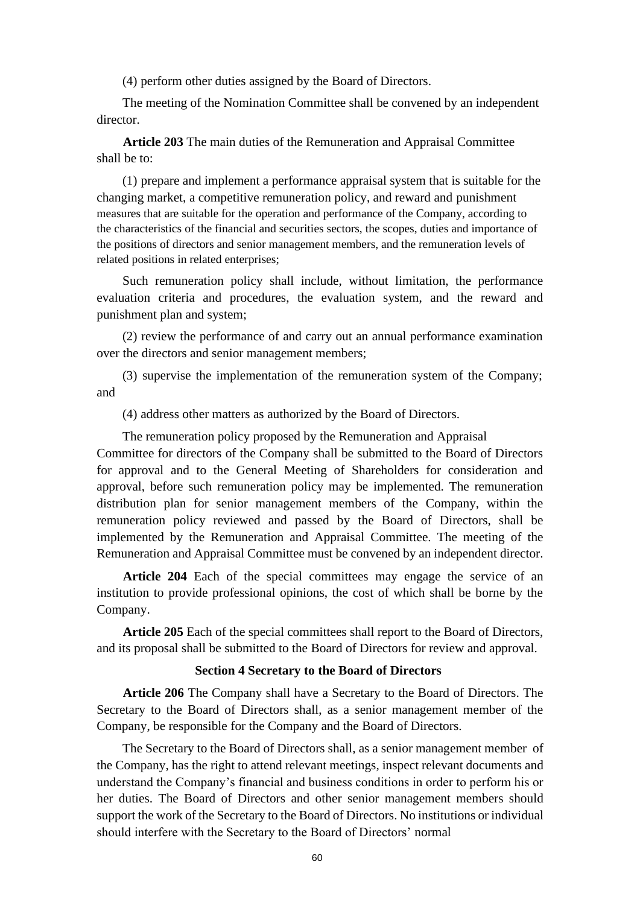(4) perform other duties assigned by the Board of Directors.

The meeting of the Nomination Committee shall be convened by an independent director.

**Article 203** The main duties of the Remuneration and Appraisal Committee shall be to:

(1) prepare and implement a performance appraisal system that is suitable for the changing market, a competitive remuneration policy, and reward and punishment measures that are suitable for the operation and performance of the Company, according to the characteristics of the financial and securities sectors, the scopes, duties and importance of the positions of directors and senior management members, and the remuneration levels of related positions in related enterprises;

Such remuneration policy shall include, without limitation, the performance evaluation criteria and procedures, the evaluation system, and the reward and punishment plan and system;

(2) review the performance of and carry out an annual performance examination over the directors and senior management members;

(3) supervise the implementation of the remuneration system of the Company; and

(4) address other matters as authorized by the Board of Directors.

The remuneration policy proposed by the Remuneration and Appraisal Committee for directors of the Company shall be submitted to the Board of Directors for approval and to the General Meeting of Shareholders for consideration and approval, before such remuneration policy may be implemented. The remuneration distribution plan for senior management members of the Company, within the remuneration policy reviewed and passed by the Board of Directors, shall be implemented by the Remuneration and Appraisal Committee. The meeting of the Remuneration and Appraisal Committee must be convened by an independent director.

**Article 204** Each of the special committees may engage the service of an institution to provide professional opinions, the cost of which shall be borne by the Company.

**Article 205** Each of the special committees shall report to the Board of Directors, and its proposal shall be submitted to the Board of Directors for review and approval.

#### **Section 4 Secretary to the Board of Directors**

**Article 206** The Company shall have a Secretary to the Board of Directors. The Secretary to the Board of Directors shall, as a senior management member of the Company, be responsible for the Company and the Board of Directors.

The Secretary to the Board of Directors shall, as a senior management member of the Company, has the right to attend relevant meetings, inspect relevant documents and understand the Company's financial and business conditions in order to perform his or her duties. The Board of Directors and other senior management members should support the work of the Secretary to the Board of Directors. No institutions or individual should interfere with the Secretary to the Board of Directors' normal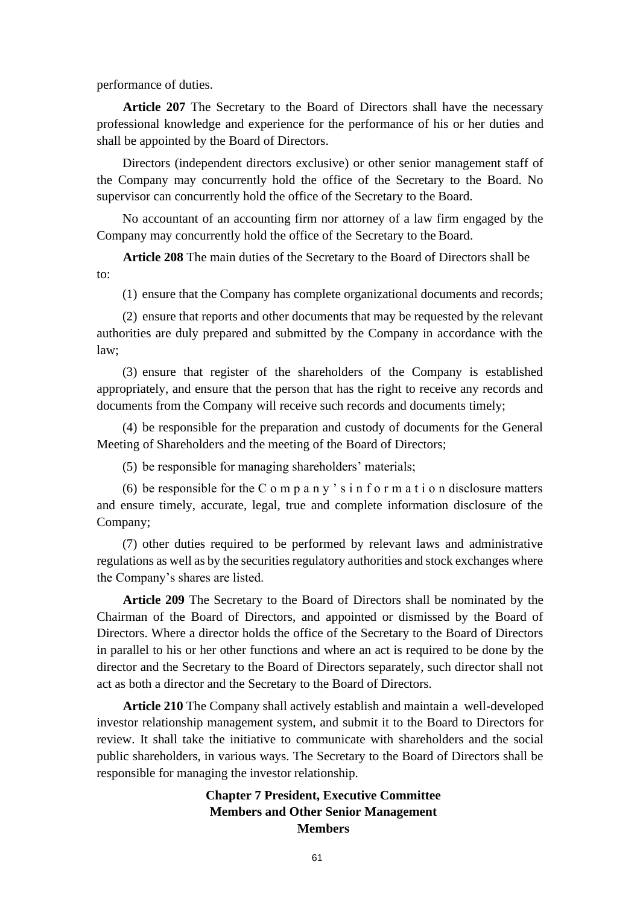performance of duties.

**Article 207** The Secretary to the Board of Directors shall have the necessary professional knowledge and experience for the performance of his or her duties and shall be appointed by the Board of Directors.

Directors (independent directors exclusive) or other senior management staff of the Company may concurrently hold the office of the Secretary to the Board. No supervisor can concurrently hold the office of the Secretary to the Board.

No accountant of an accounting firm nor attorney of a law firm engaged by the Company may concurrently hold the office of the Secretary to the Board.

**Article 208** The main duties of the Secretary to the Board of Directors shall be to:

(1) ensure that the Company has complete organizational documents and records;

(2) ensure that reports and other documents that may be requested by the relevant authorities are duly prepared and submitted by the Company in accordance with the law;

(3) ensure that register of the shareholders of the Company is established appropriately, and ensure that the person that has the right to receive any records and documents from the Company will receive such records and documents timely;

(4) be responsible for the preparation and custody of documents for the General Meeting of Shareholders and the meeting of the Board of Directors;

(5) be responsible for managing shareholders' materials;

(6) be responsible for the C o m p a n y ' s i n f o r m a t i o n disclosure matters and ensure timely, accurate, legal, true and complete information disclosure of the Company;

(7) other duties required to be performed by relevant laws and administrative regulations as well as by the securities regulatory authorities and stock exchanges where the Company's shares are listed.

**Article 209** The Secretary to the Board of Directors shall be nominated by the Chairman of the Board of Directors, and appointed or dismissed by the Board of Directors. Where a director holds the office of the Secretary to the Board of Directors in parallel to his or her other functions and where an act is required to be done by the director and the Secretary to the Board of Directors separately, such director shall not act as both a director and the Secretary to the Board of Directors.

**Article 210** The Company shall actively establish and maintain a well-developed investor relationship management system, and submit it to the Board to Directors for review. It shall take the initiative to communicate with shareholders and the social public shareholders, in various ways. The Secretary to the Board of Directors shall be responsible for managing the investor relationship.

# **Chapter 7 President, Executive Committee Members and Other Senior Management Members**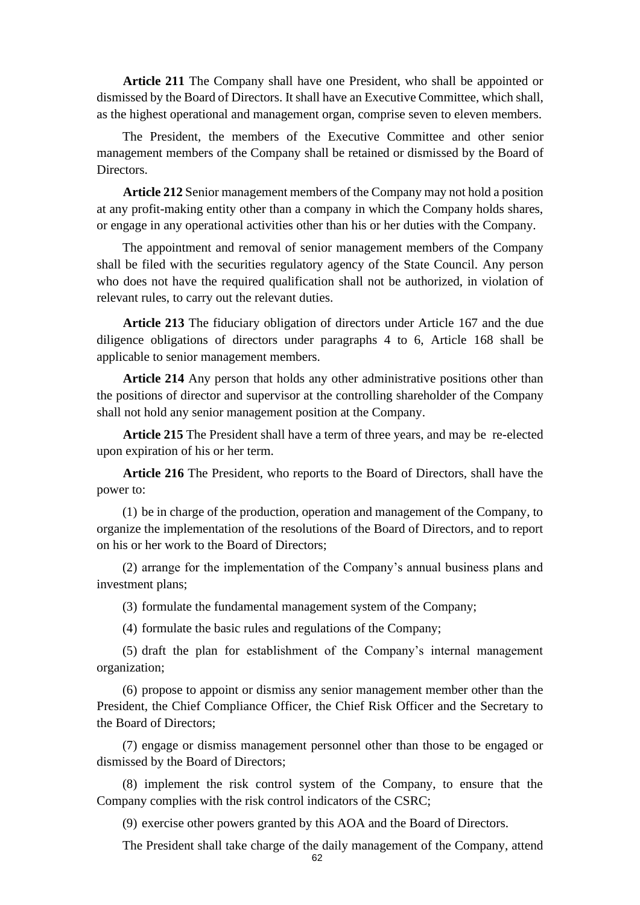**Article 211** The Company shall have one President, who shall be appointed or dismissed by the Board of Directors. It shall have an Executive Committee, which shall, as the highest operational and management organ, comprise seven to eleven members.

The President, the members of the Executive Committee and other senior management members of the Company shall be retained or dismissed by the Board of Directors.

**Article 212** Senior management members of the Company may not hold a position at any profit-making entity other than a company in which the Company holds shares, or engage in any operational activities other than his or her duties with the Company.

The appointment and removal of senior management members of the Company shall be filed with the securities regulatory agency of the State Council. Any person who does not have the required qualification shall not be authorized, in violation of relevant rules, to carry out the relevant duties.

**Article 213** The fiduciary obligation of directors under Article 167 and the due diligence obligations of directors under paragraphs 4 to 6, Article 168 shall be applicable to senior management members.

**Article 214** Any person that holds any other administrative positions other than the positions of director and supervisor at the controlling shareholder of the Company shall not hold any senior management position at the Company.

**Article 215** The President shall have a term of three years, and may be re-elected upon expiration of his or her term.

**Article 216** The President, who reports to the Board of Directors, shall have the power to:

(1) be in charge of the production, operation and management of the Company, to organize the implementation of the resolutions of the Board of Directors, and to report on his or her work to the Board of Directors;

(2) arrange for the implementation of the Company's annual business plans and investment plans;

(3) formulate the fundamental management system of the Company;

(4) formulate the basic rules and regulations of the Company;

(5) draft the plan for establishment of the Company's internal management organization;

(6) propose to appoint or dismiss any senior management member other than the President, the Chief Compliance Officer, the Chief Risk Officer and the Secretary to the Board of Directors;

(7) engage or dismiss management personnel other than those to be engaged or dismissed by the Board of Directors;

(8) implement the risk control system of the Company, to ensure that the Company complies with the risk control indicators of the CSRC;

(9) exercise other powers granted by this AOA and the Board of Directors.

The President shall take charge of the daily management of the Company, attend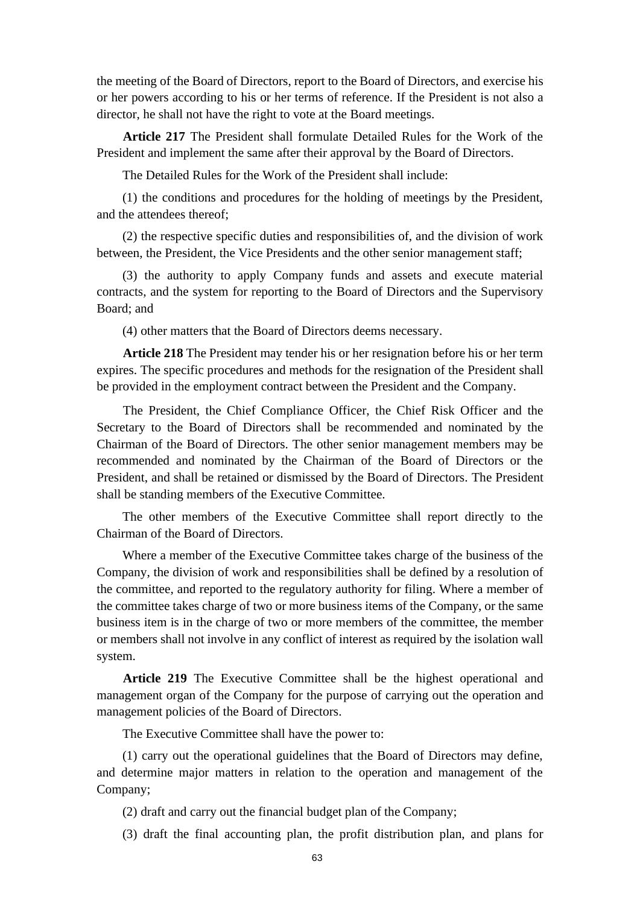the meeting of the Board of Directors, report to the Board of Directors, and exercise his or her powers according to his or her terms of reference. If the President is not also a director, he shall not have the right to vote at the Board meetings.

**Article 217** The President shall formulate Detailed Rules for the Work of the President and implement the same after their approval by the Board of Directors.

The Detailed Rules for the Work of the President shall include:

(1) the conditions and procedures for the holding of meetings by the President, and the attendees thereof;

(2) the respective specific duties and responsibilities of, and the division of work between, the President, the Vice Presidents and the other senior management staff;

(3) the authority to apply Company funds and assets and execute material contracts, and the system for reporting to the Board of Directors and the Supervisory Board; and

(4) other matters that the Board of Directors deems necessary.

**Article 218** The President may tender his or her resignation before his or her term expires. The specific procedures and methods for the resignation of the President shall be provided in the employment contract between the President and the Company.

The President, the Chief Compliance Officer, the Chief Risk Officer and the Secretary to the Board of Directors shall be recommended and nominated by the Chairman of the Board of Directors. The other senior management members may be recommended and nominated by the Chairman of the Board of Directors or the President, and shall be retained or dismissed by the Board of Directors. The President shall be standing members of the Executive Committee.

The other members of the Executive Committee shall report directly to the Chairman of the Board of Directors.

Where a member of the Executive Committee takes charge of the business of the Company, the division of work and responsibilities shall be defined by a resolution of the committee, and reported to the regulatory authority for filing. Where a member of the committee takes charge of two or more business items of the Company, or the same business item is in the charge of two or more members of the committee, the member or members shall not involve in any conflict of interest as required by the isolation wall system.

**Article 219** The Executive Committee shall be the highest operational and management organ of the Company for the purpose of carrying out the operation and management policies of the Board of Directors.

The Executive Committee shall have the power to:

(1) carry out the operational guidelines that the Board of Directors may define, and determine major matters in relation to the operation and management of the Company;

(2) draft and carry out the financial budget plan of the Company;

(3) draft the final accounting plan, the profit distribution plan, and plans for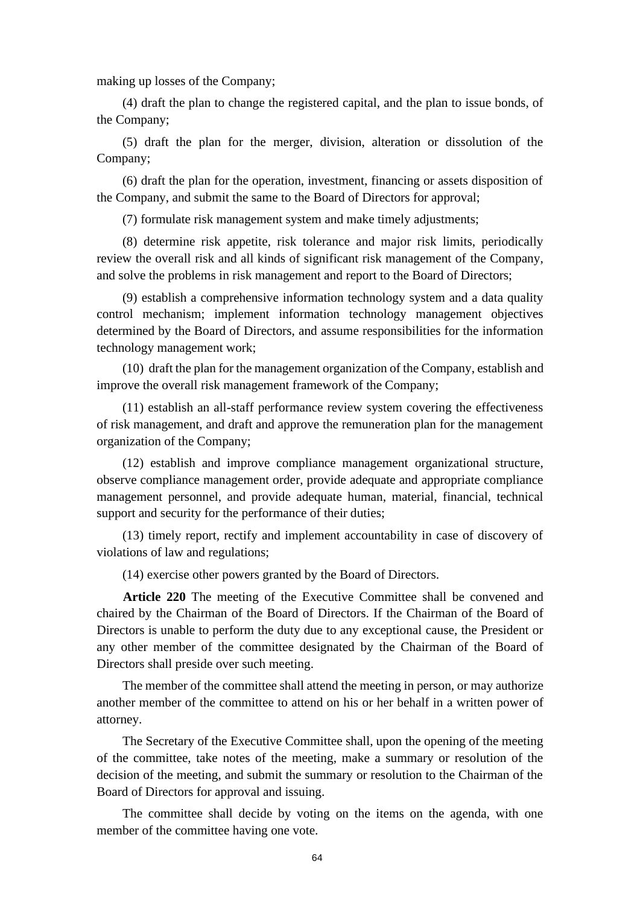making up losses of the Company;

(4) draft the plan to change the registered capital, and the plan to issue bonds, of the Company;

(5) draft the plan for the merger, division, alteration or dissolution of the Company;

(6) draft the plan for the operation, investment, financing or assets disposition of the Company, and submit the same to the Board of Directors for approval;

(7) formulate risk management system and make timely adjustments;

(8) determine risk appetite, risk tolerance and major risk limits, periodically review the overall risk and all kinds of significant risk management of the Company, and solve the problems in risk management and report to the Board of Directors;

(9) establish a comprehensive information technology system and a data quality control mechanism; implement information technology management objectives determined by the Board of Directors, and assume responsibilities for the information technology management work;

(10) draft the plan for the management organization of the Company, establish and improve the overall risk management framework of the Company;

(11) establish an all-staff performance review system covering the effectiveness of risk management, and draft and approve the remuneration plan for the management organization of the Company;

(12) establish and improve compliance management organizational structure, observe compliance management order, provide adequate and appropriate compliance management personnel, and provide adequate human, material, financial, technical support and security for the performance of their duties;

(13) timely report, rectify and implement accountability in case of discovery of violations of law and regulations;

(14) exercise other powers granted by the Board of Directors.

**Article 220** The meeting of the Executive Committee shall be convened and chaired by the Chairman of the Board of Directors. If the Chairman of the Board of Directors is unable to perform the duty due to any exceptional cause, the President or any other member of the committee designated by the Chairman of the Board of Directors shall preside over such meeting.

The member of the committee shall attend the meeting in person, or may authorize another member of the committee to attend on his or her behalf in a written power of attorney.

The Secretary of the Executive Committee shall, upon the opening of the meeting of the committee, take notes of the meeting, make a summary or resolution of the decision of the meeting, and submit the summary or resolution to the Chairman of the Board of Directors for approval and issuing.

The committee shall decide by voting on the items on the agenda, with one member of the committee having one vote.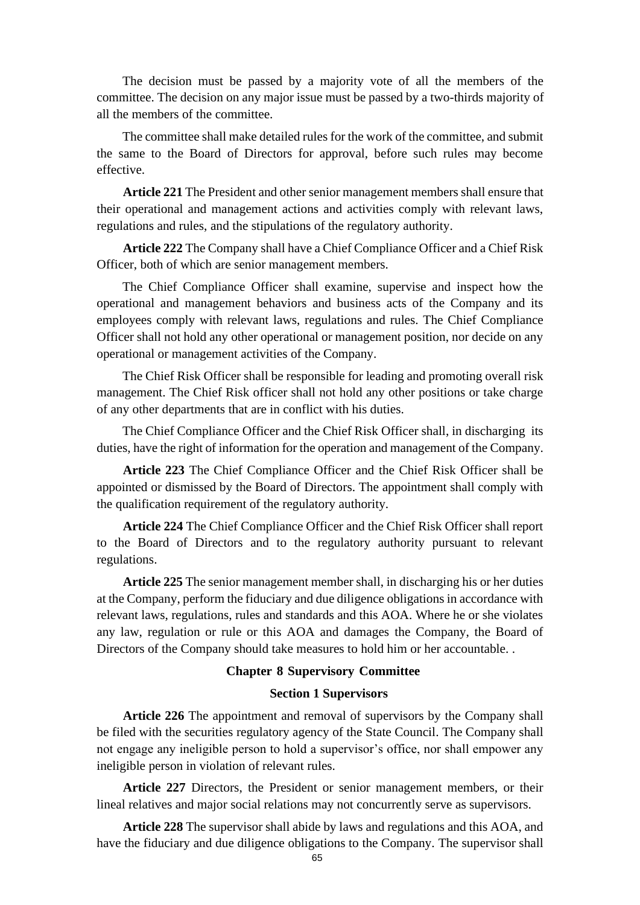The decision must be passed by a majority vote of all the members of the committee. The decision on any major issue must be passed by a two-thirds majority of all the members of the committee.

The committee shall make detailed rules for the work of the committee, and submit the same to the Board of Directors for approval, before such rules may become effective.

**Article 221** The President and other senior management members shall ensure that their operational and management actions and activities comply with relevant laws, regulations and rules, and the stipulations of the regulatory authority.

**Article 222** The Company shall have a Chief Compliance Officer and a Chief Risk Officer, both of which are senior management members.

The Chief Compliance Officer shall examine, supervise and inspect how the operational and management behaviors and business acts of the Company and its employees comply with relevant laws, regulations and rules. The Chief Compliance Officer shall not hold any other operational or management position, nor decide on any operational or management activities of the Company.

The Chief Risk Officer shall be responsible for leading and promoting overall risk management. The Chief Risk officer shall not hold any other positions or take charge of any other departments that are in conflict with his duties.

The Chief Compliance Officer and the Chief Risk Officer shall, in discharging its duties, have the right of information for the operation and management of the Company.

**Article 223** The Chief Compliance Officer and the Chief Risk Officer shall be appointed or dismissed by the Board of Directors. The appointment shall comply with the qualification requirement of the regulatory authority.

**Article 224** The Chief Compliance Officer and the Chief Risk Officer shall report to the Board of Directors and to the regulatory authority pursuant to relevant regulations.

**Article 225** The senior management member shall, in discharging his or her duties at the Company, perform the fiduciary and due diligence obligations in accordance with relevant laws, regulations, rules and standards and this AOA. Where he or she violates any law, regulation or rule or this AOA and damages the Company, the Board of Directors of the Company should take measures to hold him or her accountable. .

### **Chapter 8 Supervisory Committee**

## **Section 1 Supervisors**

**Article 226** The appointment and removal of supervisors by the Company shall be filed with the securities regulatory agency of the State Council. The Company shall not engage any ineligible person to hold a supervisor's office, nor shall empower any ineligible person in violation of relevant rules.

**Article 227** Directors, the President or senior management members, or their lineal relatives and major social relations may not concurrently serve as supervisors.

**Article 228** The supervisor shall abide by laws and regulations and this AOA, and have the fiduciary and due diligence obligations to the Company. The supervisor shall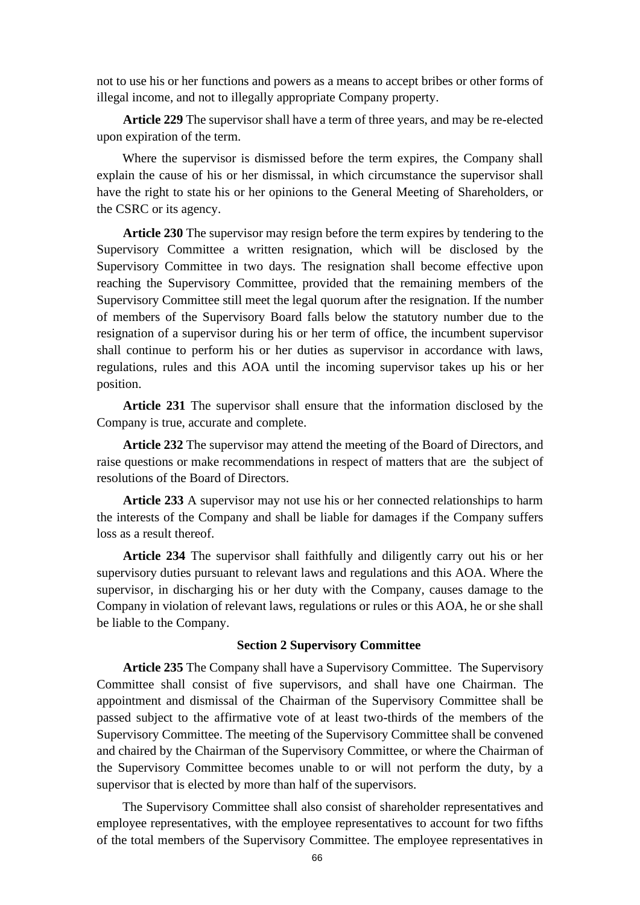not to use his or her functions and powers as a means to accept bribes or other forms of illegal income, and not to illegally appropriate Company property.

**Article 229** The supervisor shall have a term of three years, and may be re-elected upon expiration of the term.

Where the supervisor is dismissed before the term expires, the Company shall explain the cause of his or her dismissal, in which circumstance the supervisor shall have the right to state his or her opinions to the General Meeting of Shareholders, or the CSRC or its agency.

**Article 230** The supervisor may resign before the term expires by tendering to the Supervisory Committee a written resignation, which will be disclosed by the Supervisory Committee in two days. The resignation shall become effective upon reaching the Supervisory Committee, provided that the remaining members of the Supervisory Committee still meet the legal quorum after the resignation. If the number of members of the Supervisory Board falls below the statutory number due to the resignation of a supervisor during his or her term of office, the incumbent supervisor shall continue to perform his or her duties as supervisor in accordance with laws, regulations, rules and this AOA until the incoming supervisor takes up his or her position.

**Article 231** The supervisor shall ensure that the information disclosed by the Company is true, accurate and complete.

**Article 232** The supervisor may attend the meeting of the Board of Directors, and raise questions or make recommendations in respect of matters that are the subject of resolutions of the Board of Directors.

**Article 233** A supervisor may not use his or her connected relationships to harm the interests of the Company and shall be liable for damages if the Company suffers loss as a result thereof.

**Article 234** The supervisor shall faithfully and diligently carry out his or her supervisory duties pursuant to relevant laws and regulations and this AOA. Where the supervisor, in discharging his or her duty with the Company, causes damage to the Company in violation of relevant laws, regulations or rules or this AOA, he or she shall be liable to the Company.

### **Section 2 Supervisory Committee**

**Article 235** The Company shall have a Supervisory Committee. The Supervisory Committee shall consist of five supervisors, and shall have one Chairman. The appointment and dismissal of the Chairman of the Supervisory Committee shall be passed subject to the affirmative vote of at least two-thirds of the members of the Supervisory Committee. The meeting of the Supervisory Committee shall be convened and chaired by the Chairman of the Supervisory Committee, or where the Chairman of the Supervisory Committee becomes unable to or will not perform the duty, by a supervisor that is elected by more than half of the supervisors.

The Supervisory Committee shall also consist of shareholder representatives and employee representatives, with the employee representatives to account for two fifths of the total members of the Supervisory Committee. The employee representatives in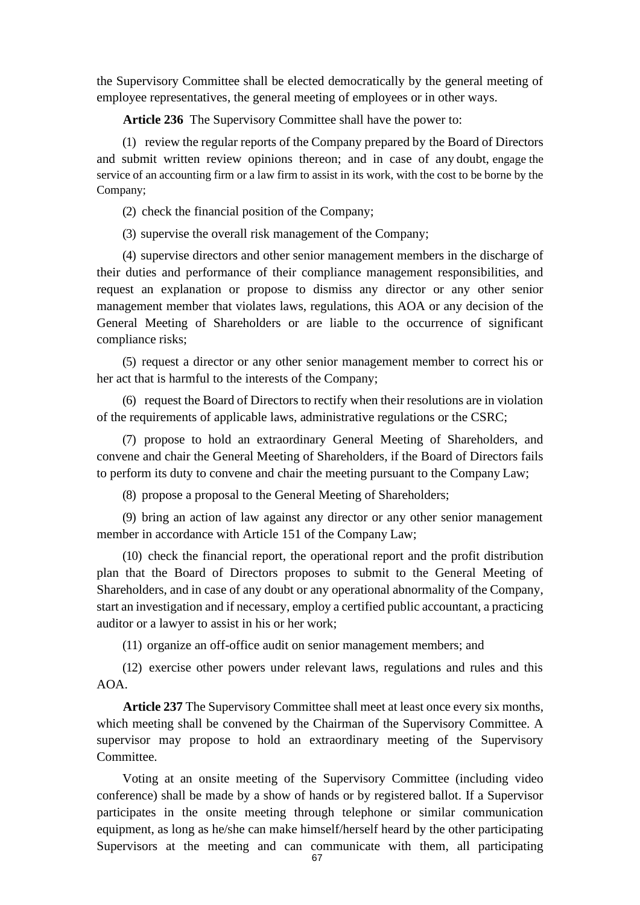the Supervisory Committee shall be elected democratically by the general meeting of employee representatives, the general meeting of employees or in other ways.

**Article 236** The Supervisory Committee shall have the power to:

(1) review the regular reports of the Company prepared by the Board of Directors and submit written review opinions thereon; and in case of any doubt, engage the service of an accounting firm or a law firm to assist in its work, with the cost to be borne by the Company;

(2) check the financial position of the Company;

(3) supervise the overall risk management of the Company;

(4) supervise directors and other senior management members in the discharge of their duties and performance of their compliance management responsibilities, and request an explanation or propose to dismiss any director or any other senior management member that violates laws, regulations, this AOA or any decision of the General Meeting of Shareholders or are liable to the occurrence of significant compliance risks;

(5) request a director or any other senior management member to correct his or her act that is harmful to the interests of the Company;

(6) request the Board of Directors to rectify when their resolutions are in violation of the requirements of applicable laws, administrative regulations or the CSRC;

(7) propose to hold an extraordinary General Meeting of Shareholders, and convene and chair the General Meeting of Shareholders, if the Board of Directors fails to perform its duty to convene and chair the meeting pursuant to the Company Law;

(8) propose a proposal to the General Meeting of Shareholders;

(9) bring an action of law against any director or any other senior management member in accordance with Article 151 of the Company Law;

(10) check the financial report, the operational report and the profit distribution plan that the Board of Directors proposes to submit to the General Meeting of Shareholders, and in case of any doubt or any operational abnormality of the Company, start an investigation and if necessary, employ a certified public accountant, a practicing auditor or a lawyer to assist in his or her work;

(11) organize an off-office audit on senior management members; and

(12) exercise other powers under relevant laws, regulations and rules and this AOA.

**Article 237** The Supervisory Committee shall meet at least once every six months, which meeting shall be convened by the Chairman of the Supervisory Committee. A supervisor may propose to hold an extraordinary meeting of the Supervisory Committee.

Voting at an onsite meeting of the Supervisory Committee (including video conference) shall be made by a show of hands or by registered ballot. If a Supervisor participates in the onsite meeting through telephone or similar communication equipment, as long as he/she can make himself/herself heard by the other participating Supervisors at the meeting and can communicate with them, all participating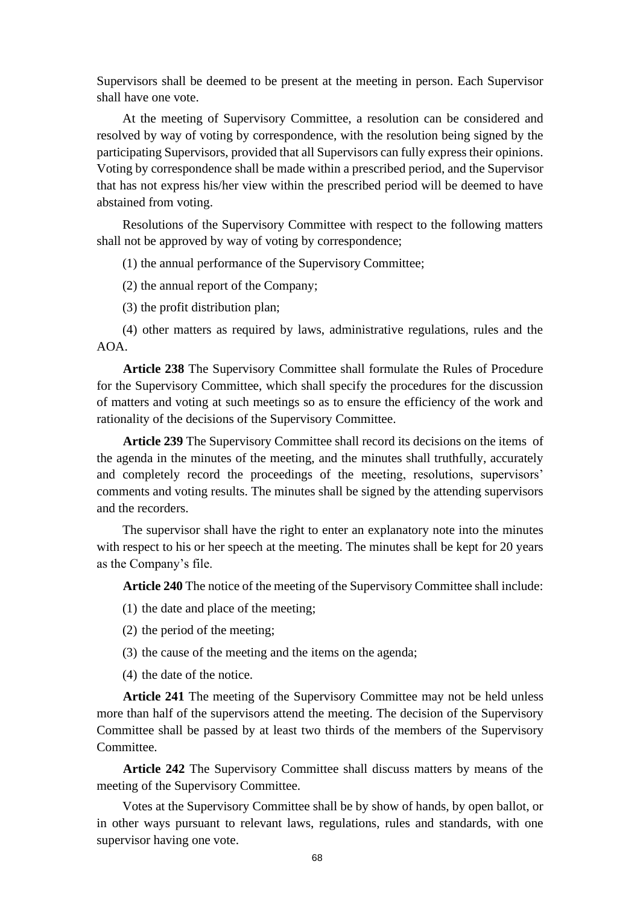Supervisors shall be deemed to be present at the meeting in person. Each Supervisor shall have one vote.

At the meeting of Supervisory Committee, a resolution can be considered and resolved by way of voting by correspondence, with the resolution being signed by the participating Supervisors, provided that all Supervisors can fully express their opinions. Voting by correspondence shall be made within a prescribed period, and the Supervisor that has not express his/her view within the prescribed period will be deemed to have abstained from voting.

Resolutions of the Supervisory Committee with respect to the following matters shall not be approved by way of voting by correspondence;

(1) the annual performance of the Supervisory Committee;

(2) the annual report of the Company;

(3) the profit distribution plan;

(4) other matters as required by laws, administrative regulations, rules and the AOA.

**Article 238** The Supervisory Committee shall formulate the Rules of Procedure for the Supervisory Committee, which shall specify the procedures for the discussion of matters and voting at such meetings so as to ensure the efficiency of the work and rationality of the decisions of the Supervisory Committee.

**Article 239** The Supervisory Committee shall record its decisions on the items of the agenda in the minutes of the meeting, and the minutes shall truthfully, accurately and completely record the proceedings of the meeting, resolutions, supervisors' comments and voting results. The minutes shall be signed by the attending supervisors and the recorders.

The supervisor shall have the right to enter an explanatory note into the minutes with respect to his or her speech at the meeting. The minutes shall be kept for 20 years as the Company's file.

**Article 240** The notice of the meeting of the Supervisory Committee shall include:

(1) the date and place of the meeting;

(2) the period of the meeting;

- (3) the cause of the meeting and the items on the agenda;
- (4) the date of the notice.

**Article 241** The meeting of the Supervisory Committee may not be held unless more than half of the supervisors attend the meeting. The decision of the Supervisory Committee shall be passed by at least two thirds of the members of the Supervisory Committee.

**Article 242** The Supervisory Committee shall discuss matters by means of the meeting of the Supervisory Committee.

Votes at the Supervisory Committee shall be by show of hands, by open ballot, or in other ways pursuant to relevant laws, regulations, rules and standards, with one supervisor having one vote.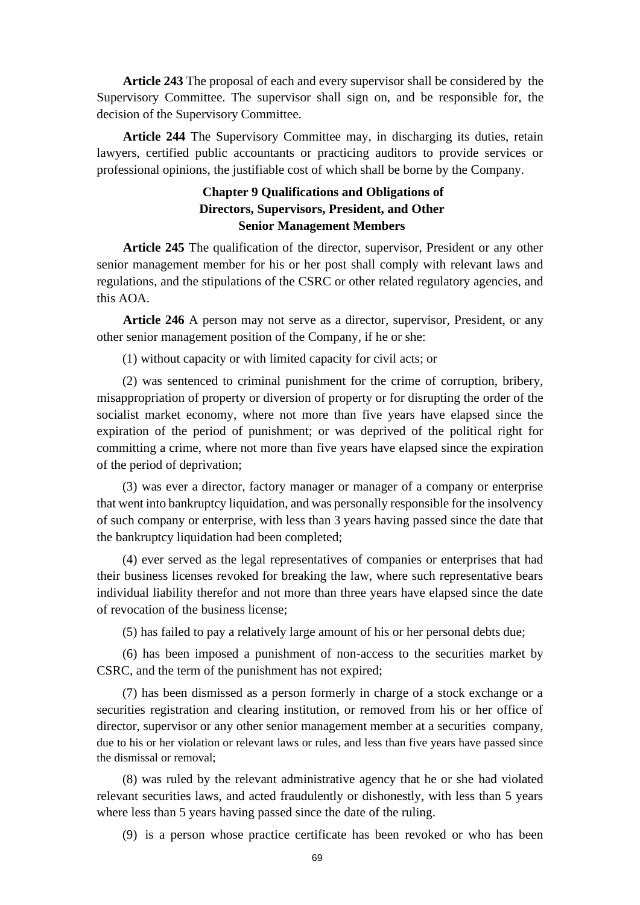**Article 243** The proposal of each and every supervisor shall be considered by the Supervisory Committee. The supervisor shall sign on, and be responsible for, the decision of the Supervisory Committee.

**Article 244** The Supervisory Committee may, in discharging its duties, retain lawyers, certified public accountants or practicing auditors to provide services or professional opinions, the justifiable cost of which shall be borne by the Company.

# **Chapter 9 Qualifications and Obligations of Directors, Supervisors, President, and Other Senior Management Members**

**Article 245** The qualification of the director, supervisor, President or any other senior management member for his or her post shall comply with relevant laws and regulations, and the stipulations of the CSRC or other related regulatory agencies, and this AOA.

**Article 246** A person may not serve as a director, supervisor, President, or any other senior management position of the Company, if he or she:

(1) without capacity or with limited capacity for civil acts; or

(2) was sentenced to criminal punishment for the crime of corruption, bribery, misappropriation of property or diversion of property or for disrupting the order of the socialist market economy, where not more than five years have elapsed since the expiration of the period of punishment; or was deprived of the political right for committing a crime, where not more than five years have elapsed since the expiration of the period of deprivation;

(3) was ever a director, factory manager or manager of a company or enterprise that went into bankruptcy liquidation, and was personally responsible for the insolvency of such company or enterprise, with less than 3 years having passed since the date that the bankruptcy liquidation had been completed;

(4) ever served as the legal representatives of companies or enterprises that had their business licenses revoked for breaking the law, where such representative bears individual liability therefor and not more than three years have elapsed since the date of revocation of the business license;

(5) has failed to pay a relatively large amount of his or her personal debts due;

(6) has been imposed a punishment of non-access to the securities market by CSRC, and the term of the punishment has not expired;

(7) has been dismissed as a person formerly in charge of a stock exchange or a securities registration and clearing institution, or removed from his or her office of director, supervisor or any other senior management member at a securities company, due to his or her violation or relevant laws or rules, and less than five years have passed since the dismissal or removal;

(8) was ruled by the relevant administrative agency that he or she had violated relevant securities laws, and acted fraudulently or dishonestly, with less than 5 years where less than 5 years having passed since the date of the ruling.

(9) is a person whose practice certificate has been revoked or who has been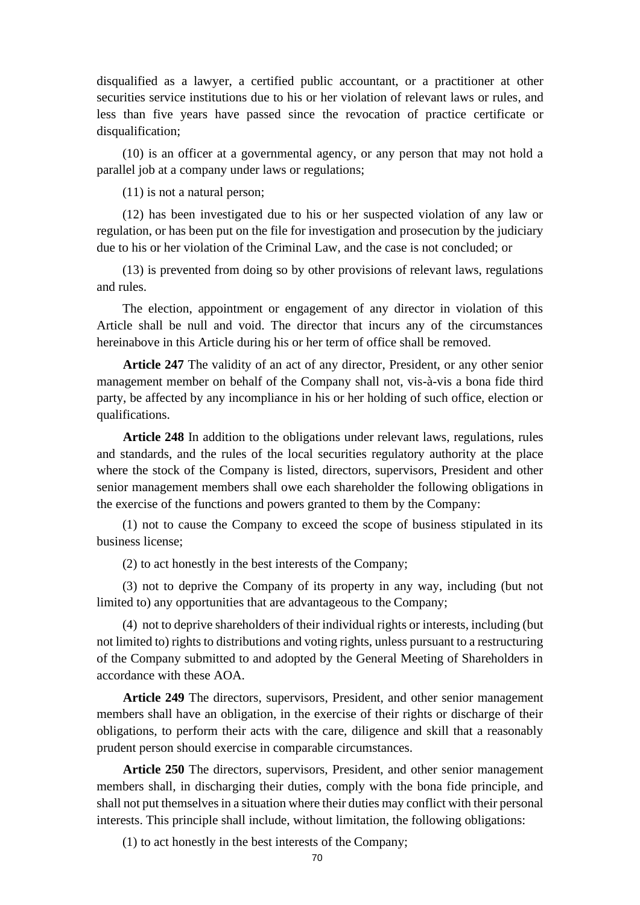disqualified as a lawyer, a certified public accountant, or a practitioner at other securities service institutions due to his or her violation of relevant laws or rules, and less than five years have passed since the revocation of practice certificate or disqualification;

(10) is an officer at a governmental agency, or any person that may not hold a parallel job at a company under laws or regulations;

(11) is not a natural person;

(12) has been investigated due to his or her suspected violation of any law or regulation, or has been put on the file for investigation and prosecution by the judiciary due to his or her violation of the Criminal Law, and the case is not concluded; or

(13) is prevented from doing so by other provisions of relevant laws, regulations and rules.

The election, appointment or engagement of any director in violation of this Article shall be null and void. The director that incurs any of the circumstances hereinabove in this Article during his or her term of office shall be removed.

**Article 247** The validity of an act of any director, President, or any other senior management member on behalf of the Company shall not, vis-à-vis a bona fide third party, be affected by any incompliance in his or her holding of such office, election or qualifications.

**Article 248** In addition to the obligations under relevant laws, regulations, rules and standards, and the rules of the local securities regulatory authority at the place where the stock of the Company is listed, directors, supervisors, President and other senior management members shall owe each shareholder the following obligations in the exercise of the functions and powers granted to them by the Company:

(1) not to cause the Company to exceed the scope of business stipulated in its business license;

(2) to act honestly in the best interests of the Company;

(3) not to deprive the Company of its property in any way, including (but not limited to) any opportunities that are advantageous to the Company;

(4) not to deprive shareholders of their individual rights or interests, including (but not limited to) rights to distributions and voting rights, unless pursuant to a restructuring of the Company submitted to and adopted by the General Meeting of Shareholders in accordance with these AOA.

**Article 249** The directors, supervisors, President, and other senior management members shall have an obligation, in the exercise of their rights or discharge of their obligations, to perform their acts with the care, diligence and skill that a reasonably prudent person should exercise in comparable circumstances.

**Article 250** The directors, supervisors, President, and other senior management members shall, in discharging their duties, comply with the bona fide principle, and shall not put themselves in a situation where their duties may conflict with their personal interests. This principle shall include, without limitation, the following obligations:

(1) to act honestly in the best interests of the Company;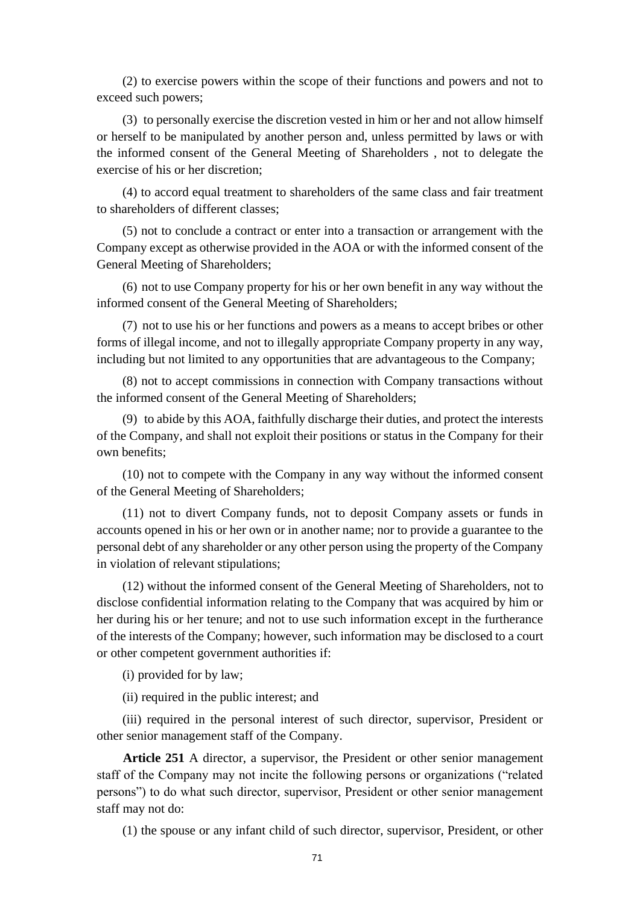(2) to exercise powers within the scope of their functions and powers and not to exceed such powers;

(3) to personally exercise the discretion vested in him or her and not allow himself or herself to be manipulated by another person and, unless permitted by laws or with the informed consent of the General Meeting of Shareholders , not to delegate the exercise of his or her discretion;

(4) to accord equal treatment to shareholders of the same class and fair treatment to shareholders of different classes;

(5) not to conclude a contract or enter into a transaction or arrangement with the Company except as otherwise provided in the AOA or with the informed consent of the General Meeting of Shareholders;

(6) not to use Company property for his or her own benefit in any way without the informed consent of the General Meeting of Shareholders;

(7) not to use his or her functions and powers as a means to accept bribes or other forms of illegal income, and not to illegally appropriate Company property in any way, including but not limited to any opportunities that are advantageous to the Company;

(8) not to accept commissions in connection with Company transactions without the informed consent of the General Meeting of Shareholders;

(9) to abide by this AOA, faithfully discharge their duties, and protect the interests of the Company, and shall not exploit their positions or status in the Company for their own benefits;

(10) not to compete with the Company in any way without the informed consent of the General Meeting of Shareholders;

(11) not to divert Company funds, not to deposit Company assets or funds in accounts opened in his or her own or in another name; nor to provide a guarantee to the personal debt of any shareholder or any other person using the property of the Company in violation of relevant stipulations;

(12) without the informed consent of the General Meeting of Shareholders, not to disclose confidential information relating to the Company that was acquired by him or her during his or her tenure; and not to use such information except in the furtherance of the interests of the Company; however, such information may be disclosed to a court or other competent government authorities if:

(i) provided for by law;

(ii) required in the public interest; and

(iii) required in the personal interest of such director, supervisor, President or other senior management staff of the Company.

**Article 251** A director, a supervisor, the President or other senior management staff of the Company may not incite the following persons or organizations ("related persons") to do what such director, supervisor, President or other senior management staff may not do:

(1) the spouse or any infant child of such director, supervisor, President, or other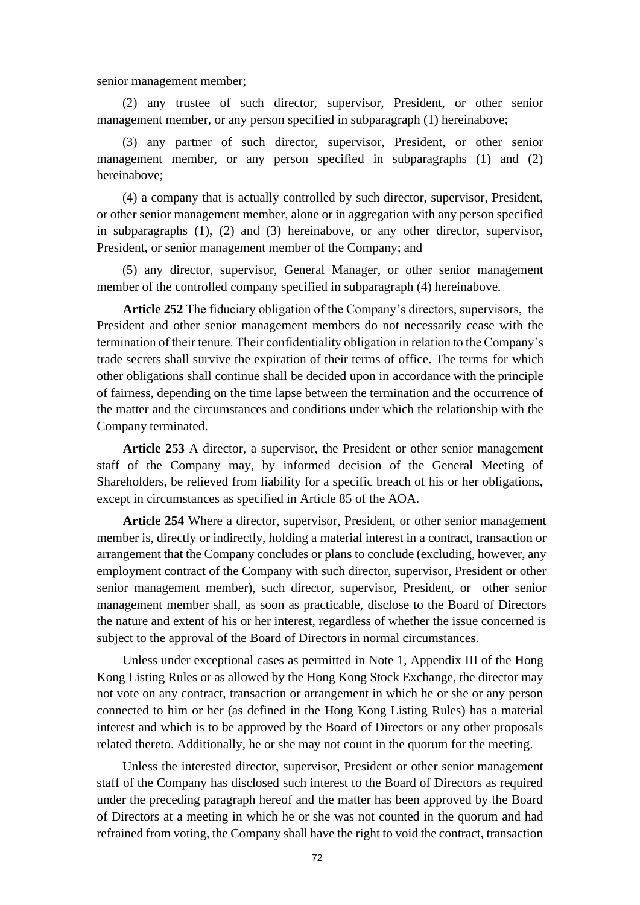senior management member;

(2) any trustee of such director, supervisor, President, or other senior management member, or any person specified in subparagraph (1) hereinabove;

(3) any partner of such director, supervisor, President, or other senior management member, or any person specified in subparagraphs (1) and (2) hereinabove;

(4) a company that is actually controlled by such director, supervisor, President, or other senior management member, alone or in aggregation with any person specified in subparagraphs (1), (2) and (3) hereinabove, or any other director, supervisor, President, or senior management member of the Company; and

(5) any director, supervisor, General Manager, or other senior management member of the controlled company specified in subparagraph (4) hereinabove.

**Article 252** The fiduciary obligation of the Company's directors, supervisors, the President and other senior management members do not necessarily cease with the termination of their tenure. Their confidentiality obligation in relation to the Company's trade secrets shall survive the expiration of their terms of office. The terms for which other obligations shall continue shall be decided upon in accordance with the principle of fairness, depending on the time lapse between the termination and the occurrence of the matter and the circumstances and conditions under which the relationship with the Company terminated.

**Article 253** A director, a supervisor, the President or other senior management staff of the Company may, by informed decision of the General Meeting of Shareholders, be relieved from liability for a specific breach of his or her obligations, except in circumstances as specified in Article 85 of the AOA.

**Article 254** Where a director, supervisor, President, or other senior management member is, directly or indirectly, holding a material interest in a contract, transaction or arrangement that the Company concludes or plans to conclude (excluding, however, any employment contract of the Company with such director, supervisor, President or other senior management member), such director, supervisor, President, or other senior management member shall, as soon as practicable, disclose to the Board of Directors the nature and extent of his or her interest, regardless of whether the issue concerned is subject to the approval of the Board of Directors in normal circumstances.

Unless under exceptional cases as permitted in Note 1, Appendix III of the Hong Kong Listing Rules or as allowed by the Hong Kong Stock Exchange, the director may not vote on any contract, transaction or arrangement in which he or she or any person connected to him or her (as defined in the Hong Kong Listing Rules) has a material interest and which is to be approved by the Board of Directors or any other proposals related thereto. Additionally, he or she may not count in the quorum for the meeting.

Unless the interested director, supervisor, President or other senior management staff of the Company has disclosed such interest to the Board of Directors as required under the preceding paragraph hereof and the matter has been approved by the Board of Directors at a meeting in which he or she was not counted in the quorum and had refrained from voting, the Company shall have the right to void the contract, transaction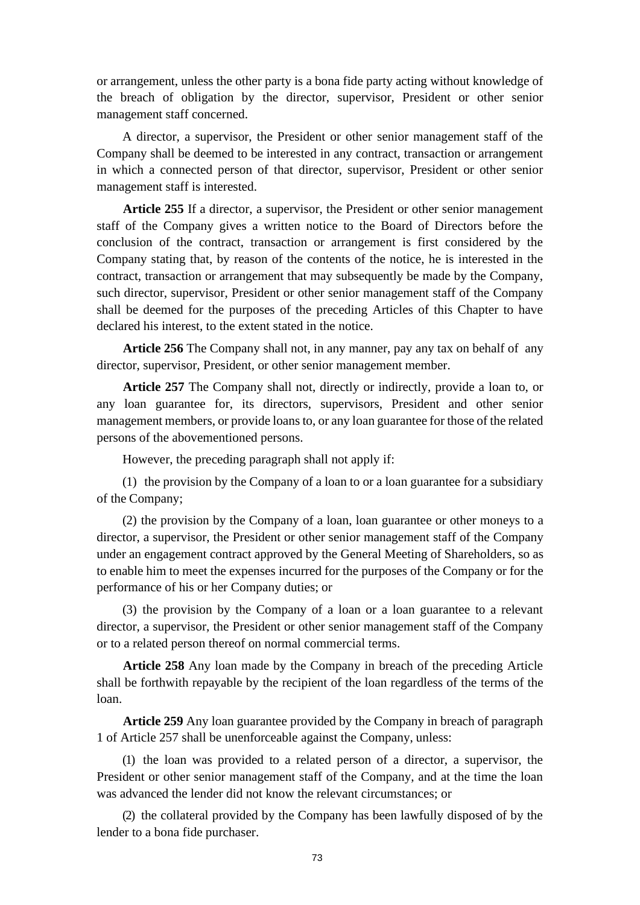or arrangement, unless the other party is a bona fide party acting without knowledge of the breach of obligation by the director, supervisor, President or other senior management staff concerned.

A director, a supervisor, the President or other senior management staff of the Company shall be deemed to be interested in any contract, transaction or arrangement in which a connected person of that director, supervisor, President or other senior management staff is interested.

**Article 255** If a director, a supervisor, the President or other senior management staff of the Company gives a written notice to the Board of Directors before the conclusion of the contract, transaction or arrangement is first considered by the Company stating that, by reason of the contents of the notice, he is interested in the contract, transaction or arrangement that may subsequently be made by the Company, such director, supervisor, President or other senior management staff of the Company shall be deemed for the purposes of the preceding Articles of this Chapter to have declared his interest, to the extent stated in the notice.

**Article 256** The Company shall not, in any manner, pay any tax on behalf of any director, supervisor, President, or other senior management member.

**Article 257** The Company shall not, directly or indirectly, provide a loan to, or any loan guarantee for, its directors, supervisors, President and other senior management members, or provide loans to, or any loan guarantee for those of the related persons of the abovementioned persons.

However, the preceding paragraph shall not apply if:

(1) the provision by the Company of a loan to or a loan guarantee for a subsidiary of the Company;

(2) the provision by the Company of a loan, loan guarantee or other moneys to a director, a supervisor, the President or other senior management staff of the Company under an engagement contract approved by the General Meeting of Shareholders, so as to enable him to meet the expenses incurred for the purposes of the Company or for the performance of his or her Company duties; or

(3) the provision by the Company of a loan or a loan guarantee to a relevant director, a supervisor, the President or other senior management staff of the Company or to a related person thereof on normal commercial terms.

**Article 258** Any loan made by the Company in breach of the preceding Article shall be forthwith repayable by the recipient of the loan regardless of the terms of the loan.

**Article 259** Any loan guarantee provided by the Company in breach of paragraph 1 of Article 257 shall be unenforceable against the Company, unless:

(1) the loan was provided to a related person of a director, a supervisor, the President or other senior management staff of the Company, and at the time the loan was advanced the lender did not know the relevant circumstances; or

(2) the collateral provided by the Company has been lawfully disposed of by the lender to a bona fide purchaser.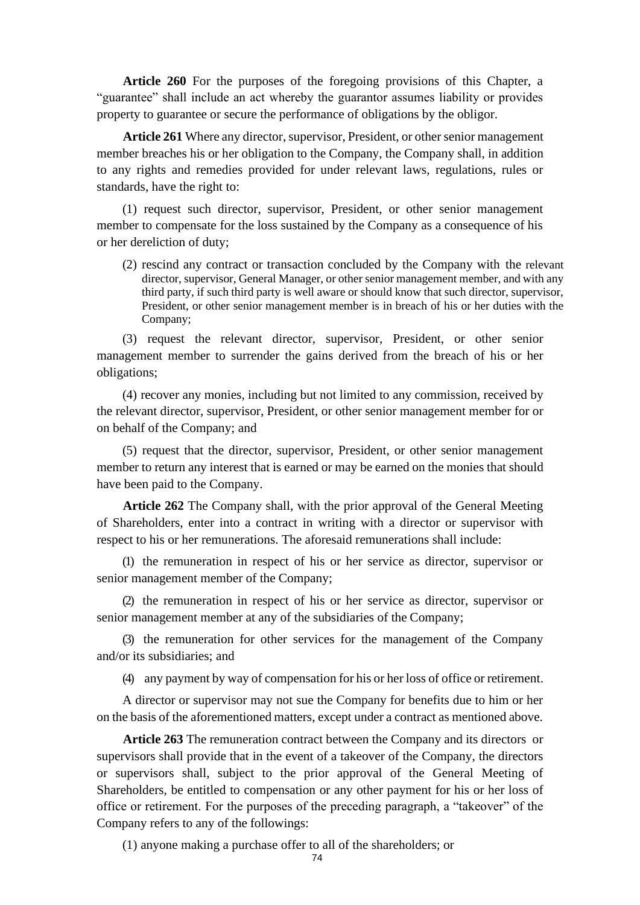**Article 260** For the purposes of the foregoing provisions of this Chapter, a "guarantee" shall include an act whereby the guarantor assumes liability or provides property to guarantee or secure the performance of obligations by the obligor.

**Article 261** Where any director, supervisor, President, or other senior management member breaches his or her obligation to the Company, the Company shall, in addition to any rights and remedies provided for under relevant laws, regulations, rules or standards, have the right to:

(1) request such director, supervisor, President, or other senior management member to compensate for the loss sustained by the Company as a consequence of his or her dereliction of duty;

(2) rescind any contract or transaction concluded by the Company with the relevant director, supervisor, General Manager, or other senior management member, and with any third party, if such third party is well aware or should know that such director, supervisor, President, or other senior management member is in breach of his or her duties with the Company;

(3) request the relevant director, supervisor, President, or other senior management member to surrender the gains derived from the breach of his or her obligations;

(4) recover any monies, including but not limited to any commission, received by the relevant director, supervisor, President, or other senior management member for or on behalf of the Company; and

(5) request that the director, supervisor, President, or other senior management member to return any interest that is earned or may be earned on the monies that should have been paid to the Company.

**Article 262** The Company shall, with the prior approval of the General Meeting of Shareholders, enter into a contract in writing with a director or supervisor with respect to his or her remunerations. The aforesaid remunerations shall include:

(1) the remuneration in respect of his or her service as director, supervisor or senior management member of the Company;

(2) the remuneration in respect of his or her service as director, supervisor or senior management member at any of the subsidiaries of the Company;

(3) the remuneration for other services for the management of the Company and/or its subsidiaries; and

(4) any payment by way of compensation for his or her loss of office or retirement.

A director or supervisor may not sue the Company for benefits due to him or her on the basis of the aforementioned matters, except under a contract as mentioned above.

**Article 263** The remuneration contract between the Company and its directors or supervisors shall provide that in the event of a takeover of the Company, the directors or supervisors shall, subject to the prior approval of the General Meeting of Shareholders, be entitled to compensation or any other payment for his or her loss of office or retirement. For the purposes of the preceding paragraph, a "takeover" of the Company refers to any of the followings:

(1) anyone making a purchase offer to all of the shareholders; or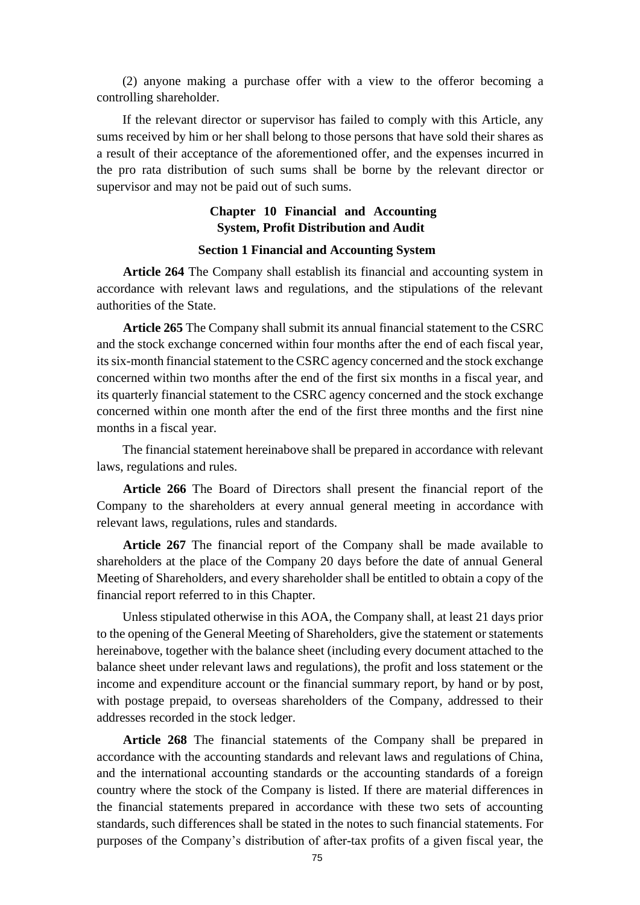(2) anyone making a purchase offer with a view to the offeror becoming a controlling shareholder.

If the relevant director or supervisor has failed to comply with this Article, any sums received by him or her shall belong to those persons that have sold their shares as a result of their acceptance of the aforementioned offer, and the expenses incurred in the pro rata distribution of such sums shall be borne by the relevant director or supervisor and may not be paid out of such sums.

# **Chapter 10 Financial and Accounting System, Profit Distribution and Audit**

## **Section 1 Financial and Accounting System**

**Article 264** The Company shall establish its financial and accounting system in accordance with relevant laws and regulations, and the stipulations of the relevant authorities of the State.

**Article 265** The Company shall submit its annual financial statement to the CSRC and the stock exchange concerned within four months after the end of each fiscal year, its six-month financial statement to the CSRC agency concerned and the stock exchange concerned within two months after the end of the first six months in a fiscal year, and its quarterly financial statement to the CSRC agency concerned and the stock exchange concerned within one month after the end of the first three months and the first nine months in a fiscal year.

The financial statement hereinabove shall be prepared in accordance with relevant laws, regulations and rules.

**Article 266** The Board of Directors shall present the financial report of the Company to the shareholders at every annual general meeting in accordance with relevant laws, regulations, rules and standards.

**Article 267** The financial report of the Company shall be made available to shareholders at the place of the Company 20 days before the date of annual General Meeting of Shareholders, and every shareholder shall be entitled to obtain a copy of the financial report referred to in this Chapter.

Unless stipulated otherwise in this AOA, the Company shall, at least 21 days prior to the opening of the General Meeting of Shareholders, give the statement or statements hereinabove, together with the balance sheet (including every document attached to the balance sheet under relevant laws and regulations), the profit and loss statement or the income and expenditure account or the financial summary report, by hand or by post, with postage prepaid, to overseas shareholders of the Company, addressed to their addresses recorded in the stock ledger.

**Article 268** The financial statements of the Company shall be prepared in accordance with the accounting standards and relevant laws and regulations of China, and the international accounting standards or the accounting standards of a foreign country where the stock of the Company is listed. If there are material differences in the financial statements prepared in accordance with these two sets of accounting standards, such differences shall be stated in the notes to such financial statements. For purposes of the Company's distribution of after-tax profits of a given fiscal year, the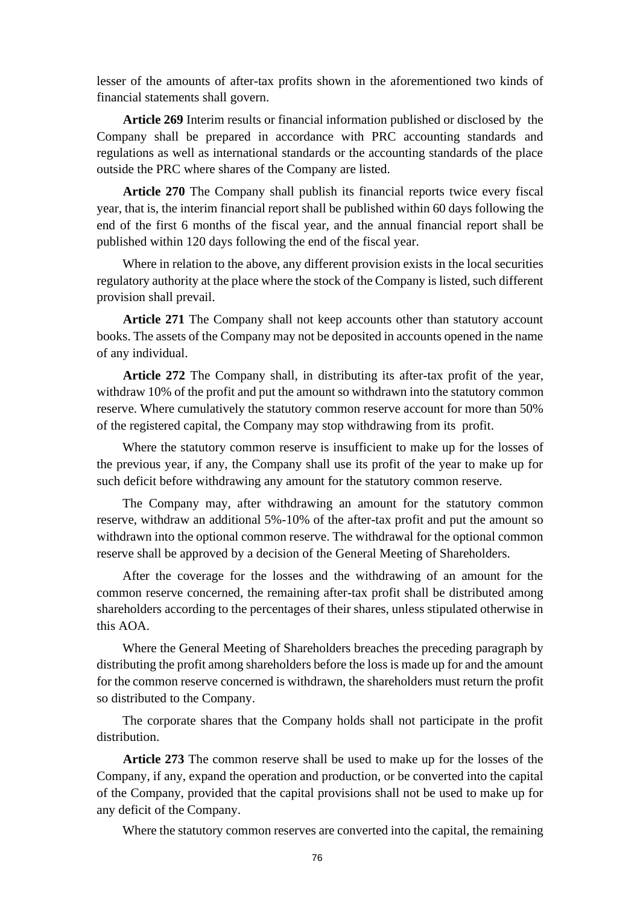lesser of the amounts of after-tax profits shown in the aforementioned two kinds of financial statements shall govern.

**Article 269** Interim results or financial information published or disclosed by the Company shall be prepared in accordance with PRC accounting standards and regulations as well as international standards or the accounting standards of the place outside the PRC where shares of the Company are listed.

**Article 270** The Company shall publish its financial reports twice every fiscal year, that is, the interim financial report shall be published within 60 days following the end of the first 6 months of the fiscal year, and the annual financial report shall be published within 120 days following the end of the fiscal year.

Where in relation to the above, any different provision exists in the local securities regulatory authority at the place where the stock of the Company is listed, such different provision shall prevail.

**Article 271** The Company shall not keep accounts other than statutory account books. The assets of the Company may not be deposited in accounts opened in the name of any individual.

**Article 272** The Company shall, in distributing its after-tax profit of the year, withdraw 10% of the profit and put the amount so withdrawn into the statutory common reserve. Where cumulatively the statutory common reserve account for more than 50% of the registered capital, the Company may stop withdrawing from its profit.

Where the statutory common reserve is insufficient to make up for the losses of the previous year, if any, the Company shall use its profit of the year to make up for such deficit before withdrawing any amount for the statutory common reserve.

The Company may, after withdrawing an amount for the statutory common reserve, withdraw an additional 5%-10% of the after-tax profit and put the amount so withdrawn into the optional common reserve. The withdrawal for the optional common reserve shall be approved by a decision of the General Meeting of Shareholders.

After the coverage for the losses and the withdrawing of an amount for the common reserve concerned, the remaining after-tax profit shall be distributed among shareholders according to the percentages of their shares, unless stipulated otherwise in this AOA.

Where the General Meeting of Shareholders breaches the preceding paragraph by distributing the profit among shareholders before the loss is made up for and the amount for the common reserve concerned is withdrawn, the shareholders must return the profit so distributed to the Company.

The corporate shares that the Company holds shall not participate in the profit distribution.

**Article 273** The common reserve shall be used to make up for the losses of the Company, if any, expand the operation and production, or be converted into the capital of the Company, provided that the capital provisions shall not be used to make up for any deficit of the Company.

Where the statutory common reserves are converted into the capital, the remaining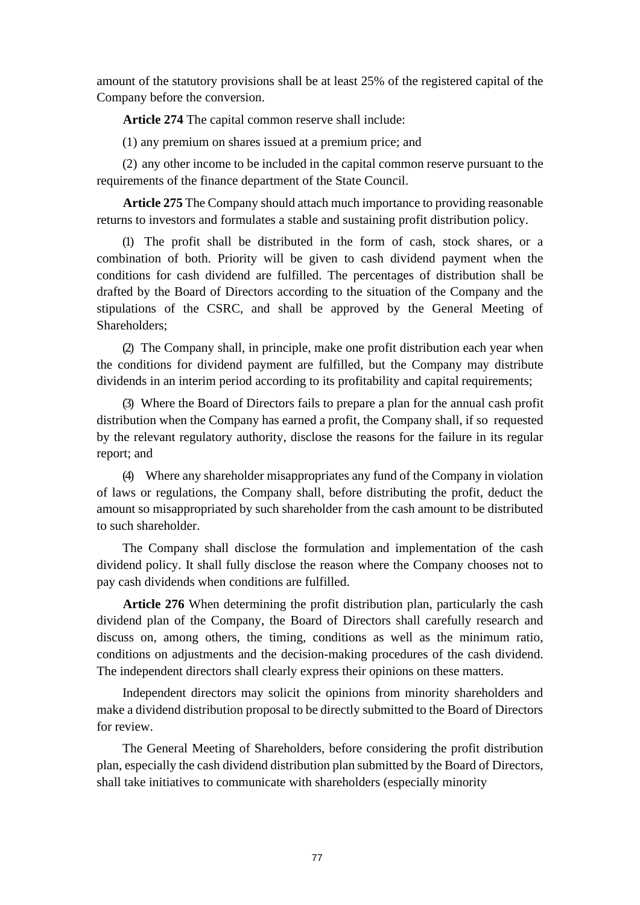amount of the statutory provisions shall be at least 25% of the registered capital of the Company before the conversion.

**Article 274** The capital common reserve shall include:

(1) any premium on shares issued at a premium price; and

(2) any other income to be included in the capital common reserve pursuant to the requirements of the finance department of the State Council.

**Article 275** The Company should attach much importance to providing reasonable returns to investors and formulates a stable and sustaining profit distribution policy.

(1) The profit shall be distributed in the form of cash, stock shares, or a combination of both. Priority will be given to cash dividend payment when the conditions for cash dividend are fulfilled. The percentages of distribution shall be drafted by the Board of Directors according to the situation of the Company and the stipulations of the CSRC, and shall be approved by the General Meeting of Shareholders;

(2) The Company shall, in principle, make one profit distribution each year when the conditions for dividend payment are fulfilled, but the Company may distribute dividends in an interim period according to its profitability and capital requirements;

(3) Where the Board of Directors fails to prepare a plan for the annual cash profit distribution when the Company has earned a profit, the Company shall, if so requested by the relevant regulatory authority, disclose the reasons for the failure in its regular report; and

(4) Where any shareholder misappropriates any fund of the Company in violation of laws or regulations, the Company shall, before distributing the profit, deduct the amount so misappropriated by such shareholder from the cash amount to be distributed to such shareholder.

The Company shall disclose the formulation and implementation of the cash dividend policy. It shall fully disclose the reason where the Company chooses not to pay cash dividends when conditions are fulfilled.

**Article 276** When determining the profit distribution plan, particularly the cash dividend plan of the Company, the Board of Directors shall carefully research and discuss on, among others, the timing, conditions as well as the minimum ratio, conditions on adjustments and the decision-making procedures of the cash dividend. The independent directors shall clearly express their opinions on these matters.

Independent directors may solicit the opinions from minority shareholders and make a dividend distribution proposal to be directly submitted to the Board of Directors for review.

The General Meeting of Shareholders, before considering the profit distribution plan, especially the cash dividend distribution plan submitted by the Board of Directors, shall take initiatives to communicate with shareholders (especially minority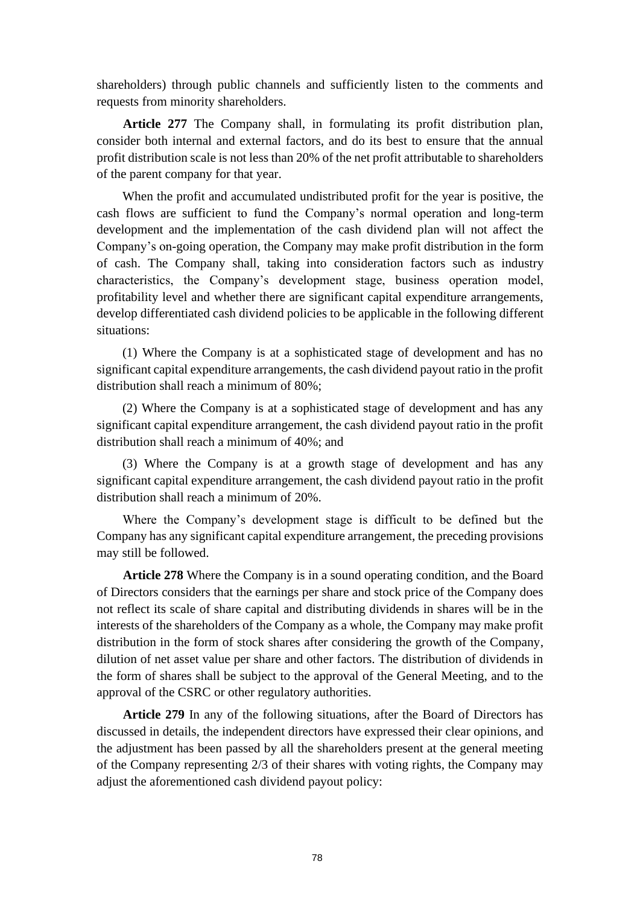shareholders) through public channels and sufficiently listen to the comments and requests from minority shareholders.

**Article 277** The Company shall, in formulating its profit distribution plan, consider both internal and external factors, and do its best to ensure that the annual profit distribution scale is not less than 20% of the net profit attributable to shareholders of the parent company for that year.

When the profit and accumulated undistributed profit for the year is positive, the cash flows are sufficient to fund the Company's normal operation and long-term development and the implementation of the cash dividend plan will not affect the Company's on-going operation, the Company may make profit distribution in the form of cash. The Company shall, taking into consideration factors such as industry characteristics, the Company's development stage, business operation model, profitability level and whether there are significant capital expenditure arrangements, develop differentiated cash dividend policies to be applicable in the following different situations:

(1) Where the Company is at a sophisticated stage of development and has no significant capital expenditure arrangements, the cash dividend payout ratio in the profit distribution shall reach a minimum of 80%;

(2) Where the Company is at a sophisticated stage of development and has any significant capital expenditure arrangement, the cash dividend payout ratio in the profit distribution shall reach a minimum of 40%; and

(3) Where the Company is at a growth stage of development and has any significant capital expenditure arrangement, the cash dividend payout ratio in the profit distribution shall reach a minimum of 20%.

Where the Company's development stage is difficult to be defined but the Company has any significant capital expenditure arrangement, the preceding provisions may still be followed.

**Article 278** Where the Company is in a sound operating condition, and the Board of Directors considers that the earnings per share and stock price of the Company does not reflect its scale of share capital and distributing dividends in shares will be in the interests of the shareholders of the Company as a whole, the Company may make profit distribution in the form of stock shares after considering the growth of the Company, dilution of net asset value per share and other factors. The distribution of dividends in the form of shares shall be subject to the approval of the General Meeting, and to the approval of the CSRC or other regulatory authorities.

**Article 279** In any of the following situations, after the Board of Directors has discussed in details, the independent directors have expressed their clear opinions, and the adjustment has been passed by all the shareholders present at the general meeting of the Company representing 2/3 of their shares with voting rights, the Company may adjust the aforementioned cash dividend payout policy: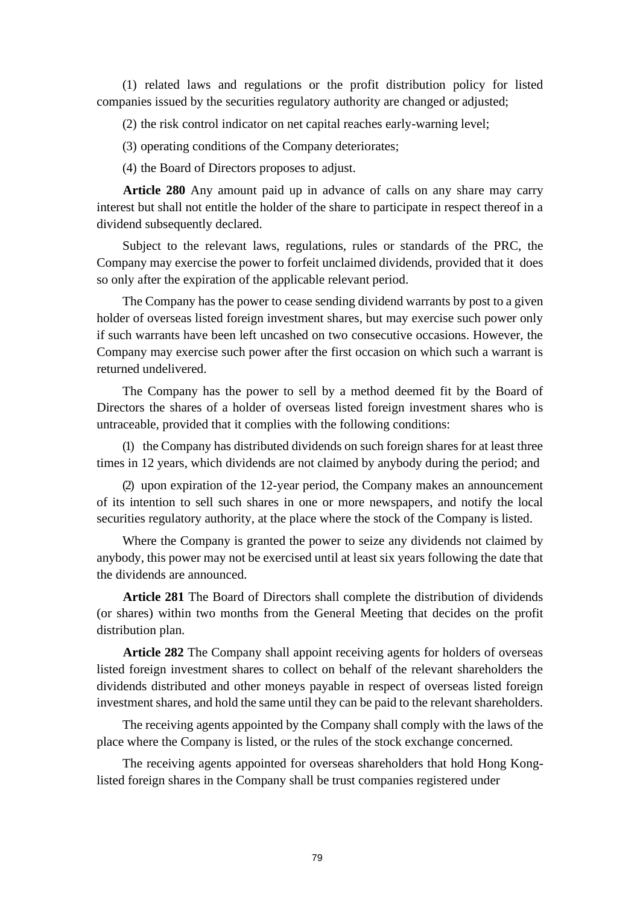(1) related laws and regulations or the profit distribution policy for listed companies issued by the securities regulatory authority are changed or adjusted;

(2) the risk control indicator on net capital reaches early-warning level;

(3) operating conditions of the Company deteriorates;

(4) the Board of Directors proposes to adjust.

**Article 280** Any amount paid up in advance of calls on any share may carry interest but shall not entitle the holder of the share to participate in respect thereof in a dividend subsequently declared.

Subject to the relevant laws, regulations, rules or standards of the PRC, the Company may exercise the power to forfeit unclaimed dividends, provided that it does so only after the expiration of the applicable relevant period.

The Company has the power to cease sending dividend warrants by post to a given holder of overseas listed foreign investment shares, but may exercise such power only if such warrants have been left uncashed on two consecutive occasions. However, the Company may exercise such power after the first occasion on which such a warrant is returned undelivered.

The Company has the power to sell by a method deemed fit by the Board of Directors the shares of a holder of overseas listed foreign investment shares who is untraceable, provided that it complies with the following conditions:

(1) the Company has distributed dividends on such foreign shares for at least three times in 12 years, which dividends are not claimed by anybody during the period; and

(2) upon expiration of the 12-year period, the Company makes an announcement of its intention to sell such shares in one or more newspapers, and notify the local securities regulatory authority, at the place where the stock of the Company is listed.

Where the Company is granted the power to seize any dividends not claimed by anybody, this power may not be exercised until at least six years following the date that the dividends are announced.

**Article 281** The Board of Directors shall complete the distribution of dividends (or shares) within two months from the General Meeting that decides on the profit distribution plan.

**Article 282** The Company shall appoint receiving agents for holders of overseas listed foreign investment shares to collect on behalf of the relevant shareholders the dividends distributed and other moneys payable in respect of overseas listed foreign investment shares, and hold the same until they can be paid to the relevant shareholders.

The receiving agents appointed by the Company shall comply with the laws of the place where the Company is listed, or the rules of the stock exchange concerned.

The receiving agents appointed for overseas shareholders that hold Hong Konglisted foreign shares in the Company shall be trust companies registered under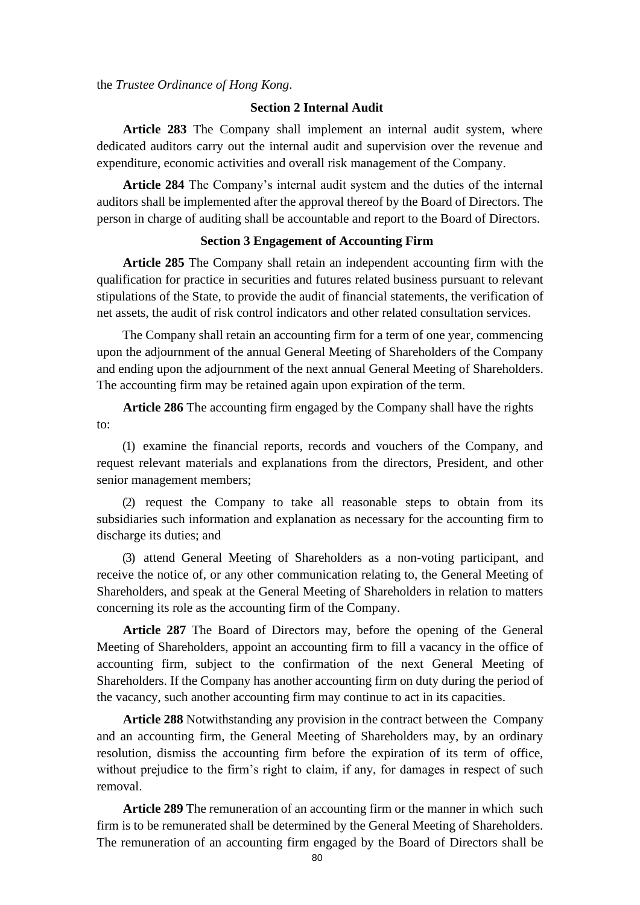the *Trustee Ordinance of Hong Kong*.

## **Section 2 Internal Audit**

**Article 283** The Company shall implement an internal audit system, where dedicated auditors carry out the internal audit and supervision over the revenue and expenditure, economic activities and overall risk management of the Company.

**Article 284** The Company's internal audit system and the duties of the internal auditors shall be implemented after the approval thereof by the Board of Directors. The person in charge of auditing shall be accountable and report to the Board of Directors.

## **Section 3 Engagement of Accounting Firm**

**Article 285** The Company shall retain an independent accounting firm with the qualification for practice in securities and futures related business pursuant to relevant stipulations of the State, to provide the audit of financial statements, the verification of net assets, the audit of risk control indicators and other related consultation services.

The Company shall retain an accounting firm for a term of one year, commencing upon the adjournment of the annual General Meeting of Shareholders of the Company and ending upon the adjournment of the next annual General Meeting of Shareholders. The accounting firm may be retained again upon expiration of the term.

**Article 286** The accounting firm engaged by the Company shall have the rights to:

(1) examine the financial reports, records and vouchers of the Company, and request relevant materials and explanations from the directors, President, and other senior management members;

(2) request the Company to take all reasonable steps to obtain from its subsidiaries such information and explanation as necessary for the accounting firm to discharge its duties; and

(3) attend General Meeting of Shareholders as a non-voting participant, and receive the notice of, or any other communication relating to, the General Meeting of Shareholders, and speak at the General Meeting of Shareholders in relation to matters concerning its role as the accounting firm of the Company.

**Article 287** The Board of Directors may, before the opening of the General Meeting of Shareholders, appoint an accounting firm to fill a vacancy in the office of accounting firm, subject to the confirmation of the next General Meeting of Shareholders. If the Company has another accounting firm on duty during the period of the vacancy, such another accounting firm may continue to act in its capacities.

**Article 288** Notwithstanding any provision in the contract between the Company and an accounting firm, the General Meeting of Shareholders may, by an ordinary resolution, dismiss the accounting firm before the expiration of its term of office, without prejudice to the firm's right to claim, if any, for damages in respect of such removal.

**Article 289** The remuneration of an accounting firm or the manner in which such firm is to be remunerated shall be determined by the General Meeting of Shareholders. The remuneration of an accounting firm engaged by the Board of Directors shall be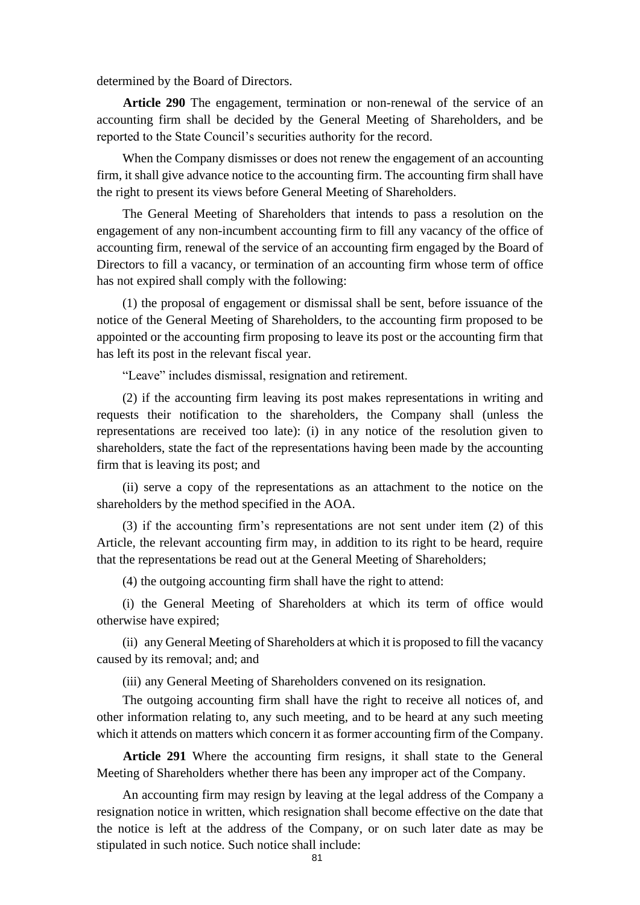determined by the Board of Directors.

**Article 290** The engagement, termination or non-renewal of the service of an accounting firm shall be decided by the General Meeting of Shareholders, and be reported to the State Council's securities authority for the record.

When the Company dismisses or does not renew the engagement of an accounting firm, it shall give advance notice to the accounting firm. The accounting firm shall have the right to present its views before General Meeting of Shareholders.

The General Meeting of Shareholders that intends to pass a resolution on the engagement of any non-incumbent accounting firm to fill any vacancy of the office of accounting firm, renewal of the service of an accounting firm engaged by the Board of Directors to fill a vacancy, or termination of an accounting firm whose term of office has not expired shall comply with the following:

(1) the proposal of engagement or dismissal shall be sent, before issuance of the notice of the General Meeting of Shareholders, to the accounting firm proposed to be appointed or the accounting firm proposing to leave its post or the accounting firm that has left its post in the relevant fiscal year.

"Leave" includes dismissal, resignation and retirement.

(2) if the accounting firm leaving its post makes representations in writing and requests their notification to the shareholders, the Company shall (unless the representations are received too late): (i) in any notice of the resolution given to shareholders, state the fact of the representations having been made by the accounting firm that is leaving its post; and

(ii) serve a copy of the representations as an attachment to the notice on the shareholders by the method specified in the AOA.

(3) if the accounting firm's representations are not sent under item (2) of this Article, the relevant accounting firm may, in addition to its right to be heard, require that the representations be read out at the General Meeting of Shareholders;

(4) the outgoing accounting firm shall have the right to attend:

(i) the General Meeting of Shareholders at which its term of office would otherwise have expired;

(ii) any General Meeting of Shareholders at which it is proposed to fill the vacancy caused by its removal; and; and

(iii) any General Meeting of Shareholders convened on its resignation.

The outgoing accounting firm shall have the right to receive all notices of, and other information relating to, any such meeting, and to be heard at any such meeting which it attends on matters which concern it as former accounting firm of the Company.

**Article 291** Where the accounting firm resigns, it shall state to the General Meeting of Shareholders whether there has been any improper act of the Company.

An accounting firm may resign by leaving at the legal address of the Company a resignation notice in written, which resignation shall become effective on the date that the notice is left at the address of the Company, or on such later date as may be stipulated in such notice. Such notice shall include: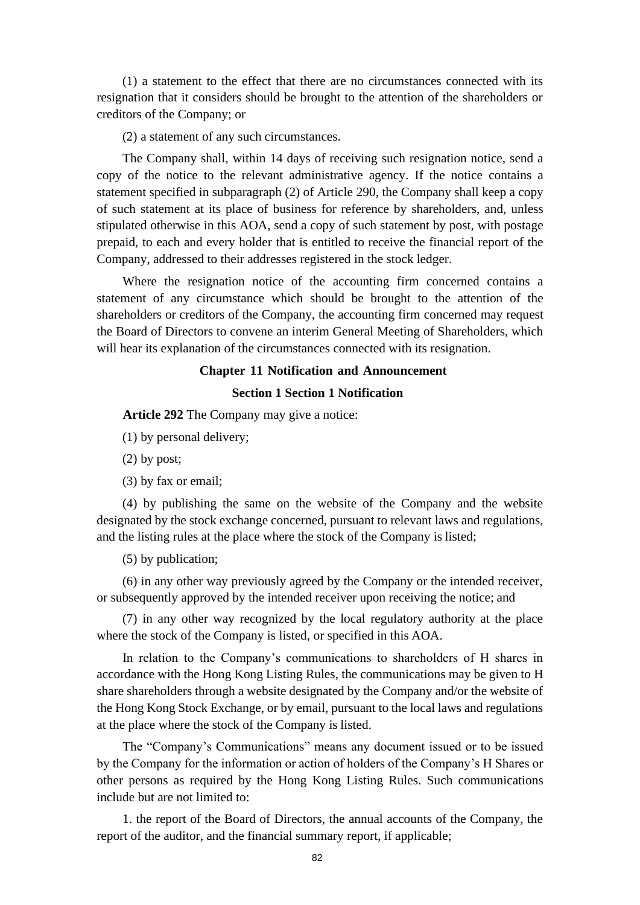(1) a statement to the effect that there are no circumstances connected with its resignation that it considers should be brought to the attention of the shareholders or creditors of the Company; or

(2) a statement of any such circumstances.

The Company shall, within 14 days of receiving such resignation notice, send a copy of the notice to the relevant administrative agency. If the notice contains a statement specified in subparagraph (2) of Article 290, the Company shall keep a copy of such statement at its place of business for reference by shareholders, and, unless stipulated otherwise in this AOA, send a copy of such statement by post, with postage prepaid, to each and every holder that is entitled to receive the financial report of the Company, addressed to their addresses registered in the stock ledger.

Where the resignation notice of the accounting firm concerned contains a statement of any circumstance which should be brought to the attention of the shareholders or creditors of the Company, the accounting firm concerned may request the Board of Directors to convene an interim General Meeting of Shareholders, which will hear its explanation of the circumstances connected with its resignation.

## **Chapter 11 Notification and Announcement**

## **Section 1 Section 1 Notification**

**Article 292** The Company may give a notice:

- (1) by personal delivery;
- (2) by post;
- (3) by fax or email;

(4) by publishing the same on the website of the Company and the website designated by the stock exchange concerned, pursuant to relevant laws and regulations, and the listing rules at the place where the stock of the Company is listed;

(5) by publication;

(6) in any other way previously agreed by the Company or the intended receiver, or subsequently approved by the intended receiver upon receiving the notice; and

(7) in any other way recognized by the local regulatory authority at the place where the stock of the Company is listed, or specified in this AOA.

In relation to the Company's communications to shareholders of H shares in accordance with the Hong Kong Listing Rules, the communications may be given to H share shareholders through a website designated by the Company and/or the website of the Hong Kong Stock Exchange, or by email, pursuant to the local laws and regulations at the place where the stock of the Company is listed.

The "Company's Communications" means any document issued or to be issued by the Company for the information or action of holders of the Company's H Shares or other persons as required by the Hong Kong Listing Rules. Such communications include but are not limited to:

1. the report of the Board of Directors, the annual accounts of the Company, the report of the auditor, and the financial summary report, if applicable;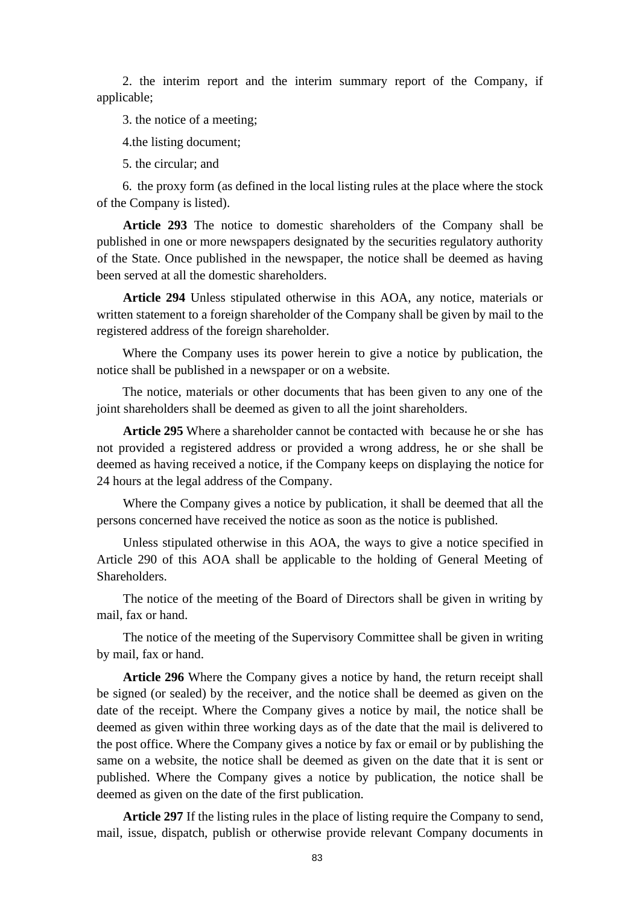2. the interim report and the interim summary report of the Company, if applicable;

3. the notice of a meeting;

4.the listing document;

5. the circular; and

6. the proxy form (as defined in the local listing rules at the place where the stock of the Company is listed).

**Article 293** The notice to domestic shareholders of the Company shall be published in one or more newspapers designated by the securities regulatory authority of the State. Once published in the newspaper, the notice shall be deemed as having been served at all the domestic shareholders.

**Article 294** Unless stipulated otherwise in this AOA, any notice, materials or written statement to a foreign shareholder of the Company shall be given by mail to the registered address of the foreign shareholder.

Where the Company uses its power herein to give a notice by publication, the notice shall be published in a newspaper or on a website.

The notice, materials or other documents that has been given to any one of the joint shareholders shall be deemed as given to all the joint shareholders.

**Article 295** Where a shareholder cannot be contacted with because he or she has not provided a registered address or provided a wrong address, he or she shall be deemed as having received a notice, if the Company keeps on displaying the notice for 24 hours at the legal address of the Company.

Where the Company gives a notice by publication, it shall be deemed that all the persons concerned have received the notice as soon as the notice is published.

Unless stipulated otherwise in this AOA, the ways to give a notice specified in Article 290 of this AOA shall be applicable to the holding of General Meeting of Shareholders.

The notice of the meeting of the Board of Directors shall be given in writing by mail, fax or hand.

The notice of the meeting of the Supervisory Committee shall be given in writing by mail, fax or hand.

**Article 296** Where the Company gives a notice by hand, the return receipt shall be signed (or sealed) by the receiver, and the notice shall be deemed as given on the date of the receipt. Where the Company gives a notice by mail, the notice shall be deemed as given within three working days as of the date that the mail is delivered to the post office. Where the Company gives a notice by fax or email or by publishing the same on a website, the notice shall be deemed as given on the date that it is sent or published. Where the Company gives a notice by publication, the notice shall be deemed as given on the date of the first publication.

**Article 297** If the listing rules in the place of listing require the Company to send, mail, issue, dispatch, publish or otherwise provide relevant Company documents in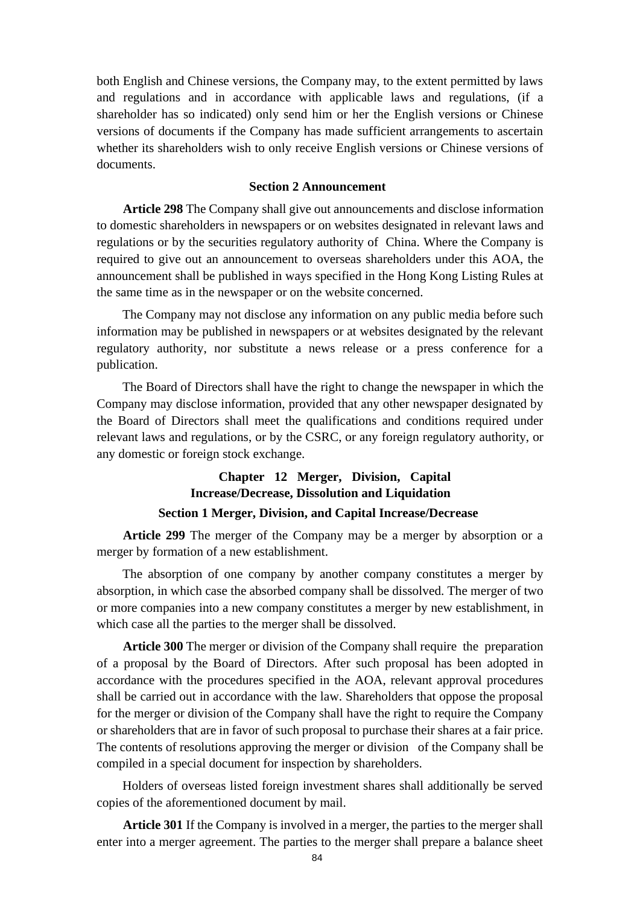both English and Chinese versions, the Company may, to the extent permitted by laws and regulations and in accordance with applicable laws and regulations, (if a shareholder has so indicated) only send him or her the English versions or Chinese versions of documents if the Company has made sufficient arrangements to ascertain whether its shareholders wish to only receive English versions or Chinese versions of documents.

## **Section 2 Announcement**

**Article 298** The Company shall give out announcements and disclose information to domestic shareholders in newspapers or on websites designated in relevant laws and regulations or by the securities regulatory authority of China. Where the Company is required to give out an announcement to overseas shareholders under this AOA, the announcement shall be published in ways specified in the Hong Kong Listing Rules at the same time as in the newspaper or on the website concerned.

The Company may not disclose any information on any public media before such information may be published in newspapers or at websites designated by the relevant regulatory authority, nor substitute a news release or a press conference for a publication.

The Board of Directors shall have the right to change the newspaper in which the Company may disclose information, provided that any other newspaper designated by the Board of Directors shall meet the qualifications and conditions required under relevant laws and regulations, or by the CSRC, or any foreign regulatory authority, or any domestic or foreign stock exchange.

# **Chapter 12 Merger, Division, Capital Increase/Decrease, Dissolution and Liquidation Section 1 Merger, Division, and Capital Increase/Decrease**

**Article 299** The merger of the Company may be a merger by absorption or a merger by formation of a new establishment.

The absorption of one company by another company constitutes a merger by absorption, in which case the absorbed company shall be dissolved. The merger of two or more companies into a new company constitutes a merger by new establishment, in which case all the parties to the merger shall be dissolved.

**Article 300** The merger or division of the Company shall require the preparation of a proposal by the Board of Directors. After such proposal has been adopted in accordance with the procedures specified in the AOA, relevant approval procedures shall be carried out in accordance with the law. Shareholders that oppose the proposal for the merger or division of the Company shall have the right to require the Company or shareholders that are in favor of such proposal to purchase their shares at a fair price. The contents of resolutions approving the merger or division of the Company shall be compiled in a special document for inspection by shareholders.

Holders of overseas listed foreign investment shares shall additionally be served copies of the aforementioned document by mail.

**Article 301** If the Company is involved in a merger, the parties to the merger shall enter into a merger agreement. The parties to the merger shall prepare a balance sheet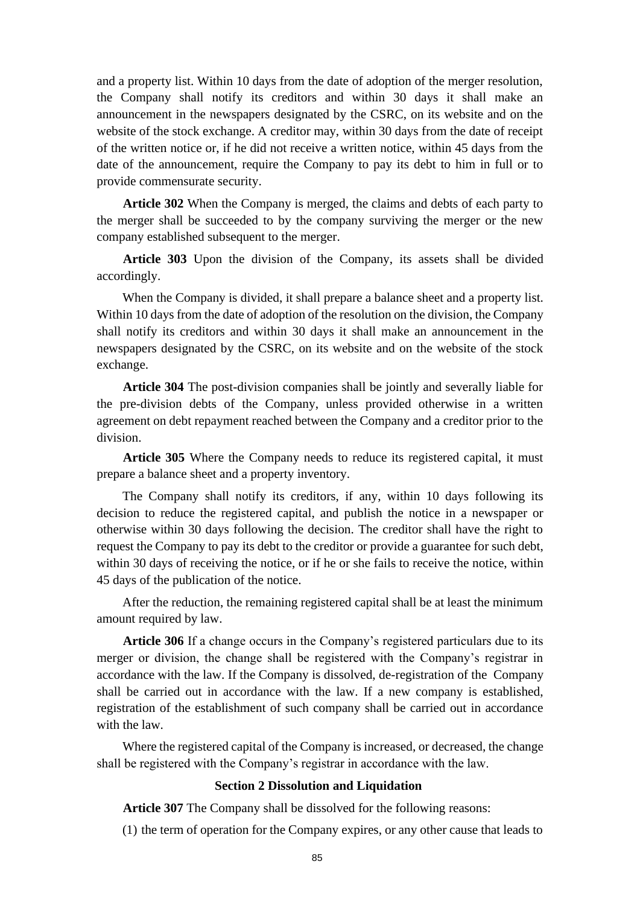and a property list. Within 10 days from the date of adoption of the merger resolution, the Company shall notify its creditors and within 30 days it shall make an announcement in the newspapers designated by the CSRC, on its website and on the website of the stock exchange. A creditor may, within 30 days from the date of receipt of the written notice or, if he did not receive a written notice, within 45 days from the date of the announcement, require the Company to pay its debt to him in full or to provide commensurate security.

**Article 302** When the Company is merged, the claims and debts of each party to the merger shall be succeeded to by the company surviving the merger or the new company established subsequent to the merger.

**Article 303** Upon the division of the Company, its assets shall be divided accordingly.

When the Company is divided, it shall prepare a balance sheet and a property list. Within 10 days from the date of adoption of the resolution on the division, the Company shall notify its creditors and within 30 days it shall make an announcement in the newspapers designated by the CSRC, on its website and on the website of the stock exchange.

**Article 304** The post-division companies shall be jointly and severally liable for the pre-division debts of the Company, unless provided otherwise in a written agreement on debt repayment reached between the Company and a creditor prior to the division.

**Article 305** Where the Company needs to reduce its registered capital, it must prepare a balance sheet and a property inventory.

The Company shall notify its creditors, if any, within 10 days following its decision to reduce the registered capital, and publish the notice in a newspaper or otherwise within 30 days following the decision. The creditor shall have the right to request the Company to pay its debt to the creditor or provide a guarantee for such debt, within 30 days of receiving the notice, or if he or she fails to receive the notice, within 45 days of the publication of the notice.

After the reduction, the remaining registered capital shall be at least the minimum amount required by law.

**Article 306** If a change occurs in the Company's registered particulars due to its merger or division, the change shall be registered with the Company's registrar in accordance with the law. If the Company is dissolved, de-registration of the Company shall be carried out in accordance with the law. If a new company is established, registration of the establishment of such company shall be carried out in accordance with the law.

Where the registered capital of the Company is increased, or decreased, the change shall be registered with the Company's registrar in accordance with the law.

## **Section 2 Dissolution and Liquidation**

**Article 307** The Company shall be dissolved for the following reasons:

(1) the term of operation for the Company expires, or any other cause that leads to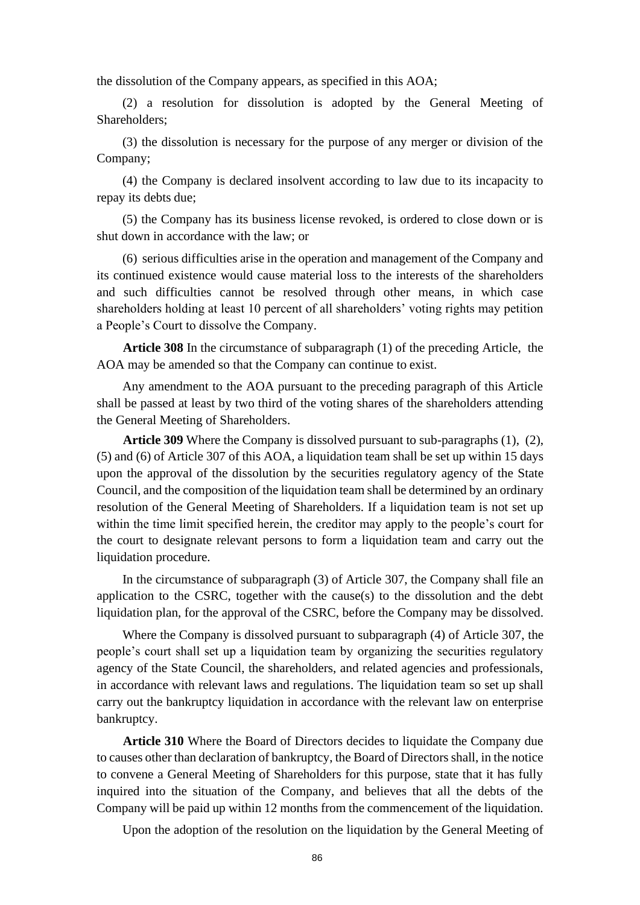the dissolution of the Company appears, as specified in this AOA;

(2) a resolution for dissolution is adopted by the General Meeting of Shareholders;

(3) the dissolution is necessary for the purpose of any merger or division of the Company;

(4) the Company is declared insolvent according to law due to its incapacity to repay its debts due;

(5) the Company has its business license revoked, is ordered to close down or is shut down in accordance with the law; or

(6) serious difficulties arise in the operation and management of the Company and its continued existence would cause material loss to the interests of the shareholders and such difficulties cannot be resolved through other means, in which case shareholders holding at least 10 percent of all shareholders' voting rights may petition a People's Court to dissolve the Company.

**Article 308** In the circumstance of subparagraph (1) of the preceding Article, the AOA may be amended so that the Company can continue to exist.

Any amendment to the AOA pursuant to the preceding paragraph of this Article shall be passed at least by two third of the voting shares of the shareholders attending the General Meeting of Shareholders.

**Article 309** Where the Company is dissolved pursuant to sub-paragraphs (1), (2), (5) and (6) of Article 307 of this AOA, a liquidation team shall be set up within 15 days upon the approval of the dissolution by the securities regulatory agency of the State Council, and the composition of the liquidation team shall be determined by an ordinary resolution of the General Meeting of Shareholders. If a liquidation team is not set up within the time limit specified herein, the creditor may apply to the people's court for the court to designate relevant persons to form a liquidation team and carry out the liquidation procedure.

In the circumstance of subparagraph (3) of Article 307, the Company shall file an application to the CSRC, together with the cause(s) to the dissolution and the debt liquidation plan, for the approval of the CSRC, before the Company may be dissolved.

Where the Company is dissolved pursuant to subparagraph (4) of Article 307, the people's court shall set up a liquidation team by organizing the securities regulatory agency of the State Council, the shareholders, and related agencies and professionals, in accordance with relevant laws and regulations. The liquidation team so set up shall carry out the bankruptcy liquidation in accordance with the relevant law on enterprise bankruptcy.

**Article 310** Where the Board of Directors decides to liquidate the Company due to causes other than declaration of bankruptcy, the Board of Directors shall, in the notice to convene a General Meeting of Shareholders for this purpose, state that it has fully inquired into the situation of the Company, and believes that all the debts of the Company will be paid up within 12 months from the commencement of the liquidation.

Upon the adoption of the resolution on the liquidation by the General Meeting of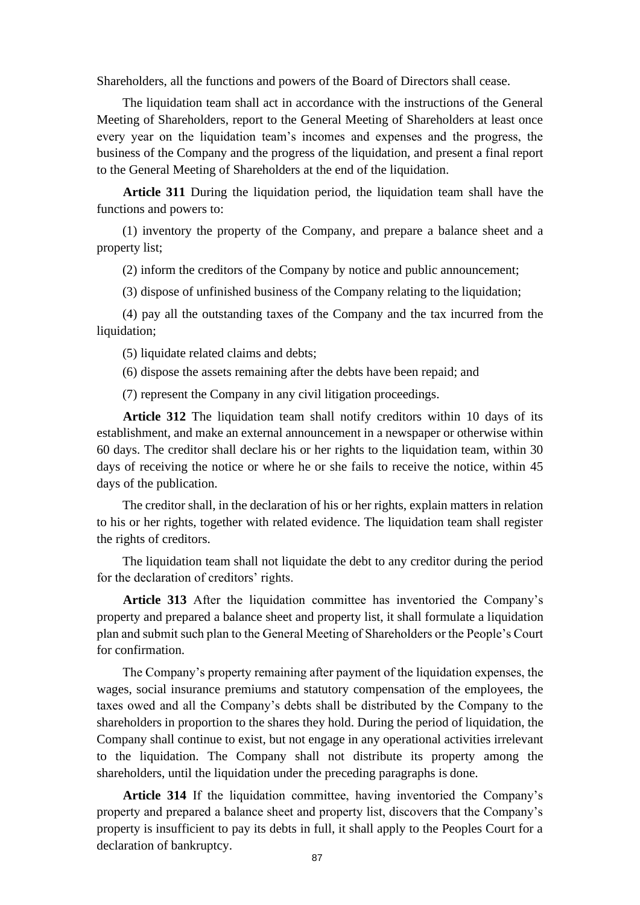Shareholders, all the functions and powers of the Board of Directors shall cease.

The liquidation team shall act in accordance with the instructions of the General Meeting of Shareholders, report to the General Meeting of Shareholders at least once every year on the liquidation team's incomes and expenses and the progress, the business of the Company and the progress of the liquidation, and present a final report to the General Meeting of Shareholders at the end of the liquidation.

**Article 311** During the liquidation period, the liquidation team shall have the functions and powers to:

(1) inventory the property of the Company, and prepare a balance sheet and a property list;

(2) inform the creditors of the Company by notice and public announcement;

(3) dispose of unfinished business of the Company relating to the liquidation;

(4) pay all the outstanding taxes of the Company and the tax incurred from the liquidation;

(5) liquidate related claims and debts;

(6) dispose the assets remaining after the debts have been repaid; and

(7) represent the Company in any civil litigation proceedings.

**Article 312** The liquidation team shall notify creditors within 10 days of its establishment, and make an external announcement in a newspaper or otherwise within 60 days. The creditor shall declare his or her rights to the liquidation team, within 30 days of receiving the notice or where he or she fails to receive the notice, within 45 days of the publication.

The creditor shall, in the declaration of his or her rights, explain matters in relation to his or her rights, together with related evidence. The liquidation team shall register the rights of creditors.

The liquidation team shall not liquidate the debt to any creditor during the period for the declaration of creditors' rights.

**Article 313** After the liquidation committee has inventoried the Company's property and prepared a balance sheet and property list, it shall formulate a liquidation plan and submit such plan to the General Meeting of Shareholders or the People's Court for confirmation.

The Company's property remaining after payment of the liquidation expenses, the wages, social insurance premiums and statutory compensation of the employees, the taxes owed and all the Company's debts shall be distributed by the Company to the shareholders in proportion to the shares they hold. During the period of liquidation, the Company shall continue to exist, but not engage in any operational activities irrelevant to the liquidation. The Company shall not distribute its property among the shareholders, until the liquidation under the preceding paragraphs is done.

**Article 314** If the liquidation committee, having inventoried the Company's property and prepared a balance sheet and property list, discovers that the Company's property is insufficient to pay its debts in full, it shall apply to the Peoples Court for a declaration of bankruptcy.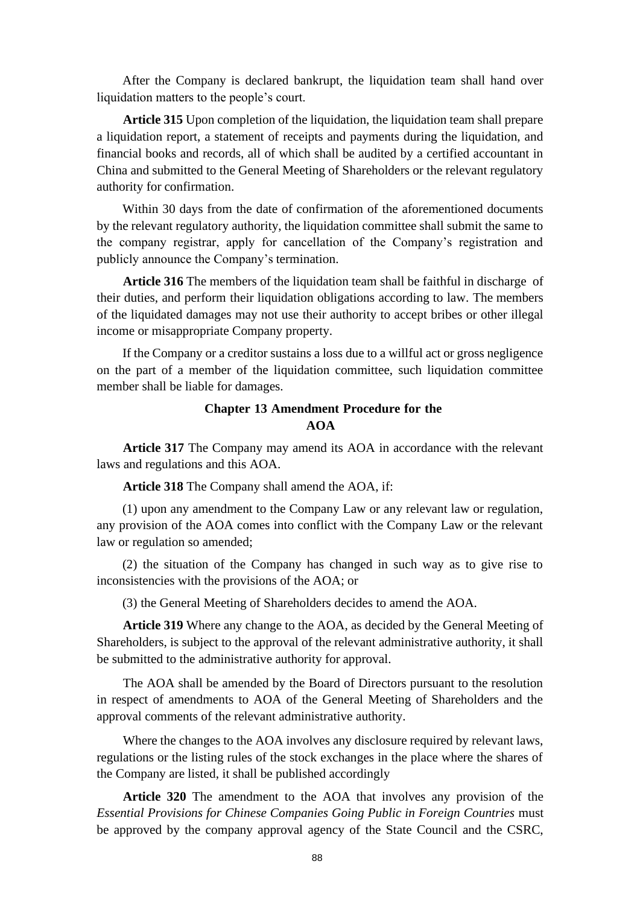After the Company is declared bankrupt, the liquidation team shall hand over liquidation matters to the people's court.

**Article 315** Upon completion of the liquidation, the liquidation team shall prepare a liquidation report, a statement of receipts and payments during the liquidation, and financial books and records, all of which shall be audited by a certified accountant in China and submitted to the General Meeting of Shareholders or the relevant regulatory authority for confirmation.

Within 30 days from the date of confirmation of the aforementioned documents by the relevant regulatory authority, the liquidation committee shall submit the same to the company registrar, apply for cancellation of the Company's registration and publicly announce the Company's termination.

**Article 316** The members of the liquidation team shall be faithful in discharge of their duties, and perform their liquidation obligations according to law. The members of the liquidated damages may not use their authority to accept bribes or other illegal income or misappropriate Company property.

If the Company or a creditor sustains a loss due to a willful act or gross negligence on the part of a member of the liquidation committee, such liquidation committee member shall be liable for damages.

## **Chapter 13 Amendment Procedure for the AOA**

**Article 317** The Company may amend its AOA in accordance with the relevant laws and regulations and this AOA.

**Article 318** The Company shall amend the AOA, if:

(1) upon any amendment to the Company Law or any relevant law or regulation, any provision of the AOA comes into conflict with the Company Law or the relevant law or regulation so amended;

(2) the situation of the Company has changed in such way as to give rise to inconsistencies with the provisions of the AOA; or

(3) the General Meeting of Shareholders decides to amend the AOA.

**Article 319** Where any change to the AOA, as decided by the General Meeting of Shareholders, is subject to the approval of the relevant administrative authority, it shall be submitted to the administrative authority for approval.

The AOA shall be amended by the Board of Directors pursuant to the resolution in respect of amendments to AOA of the General Meeting of Shareholders and the approval comments of the relevant administrative authority.

Where the changes to the AOA involves any disclosure required by relevant laws, regulations or the listing rules of the stock exchanges in the place where the shares of the Company are listed, it shall be published accordingly

**Article 320** The amendment to the AOA that involves any provision of the *Essential Provisions for Chinese Companies Going Public in Foreign Countries* must be approved by the company approval agency of the State Council and the CSRC,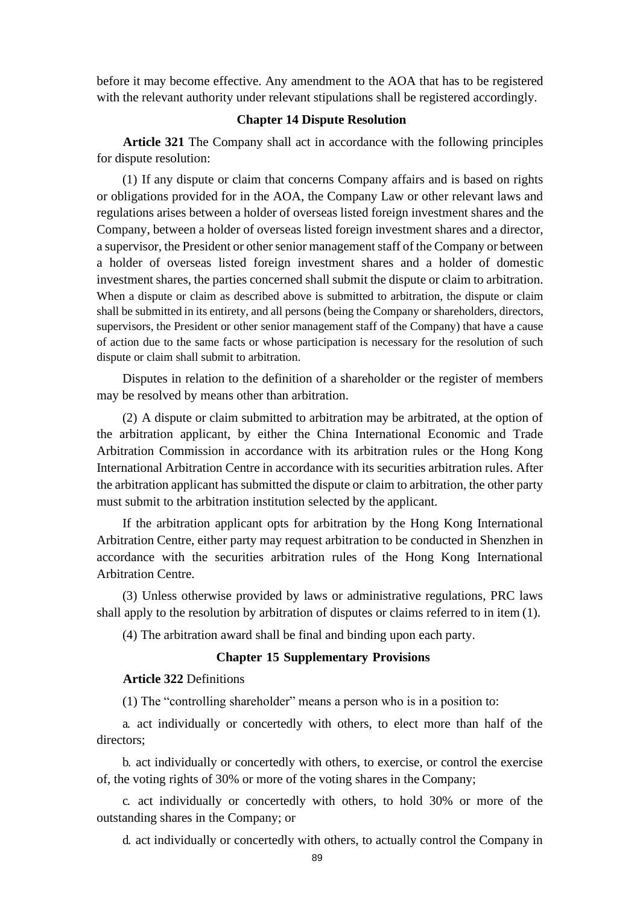before it may become effective. Any amendment to the AOA that has to be registered with the relevant authority under relevant stipulations shall be registered accordingly.

## **Chapter 14 Dispute Resolution**

**Article 321** The Company shall act in accordance with the following principles for dispute resolution:

(1) If any dispute or claim that concerns Company affairs and is based on rights or obligations provided for in the AOA, the Company Law or other relevant laws and regulations arises between a holder of overseas listed foreign investment shares and the Company, between a holder of overseas listed foreign investment shares and a director, a supervisor, the President or other senior management staff of the Company or between a holder of overseas listed foreign investment shares and a holder of domestic investment shares, the parties concerned shall submit the dispute or claim to arbitration. When a dispute or claim as described above is submitted to arbitration, the dispute or claim shall be submitted in its entirety, and all persons (being the Company or shareholders, directors, supervisors, the President or other senior management staff of the Company) that have a cause of action due to the same facts or whose participation is necessary for the resolution of such dispute or claim shall submit to arbitration.

Disputes in relation to the definition of a shareholder or the register of members may be resolved by means other than arbitration.

(2) A dispute or claim submitted to arbitration may be arbitrated, at the option of the arbitration applicant, by either the China International Economic and Trade Arbitration Commission in accordance with its arbitration rules or the Hong Kong International Arbitration Centre in accordance with its securities arbitration rules. After the arbitration applicant has submitted the dispute or claim to arbitration, the other party must submit to the arbitration institution selected by the applicant.

If the arbitration applicant opts for arbitration by the Hong Kong International Arbitration Centre, either party may request arbitration to be conducted in Shenzhen in accordance with the securities arbitration rules of the Hong Kong International Arbitration Centre.

(3) Unless otherwise provided by laws or administrative regulations, PRC laws shall apply to the resolution by arbitration of disputes or claims referred to in item (1).

(4) The arbitration award shall be final and binding upon each party.

## **Chapter 15 Supplementary Provisions**

## **Article 322** Definitions

(1) The "controlling shareholder" means a person who is in a position to:

a. act individually or concertedly with others, to elect more than half of the directors;

b. act individually or concertedly with others, to exercise, or control the exercise of, the voting rights of 30% or more of the voting shares in the Company;

c. act individually or concertedly with others, to hold 30% or more of the outstanding shares in the Company; or

d. act individually or concertedly with others, to actually control the Company in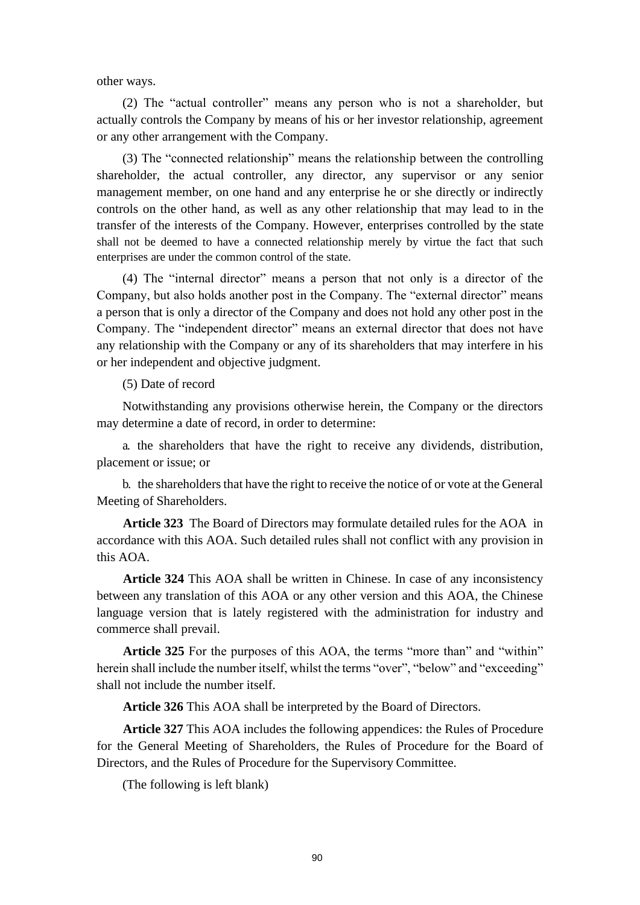other ways.

(2) The "actual controller" means any person who is not a shareholder, but actually controls the Company by means of his or her investor relationship, agreement or any other arrangement with the Company.

(3) The "connected relationship" means the relationship between the controlling shareholder, the actual controller, any director, any supervisor or any senior management member, on one hand and any enterprise he or she directly or indirectly controls on the other hand, as well as any other relationship that may lead to in the transfer of the interests of the Company. However, enterprises controlled by the state shall not be deemed to have a connected relationship merely by virtue the fact that such enterprises are under the common control of the state.

(4) The "internal director" means a person that not only is a director of the Company, but also holds another post in the Company. The "external director" means a person that is only a director of the Company and does not hold any other post in the Company. The "independent director" means an external director that does not have any relationship with the Company or any of its shareholders that may interfere in his or her independent and objective judgment.

(5) Date of record

Notwithstanding any provisions otherwise herein, the Company or the directors may determine a date of record, in order to determine:

a. the shareholders that have the right to receive any dividends, distribution, placement or issue; or

b. the shareholders that have the right to receive the notice of or vote at the General Meeting of Shareholders.

**Article 323** The Board of Directors may formulate detailed rules for the AOA in accordance with this AOA. Such detailed rules shall not conflict with any provision in this AOA.

**Article 324** This AOA shall be written in Chinese. In case of any inconsistency between any translation of this AOA or any other version and this AOA, the Chinese language version that is lately registered with the administration for industry and commerce shall prevail.

**Article 325** For the purposes of this AOA, the terms "more than" and "within" herein shall include the number itself, whilst the terms "over", "below" and "exceeding" shall not include the number itself.

**Article 326** This AOA shall be interpreted by the Board of Directors.

**Article 327** This AOA includes the following appendices: the Rules of Procedure for the General Meeting of Shareholders, the Rules of Procedure for the Board of Directors, and the Rules of Procedure for the Supervisory Committee.

(The following is left blank)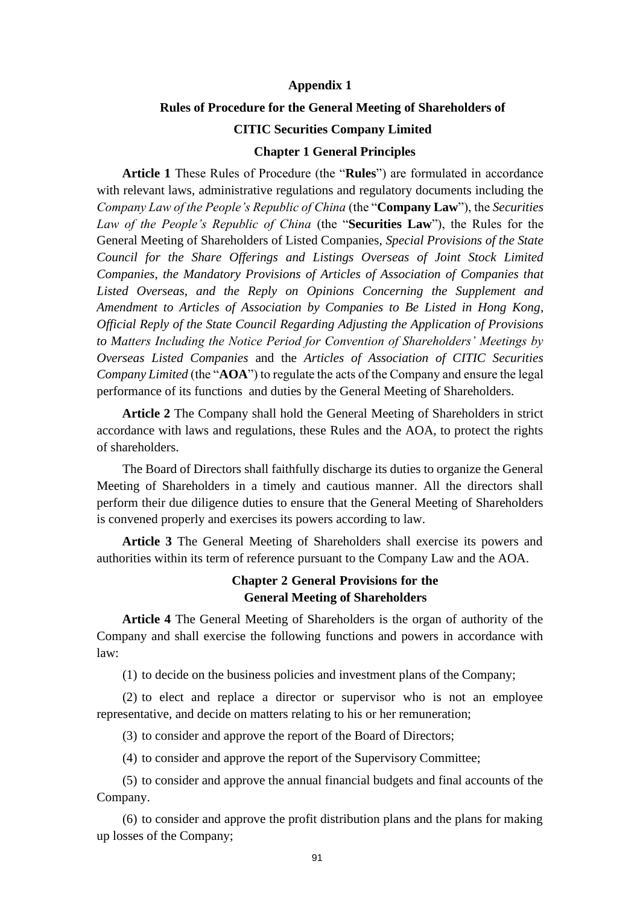## **Appendix 1**

#### **Rules of Procedure for the General Meeting of Shareholders of**

### **CITIC Securities Company Limited**

## **Chapter 1 General Principles**

**Article 1** These Rules of Procedure (the "**Rules**") are formulated in accordance with relevant laws, administrative regulations and regulatory documents including the *Company Law of the People's Republic of China* (the "**Company Law**"), the *Securities Law of the People's Republic of China* (the "**Securities Law**"), the Rules for the General Meeting of Shareholders of Listed Companies, *Special Provisions of the State Council for the Share Offerings and Listings Overseas of Joint Stock Limited Companies*, *the Mandatory Provisions of Articles of Association of Companies that Listed Overseas*, *and the Reply on Opinions Concerning the Supplement and Amendment to Articles of Association by Companies to Be Listed in Hong Kong, Official Reply of the State Council Regarding Adjusting the Application of Provisions to Matters Including the Notice Period for Convention of Shareholders' Meetings by Overseas Listed Companies* and the *Articles of Association of CITIC Securities Company Limited* (the "**AOA**") to regulate the acts of the Company and ensure the legal performance of its functions and duties by the General Meeting of Shareholders.

**Article 2** The Company shall hold the General Meeting of Shareholders in strict accordance with laws and regulations, these Rules and the AOA, to protect the rights of shareholders.

The Board of Directors shall faithfully discharge its duties to organize the General Meeting of Shareholders in a timely and cautious manner. All the directors shall perform their due diligence duties to ensure that the General Meeting of Shareholders is convened properly and exercises its powers according to law.

**Article 3** The General Meeting of Shareholders shall exercise its powers and authorities within its term of reference pursuant to the Company Law and the AOA.

# **Chapter 2 General Provisions for the General Meeting of Shareholders**

**Article 4** The General Meeting of Shareholders is the organ of authority of the Company and shall exercise the following functions and powers in accordance with law:

(1) to decide on the business policies and investment plans of the Company;

(2) to elect and replace a director or supervisor who is not an employee representative, and decide on matters relating to his or her remuneration;

(3) to consider and approve the report of the Board of Directors;

(4) to consider and approve the report of the Supervisory Committee;

(5) to consider and approve the annual financial budgets and final accounts of the Company.

(6) to consider and approve the profit distribution plans and the plans for making up losses of the Company;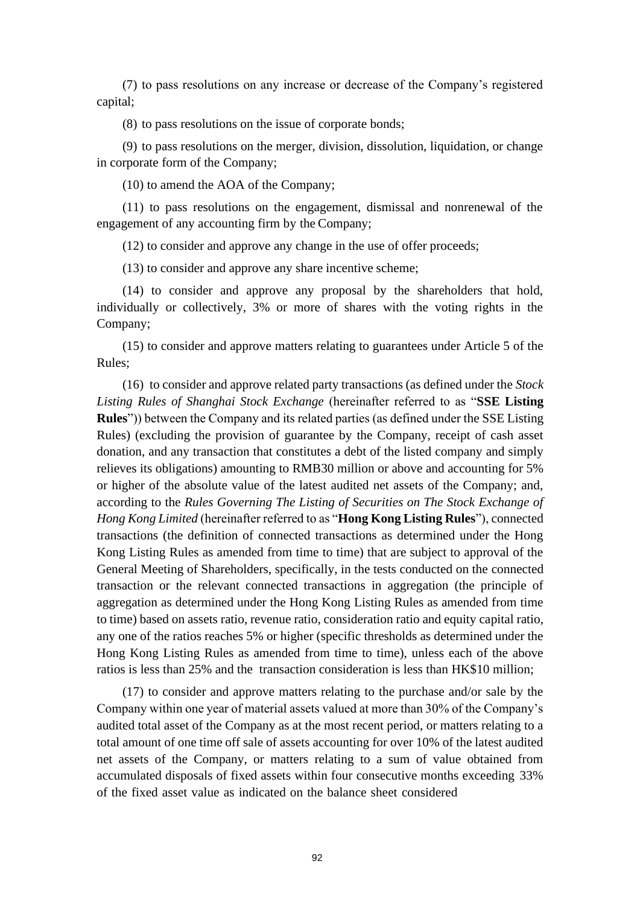(7) to pass resolutions on any increase or decrease of the Company's registered capital;

(8) to pass resolutions on the issue of corporate bonds;

(9) to pass resolutions on the merger, division, dissolution, liquidation, or change in corporate form of the Company;

(10) to amend the AOA of the Company;

(11) to pass resolutions on the engagement, dismissal and nonrenewal of the engagement of any accounting firm by the Company;

(12) to consider and approve any change in the use of offer proceeds;

(13) to consider and approve any share incentive scheme;

(14) to consider and approve any proposal by the shareholders that hold, individually or collectively, 3% or more of shares with the voting rights in the Company;

(15) to consider and approve matters relating to guarantees under Article 5 of the Rules;

(16) to consider and approve related party transactions (as defined under the *Stock Listing Rules of Shanghai Stock Exchange* (hereinafter referred to as "**SSE Listing Rules**")) between the Company and its related parties (as defined under the SSE Listing Rules) (excluding the provision of guarantee by the Company, receipt of cash asset donation, and any transaction that constitutes a debt of the listed company and simply relieves its obligations) amounting to RMB30 million or above and accounting for 5% or higher of the absolute value of the latest audited net assets of the Company; and, according to the *Rules Governing The Listing of Securities on The Stock Exchange of Hong Kong Limited* (hereinafter referred to as "**Hong Kong Listing Rules**"), connected transactions (the definition of connected transactions as determined under the Hong Kong Listing Rules as amended from time to time) that are subject to approval of the General Meeting of Shareholders, specifically, in the tests conducted on the connected transaction or the relevant connected transactions in aggregation (the principle of aggregation as determined under the Hong Kong Listing Rules as amended from time to time) based on assets ratio, revenue ratio, consideration ratio and equity capital ratio, any one of the ratios reaches 5% or higher (specific thresholds as determined under the Hong Kong Listing Rules as amended from time to time), unless each of the above ratios is less than 25% and the transaction consideration is less than HK\$10 million;

(17) to consider and approve matters relating to the purchase and/or sale by the Company within one year of material assets valued at more than 30% of the Company's audited total asset of the Company as at the most recent period, or matters relating to a total amount of one time off sale of assets accounting for over 10% of the latest audited net assets of the Company, or matters relating to a sum of value obtained from accumulated disposals of fixed assets within four consecutive months exceeding 33% of the fixed asset value as indicated on the balance sheet considered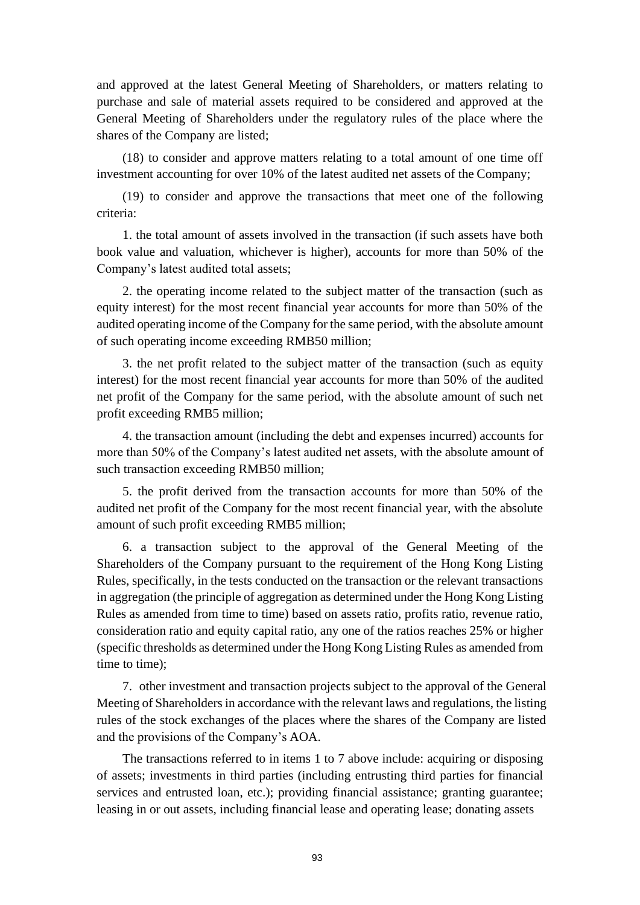and approved at the latest General Meeting of Shareholders, or matters relating to purchase and sale of material assets required to be considered and approved at the General Meeting of Shareholders under the regulatory rules of the place where the shares of the Company are listed;

(18) to consider and approve matters relating to a total amount of one time off investment accounting for over 10% of the latest audited net assets of the Company;

(19) to consider and approve the transactions that meet one of the following criteria:

1. the total amount of assets involved in the transaction (if such assets have both book value and valuation, whichever is higher), accounts for more than 50% of the Company's latest audited total assets;

2. the operating income related to the subject matter of the transaction (such as equity interest) for the most recent financial year accounts for more than 50% of the audited operating income of the Company for the same period, with the absolute amount of such operating income exceeding RMB50 million;

3. the net profit related to the subject matter of the transaction (such as equity interest) for the most recent financial year accounts for more than 50% of the audited net profit of the Company for the same period, with the absolute amount of such net profit exceeding RMB5 million;

4. the transaction amount (including the debt and expenses incurred) accounts for more than 50% of the Company's latest audited net assets, with the absolute amount of such transaction exceeding RMB50 million;

5. the profit derived from the transaction accounts for more than 50% of the audited net profit of the Company for the most recent financial year, with the absolute amount of such profit exceeding RMB5 million;

6. a transaction subject to the approval of the General Meeting of the Shareholders of the Company pursuant to the requirement of the Hong Kong Listing Rules, specifically, in the tests conducted on the transaction or the relevant transactions in aggregation (the principle of aggregation as determined under the Hong Kong Listing Rules as amended from time to time) based on assets ratio, profits ratio, revenue ratio, consideration ratio and equity capital ratio, any one of the ratios reaches 25% or higher (specific thresholds as determined under the Hong Kong Listing Rules as amended from time to time);

7. other investment and transaction projects subject to the approval of the General Meeting of Shareholders in accordance with the relevant laws and regulations, the listing rules of the stock exchanges of the places where the shares of the Company are listed and the provisions of the Company's AOA.

The transactions referred to in items 1 to 7 above include: acquiring or disposing of assets; investments in third parties (including entrusting third parties for financial services and entrusted loan, etc.); providing financial assistance; granting guarantee; leasing in or out assets, including financial lease and operating lease; donating assets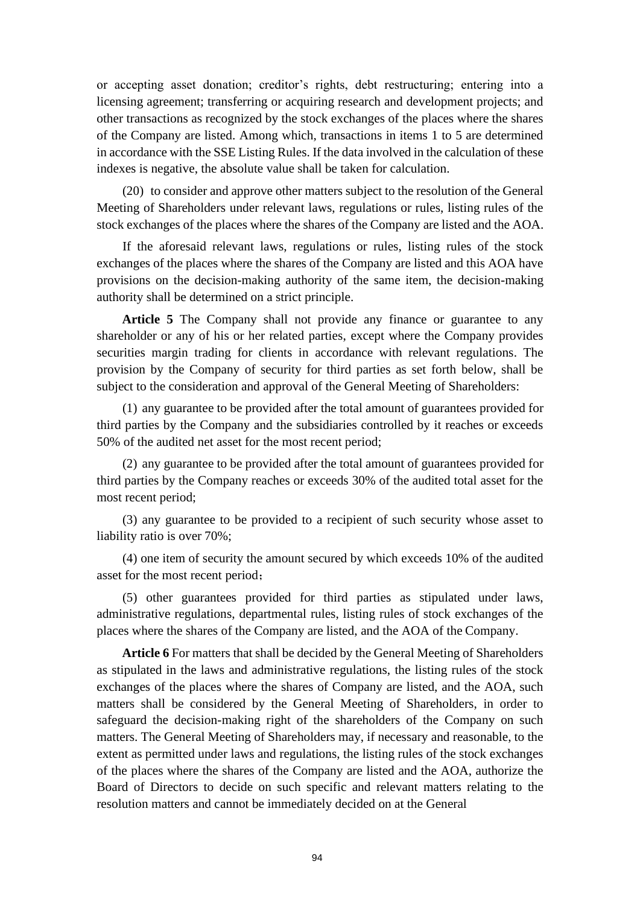or accepting asset donation; creditor's rights, debt restructuring; entering into a licensing agreement; transferring or acquiring research and development projects; and other transactions as recognized by the stock exchanges of the places where the shares of the Company are listed. Among which, transactions in items 1 to 5 are determined in accordance with the SSE Listing Rules. If the data involved in the calculation of these indexes is negative, the absolute value shall be taken for calculation.

(20) to consider and approve other matters subject to the resolution of the General Meeting of Shareholders under relevant laws, regulations or rules, listing rules of the stock exchanges of the places where the shares of the Company are listed and the AOA.

If the aforesaid relevant laws, regulations or rules, listing rules of the stock exchanges of the places where the shares of the Company are listed and this AOA have provisions on the decision-making authority of the same item, the decision-making authority shall be determined on a strict principle.

**Article 5** The Company shall not provide any finance or guarantee to any shareholder or any of his or her related parties, except where the Company provides securities margin trading for clients in accordance with relevant regulations. The provision by the Company of security for third parties as set forth below, shall be subject to the consideration and approval of the General Meeting of Shareholders:

(1) any guarantee to be provided after the total amount of guarantees provided for third parties by the Company and the subsidiaries controlled by it reaches or exceeds 50% of the audited net asset for the most recent period;

(2) any guarantee to be provided after the total amount of guarantees provided for third parties by the Company reaches or exceeds 30% of the audited total asset for the most recent period;

(3) any guarantee to be provided to a recipient of such security whose asset to liability ratio is over 70%;

(4) one item of security the amount secured by which exceeds 10% of the audited asset for the most recent period;

(5) other guarantees provided for third parties as stipulated under laws, administrative regulations, departmental rules, listing rules of stock exchanges of the places where the shares of the Company are listed, and the AOA of the Company.

**Article 6** For matters that shall be decided by the General Meeting of Shareholders as stipulated in the laws and administrative regulations, the listing rules of the stock exchanges of the places where the shares of Company are listed, and the AOA, such matters shall be considered by the General Meeting of Shareholders, in order to safeguard the decision-making right of the shareholders of the Company on such matters. The General Meeting of Shareholders may, if necessary and reasonable, to the extent as permitted under laws and regulations, the listing rules of the stock exchanges of the places where the shares of the Company are listed and the AOA, authorize the Board of Directors to decide on such specific and relevant matters relating to the resolution matters and cannot be immediately decided on at the General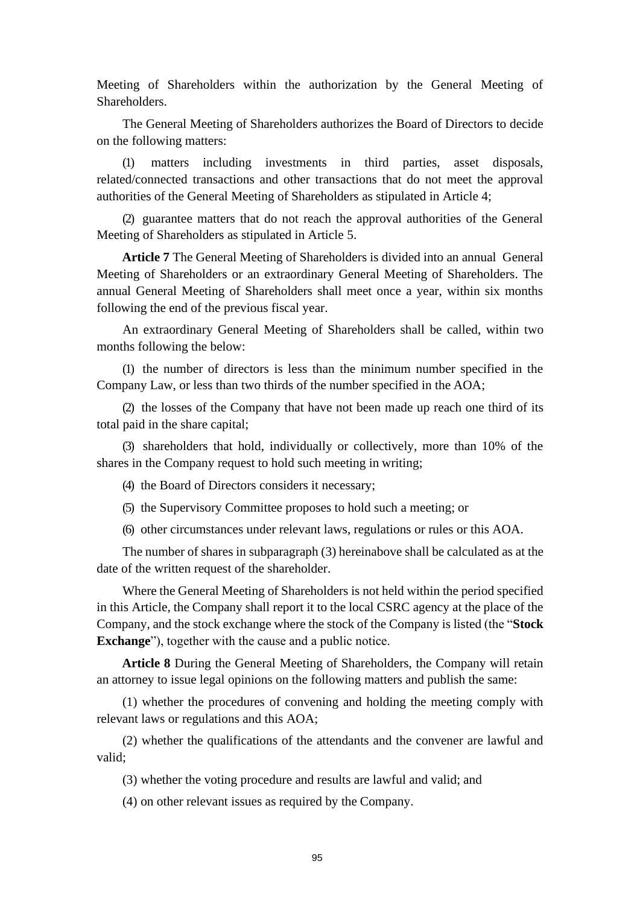Meeting of Shareholders within the authorization by the General Meeting of Shareholders.

The General Meeting of Shareholders authorizes the Board of Directors to decide on the following matters:

(1) matters including investments in third parties, asset disposals, related/connected transactions and other transactions that do not meet the approval authorities of the General Meeting of Shareholders as stipulated in Article 4;

(2) guarantee matters that do not reach the approval authorities of the General Meeting of Shareholders as stipulated in Article 5.

**Article 7** The General Meeting of Shareholders is divided into an annual General Meeting of Shareholders or an extraordinary General Meeting of Shareholders. The annual General Meeting of Shareholders shall meet once a year, within six months following the end of the previous fiscal year.

An extraordinary General Meeting of Shareholders shall be called, within two months following the below:

(1) the number of directors is less than the minimum number specified in the Company Law, or less than two thirds of the number specified in the AOA;

(2) the losses of the Company that have not been made up reach one third of its total paid in the share capital;

(3) shareholders that hold, individually or collectively, more than 10% of the shares in the Company request to hold such meeting in writing;

(4) the Board of Directors considers it necessary;

(5) the Supervisory Committee proposes to hold such a meeting; or

(6) other circumstances under relevant laws, regulations or rules or this AOA.

The number of shares in subparagraph (3) hereinabove shall be calculated as at the date of the written request of the shareholder.

Where the General Meeting of Shareholders is not held within the period specified in this Article, the Company shall report it to the local CSRC agency at the place of the Company, and the stock exchange where the stock of the Company is listed (the "**Stock Exchange**"), together with the cause and a public notice.

**Article 8** During the General Meeting of Shareholders, the Company will retain an attorney to issue legal opinions on the following matters and publish the same:

(1) whether the procedures of convening and holding the meeting comply with relevant laws or regulations and this AOA;

(2) whether the qualifications of the attendants and the convener are lawful and valid;

(3) whether the voting procedure and results are lawful and valid; and

(4) on other relevant issues as required by the Company.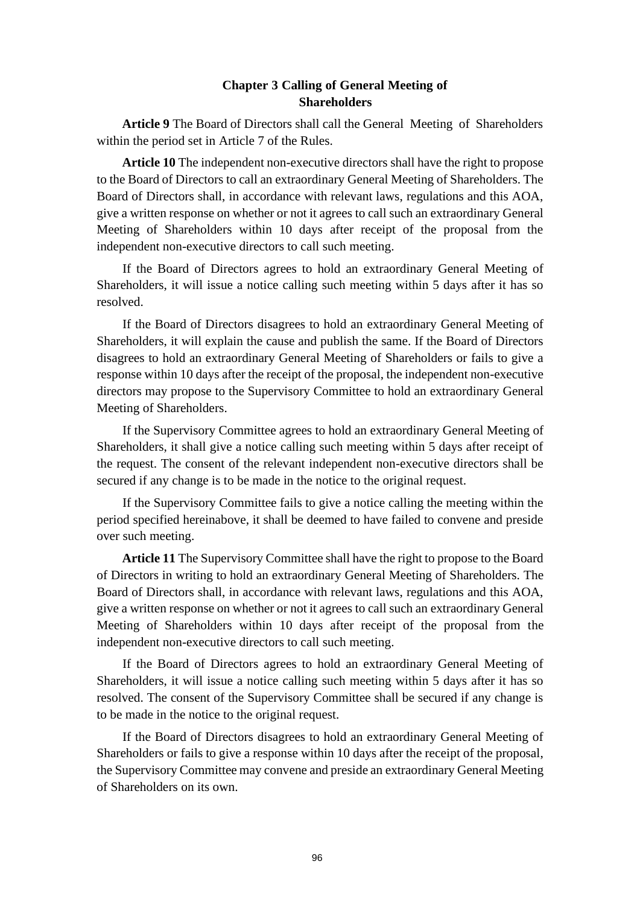# **Chapter 3 Calling of General Meeting of Shareholders**

**Article 9** The Board of Directors shall call the General Meeting of Shareholders within the period set in Article 7 of the Rules.

**Article 10** The independent non-executive directors shall have the right to propose to the Board of Directors to call an extraordinary General Meeting of Shareholders. The Board of Directors shall, in accordance with relevant laws, regulations and this AOA, give a written response on whether or not it agrees to call such an extraordinary General Meeting of Shareholders within 10 days after receipt of the proposal from the independent non-executive directors to call such meeting.

If the Board of Directors agrees to hold an extraordinary General Meeting of Shareholders, it will issue a notice calling such meeting within 5 days after it has so resolved.

If the Board of Directors disagrees to hold an extraordinary General Meeting of Shareholders, it will explain the cause and publish the same. If the Board of Directors disagrees to hold an extraordinary General Meeting of Shareholders or fails to give a response within 10 days after the receipt of the proposal, the independent non-executive directors may propose to the Supervisory Committee to hold an extraordinary General Meeting of Shareholders.

If the Supervisory Committee agrees to hold an extraordinary General Meeting of Shareholders, it shall give a notice calling such meeting within 5 days after receipt of the request. The consent of the relevant independent non-executive directors shall be secured if any change is to be made in the notice to the original request.

If the Supervisory Committee fails to give a notice calling the meeting within the period specified hereinabove, it shall be deemed to have failed to convene and preside over such meeting.

**Article 11** The Supervisory Committee shall have the right to propose to the Board of Directors in writing to hold an extraordinary General Meeting of Shareholders. The Board of Directors shall, in accordance with relevant laws, regulations and this AOA, give a written response on whether or not it agrees to call such an extraordinary General Meeting of Shareholders within 10 days after receipt of the proposal from the independent non-executive directors to call such meeting.

If the Board of Directors agrees to hold an extraordinary General Meeting of Shareholders, it will issue a notice calling such meeting within 5 days after it has so resolved. The consent of the Supervisory Committee shall be secured if any change is to be made in the notice to the original request.

If the Board of Directors disagrees to hold an extraordinary General Meeting of Shareholders or fails to give a response within 10 days after the receipt of the proposal, the Supervisory Committee may convene and preside an extraordinary General Meeting of Shareholders on its own.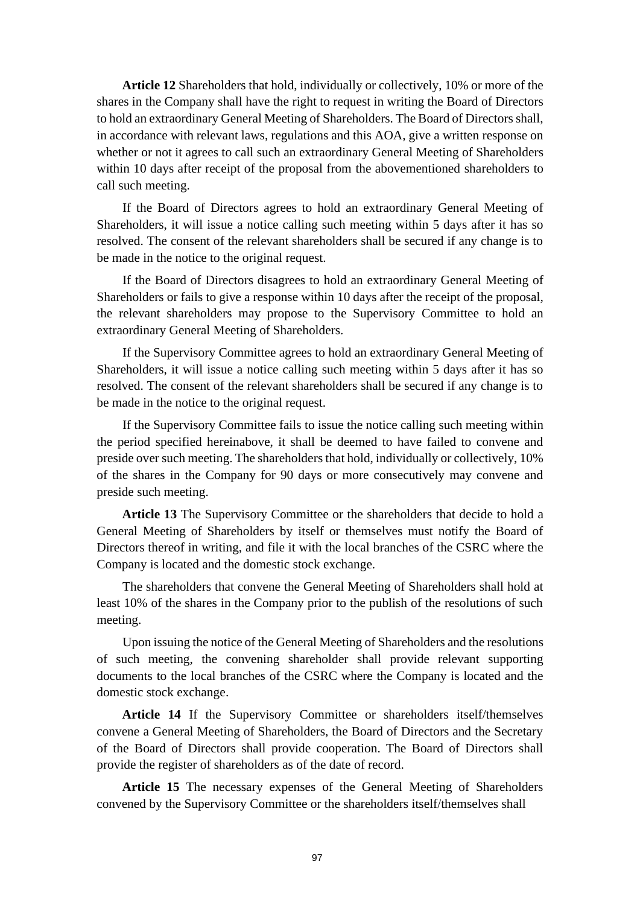**Article 12** Shareholders that hold, individually or collectively, 10% or more of the shares in the Company shall have the right to request in writing the Board of Directors to hold an extraordinary General Meeting of Shareholders. The Board of Directors shall, in accordance with relevant laws, regulations and this AOA, give a written response on whether or not it agrees to call such an extraordinary General Meeting of Shareholders within 10 days after receipt of the proposal from the abovementioned shareholders to call such meeting.

If the Board of Directors agrees to hold an extraordinary General Meeting of Shareholders, it will issue a notice calling such meeting within 5 days after it has so resolved. The consent of the relevant shareholders shall be secured if any change is to be made in the notice to the original request.

If the Board of Directors disagrees to hold an extraordinary General Meeting of Shareholders or fails to give a response within 10 days after the receipt of the proposal, the relevant shareholders may propose to the Supervisory Committee to hold an extraordinary General Meeting of Shareholders.

If the Supervisory Committee agrees to hold an extraordinary General Meeting of Shareholders, it will issue a notice calling such meeting within 5 days after it has so resolved. The consent of the relevant shareholders shall be secured if any change is to be made in the notice to the original request.

If the Supervisory Committee fails to issue the notice calling such meeting within the period specified hereinabove, it shall be deemed to have failed to convene and preside over such meeting. The shareholders that hold, individually or collectively, 10% of the shares in the Company for 90 days or more consecutively may convene and preside such meeting.

**Article 13** The Supervisory Committee or the shareholders that decide to hold a General Meeting of Shareholders by itself or themselves must notify the Board of Directors thereof in writing, and file it with the local branches of the CSRC where the Company is located and the domestic stock exchange.

The shareholders that convene the General Meeting of Shareholders shall hold at least 10% of the shares in the Company prior to the publish of the resolutions of such meeting.

Upon issuing the notice of the General Meeting of Shareholders and the resolutions of such meeting, the convening shareholder shall provide relevant supporting documents to the local branches of the CSRC where the Company is located and the domestic stock exchange.

**Article 14** If the Supervisory Committee or shareholders itself/themselves convene a General Meeting of Shareholders, the Board of Directors and the Secretary of the Board of Directors shall provide cooperation. The Board of Directors shall provide the register of shareholders as of the date of record.

**Article 15** The necessary expenses of the General Meeting of Shareholders convened by the Supervisory Committee or the shareholders itself/themselves shall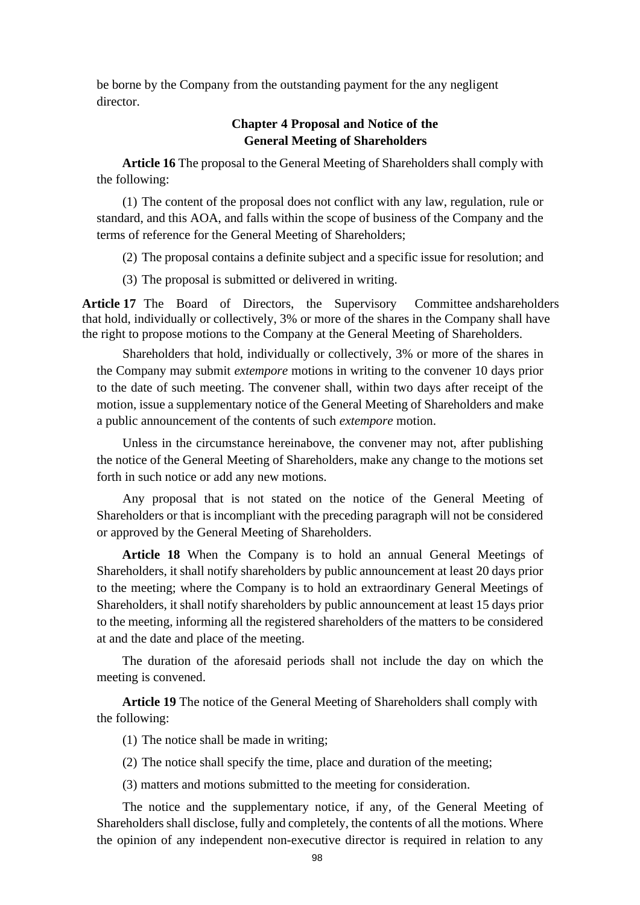be borne by the Company from the outstanding payment for the any negligent director.

# **Chapter 4 Proposal and Notice of the General Meeting of Shareholders**

**Article 16** The proposal to the General Meeting of Shareholders shall comply with the following:

(1) The content of the proposal does not conflict with any law, regulation, rule or standard, and this AOA, and falls within the scope of business of the Company and the terms of reference for the General Meeting of Shareholders;

(2) The proposal contains a definite subject and a specific issue for resolution; and

(3) The proposal is submitted or delivered in writing.

**Article 17** The Board of Directors, the Supervisory Committee andshareholders that hold, individually or collectively, 3% or more of the shares in the Company shall have the right to propose motions to the Company at the General Meeting of Shareholders.

Shareholders that hold, individually or collectively, 3% or more of the shares in the Company may submit *extempore* motions in writing to the convener 10 days prior to the date of such meeting. The convener shall, within two days after receipt of the motion, issue a supplementary notice of the General Meeting of Shareholders and make a public announcement of the contents of such *extempore* motion.

Unless in the circumstance hereinabove, the convener may not, after publishing the notice of the General Meeting of Shareholders, make any change to the motions set forth in such notice or add any new motions.

Any proposal that is not stated on the notice of the General Meeting of Shareholders or that is incompliant with the preceding paragraph will not be considered or approved by the General Meeting of Shareholders.

**Article 18** When the Company is to hold an annual General Meetings of Shareholders, it shall notify shareholders by public announcement at least 20 days prior to the meeting; where the Company is to hold an extraordinary General Meetings of Shareholders, it shall notify shareholders by public announcement at least 15 days prior to the meeting, informing all the registered shareholders of the matters to be considered at and the date and place of the meeting.

The duration of the aforesaid periods shall not include the day on which the meeting is convened.

**Article 19** The notice of the General Meeting of Shareholders shall comply with the following:

(1) The notice shall be made in writing;

(2) The notice shall specify the time, place and duration of the meeting;

(3) matters and motions submitted to the meeting for consideration.

The notice and the supplementary notice, if any, of the General Meeting of Shareholders shall disclose, fully and completely, the contents of all the motions. Where the opinion of any independent non-executive director is required in relation to any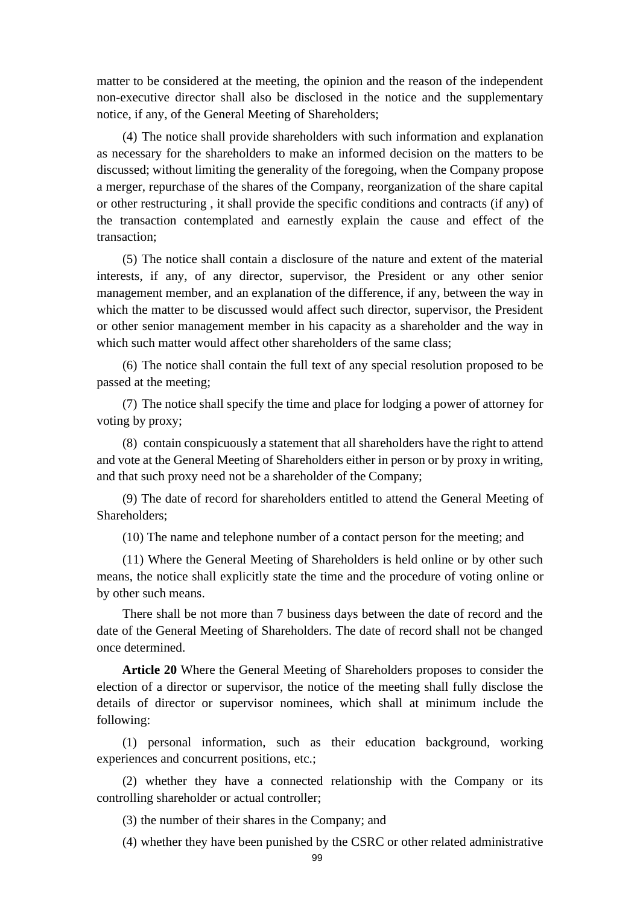matter to be considered at the meeting, the opinion and the reason of the independent non-executive director shall also be disclosed in the notice and the supplementary notice, if any, of the General Meeting of Shareholders;

(4) The notice shall provide shareholders with such information and explanation as necessary for the shareholders to make an informed decision on the matters to be discussed; without limiting the generality of the foregoing, when the Company propose a merger, repurchase of the shares of the Company, reorganization of the share capital or other restructuring , it shall provide the specific conditions and contracts (if any) of the transaction contemplated and earnestly explain the cause and effect of the transaction;

(5) The notice shall contain a disclosure of the nature and extent of the material interests, if any, of any director, supervisor, the President or any other senior management member, and an explanation of the difference, if any, between the way in which the matter to be discussed would affect such director, supervisor, the President or other senior management member in his capacity as a shareholder and the way in which such matter would affect other shareholders of the same class:

(6) The notice shall contain the full text of any special resolution proposed to be passed at the meeting;

(7) The notice shall specify the time and place for lodging a power of attorney for voting by proxy;

(8) contain conspicuously a statement that all shareholders have the right to attend and vote at the General Meeting of Shareholders either in person or by proxy in writing, and that such proxy need not be a shareholder of the Company;

(9) The date of record for shareholders entitled to attend the General Meeting of Shareholders;

(10) The name and telephone number of a contact person for the meeting; and

(11) Where the General Meeting of Shareholders is held online or by other such means, the notice shall explicitly state the time and the procedure of voting online or by other such means.

There shall be not more than 7 business days between the date of record and the date of the General Meeting of Shareholders. The date of record shall not be changed once determined.

**Article 20** Where the General Meeting of Shareholders proposes to consider the election of a director or supervisor, the notice of the meeting shall fully disclose the details of director or supervisor nominees, which shall at minimum include the following:

(1) personal information, such as their education background, working experiences and concurrent positions, etc.;

(2) whether they have a connected relationship with the Company or its controlling shareholder or actual controller;

(3) the number of their shares in the Company; and

(4) whether they have been punished by the CSRC or other related administrative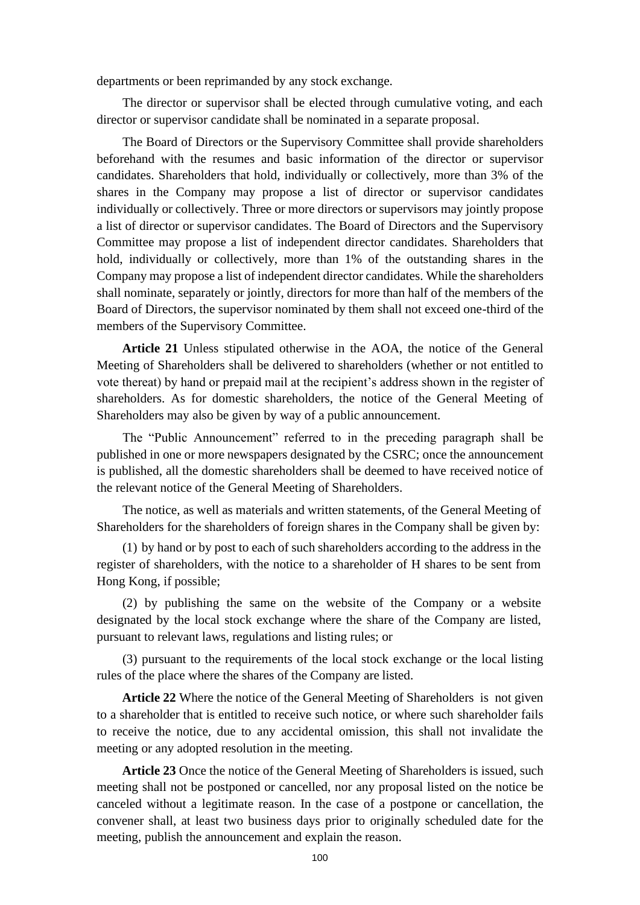departments or been reprimanded by any stock exchange.

The director or supervisor shall be elected through cumulative voting, and each director or supervisor candidate shall be nominated in a separate proposal.

The Board of Directors or the Supervisory Committee shall provide shareholders beforehand with the resumes and basic information of the director or supervisor candidates. Shareholders that hold, individually or collectively, more than 3% of the shares in the Company may propose a list of director or supervisor candidates individually or collectively. Three or more directors or supervisors may jointly propose a list of director or supervisor candidates. The Board of Directors and the Supervisory Committee may propose a list of independent director candidates. Shareholders that hold, individually or collectively, more than 1% of the outstanding shares in the Company may propose a list of independent director candidates. While the shareholders shall nominate, separately or jointly, directors for more than half of the members of the Board of Directors, the supervisor nominated by them shall not exceed one-third of the members of the Supervisory Committee.

**Article 21** Unless stipulated otherwise in the AOA, the notice of the General Meeting of Shareholders shall be delivered to shareholders (whether or not entitled to vote thereat) by hand or prepaid mail at the recipient's address shown in the register of shareholders. As for domestic shareholders, the notice of the General Meeting of Shareholders may also be given by way of a public announcement.

The "Public Announcement" referred to in the preceding paragraph shall be published in one or more newspapers designated by the CSRC; once the announcement is published, all the domestic shareholders shall be deemed to have received notice of the relevant notice of the General Meeting of Shareholders.

The notice, as well as materials and written statements, of the General Meeting of Shareholders for the shareholders of foreign shares in the Company shall be given by:

(1) by hand or by post to each of such shareholders according to the address in the register of shareholders, with the notice to a shareholder of H shares to be sent from Hong Kong, if possible;

(2) by publishing the same on the website of the Company or a website designated by the local stock exchange where the share of the Company are listed, pursuant to relevant laws, regulations and listing rules; or

(3) pursuant to the requirements of the local stock exchange or the local listing rules of the place where the shares of the Company are listed.

**Article 22** Where the notice of the General Meeting of Shareholders is not given to a shareholder that is entitled to receive such notice, or where such shareholder fails to receive the notice, due to any accidental omission, this shall not invalidate the meeting or any adopted resolution in the meeting.

**Article 23** Once the notice of the General Meeting of Shareholders is issued, such meeting shall not be postponed or cancelled, nor any proposal listed on the notice be canceled without a legitimate reason. In the case of a postpone or cancellation, the convener shall, at least two business days prior to originally scheduled date for the meeting, publish the announcement and explain the reason.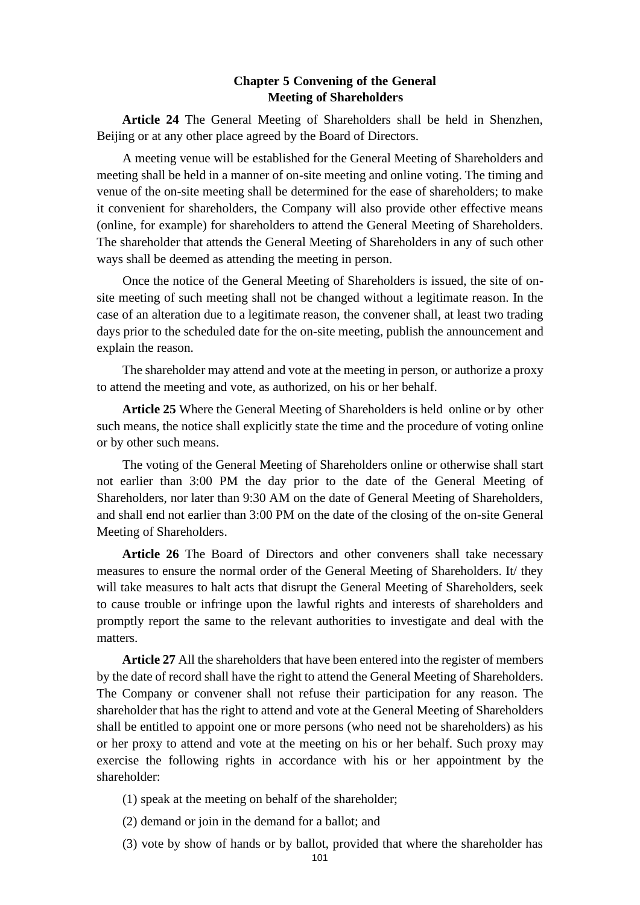# **Chapter 5 Convening of the General Meeting of Shareholders**

**Article 24** The General Meeting of Shareholders shall be held in Shenzhen, Beijing or at any other place agreed by the Board of Directors.

A meeting venue will be established for the General Meeting of Shareholders and meeting shall be held in a manner of on-site meeting and online voting. The timing and venue of the on-site meeting shall be determined for the ease of shareholders; to make it convenient for shareholders, the Company will also provide other effective means (online, for example) for shareholders to attend the General Meeting of Shareholders. The shareholder that attends the General Meeting of Shareholders in any of such other ways shall be deemed as attending the meeting in person.

Once the notice of the General Meeting of Shareholders is issued, the site of onsite meeting of such meeting shall not be changed without a legitimate reason. In the case of an alteration due to a legitimate reason, the convener shall, at least two trading days prior to the scheduled date for the on-site meeting, publish the announcement and explain the reason.

The shareholder may attend and vote at the meeting in person, or authorize a proxy to attend the meeting and vote, as authorized, on his or her behalf.

**Article 25** Where the General Meeting of Shareholders is held online or by other such means, the notice shall explicitly state the time and the procedure of voting online or by other such means.

The voting of the General Meeting of Shareholders online or otherwise shall start not earlier than 3:00 PM the day prior to the date of the General Meeting of Shareholders, nor later than 9:30 AM on the date of General Meeting of Shareholders, and shall end not earlier than 3:00 PM on the date of the closing of the on-site General Meeting of Shareholders.

**Article 26** The Board of Directors and other conveners shall take necessary measures to ensure the normal order of the General Meeting of Shareholders. It/ they will take measures to halt acts that disrupt the General Meeting of Shareholders, seek to cause trouble or infringe upon the lawful rights and interests of shareholders and promptly report the same to the relevant authorities to investigate and deal with the matters.

**Article 27** All the shareholders that have been entered into the register of members by the date of record shall have the right to attend the General Meeting of Shareholders. The Company or convener shall not refuse their participation for any reason. The shareholder that has the right to attend and vote at the General Meeting of Shareholders shall be entitled to appoint one or more persons (who need not be shareholders) as his or her proxy to attend and vote at the meeting on his or her behalf. Such proxy may exercise the following rights in accordance with his or her appointment by the shareholder:

- (1) speak at the meeting on behalf of the shareholder;
- (2) demand or join in the demand for a ballot; and
- (3) vote by show of hands or by ballot, provided that where the shareholder has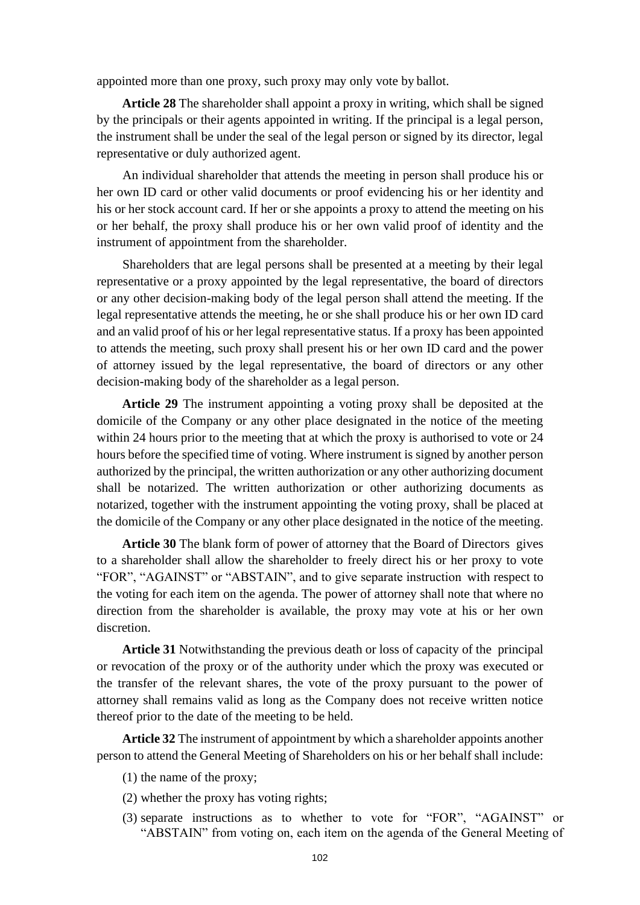appointed more than one proxy, such proxy may only vote by ballot.

**Article 28** The shareholder shall appoint a proxy in writing, which shall be signed by the principals or their agents appointed in writing. If the principal is a legal person, the instrument shall be under the seal of the legal person or signed by its director, legal representative or duly authorized agent.

An individual shareholder that attends the meeting in person shall produce his or her own ID card or other valid documents or proof evidencing his or her identity and his or her stock account card. If her or she appoints a proxy to attend the meeting on his or her behalf, the proxy shall produce his or her own valid proof of identity and the instrument of appointment from the shareholder.

Shareholders that are legal persons shall be presented at a meeting by their legal representative or a proxy appointed by the legal representative, the board of directors or any other decision-making body of the legal person shall attend the meeting. If the legal representative attends the meeting, he or she shall produce his or her own ID card and an valid proof of his or her legal representative status. If a proxy has been appointed to attends the meeting, such proxy shall present his or her own ID card and the power of attorney issued by the legal representative, the board of directors or any other decision-making body of the shareholder as a legal person.

**Article 29** The instrument appointing a voting proxy shall be deposited at the domicile of the Company or any other place designated in the notice of the meeting within 24 hours prior to the meeting that at which the proxy is authorised to vote or 24 hours before the specified time of voting. Where instrument is signed by another person authorized by the principal, the written authorization or any other authorizing document shall be notarized. The written authorization or other authorizing documents as notarized, together with the instrument appointing the voting proxy, shall be placed at the domicile of the Company or any other place designated in the notice of the meeting.

**Article 30** The blank form of power of attorney that the Board of Directors gives to a shareholder shall allow the shareholder to freely direct his or her proxy to vote "FOR", "AGAINST" or "ABSTAIN", and to give separate instruction with respect to the voting for each item on the agenda. The power of attorney shall note that where no direction from the shareholder is available, the proxy may vote at his or her own discretion.

**Article 31** Notwithstanding the previous death or loss of capacity of the principal or revocation of the proxy or of the authority under which the proxy was executed or the transfer of the relevant shares, the vote of the proxy pursuant to the power of attorney shall remains valid as long as the Company does not receive written notice thereof prior to the date of the meeting to be held.

**Article 32** The instrument of appointment by which a shareholder appoints another person to attend the General Meeting of Shareholders on his or her behalf shall include:

- (1) the name of the proxy;
- (2) whether the proxy has voting rights;
- (3) separate instructions as to whether to vote for "FOR", "AGAINST" or "ABSTAIN" from voting on, each item on the agenda of the General Meeting of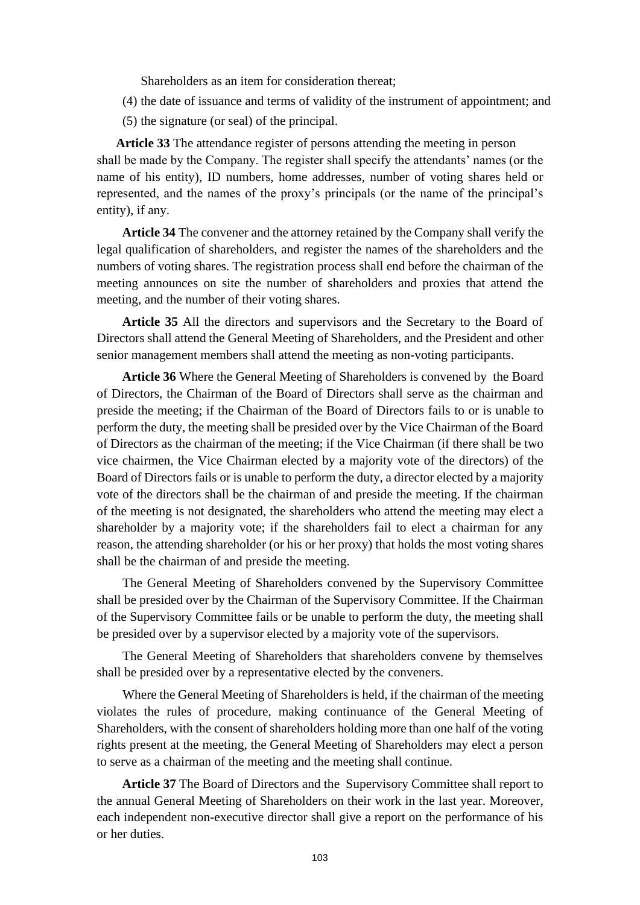Shareholders as an item for consideration thereat;

- (4) the date of issuance and terms of validity of the instrument of appointment; and
- (5) the signature (or seal) of the principal.

**Article 33** The attendance register of persons attending the meeting in person shall be made by the Company. The register shall specify the attendants' names (or the name of his entity), ID numbers, home addresses, number of voting shares held or represented, and the names of the proxy's principals (or the name of the principal's entity), if any.

**Article 34** The convener and the attorney retained by the Company shall verify the legal qualification of shareholders, and register the names of the shareholders and the numbers of voting shares. The registration process shall end before the chairman of the meeting announces on site the number of shareholders and proxies that attend the meeting, and the number of their voting shares.

**Article 35** All the directors and supervisors and the Secretary to the Board of Directors shall attend the General Meeting of Shareholders, and the President and other senior management members shall attend the meeting as non-voting participants.

**Article 36** Where the General Meeting of Shareholders is convened by the Board of Directors, the Chairman of the Board of Directors shall serve as the chairman and preside the meeting; if the Chairman of the Board of Directors fails to or is unable to perform the duty, the meeting shall be presided over by the Vice Chairman of the Board of Directors as the chairman of the meeting; if the Vice Chairman (if there shall be two vice chairmen, the Vice Chairman elected by a majority vote of the directors) of the Board of Directors fails or is unable to perform the duty, a director elected by a majority vote of the directors shall be the chairman of and preside the meeting. If the chairman of the meeting is not designated, the shareholders who attend the meeting may elect a shareholder by a majority vote; if the shareholders fail to elect a chairman for any reason, the attending shareholder (or his or her proxy) that holds the most voting shares shall be the chairman of and preside the meeting.

The General Meeting of Shareholders convened by the Supervisory Committee shall be presided over by the Chairman of the Supervisory Committee. If the Chairman of the Supervisory Committee fails or be unable to perform the duty, the meeting shall be presided over by a supervisor elected by a majority vote of the supervisors.

The General Meeting of Shareholders that shareholders convene by themselves shall be presided over by a representative elected by the conveners.

Where the General Meeting of Shareholders is held, if the chairman of the meeting violates the rules of procedure, making continuance of the General Meeting of Shareholders, with the consent of shareholders holding more than one half of the voting rights present at the meeting, the General Meeting of Shareholders may elect a person to serve as a chairman of the meeting and the meeting shall continue.

**Article 37** The Board of Directors and the Supervisory Committee shall report to the annual General Meeting of Shareholders on their work in the last year. Moreover, each independent non-executive director shall give a report on the performance of his or her duties.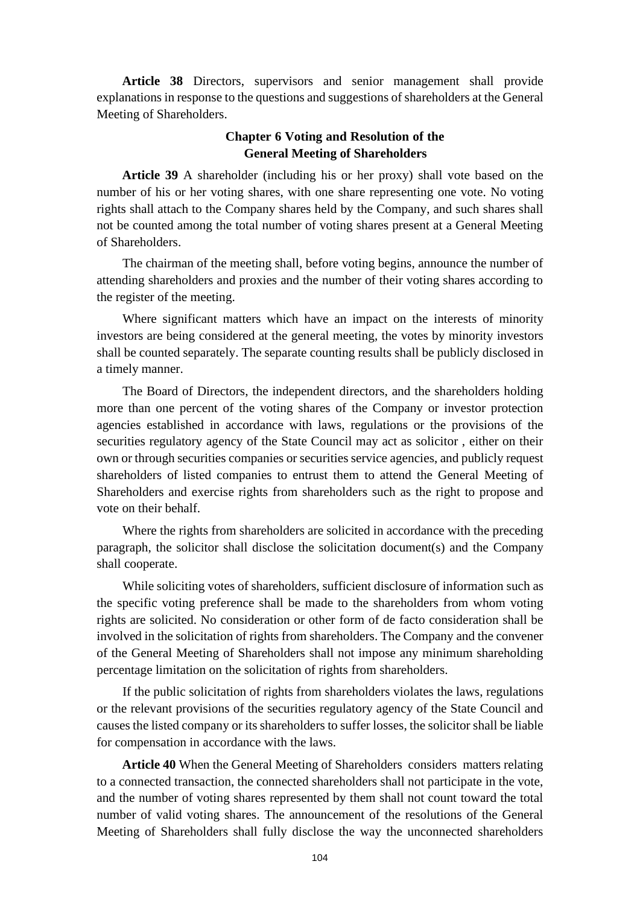**Article 38** Directors, supervisors and senior management shall provide explanations in response to the questions and suggestions of shareholders at the General Meeting of Shareholders.

# **Chapter 6 Voting and Resolution of the General Meeting of Shareholders**

**Article 39** A shareholder (including his or her proxy) shall vote based on the number of his or her voting shares, with one share representing one vote. No voting rights shall attach to the Company shares held by the Company, and such shares shall not be counted among the total number of voting shares present at a General Meeting of Shareholders.

The chairman of the meeting shall, before voting begins, announce the number of attending shareholders and proxies and the number of their voting shares according to the register of the meeting.

Where significant matters which have an impact on the interests of minority investors are being considered at the general meeting, the votes by minority investors shall be counted separately. The separate counting results shall be publicly disclosed in a timely manner.

The Board of Directors, the independent directors, and the shareholders holding more than one percent of the voting shares of the Company or investor protection agencies established in accordance with laws, regulations or the provisions of the securities regulatory agency of the State Council may act as solicitor , either on their own or through securities companies or securities service agencies, and publicly request shareholders of listed companies to entrust them to attend the General Meeting of Shareholders and exercise rights from shareholders such as the right to propose and vote on their behalf.

Where the rights from shareholders are solicited in accordance with the preceding paragraph, the solicitor shall disclose the solicitation document(s) and the Company shall cooperate.

While soliciting votes of shareholders, sufficient disclosure of information such as the specific voting preference shall be made to the shareholders from whom voting rights are solicited. No consideration or other form of de facto consideration shall be involved in the solicitation of rights from shareholders. The Company and the convener of the General Meeting of Shareholders shall not impose any minimum shareholding percentage limitation on the solicitation of rights from shareholders.

If the public solicitation of rights from shareholders violates the laws, regulations or the relevant provisions of the securities regulatory agency of the State Council and causes the listed company or its shareholders to suffer losses, the solicitor shall be liable for compensation in accordance with the laws.

**Article 40** When the General Meeting of Shareholders considers matters relating to a connected transaction, the connected shareholders shall not participate in the vote, and the number of voting shares represented by them shall not count toward the total number of valid voting shares. The announcement of the resolutions of the General Meeting of Shareholders shall fully disclose the way the unconnected shareholders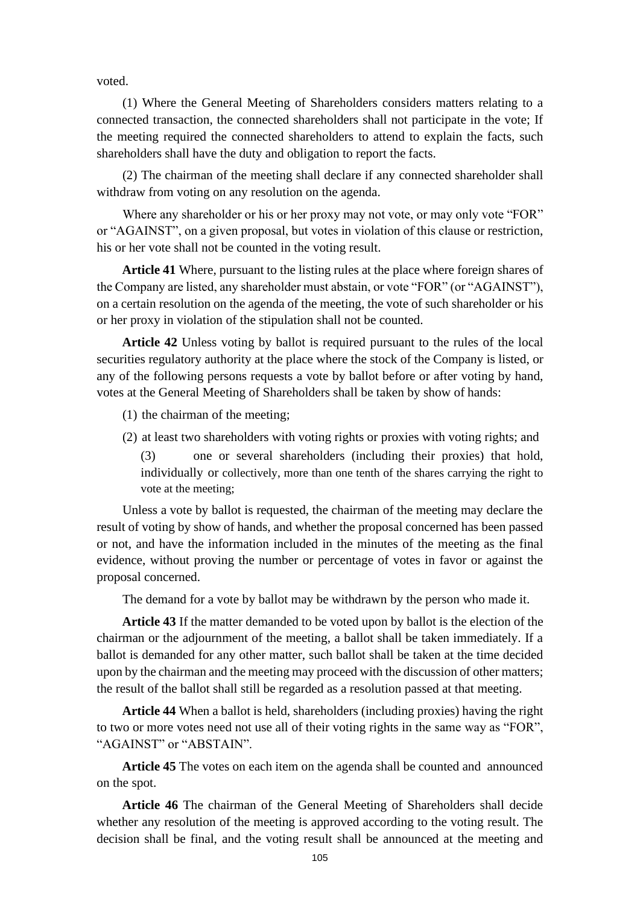voted.

(1) Where the General Meeting of Shareholders considers matters relating to a connected transaction, the connected shareholders shall not participate in the vote; If the meeting required the connected shareholders to attend to explain the facts, such shareholders shall have the duty and obligation to report the facts.

(2) The chairman of the meeting shall declare if any connected shareholder shall withdraw from voting on any resolution on the agenda.

Where any shareholder or his or her proxy may not vote, or may only vote "FOR" or "AGAINST", on a given proposal, but votes in violation of this clause or restriction, his or her vote shall not be counted in the voting result.

**Article 41** Where, pursuant to the listing rules at the place where foreign shares of the Company are listed, any shareholder must abstain, or vote "FOR" (or "AGAINST"), on a certain resolution on the agenda of the meeting, the vote of such shareholder or his or her proxy in violation of the stipulation shall not be counted.

**Article 42** Unless voting by ballot is required pursuant to the rules of the local securities regulatory authority at the place where the stock of the Company is listed, or any of the following persons requests a vote by ballot before or after voting by hand, votes at the General Meeting of Shareholders shall be taken by show of hands:

- (1) the chairman of the meeting;
- (2) at least two shareholders with voting rights or proxies with voting rights; and

(3) one or several shareholders (including their proxies) that hold, individually or collectively, more than one tenth of the shares carrying the right to vote at the meeting;

Unless a vote by ballot is requested, the chairman of the meeting may declare the result of voting by show of hands, and whether the proposal concerned has been passed or not, and have the information included in the minutes of the meeting as the final evidence, without proving the number or percentage of votes in favor or against the proposal concerned.

The demand for a vote by ballot may be withdrawn by the person who made it.

**Article 43** If the matter demanded to be voted upon by ballot is the election of the chairman or the adjournment of the meeting, a ballot shall be taken immediately. If a ballot is demanded for any other matter, such ballot shall be taken at the time decided upon by the chairman and the meeting may proceed with the discussion of other matters; the result of the ballot shall still be regarded as a resolution passed at that meeting.

**Article 44** When a ballot is held, shareholders (including proxies) having the right to two or more votes need not use all of their voting rights in the same way as "FOR", "AGAINST" or "ABSTAIN".

**Article 45** The votes on each item on the agenda shall be counted and announced on the spot.

**Article 46** The chairman of the General Meeting of Shareholders shall decide whether any resolution of the meeting is approved according to the voting result. The decision shall be final, and the voting result shall be announced at the meeting and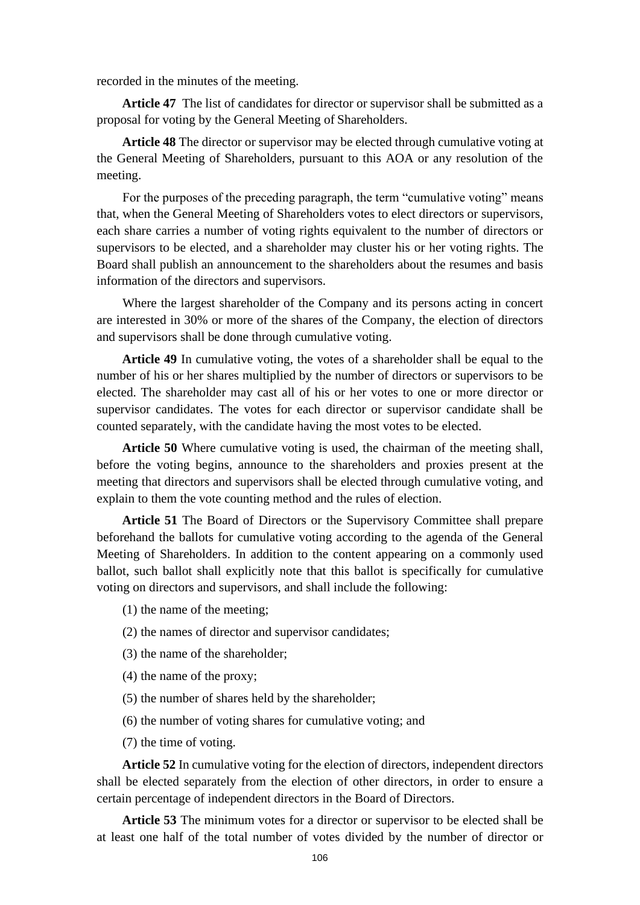recorded in the minutes of the meeting.

**Article 47** The list of candidates for director or supervisor shall be submitted as a proposal for voting by the General Meeting of Shareholders.

**Article 48** The director or supervisor may be elected through cumulative voting at the General Meeting of Shareholders, pursuant to this AOA or any resolution of the meeting.

For the purposes of the preceding paragraph, the term "cumulative voting" means that, when the General Meeting of Shareholders votes to elect directors or supervisors, each share carries a number of voting rights equivalent to the number of directors or supervisors to be elected, and a shareholder may cluster his or her voting rights. The Board shall publish an announcement to the shareholders about the resumes and basis information of the directors and supervisors.

Where the largest shareholder of the Company and its persons acting in concert are interested in 30% or more of the shares of the Company, the election of directors and supervisors shall be done through cumulative voting.

**Article 49** In cumulative voting, the votes of a shareholder shall be equal to the number of his or her shares multiplied by the number of directors or supervisors to be elected. The shareholder may cast all of his or her votes to one or more director or supervisor candidates. The votes for each director or supervisor candidate shall be counted separately, with the candidate having the most votes to be elected.

**Article 50** Where cumulative voting is used, the chairman of the meeting shall, before the voting begins, announce to the shareholders and proxies present at the meeting that directors and supervisors shall be elected through cumulative voting, and explain to them the vote counting method and the rules of election.

**Article 51** The Board of Directors or the Supervisory Committee shall prepare beforehand the ballots for cumulative voting according to the agenda of the General Meeting of Shareholders. In addition to the content appearing on a commonly used ballot, such ballot shall explicitly note that this ballot is specifically for cumulative voting on directors and supervisors, and shall include the following:

- (1) the name of the meeting;
- (2) the names of director and supervisor candidates;
- (3) the name of the shareholder;
- (4) the name of the proxy;
- (5) the number of shares held by the shareholder;
- (6) the number of voting shares for cumulative voting; and
- (7) the time of voting.

**Article 52** In cumulative voting for the election of directors, independent directors shall be elected separately from the election of other directors, in order to ensure a certain percentage of independent directors in the Board of Directors.

**Article 53** The minimum votes for a director or supervisor to be elected shall be at least one half of the total number of votes divided by the number of director or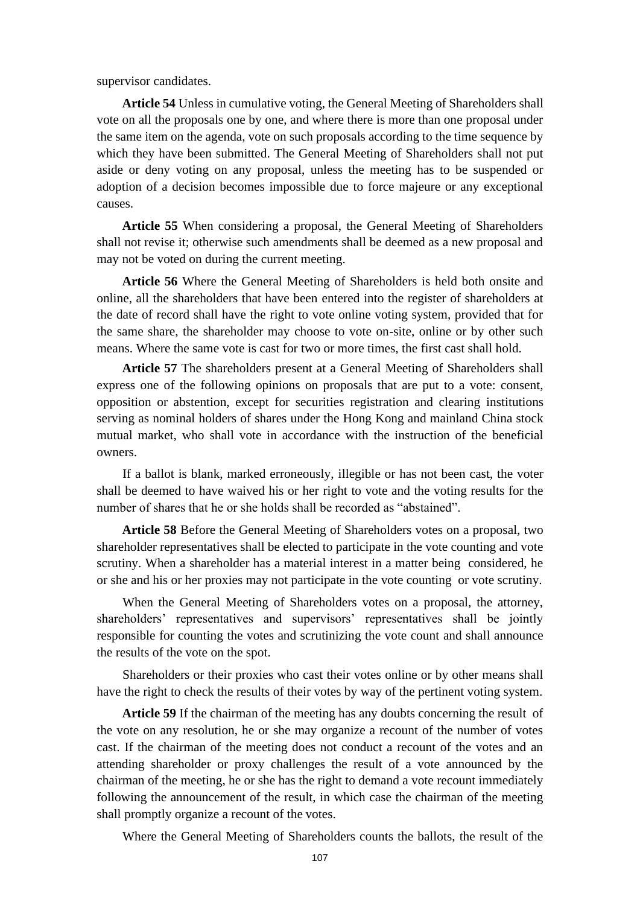supervisor candidates.

**Article 54** Unless in cumulative voting, the General Meeting of Shareholders shall vote on all the proposals one by one, and where there is more than one proposal under the same item on the agenda, vote on such proposals according to the time sequence by which they have been submitted. The General Meeting of Shareholders shall not put aside or deny voting on any proposal, unless the meeting has to be suspended or adoption of a decision becomes impossible due to force majeure or any exceptional causes.

**Article 55** When considering a proposal, the General Meeting of Shareholders shall not revise it; otherwise such amendments shall be deemed as a new proposal and may not be voted on during the current meeting.

**Article 56** Where the General Meeting of Shareholders is held both onsite and online, all the shareholders that have been entered into the register of shareholders at the date of record shall have the right to vote online voting system, provided that for the same share, the shareholder may choose to vote on-site, online or by other such means. Where the same vote is cast for two or more times, the first cast shall hold.

**Article 57** The shareholders present at a General Meeting of Shareholders shall express one of the following opinions on proposals that are put to a vote: consent, opposition or abstention, except for securities registration and clearing institutions serving as nominal holders of shares under the Hong Kong and mainland China stock mutual market, who shall vote in accordance with the instruction of the beneficial owners.

If a ballot is blank, marked erroneously, illegible or has not been cast, the voter shall be deemed to have waived his or her right to vote and the voting results for the number of shares that he or she holds shall be recorded as "abstained".

**Article 58** Before the General Meeting of Shareholders votes on a proposal, two shareholder representatives shall be elected to participate in the vote counting and vote scrutiny. When a shareholder has a material interest in a matter being considered, he or she and his or her proxies may not participate in the vote counting or vote scrutiny.

When the General Meeting of Shareholders votes on a proposal, the attorney, shareholders' representatives and supervisors' representatives shall be jointly responsible for counting the votes and scrutinizing the vote count and shall announce the results of the vote on the spot.

Shareholders or their proxies who cast their votes online or by other means shall have the right to check the results of their votes by way of the pertinent voting system.

**Article 59** If the chairman of the meeting has any doubts concerning the result of the vote on any resolution, he or she may organize a recount of the number of votes cast. If the chairman of the meeting does not conduct a recount of the votes and an attending shareholder or proxy challenges the result of a vote announced by the chairman of the meeting, he or she has the right to demand a vote recount immediately following the announcement of the result, in which case the chairman of the meeting shall promptly organize a recount of the votes.

Where the General Meeting of Shareholders counts the ballots, the result of the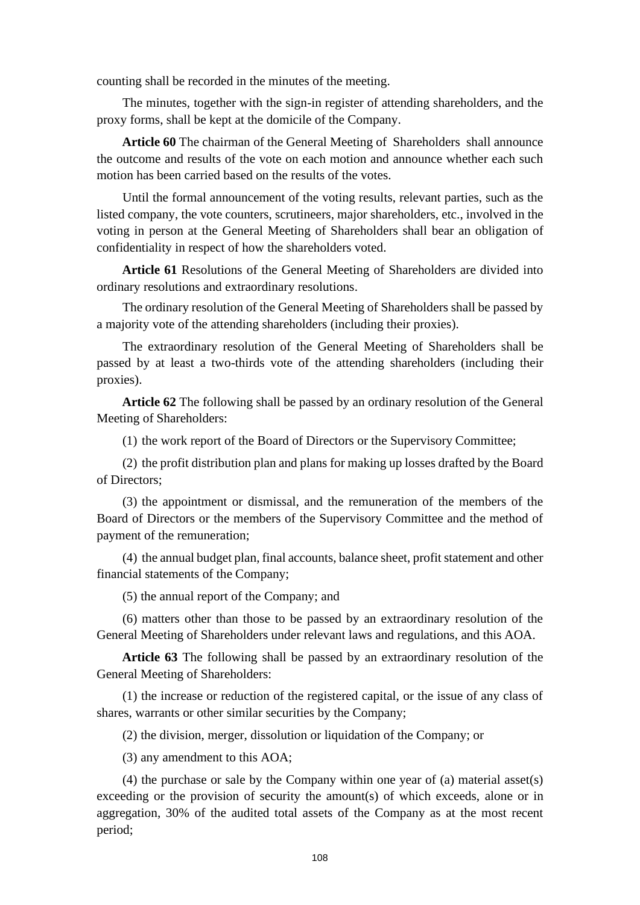counting shall be recorded in the minutes of the meeting.

The minutes, together with the sign-in register of attending shareholders, and the proxy forms, shall be kept at the domicile of the Company.

**Article 60** The chairman of the General Meeting of Shareholders shall announce the outcome and results of the vote on each motion and announce whether each such motion has been carried based on the results of the votes.

Until the formal announcement of the voting results, relevant parties, such as the listed company, the vote counters, scrutineers, major shareholders, etc., involved in the voting in person at the General Meeting of Shareholders shall bear an obligation of confidentiality in respect of how the shareholders voted.

**Article 61** Resolutions of the General Meeting of Shareholders are divided into ordinary resolutions and extraordinary resolutions.

The ordinary resolution of the General Meeting of Shareholders shall be passed by a majority vote of the attending shareholders (including their proxies).

The extraordinary resolution of the General Meeting of Shareholders shall be passed by at least a two-thirds vote of the attending shareholders (including their proxies).

**Article 62** The following shall be passed by an ordinary resolution of the General Meeting of Shareholders:

(1) the work report of the Board of Directors or the Supervisory Committee;

(2) the profit distribution plan and plans for making up losses drafted by the Board of Directors;

(3) the appointment or dismissal, and the remuneration of the members of the Board of Directors or the members of the Supervisory Committee and the method of payment of the remuneration;

(4) the annual budget plan, final accounts, balance sheet, profit statement and other financial statements of the Company;

(5) the annual report of the Company; and

(6) matters other than those to be passed by an extraordinary resolution of the General Meeting of Shareholders under relevant laws and regulations, and this AOA.

**Article 63** The following shall be passed by an extraordinary resolution of the General Meeting of Shareholders:

(1) the increase or reduction of the registered capital, or the issue of any class of shares, warrants or other similar securities by the Company;

(2) the division, merger, dissolution or liquidation of the Company; or

(3) any amendment to this AOA;

(4) the purchase or sale by the Company within one year of (a) material asset(s) exceeding or the provision of security the amount(s) of which exceeds, alone or in aggregation, 30% of the audited total assets of the Company as at the most recent period;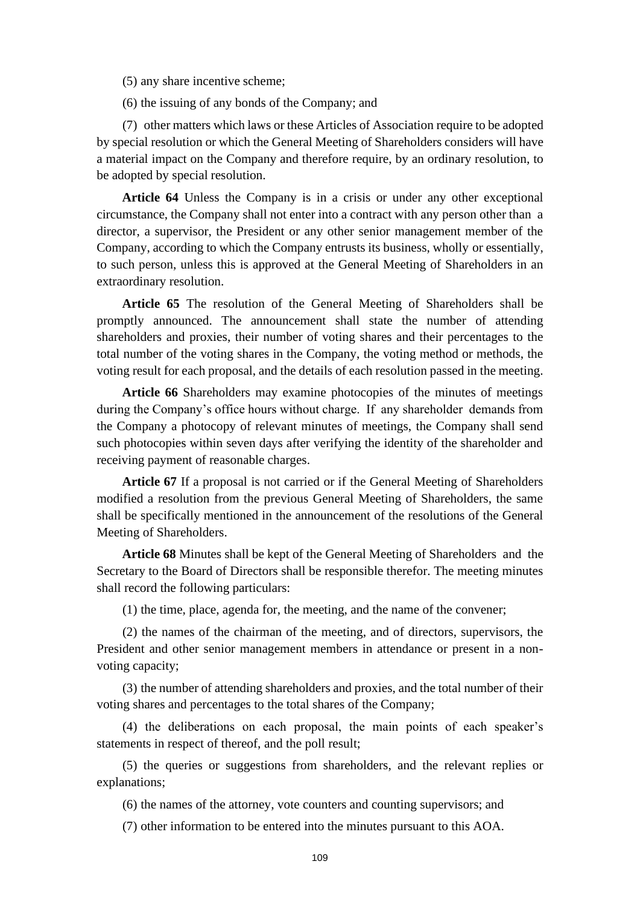- (5) any share incentive scheme;
- (6) the issuing of any bonds of the Company; and

(7) other matters which laws or these Articles of Association require to be adopted by special resolution or which the General Meeting of Shareholders considers will have a material impact on the Company and therefore require, by an ordinary resolution, to be adopted by special resolution.

**Article 64** Unless the Company is in a crisis or under any other exceptional circumstance, the Company shall not enter into a contract with any person other than a director, a supervisor, the President or any other senior management member of the Company, according to which the Company entrusts its business, wholly or essentially, to such person, unless this is approved at the General Meeting of Shareholders in an extraordinary resolution.

**Article 65** The resolution of the General Meeting of Shareholders shall be promptly announced. The announcement shall state the number of attending shareholders and proxies, their number of voting shares and their percentages to the total number of the voting shares in the Company, the voting method or methods, the voting result for each proposal, and the details of each resolution passed in the meeting.

**Article 66** Shareholders may examine photocopies of the minutes of meetings during the Company's office hours without charge. If any shareholder demands from the Company a photocopy of relevant minutes of meetings, the Company shall send such photocopies within seven days after verifying the identity of the shareholder and receiving payment of reasonable charges.

**Article 67** If a proposal is not carried or if the General Meeting of Shareholders modified a resolution from the previous General Meeting of Shareholders, the same shall be specifically mentioned in the announcement of the resolutions of the General Meeting of Shareholders.

**Article 68** Minutes shall be kept of the General Meeting of Shareholders and the Secretary to the Board of Directors shall be responsible therefor. The meeting minutes shall record the following particulars:

(1) the time, place, agenda for, the meeting, and the name of the convener;

(2) the names of the chairman of the meeting, and of directors, supervisors, the President and other senior management members in attendance or present in a nonvoting capacity;

(3) the number of attending shareholders and proxies, and the total number of their voting shares and percentages to the total shares of the Company;

(4) the deliberations on each proposal, the main points of each speaker's statements in respect of thereof, and the poll result;

(5) the queries or suggestions from shareholders, and the relevant replies or explanations;

(6) the names of the attorney, vote counters and counting supervisors; and

(7) other information to be entered into the minutes pursuant to this AOA.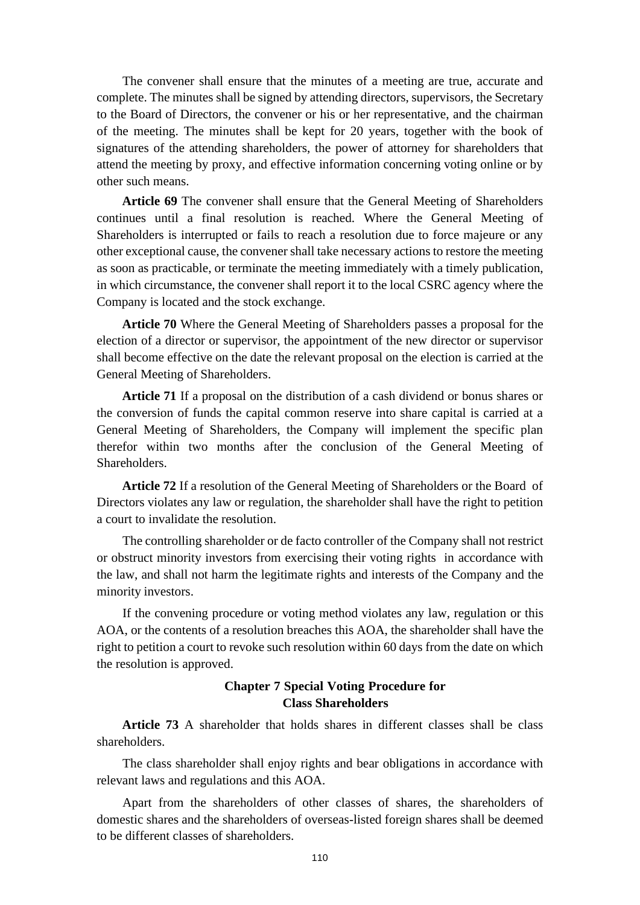The convener shall ensure that the minutes of a meeting are true, accurate and complete. The minutes shall be signed by attending directors, supervisors, the Secretary to the Board of Directors, the convener or his or her representative, and the chairman of the meeting. The minutes shall be kept for 20 years, together with the book of signatures of the attending shareholders, the power of attorney for shareholders that attend the meeting by proxy, and effective information concerning voting online or by other such means.

**Article 69** The convener shall ensure that the General Meeting of Shareholders continues until a final resolution is reached. Where the General Meeting of Shareholders is interrupted or fails to reach a resolution due to force majeure or any other exceptional cause, the convener shall take necessary actions to restore the meeting as soon as practicable, or terminate the meeting immediately with a timely publication, in which circumstance, the convener shall report it to the local CSRC agency where the Company is located and the stock exchange.

**Article 70** Where the General Meeting of Shareholders passes a proposal for the election of a director or supervisor, the appointment of the new director or supervisor shall become effective on the date the relevant proposal on the election is carried at the General Meeting of Shareholders.

**Article 71** If a proposal on the distribution of a cash dividend or bonus shares or the conversion of funds the capital common reserve into share capital is carried at a General Meeting of Shareholders, the Company will implement the specific plan therefor within two months after the conclusion of the General Meeting of Shareholders.

**Article 72** If a resolution of the General Meeting of Shareholders or the Board of Directors violates any law or regulation, the shareholder shall have the right to petition a court to invalidate the resolution.

The controlling shareholder or de facto controller of the Company shall not restrict or obstruct minority investors from exercising their voting rights in accordance with the law, and shall not harm the legitimate rights and interests of the Company and the minority investors.

If the convening procedure or voting method violates any law, regulation or this AOA, or the contents of a resolution breaches this AOA, the shareholder shall have the right to petition a court to revoke such resolution within 60 days from the date on which the resolution is approved.

## **Chapter 7 Special Voting Procedure for Class Shareholders**

**Article 73** A shareholder that holds shares in different classes shall be class shareholders.

The class shareholder shall enjoy rights and bear obligations in accordance with relevant laws and regulations and this AOA.

Apart from the shareholders of other classes of shares, the shareholders of domestic shares and the shareholders of overseas-listed foreign shares shall be deemed to be different classes of shareholders.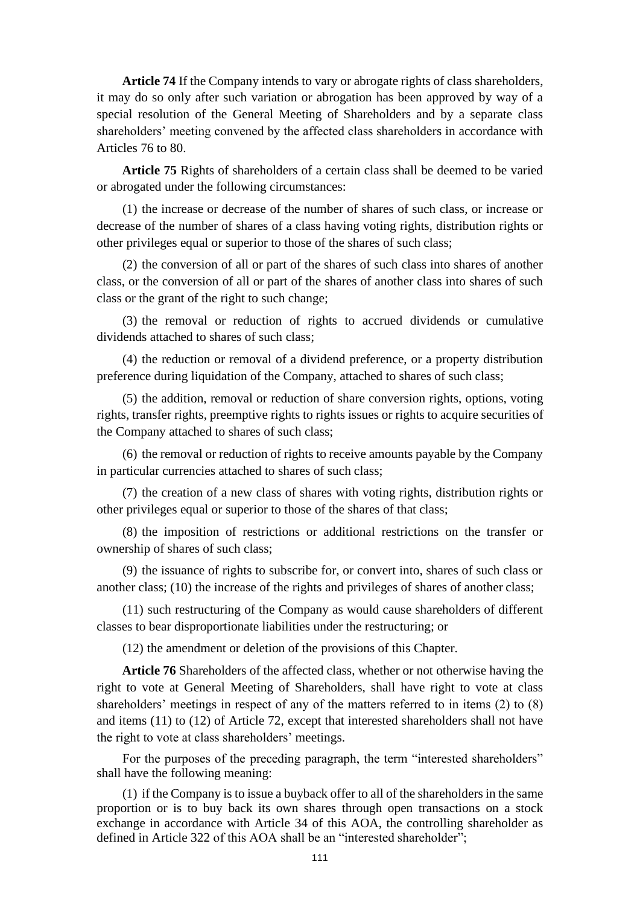**Article 74** If the Company intends to vary or abrogate rights of class shareholders, it may do so only after such variation or abrogation has been approved by way of a special resolution of the General Meeting of Shareholders and by a separate class shareholders' meeting convened by the affected class shareholders in accordance with Articles 76 to 80.

**Article 75** Rights of shareholders of a certain class shall be deemed to be varied or abrogated under the following circumstances:

(1) the increase or decrease of the number of shares of such class, or increase or decrease of the number of shares of a class having voting rights, distribution rights or other privileges equal or superior to those of the shares of such class;

(2) the conversion of all or part of the shares of such class into shares of another class, or the conversion of all or part of the shares of another class into shares of such class or the grant of the right to such change;

(3) the removal or reduction of rights to accrued dividends or cumulative dividends attached to shares of such class;

(4) the reduction or removal of a dividend preference, or a property distribution preference during liquidation of the Company, attached to shares of such class;

(5) the addition, removal or reduction of share conversion rights, options, voting rights, transfer rights, preemptive rights to rights issues or rights to acquire securities of the Company attached to shares of such class;

(6) the removal or reduction of rights to receive amounts payable by the Company in particular currencies attached to shares of such class;

(7) the creation of a new class of shares with voting rights, distribution rights or other privileges equal or superior to those of the shares of that class;

(8) the imposition of restrictions or additional restrictions on the transfer or ownership of shares of such class;

(9) the issuance of rights to subscribe for, or convert into, shares of such class or another class; (10) the increase of the rights and privileges of shares of another class;

(11) such restructuring of the Company as would cause shareholders of different classes to bear disproportionate liabilities under the restructuring; or

(12) the amendment or deletion of the provisions of this Chapter.

**Article 76** Shareholders of the affected class, whether or not otherwise having the right to vote at General Meeting of Shareholders, shall have right to vote at class shareholders' meetings in respect of any of the matters referred to in items (2) to (8) and items (11) to (12) of Article 72, except that interested shareholders shall not have the right to vote at class shareholders' meetings.

For the purposes of the preceding paragraph, the term "interested shareholders" shall have the following meaning:

(1) if the Company is to issue a buyback offer to all of the shareholders in the same proportion or is to buy back its own shares through open transactions on a stock exchange in accordance with Article 34 of this AOA, the controlling shareholder as defined in Article 322 of this AOA shall be an "interested shareholder";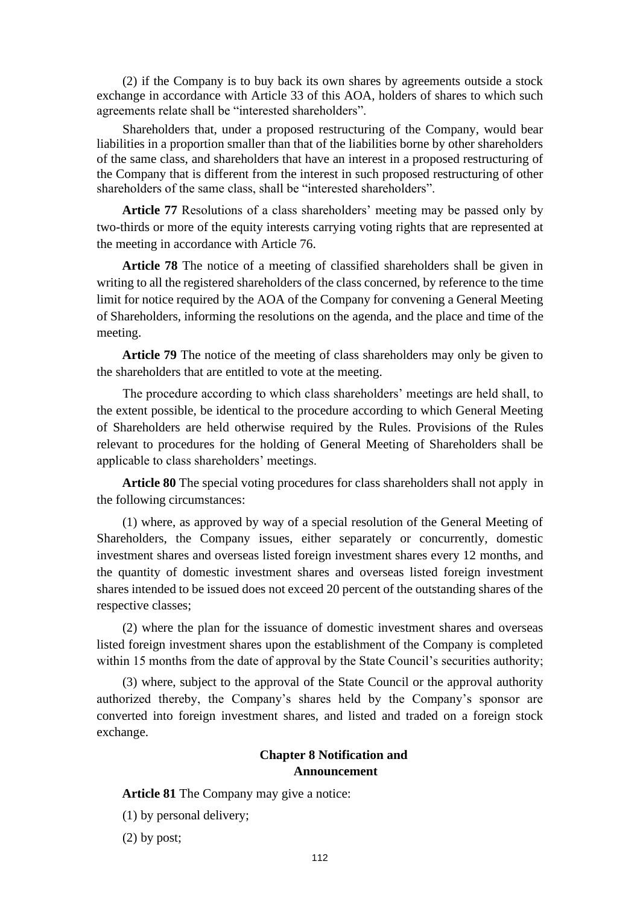(2) if the Company is to buy back its own shares by agreements outside a stock exchange in accordance with Article 33 of this AOA, holders of shares to which such agreements relate shall be "interested shareholders".

Shareholders that, under a proposed restructuring of the Company, would bear liabilities in a proportion smaller than that of the liabilities borne by other shareholders of the same class, and shareholders that have an interest in a proposed restructuring of the Company that is different from the interest in such proposed restructuring of other shareholders of the same class, shall be "interested shareholders".

**Article 77** Resolutions of a class shareholders' meeting may be passed only by two-thirds or more of the equity interests carrying voting rights that are represented at the meeting in accordance with Article 76.

**Article 78** The notice of a meeting of classified shareholders shall be given in writing to all the registered shareholders of the class concerned, by reference to the time limit for notice required by the AOA of the Company for convening a General Meeting of Shareholders, informing the resolutions on the agenda, and the place and time of the meeting.

**Article 79** The notice of the meeting of class shareholders may only be given to the shareholders that are entitled to vote at the meeting.

The procedure according to which class shareholders' meetings are held shall, to the extent possible, be identical to the procedure according to which General Meeting of Shareholders are held otherwise required by the Rules. Provisions of the Rules relevant to procedures for the holding of General Meeting of Shareholders shall be applicable to class shareholders' meetings.

**Article 80** The special voting procedures for class shareholders shall not apply in the following circumstances:

(1) where, as approved by way of a special resolution of the General Meeting of Shareholders, the Company issues, either separately or concurrently, domestic investment shares and overseas listed foreign investment shares every 12 months, and the quantity of domestic investment shares and overseas listed foreign investment shares intended to be issued does not exceed 20 percent of the outstanding shares of the respective classes;

(2) where the plan for the issuance of domestic investment shares and overseas listed foreign investment shares upon the establishment of the Company is completed within 15 months from the date of approval by the State Council's securities authority;

(3) where, subject to the approval of the State Council or the approval authority authorized thereby, the Company's shares held by the Company's sponsor are converted into foreign investment shares, and listed and traded on a foreign stock exchange.

## **Chapter 8 Notification and Announcement**

**Article 81** The Company may give a notice:

(1) by personal delivery;

(2) by post;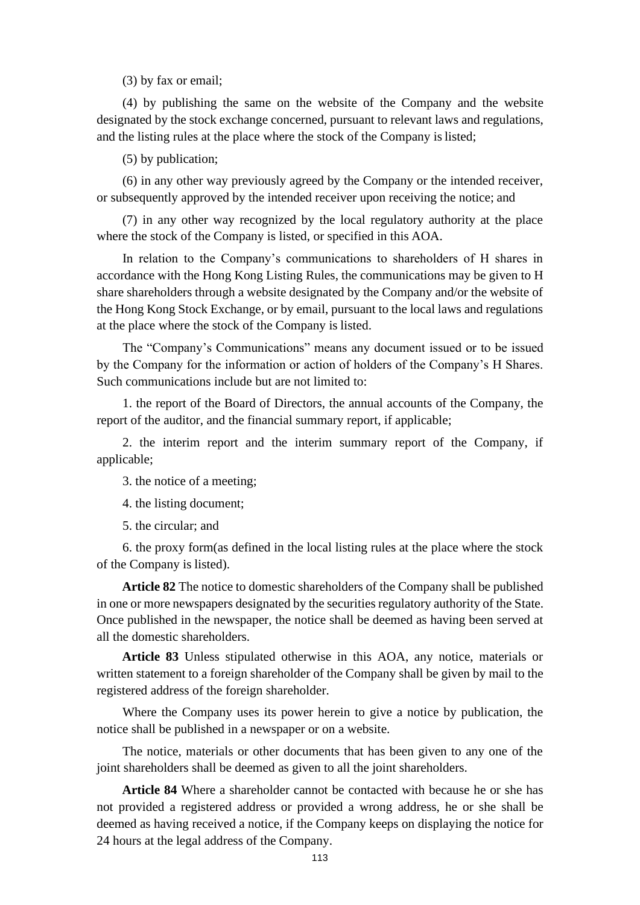(3) by fax or email;

(4) by publishing the same on the website of the Company and the website designated by the stock exchange concerned, pursuant to relevant laws and regulations, and the listing rules at the place where the stock of the Company is listed;

(5) by publication;

(6) in any other way previously agreed by the Company or the intended receiver, or subsequently approved by the intended receiver upon receiving the notice; and

(7) in any other way recognized by the local regulatory authority at the place where the stock of the Company is listed, or specified in this AOA.

In relation to the Company's communications to shareholders of H shares in accordance with the Hong Kong Listing Rules, the communications may be given to H share shareholders through a website designated by the Company and/or the website of the Hong Kong Stock Exchange, or by email, pursuant to the local laws and regulations at the place where the stock of the Company is listed.

The "Company's Communications" means any document issued or to be issued by the Company for the information or action of holders of the Company's H Shares. Such communications include but are not limited to:

1. the report of the Board of Directors, the annual accounts of the Company, the report of the auditor, and the financial summary report, if applicable;

2. the interim report and the interim summary report of the Company, if applicable;

3. the notice of a meeting;

4. the listing document;

5. the circular; and

6. the proxy form(as defined in the local listing rules at the place where the stock of the Company is listed).

**Article 82** The notice to domestic shareholders of the Company shall be published in one or more newspapers designated by the securities regulatory authority of the State. Once published in the newspaper, the notice shall be deemed as having been served at all the domestic shareholders.

**Article 83** Unless stipulated otherwise in this AOA, any notice, materials or written statement to a foreign shareholder of the Company shall be given by mail to the registered address of the foreign shareholder.

Where the Company uses its power herein to give a notice by publication, the notice shall be published in a newspaper or on a website.

The notice, materials or other documents that has been given to any one of the joint shareholders shall be deemed as given to all the joint shareholders.

**Article 84** Where a shareholder cannot be contacted with because he or she has not provided a registered address or provided a wrong address, he or she shall be deemed as having received a notice, if the Company keeps on displaying the notice for 24 hours at the legal address of the Company.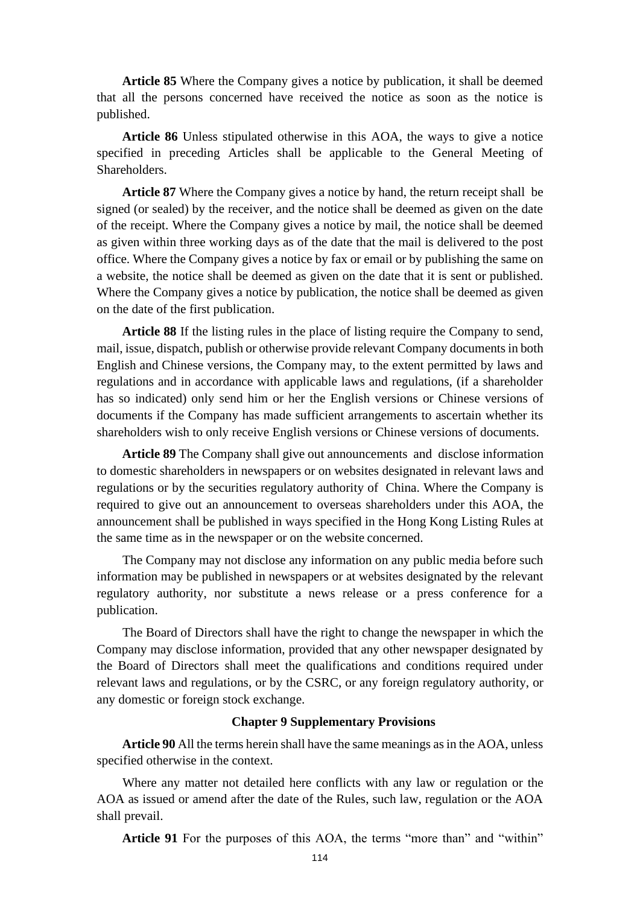**Article 85** Where the Company gives a notice by publication, it shall be deemed that all the persons concerned have received the notice as soon as the notice is published.

**Article 86** Unless stipulated otherwise in this AOA, the ways to give a notice specified in preceding Articles shall be applicable to the General Meeting of Shareholders.

**Article 87** Where the Company gives a notice by hand, the return receipt shall be signed (or sealed) by the receiver, and the notice shall be deemed as given on the date of the receipt. Where the Company gives a notice by mail, the notice shall be deemed as given within three working days as of the date that the mail is delivered to the post office. Where the Company gives a notice by fax or email or by publishing the same on a website, the notice shall be deemed as given on the date that it is sent or published. Where the Company gives a notice by publication, the notice shall be deemed as given on the date of the first publication.

**Article 88** If the listing rules in the place of listing require the Company to send, mail, issue, dispatch, publish or otherwise provide relevant Company documents in both English and Chinese versions, the Company may, to the extent permitted by laws and regulations and in accordance with applicable laws and regulations, (if a shareholder has so indicated) only send him or her the English versions or Chinese versions of documents if the Company has made sufficient arrangements to ascertain whether its shareholders wish to only receive English versions or Chinese versions of documents.

**Article 89** The Company shall give out announcements and disclose information to domestic shareholders in newspapers or on websites designated in relevant laws and regulations or by the securities regulatory authority of China. Where the Company is required to give out an announcement to overseas shareholders under this AOA, the announcement shall be published in ways specified in the Hong Kong Listing Rules at the same time as in the newspaper or on the website concerned.

The Company may not disclose any information on any public media before such information may be published in newspapers or at websites designated by the relevant regulatory authority, nor substitute a news release or a press conference for a publication.

The Board of Directors shall have the right to change the newspaper in which the Company may disclose information, provided that any other newspaper designated by the Board of Directors shall meet the qualifications and conditions required under relevant laws and regulations, or by the CSRC, or any foreign regulatory authority, or any domestic or foreign stock exchange.

#### **Chapter 9 Supplementary Provisions**

**Article 90** All the terms herein shall have the same meanings as in the AOA, unless specified otherwise in the context.

Where any matter not detailed here conflicts with any law or regulation or the AOA as issued or amend after the date of the Rules, such law, regulation or the AOA shall prevail.

**Article 91** For the purposes of this AOA, the terms "more than" and "within"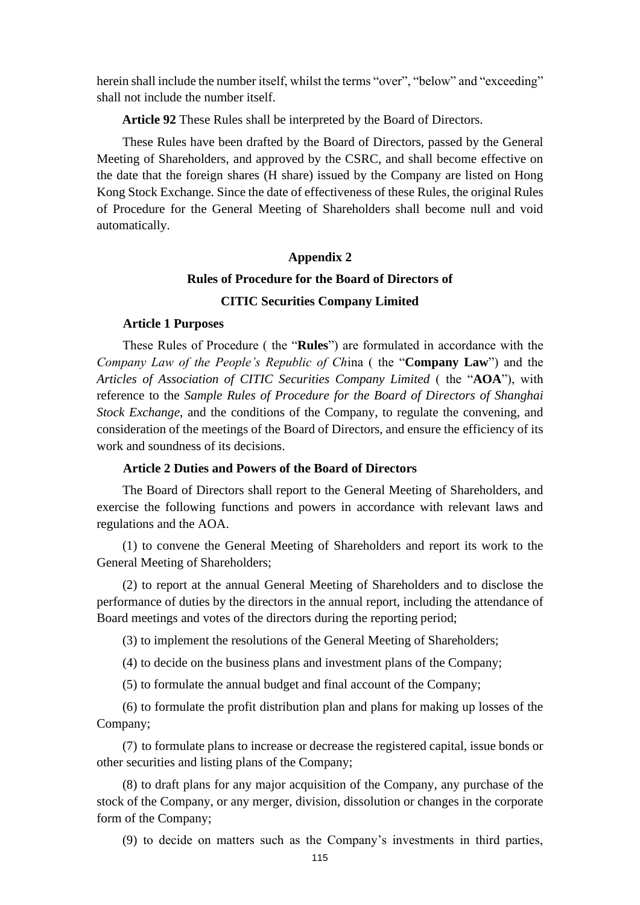herein shall include the number itself, whilst the terms "over", "below" and "exceeding" shall not include the number itself.

**Article 92** These Rules shall be interpreted by the Board of Directors.

These Rules have been drafted by the Board of Directors, passed by the General Meeting of Shareholders, and approved by the CSRC, and shall become effective on the date that the foreign shares (H share) issued by the Company are listed on Hong Kong Stock Exchange. Since the date of effectiveness of these Rules, the original Rules of Procedure for the General Meeting of Shareholders shall become null and void automatically.

### **Appendix 2**

# **Rules of Procedure for the Board of Directors of CITIC Securities Company Limited**

#### **Article 1 Purposes**

These Rules of Procedure ( the "**Rules**") are formulated in accordance with the *Company Law of the People's Republic of Ch*ina ( the "**Company Law**") and the *Articles of Association of CITIC Securities Company Limited* ( the "**AOA**"), with reference to the *Sample Rules of Procedure for the Board of Directors of Shanghai Stock Exchange*, and the conditions of the Company, to regulate the convening, and consideration of the meetings of the Board of Directors, and ensure the efficiency of its work and soundness of its decisions.

## **Article 2 Duties and Powers of the Board of Directors**

The Board of Directors shall report to the General Meeting of Shareholders, and exercise the following functions and powers in accordance with relevant laws and regulations and the AOA.

(1) to convene the General Meeting of Shareholders and report its work to the General Meeting of Shareholders;

(2) to report at the annual General Meeting of Shareholders and to disclose the performance of duties by the directors in the annual report, including the attendance of Board meetings and votes of the directors during the reporting period;

(3) to implement the resolutions of the General Meeting of Shareholders;

(4) to decide on the business plans and investment plans of the Company;

(5) to formulate the annual budget and final account of the Company;

(6) to formulate the profit distribution plan and plans for making up losses of the Company;

(7) to formulate plans to increase or decrease the registered capital, issue bonds or other securities and listing plans of the Company;

(8) to draft plans for any major acquisition of the Company, any purchase of the stock of the Company, or any merger, division, dissolution or changes in the corporate form of the Company;

(9) to decide on matters such as the Company's investments in third parties,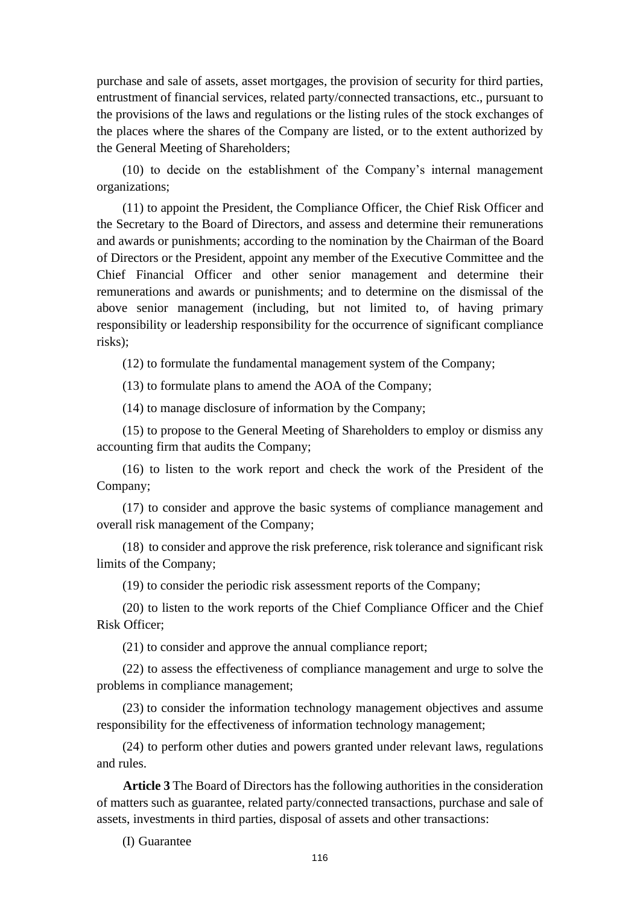purchase and sale of assets, asset mortgages, the provision of security for third parties, entrustment of financial services, related party/connected transactions, etc., pursuant to the provisions of the laws and regulations or the listing rules of the stock exchanges of the places where the shares of the Company are listed, or to the extent authorized by the General Meeting of Shareholders;

(10) to decide on the establishment of the Company's internal management organizations;

(11) to appoint the President, the Compliance Officer, the Chief Risk Officer and the Secretary to the Board of Directors, and assess and determine their remunerations and awards or punishments; according to the nomination by the Chairman of the Board of Directors or the President, appoint any member of the Executive Committee and the Chief Financial Officer and other senior management and determine their remunerations and awards or punishments; and to determine on the dismissal of the above senior management (including, but not limited to, of having primary responsibility or leadership responsibility for the occurrence of significant compliance risks);

(12) to formulate the fundamental management system of the Company;

(13) to formulate plans to amend the AOA of the Company;

(14) to manage disclosure of information by the Company;

(15) to propose to the General Meeting of Shareholders to employ or dismiss any accounting firm that audits the Company;

(16) to listen to the work report and check the work of the President of the Company;

(17) to consider and approve the basic systems of compliance management and overall risk management of the Company;

(18) to consider and approve the risk preference, risk tolerance and significant risk limits of the Company;

(19) to consider the periodic risk assessment reports of the Company;

(20) to listen to the work reports of the Chief Compliance Officer and the Chief Risk Officer;

(21) to consider and approve the annual compliance report;

(22) to assess the effectiveness of compliance management and urge to solve the problems in compliance management;

(23) to consider the information technology management objectives and assume responsibility for the effectiveness of information technology management;

(24) to perform other duties and powers granted under relevant laws, regulations and rules.

**Article 3** The Board of Directors has the following authorities in the consideration of matters such as guarantee, related party/connected transactions, purchase and sale of assets, investments in third parties, disposal of assets and other transactions:

(I) Guarantee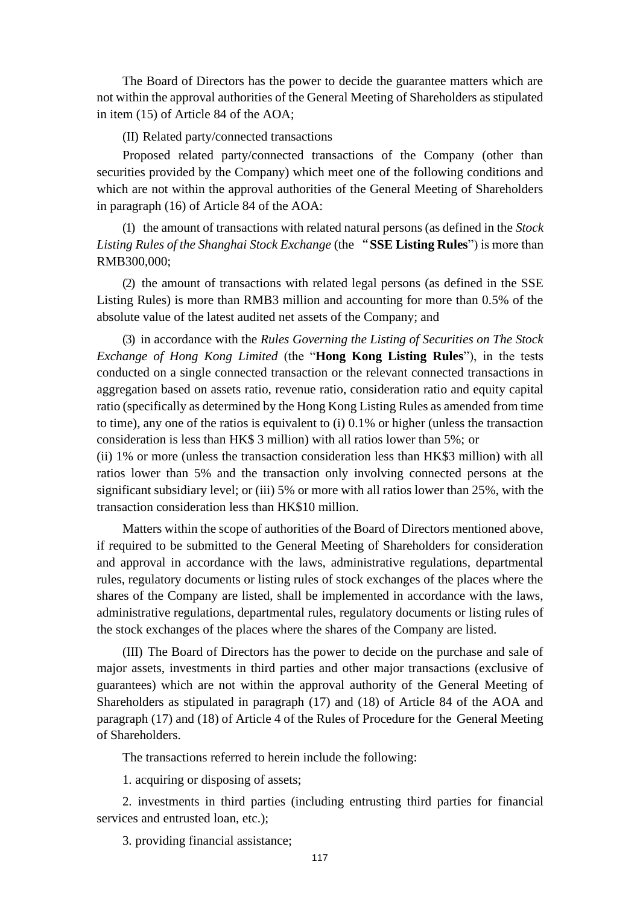The Board of Directors has the power to decide the guarantee matters which are not within the approval authorities of the General Meeting of Shareholders as stipulated in item (15) of Article 84 of the AOA;

(II) Related party/connected transactions

Proposed related party/connected transactions of the Company (other than securities provided by the Company) which meet one of the following conditions and which are not within the approval authorities of the General Meeting of Shareholders in paragraph (16) of Article 84 of the AOA:

(1) the amount of transactions with related natural persons (as defined in the *Stock Listing Rules of the Shanghai Stock Exchange* (the "**SSE Listing Rules**") is more than RMB300,000;

(2) the amount of transactions with related legal persons (as defined in the SSE Listing Rules) is more than RMB3 million and accounting for more than 0.5% of the absolute value of the latest audited net assets of the Company; and

(3) in accordance with the *Rules Governing the Listing of Securities on The Stock Exchange of Hong Kong Limited* (the "**Hong Kong Listing Rules**"), in the tests conducted on a single connected transaction or the relevant connected transactions in aggregation based on assets ratio, revenue ratio, consideration ratio and equity capital ratio (specifically as determined by the Hong Kong Listing Rules as amended from time to time), any one of the ratios is equivalent to (i) 0.1% or higher (unless the transaction consideration is less than HK\$ 3 million) with all ratios lower than 5%; or

(ii) 1% or more (unless the transaction consideration less than HK\$3 million) with all ratios lower than 5% and the transaction only involving connected persons at the significant subsidiary level; or (iii) 5% or more with all ratios lower than 25%, with the transaction consideration less than HK\$10 million.

Matters within the scope of authorities of the Board of Directors mentioned above, if required to be submitted to the General Meeting of Shareholders for consideration and approval in accordance with the laws, administrative regulations, departmental rules, regulatory documents or listing rules of stock exchanges of the places where the shares of the Company are listed, shall be implemented in accordance with the laws, administrative regulations, departmental rules, regulatory documents or listing rules of the stock exchanges of the places where the shares of the Company are listed.

(III) The Board of Directors has the power to decide on the purchase and sale of major assets, investments in third parties and other major transactions (exclusive of guarantees) which are not within the approval authority of the General Meeting of Shareholders as stipulated in paragraph (17) and (18) of Article 84 of the AOA and paragraph (17) and (18) of Article 4 of the Rules of Procedure for the General Meeting of Shareholders.

The transactions referred to herein include the following:

1. acquiring or disposing of assets;

2. investments in third parties (including entrusting third parties for financial services and entrusted loan, etc.);

3. providing financial assistance;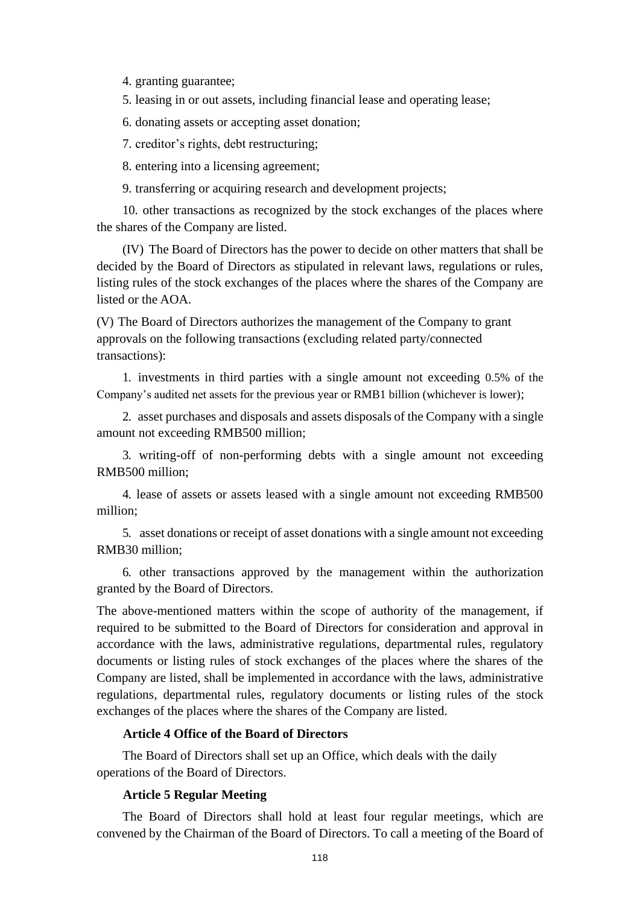4. granting guarantee;

5. leasing in or out assets, including financial lease and operating lease;

6. donating assets or accepting asset donation;

7. creditor's rights, debt restructuring;

8. entering into a licensing agreement;

9. transferring or acquiring research and development projects;

10. other transactions as recognized by the stock exchanges of the places where the shares of the Company are listed.

(IV) The Board of Directors has the power to decide on other matters that shall be decided by the Board of Directors as stipulated in relevant laws, regulations or rules, listing rules of the stock exchanges of the places where the shares of the Company are listed or the AOA.

(V) The Board of Directors authorizes the management of the Company to grant approvals on the following transactions (excluding related party/connected transactions):

1. investments in third parties with a single amount not exceeding 0.5% of the Company's audited net assets for the previous year or RMB1 billion (whichever is lower);

2. asset purchases and disposals and assets disposals of the Company with a single amount not exceeding RMB500 million;

3. writing-off of non-performing debts with a single amount not exceeding RMB500 million;

4. lease of assets or assets leased with a single amount not exceeding RMB500 million;

5. asset donations or receipt of asset donations with a single amount not exceeding RMB30 million;

6. other transactions approved by the management within the authorization granted by the Board of Directors.

The above-mentioned matters within the scope of authority of the management, if required to be submitted to the Board of Directors for consideration and approval in accordance with the laws, administrative regulations, departmental rules, regulatory documents or listing rules of stock exchanges of the places where the shares of the Company are listed, shall be implemented in accordance with the laws, administrative regulations, departmental rules, regulatory documents or listing rules of the stock exchanges of the places where the shares of the Company are listed.

#### **Article 4 Office of the Board of Directors**

The Board of Directors shall set up an Office, which deals with the daily operations of the Board of Directors.

## **Article 5 Regular Meeting**

The Board of Directors shall hold at least four regular meetings, which are convened by the Chairman of the Board of Directors. To call a meeting of the Board of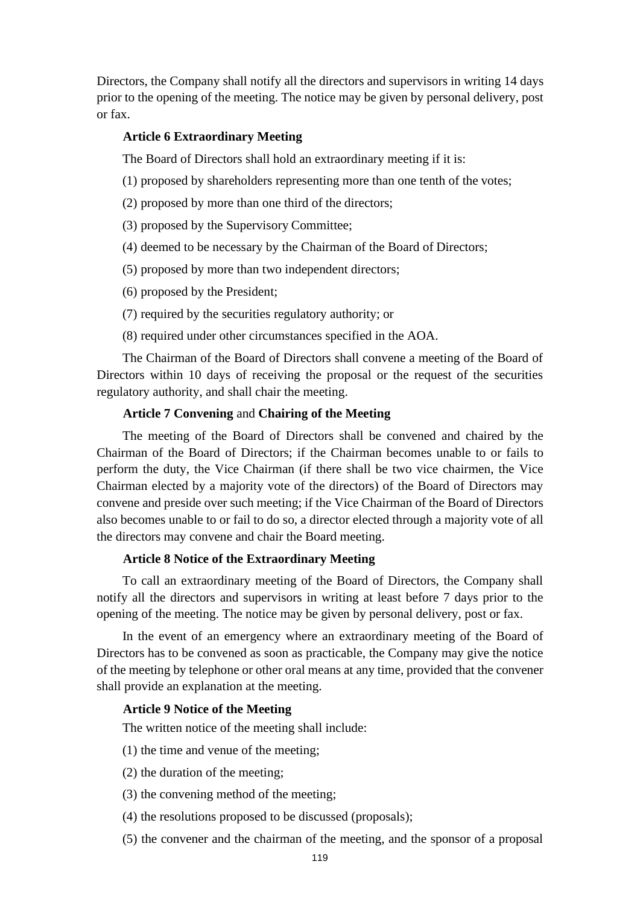Directors, the Company shall notify all the directors and supervisors in writing 14 days prior to the opening of the meeting. The notice may be given by personal delivery, post or fax.

## **Article 6 Extraordinary Meeting**

The Board of Directors shall hold an extraordinary meeting if it is:

- (1) proposed by shareholders representing more than one tenth of the votes;
- (2) proposed by more than one third of the directors;
- (3) proposed by the Supervisory Committee;
- (4) deemed to be necessary by the Chairman of the Board of Directors;
- (5) proposed by more than two independent directors;
- (6) proposed by the President;
- (7) required by the securities regulatory authority; or
- (8) required under other circumstances specified in the AOA.

The Chairman of the Board of Directors shall convene a meeting of the Board of Directors within 10 days of receiving the proposal or the request of the securities regulatory authority, and shall chair the meeting.

#### **Article 7 Convening** and **Chairing of the Meeting**

The meeting of the Board of Directors shall be convened and chaired by the Chairman of the Board of Directors; if the Chairman becomes unable to or fails to perform the duty, the Vice Chairman (if there shall be two vice chairmen, the Vice Chairman elected by a majority vote of the directors) of the Board of Directors may convene and preside over such meeting; if the Vice Chairman of the Board of Directors also becomes unable to or fail to do so, a director elected through a majority vote of all the directors may convene and chair the Board meeting.

#### **Article 8 Notice of the Extraordinary Meeting**

To call an extraordinary meeting of the Board of Directors, the Company shall notify all the directors and supervisors in writing at least before 7 days prior to the opening of the meeting. The notice may be given by personal delivery, post or fax.

In the event of an emergency where an extraordinary meeting of the Board of Directors has to be convened as soon as practicable, the Company may give the notice of the meeting by telephone or other oral means at any time, provided that the convener shall provide an explanation at the meeting.

#### **Article 9 Notice of the Meeting**

The written notice of the meeting shall include:

- (1) the time and venue of the meeting;
- (2) the duration of the meeting;
- (3) the convening method of the meeting;
- (4) the resolutions proposed to be discussed (proposals);
- (5) the convener and the chairman of the meeting, and the sponsor of a proposal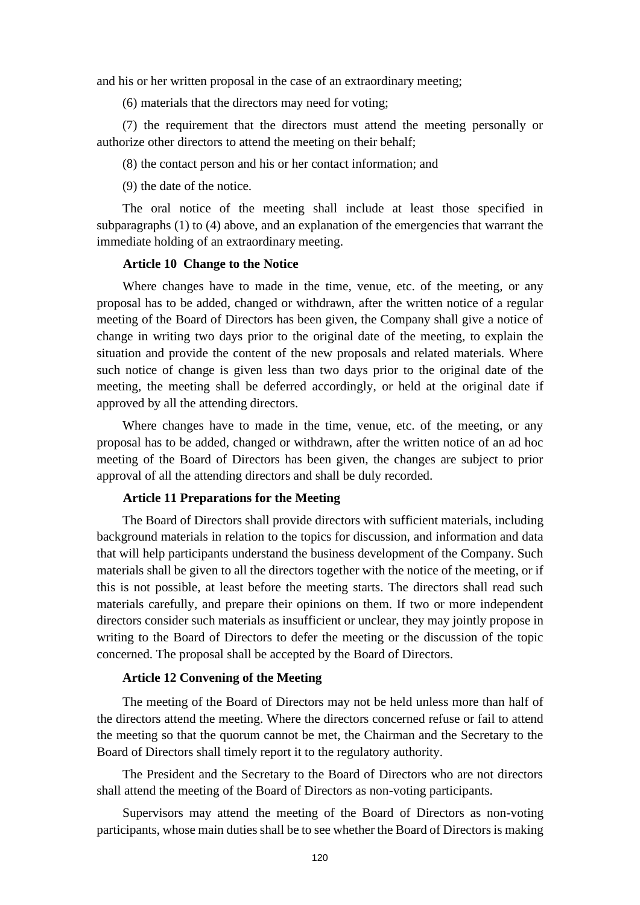and his or her written proposal in the case of an extraordinary meeting;

(6) materials that the directors may need for voting;

(7) the requirement that the directors must attend the meeting personally or authorize other directors to attend the meeting on their behalf;

(8) the contact person and his or her contact information; and

(9) the date of the notice.

The oral notice of the meeting shall include at least those specified in subparagraphs (1) to (4) above, and an explanation of the emergencies that warrant the immediate holding of an extraordinary meeting.

## **Article 10 Change to the Notice**

Where changes have to made in the time, venue, etc. of the meeting, or any proposal has to be added, changed or withdrawn, after the written notice of a regular meeting of the Board of Directors has been given, the Company shall give a notice of change in writing two days prior to the original date of the meeting, to explain the situation and provide the content of the new proposals and related materials. Where such notice of change is given less than two days prior to the original date of the meeting, the meeting shall be deferred accordingly, or held at the original date if approved by all the attending directors.

Where changes have to made in the time, venue, etc. of the meeting, or any proposal has to be added, changed or withdrawn, after the written notice of an ad hoc meeting of the Board of Directors has been given, the changes are subject to prior approval of all the attending directors and shall be duly recorded.

#### **Article 11 Preparations for the Meeting**

The Board of Directors shall provide directors with sufficient materials, including background materials in relation to the topics for discussion, and information and data that will help participants understand the business development of the Company. Such materials shall be given to all the directors together with the notice of the meeting, or if this is not possible, at least before the meeting starts. The directors shall read such materials carefully, and prepare their opinions on them. If two or more independent directors consider such materials as insufficient or unclear, they may jointly propose in writing to the Board of Directors to defer the meeting or the discussion of the topic concerned. The proposal shall be accepted by the Board of Directors.

### **Article 12 Convening of the Meeting**

The meeting of the Board of Directors may not be held unless more than half of the directors attend the meeting. Where the directors concerned refuse or fail to attend the meeting so that the quorum cannot be met, the Chairman and the Secretary to the Board of Directors shall timely report it to the regulatory authority.

The President and the Secretary to the Board of Directors who are not directors shall attend the meeting of the Board of Directors as non-voting participants.

Supervisors may attend the meeting of the Board of Directors as non-voting participants, whose main duties shall be to see whether the Board of Directors is making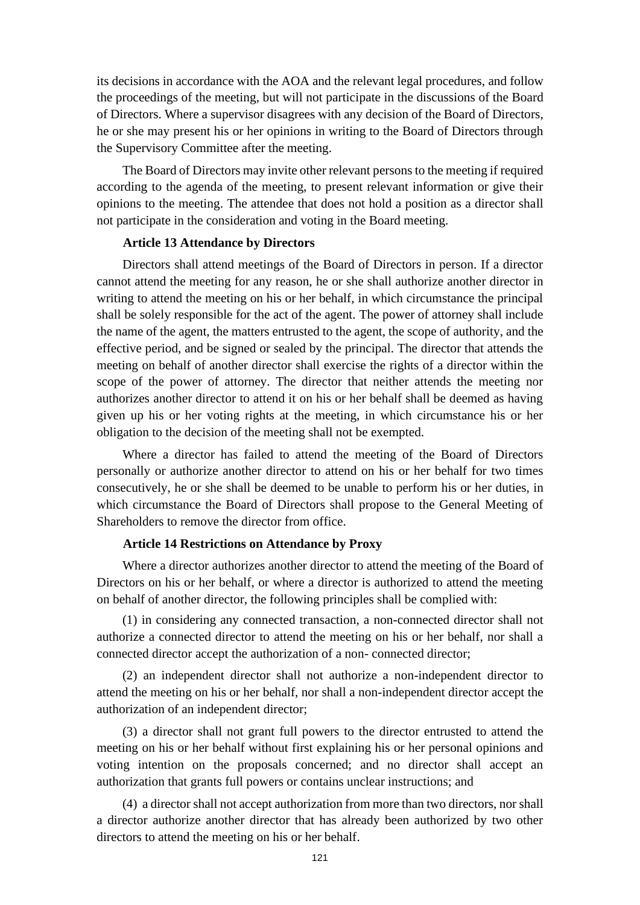its decisions in accordance with the AOA and the relevant legal procedures, and follow the proceedings of the meeting, but will not participate in the discussions of the Board of Directors. Where a supervisor disagrees with any decision of the Board of Directors, he or she may present his or her opinions in writing to the Board of Directors through the Supervisory Committee after the meeting.

The Board of Directors may invite other relevant persons to the meeting if required according to the agenda of the meeting, to present relevant information or give their opinions to the meeting. The attendee that does not hold a position as a director shall not participate in the consideration and voting in the Board meeting.

#### **Article 13 Attendance by Directors**

Directors shall attend meetings of the Board of Directors in person. If a director cannot attend the meeting for any reason, he or she shall authorize another director in writing to attend the meeting on his or her behalf, in which circumstance the principal shall be solely responsible for the act of the agent. The power of attorney shall include the name of the agent, the matters entrusted to the agent, the scope of authority, and the effective period, and be signed or sealed by the principal. The director that attends the meeting on behalf of another director shall exercise the rights of a director within the scope of the power of attorney. The director that neither attends the meeting nor authorizes another director to attend it on his or her behalf shall be deemed as having given up his or her voting rights at the meeting, in which circumstance his or her obligation to the decision of the meeting shall not be exempted.

Where a director has failed to attend the meeting of the Board of Directors personally or authorize another director to attend on his or her behalf for two times consecutively, he or she shall be deemed to be unable to perform his or her duties, in which circumstance the Board of Directors shall propose to the General Meeting of Shareholders to remove the director from office.

### **Article 14 Restrictions on Attendance by Proxy**

Where a director authorizes another director to attend the meeting of the Board of Directors on his or her behalf, or where a director is authorized to attend the meeting on behalf of another director, the following principles shall be complied with:

(1) in considering any connected transaction, a non-connected director shall not authorize a connected director to attend the meeting on his or her behalf, nor shall a connected director accept the authorization of a non- connected director;

(2) an independent director shall not authorize a non-independent director to attend the meeting on his or her behalf, nor shall a non-independent director accept the authorization of an independent director;

(3) a director shall not grant full powers to the director entrusted to attend the meeting on his or her behalf without first explaining his or her personal opinions and voting intention on the proposals concerned; and no director shall accept an authorization that grants full powers or contains unclear instructions; and

(4) a director shall not accept authorization from more than two directors, nor shall a director authorize another director that has already been authorized by two other directors to attend the meeting on his or her behalf.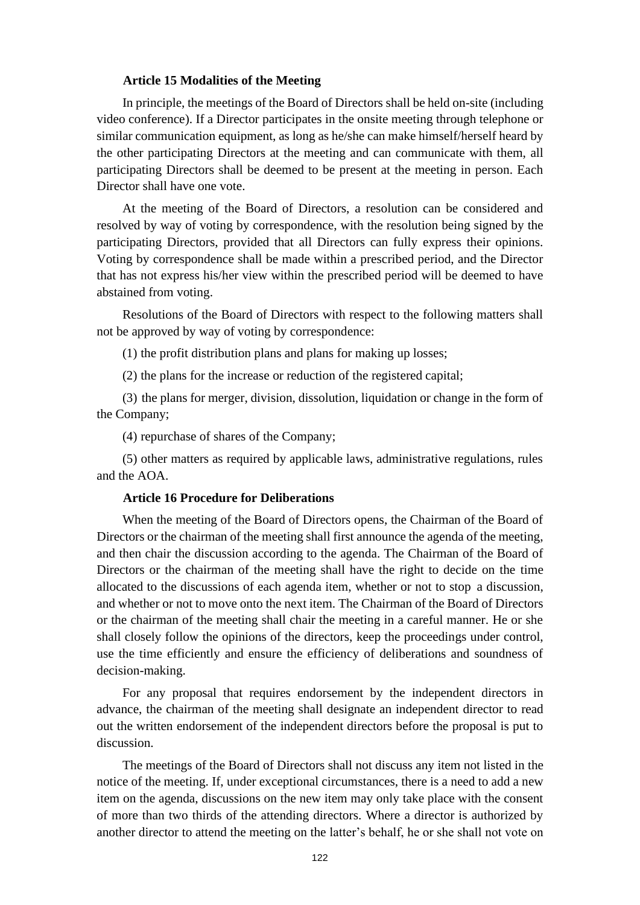#### **Article 15 Modalities of the Meeting**

In principle, the meetings of the Board of Directors shall be held on-site (including video conference). If a Director participates in the onsite meeting through telephone or similar communication equipment, as long as he/she can make himself/herself heard by the other participating Directors at the meeting and can communicate with them, all participating Directors shall be deemed to be present at the meeting in person. Each Director shall have one vote.

At the meeting of the Board of Directors, a resolution can be considered and resolved by way of voting by correspondence, with the resolution being signed by the participating Directors, provided that all Directors can fully express their opinions. Voting by correspondence shall be made within a prescribed period, and the Director that has not express his/her view within the prescribed period will be deemed to have abstained from voting.

Resolutions of the Board of Directors with respect to the following matters shall not be approved by way of voting by correspondence:

(1) the profit distribution plans and plans for making up losses;

(2) the plans for the increase or reduction of the registered capital;

(3) the plans for merger, division, dissolution, liquidation or change in the form of the Company;

(4) repurchase of shares of the Company;

(5) other matters as required by applicable laws, administrative regulations, rules and the AOA.

#### **Article 16 Procedure for Deliberations**

When the meeting of the Board of Directors opens, the Chairman of the Board of Directors or the chairman of the meeting shall first announce the agenda of the meeting, and then chair the discussion according to the agenda. The Chairman of the Board of Directors or the chairman of the meeting shall have the right to decide on the time allocated to the discussions of each agenda item, whether or not to stop a discussion, and whether or not to move onto the next item. The Chairman of the Board of Directors or the chairman of the meeting shall chair the meeting in a careful manner. He or she shall closely follow the opinions of the directors, keep the proceedings under control, use the time efficiently and ensure the efficiency of deliberations and soundness of decision-making.

For any proposal that requires endorsement by the independent directors in advance, the chairman of the meeting shall designate an independent director to read out the written endorsement of the independent directors before the proposal is put to discussion.

The meetings of the Board of Directors shall not discuss any item not listed in the notice of the meeting. If, under exceptional circumstances, there is a need to add a new item on the agenda, discussions on the new item may only take place with the consent of more than two thirds of the attending directors. Where a director is authorized by another director to attend the meeting on the latter's behalf, he or she shall not vote on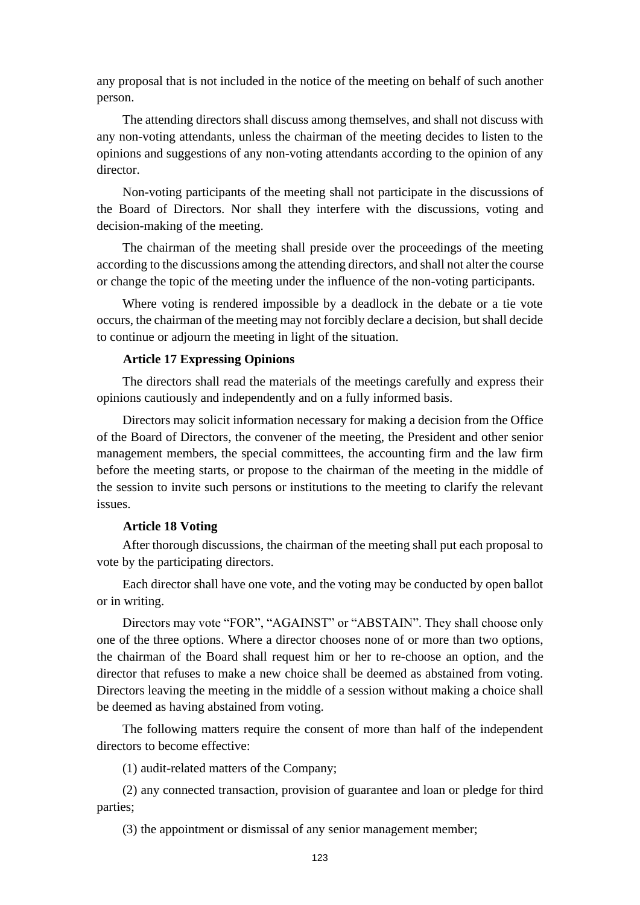any proposal that is not included in the notice of the meeting on behalf of such another person.

The attending directors shall discuss among themselves, and shall not discuss with any non-voting attendants, unless the chairman of the meeting decides to listen to the opinions and suggestions of any non-voting attendants according to the opinion of any director.

Non-voting participants of the meeting shall not participate in the discussions of the Board of Directors. Nor shall they interfere with the discussions, voting and decision-making of the meeting.

The chairman of the meeting shall preside over the proceedings of the meeting according to the discussions among the attending directors, and shall not alter the course or change the topic of the meeting under the influence of the non-voting participants.

Where voting is rendered impossible by a deadlock in the debate or a tie vote occurs, the chairman of the meeting may not forcibly declare a decision, but shall decide to continue or adjourn the meeting in light of the situation.

## **Article 17 Expressing Opinions**

The directors shall read the materials of the meetings carefully and express their opinions cautiously and independently and on a fully informed basis.

Directors may solicit information necessary for making a decision from the Office of the Board of Directors, the convener of the meeting, the President and other senior management members, the special committees, the accounting firm and the law firm before the meeting starts, or propose to the chairman of the meeting in the middle of the session to invite such persons or institutions to the meeting to clarify the relevant issues.

## **Article 18 Voting**

After thorough discussions, the chairman of the meeting shall put each proposal to vote by the participating directors.

Each director shall have one vote, and the voting may be conducted by open ballot or in writing.

Directors may vote "FOR", "AGAINST" or "ABSTAIN". They shall choose only one of the three options. Where a director chooses none of or more than two options, the chairman of the Board shall request him or her to re-choose an option, and the director that refuses to make a new choice shall be deemed as abstained from voting. Directors leaving the meeting in the middle of a session without making a choice shall be deemed as having abstained from voting.

The following matters require the consent of more than half of the independent directors to become effective:

(1) audit-related matters of the Company;

(2) any connected transaction, provision of guarantee and loan or pledge for third parties;

(3) the appointment or dismissal of any senior management member;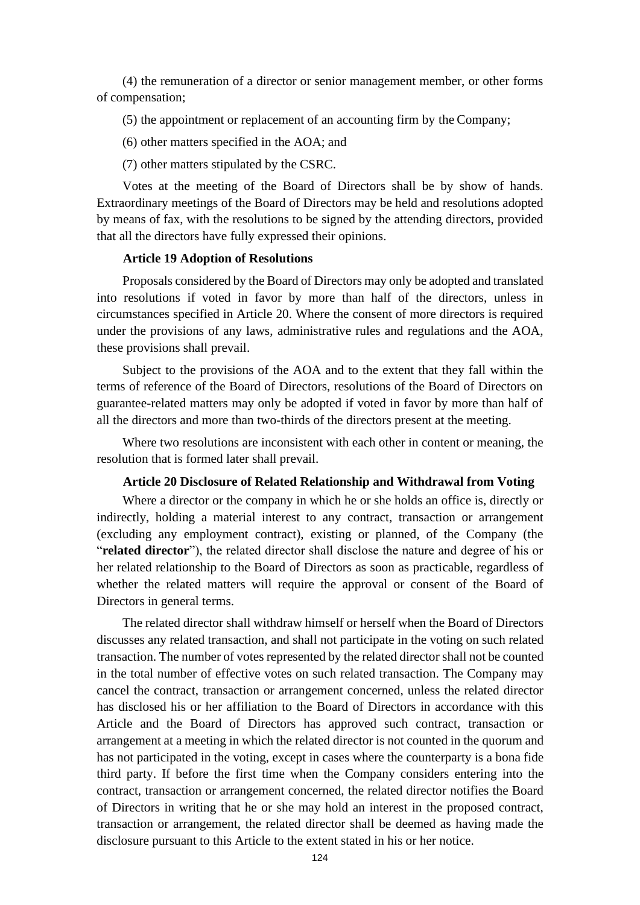(4) the remuneration of a director or senior management member, or other forms of compensation;

(5) the appointment or replacement of an accounting firm by the Company;

- (6) other matters specified in the AOA; and
- (7) other matters stipulated by the CSRC.

Votes at the meeting of the Board of Directors shall be by show of hands. Extraordinary meetings of the Board of Directors may be held and resolutions adopted by means of fax, with the resolutions to be signed by the attending directors, provided that all the directors have fully expressed their opinions.

#### **Article 19 Adoption of Resolutions**

Proposals considered by the Board of Directors may only be adopted and translated into resolutions if voted in favor by more than half of the directors, unless in circumstances specified in Article 20. Where the consent of more directors is required under the provisions of any laws, administrative rules and regulations and the AOA, these provisions shall prevail.

Subject to the provisions of the AOA and to the extent that they fall within the terms of reference of the Board of Directors, resolutions of the Board of Directors on guarantee-related matters may only be adopted if voted in favor by more than half of all the directors and more than two-thirds of the directors present at the meeting.

Where two resolutions are inconsistent with each other in content or meaning, the resolution that is formed later shall prevail.

#### **Article 20 Disclosure of Related Relationship and Withdrawal from Voting**

Where a director or the company in which he or she holds an office is, directly or indirectly, holding a material interest to any contract, transaction or arrangement (excluding any employment contract), existing or planned, of the Company (the "**related director**"), the related director shall disclose the nature and degree of his or her related relationship to the Board of Directors as soon as practicable, regardless of whether the related matters will require the approval or consent of the Board of Directors in general terms.

The related director shall withdraw himself or herself when the Board of Directors discusses any related transaction, and shall not participate in the voting on such related transaction. The number of votes represented by the related director shall not be counted in the total number of effective votes on such related transaction. The Company may cancel the contract, transaction or arrangement concerned, unless the related director has disclosed his or her affiliation to the Board of Directors in accordance with this Article and the Board of Directors has approved such contract, transaction or arrangement at a meeting in which the related director is not counted in the quorum and has not participated in the voting, except in cases where the counterparty is a bona fide third party. If before the first time when the Company considers entering into the contract, transaction or arrangement concerned, the related director notifies the Board of Directors in writing that he or she may hold an interest in the proposed contract, transaction or arrangement, the related director shall be deemed as having made the disclosure pursuant to this Article to the extent stated in his or her notice.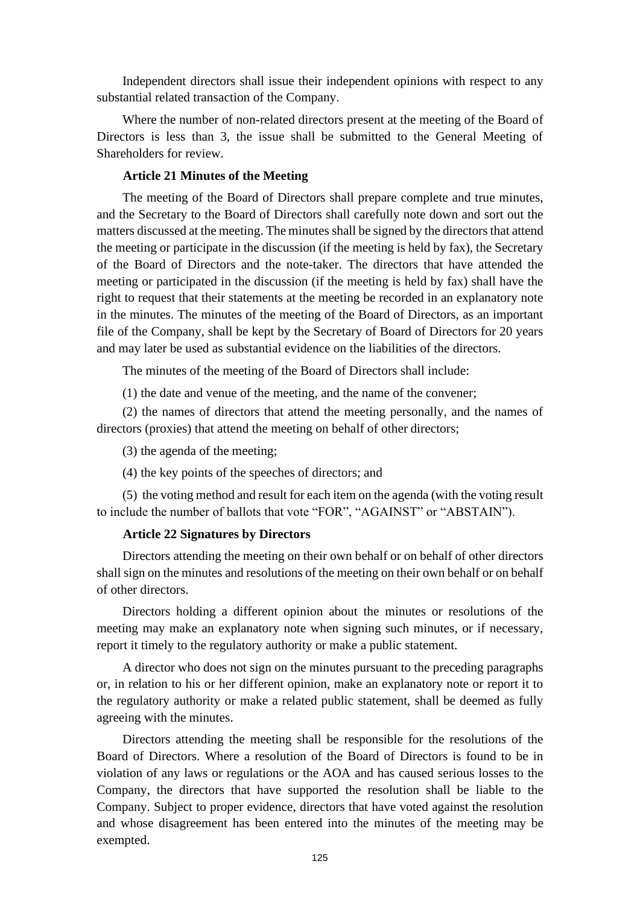Independent directors shall issue their independent opinions with respect to any substantial related transaction of the Company.

Where the number of non-related directors present at the meeting of the Board of Directors is less than 3, the issue shall be submitted to the General Meeting of Shareholders for review.

## **Article 21 Minutes of the Meeting**

The meeting of the Board of Directors shall prepare complete and true minutes, and the Secretary to the Board of Directors shall carefully note down and sort out the matters discussed at the meeting. The minutes shall be signed by the directors that attend the meeting or participate in the discussion (if the meeting is held by fax), the Secretary of the Board of Directors and the note-taker. The directors that have attended the meeting or participated in the discussion (if the meeting is held by fax) shall have the right to request that their statements at the meeting be recorded in an explanatory note in the minutes. The minutes of the meeting of the Board of Directors, as an important file of the Company, shall be kept by the Secretary of Board of Directors for 20 years and may later be used as substantial evidence on the liabilities of the directors.

The minutes of the meeting of the Board of Directors shall include:

(1) the date and venue of the meeting, and the name of the convener;

(2) the names of directors that attend the meeting personally, and the names of directors (proxies) that attend the meeting on behalf of other directors;

(3) the agenda of the meeting;

(4) the key points of the speeches of directors; and

(5) the voting method and result for each item on the agenda (with the voting result to include the number of ballots that vote "FOR", "AGAINST" or "ABSTAIN").

## **Article 22 Signatures by Directors**

Directors attending the meeting on their own behalf or on behalf of other directors shall sign on the minutes and resolutions of the meeting on their own behalf or on behalf of other directors.

Directors holding a different opinion about the minutes or resolutions of the meeting may make an explanatory note when signing such minutes, or if necessary, report it timely to the regulatory authority or make a public statement.

A director who does not sign on the minutes pursuant to the preceding paragraphs or, in relation to his or her different opinion, make an explanatory note or report it to the regulatory authority or make a related public statement, shall be deemed as fully agreeing with the minutes.

Directors attending the meeting shall be responsible for the resolutions of the Board of Directors. Where a resolution of the Board of Directors is found to be in violation of any laws or regulations or the AOA and has caused serious losses to the Company, the directors that have supported the resolution shall be liable to the Company. Subject to proper evidence, directors that have voted against the resolution and whose disagreement has been entered into the minutes of the meeting may be exempted.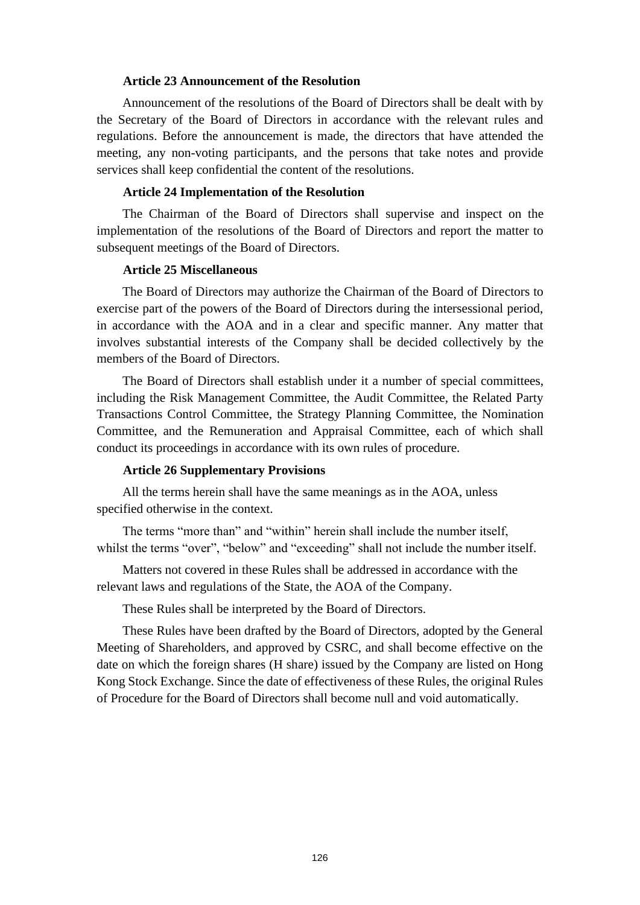#### **Article 23 Announcement of the Resolution**

Announcement of the resolutions of the Board of Directors shall be dealt with by the Secretary of the Board of Directors in accordance with the relevant rules and regulations. Before the announcement is made, the directors that have attended the meeting, any non-voting participants, and the persons that take notes and provide services shall keep confidential the content of the resolutions.

#### **Article 24 Implementation of the Resolution**

The Chairman of the Board of Directors shall supervise and inspect on the implementation of the resolutions of the Board of Directors and report the matter to subsequent meetings of the Board of Directors.

## **Article 25 Miscellaneous**

The Board of Directors may authorize the Chairman of the Board of Directors to exercise part of the powers of the Board of Directors during the intersessional period, in accordance with the AOA and in a clear and specific manner. Any matter that involves substantial interests of the Company shall be decided collectively by the members of the Board of Directors.

The Board of Directors shall establish under it a number of special committees, including the Risk Management Committee, the Audit Committee, the Related Party Transactions Control Committee, the Strategy Planning Committee, the Nomination Committee, and the Remuneration and Appraisal Committee, each of which shall conduct its proceedings in accordance with its own rules of procedure.

#### **Article 26 Supplementary Provisions**

All the terms herein shall have the same meanings as in the AOA, unless specified otherwise in the context.

The terms "more than" and "within" herein shall include the number itself, whilst the terms "over", "below" and "exceeding" shall not include the number itself.

Matters not covered in these Rules shall be addressed in accordance with the relevant laws and regulations of the State, the AOA of the Company.

These Rules shall be interpreted by the Board of Directors.

These Rules have been drafted by the Board of Directors, adopted by the General Meeting of Shareholders, and approved by CSRC, and shall become effective on the date on which the foreign shares (H share) issued by the Company are listed on Hong Kong Stock Exchange. Since the date of effectiveness of these Rules, the original Rules of Procedure for the Board of Directors shall become null and void automatically.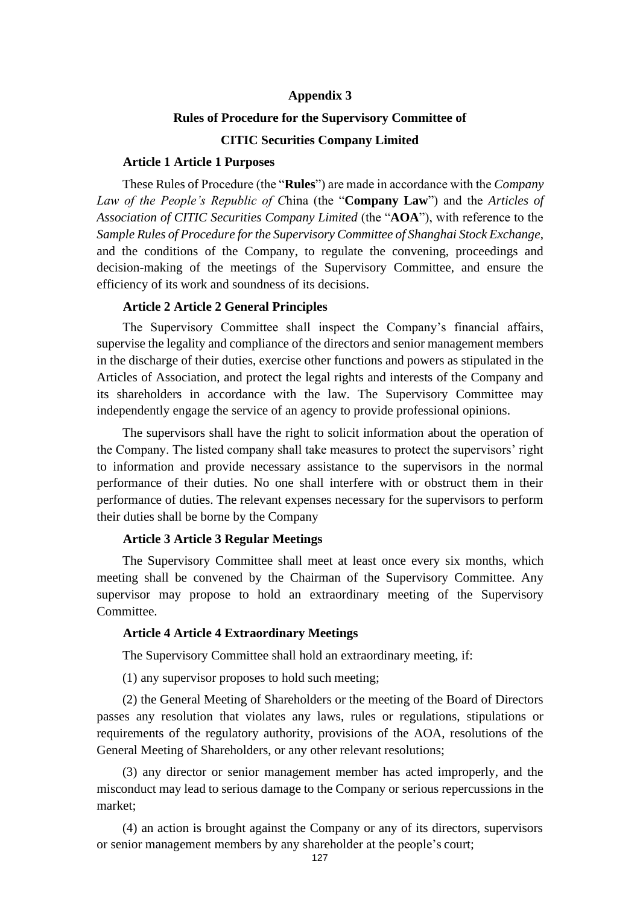## **Appendix 3**

#### **Rules of Procedure for the Supervisory Committee of**

## **CITIC Securities Company Limited**

#### **Article 1 Article 1 Purposes**

These Rules of Procedure (the "**Rules**") are made in accordance with the *Company Law of the People's Republic of C*hina (the "**Company Law**") and the *Articles of*  Association of CITIC Securities Company Limited (the "AOA"), with reference to the *Sample Rules of Procedure for the Supervisory Committee of Shanghai Stock Exchange*, and the conditions of the Company, to regulate the convening, proceedings and decision-making of the meetings of the Supervisory Committee, and ensure the efficiency of its work and soundness of its decisions.

#### **Article 2 Article 2 General Principles**

The Supervisory Committee shall inspect the Company's financial affairs, supervise the legality and compliance of the directors and senior management members in the discharge of their duties, exercise other functions and powers as stipulated in the Articles of Association, and protect the legal rights and interests of the Company and its shareholders in accordance with the law. The Supervisory Committee may independently engage the service of an agency to provide professional opinions.

The supervisors shall have the right to solicit information about the operation of the Company. The listed company shall take measures to protect the supervisors' right to information and provide necessary assistance to the supervisors in the normal performance of their duties. No one shall interfere with or obstruct them in their performance of duties. The relevant expenses necessary for the supervisors to perform their duties shall be borne by the Company

#### **Article 3 Article 3 Regular Meetings**

The Supervisory Committee shall meet at least once every six months, which meeting shall be convened by the Chairman of the Supervisory Committee. Any supervisor may propose to hold an extraordinary meeting of the Supervisory Committee.

### **Article 4 Article 4 Extraordinary Meetings**

The Supervisory Committee shall hold an extraordinary meeting, if:

(1) any supervisor proposes to hold such meeting;

(2) the General Meeting of Shareholders or the meeting of the Board of Directors passes any resolution that violates any laws, rules or regulations, stipulations or requirements of the regulatory authority, provisions of the AOA, resolutions of the General Meeting of Shareholders, or any other relevant resolutions;

(3) any director or senior management member has acted improperly, and the misconduct may lead to serious damage to the Company or serious repercussions in the market;

(4) an action is brought against the Company or any of its directors, supervisors or senior management members by any shareholder at the people's court;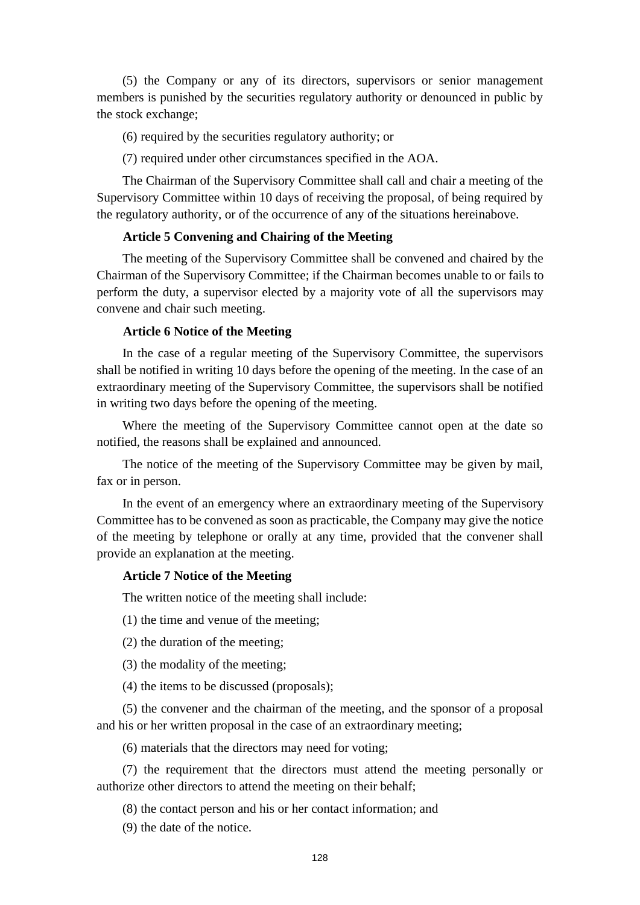(5) the Company or any of its directors, supervisors or senior management members is punished by the securities regulatory authority or denounced in public by the stock exchange;

- (6) required by the securities regulatory authority; or
- (7) required under other circumstances specified in the AOA.

The Chairman of the Supervisory Committee shall call and chair a meeting of the Supervisory Committee within 10 days of receiving the proposal, of being required by the regulatory authority, or of the occurrence of any of the situations hereinabove.

## **Article 5 Convening and Chairing of the Meeting**

The meeting of the Supervisory Committee shall be convened and chaired by the Chairman of the Supervisory Committee; if the Chairman becomes unable to or fails to perform the duty, a supervisor elected by a majority vote of all the supervisors may convene and chair such meeting.

## **Article 6 Notice of the Meeting**

In the case of a regular meeting of the Supervisory Committee, the supervisors shall be notified in writing 10 days before the opening of the meeting. In the case of an extraordinary meeting of the Supervisory Committee, the supervisors shall be notified in writing two days before the opening of the meeting.

Where the meeting of the Supervisory Committee cannot open at the date so notified, the reasons shall be explained and announced.

The notice of the meeting of the Supervisory Committee may be given by mail, fax or in person.

In the event of an emergency where an extraordinary meeting of the Supervisory Committee has to be convened as soon as practicable, the Company may give the notice of the meeting by telephone or orally at any time, provided that the convener shall provide an explanation at the meeting.

### **Article 7 Notice of the Meeting**

The written notice of the meeting shall include:

- (1) the time and venue of the meeting;
- (2) the duration of the meeting;
- (3) the modality of the meeting;
- (4) the items to be discussed (proposals);

(5) the convener and the chairman of the meeting, and the sponsor of a proposal and his or her written proposal in the case of an extraordinary meeting;

(6) materials that the directors may need for voting;

(7) the requirement that the directors must attend the meeting personally or authorize other directors to attend the meeting on their behalf;

(8) the contact person and his or her contact information; and

(9) the date of the notice.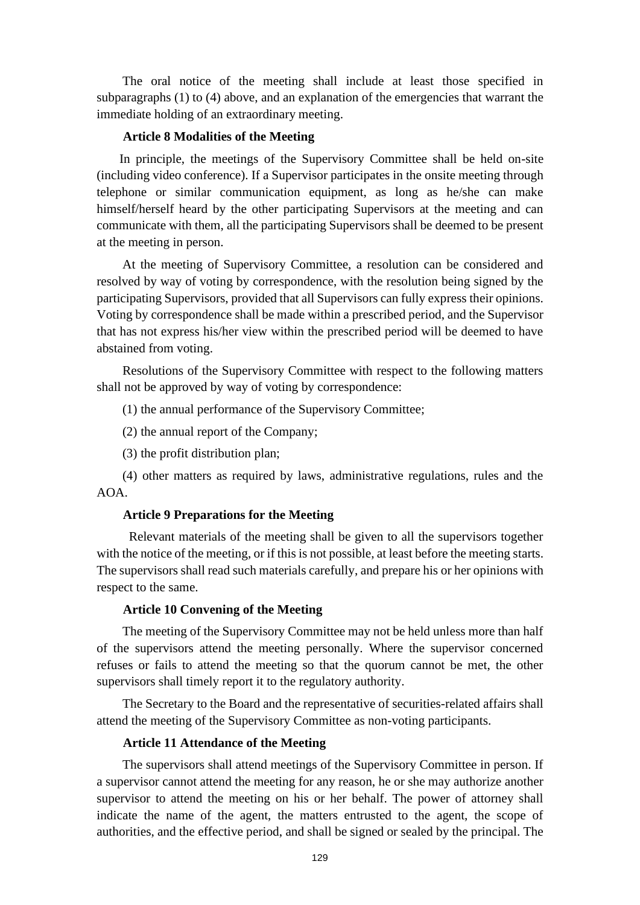The oral notice of the meeting shall include at least those specified in subparagraphs (1) to (4) above, and an explanation of the emergencies that warrant the immediate holding of an extraordinary meeting.

## **Article 8 Modalities of the Meeting**

In principle, the meetings of the Supervisory Committee shall be held on-site (including video conference). If a Supervisor participates in the onsite meeting through telephone or similar communication equipment, as long as he/she can make himself/herself heard by the other participating Supervisors at the meeting and can communicate with them, all the participating Supervisors shall be deemed to be present at the meeting in person.

At the meeting of Supervisory Committee, a resolution can be considered and resolved by way of voting by correspondence, with the resolution being signed by the participating Supervisors, provided that all Supervisors can fully express their opinions. Voting by correspondence shall be made within a prescribed period, and the Supervisor that has not express his/her view within the prescribed period will be deemed to have abstained from voting.

Resolutions of the Supervisory Committee with respect to the following matters shall not be approved by way of voting by correspondence:

(1) the annual performance of the Supervisory Committee;

- (2) the annual report of the Company;
- (3) the profit distribution plan;

(4) other matters as required by laws, administrative regulations, rules and the AOA.

### **Article 9 Preparations for the Meeting**

Relevant materials of the meeting shall be given to all the supervisors together with the notice of the meeting, or if this is not possible, at least before the meeting starts. The supervisors shall read such materials carefully, and prepare his or her opinions with respect to the same.

#### **Article 10 Convening of the Meeting**

The meeting of the Supervisory Committee may not be held unless more than half of the supervisors attend the meeting personally. Where the supervisor concerned refuses or fails to attend the meeting so that the quorum cannot be met, the other supervisors shall timely report it to the regulatory authority.

The Secretary to the Board and the representative of securities-related affairs shall attend the meeting of the Supervisory Committee as non-voting participants.

## **Article 11 Attendance of the Meeting**

The supervisors shall attend meetings of the Supervisory Committee in person. If a supervisor cannot attend the meeting for any reason, he or she may authorize another supervisor to attend the meeting on his or her behalf. The power of attorney shall indicate the name of the agent, the matters entrusted to the agent, the scope of authorities, and the effective period, and shall be signed or sealed by the principal. The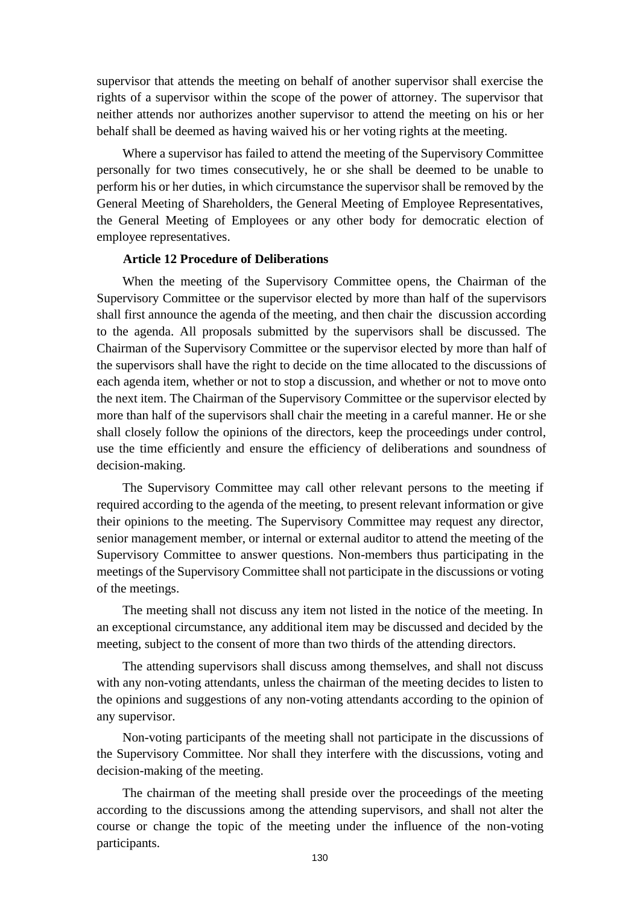supervisor that attends the meeting on behalf of another supervisor shall exercise the rights of a supervisor within the scope of the power of attorney. The supervisor that neither attends nor authorizes another supervisor to attend the meeting on his or her behalf shall be deemed as having waived his or her voting rights at the meeting.

Where a supervisor has failed to attend the meeting of the Supervisory Committee personally for two times consecutively, he or she shall be deemed to be unable to perform his or her duties, in which circumstance the supervisor shall be removed by the General Meeting of Shareholders, the General Meeting of Employee Representatives, the General Meeting of Employees or any other body for democratic election of employee representatives.

#### **Article 12 Procedure of Deliberations**

When the meeting of the Supervisory Committee opens, the Chairman of the Supervisory Committee or the supervisor elected by more than half of the supervisors shall first announce the agenda of the meeting, and then chair the discussion according to the agenda. All proposals submitted by the supervisors shall be discussed. The Chairman of the Supervisory Committee or the supervisor elected by more than half of the supervisors shall have the right to decide on the time allocated to the discussions of each agenda item, whether or not to stop a discussion, and whether or not to move onto the next item. The Chairman of the Supervisory Committee or the supervisor elected by more than half of the supervisors shall chair the meeting in a careful manner. He or she shall closely follow the opinions of the directors, keep the proceedings under control, use the time efficiently and ensure the efficiency of deliberations and soundness of decision-making.

The Supervisory Committee may call other relevant persons to the meeting if required according to the agenda of the meeting, to present relevant information or give their opinions to the meeting. The Supervisory Committee may request any director, senior management member, or internal or external auditor to attend the meeting of the Supervisory Committee to answer questions. Non-members thus participating in the meetings of the Supervisory Committee shall not participate in the discussions or voting of the meetings.

The meeting shall not discuss any item not listed in the notice of the meeting. In an exceptional circumstance, any additional item may be discussed and decided by the meeting, subject to the consent of more than two thirds of the attending directors.

The attending supervisors shall discuss among themselves, and shall not discuss with any non-voting attendants, unless the chairman of the meeting decides to listen to the opinions and suggestions of any non-voting attendants according to the opinion of any supervisor.

Non-voting participants of the meeting shall not participate in the discussions of the Supervisory Committee. Nor shall they interfere with the discussions, voting and decision-making of the meeting.

The chairman of the meeting shall preside over the proceedings of the meeting according to the discussions among the attending supervisors, and shall not alter the course or change the topic of the meeting under the influence of the non-voting participants.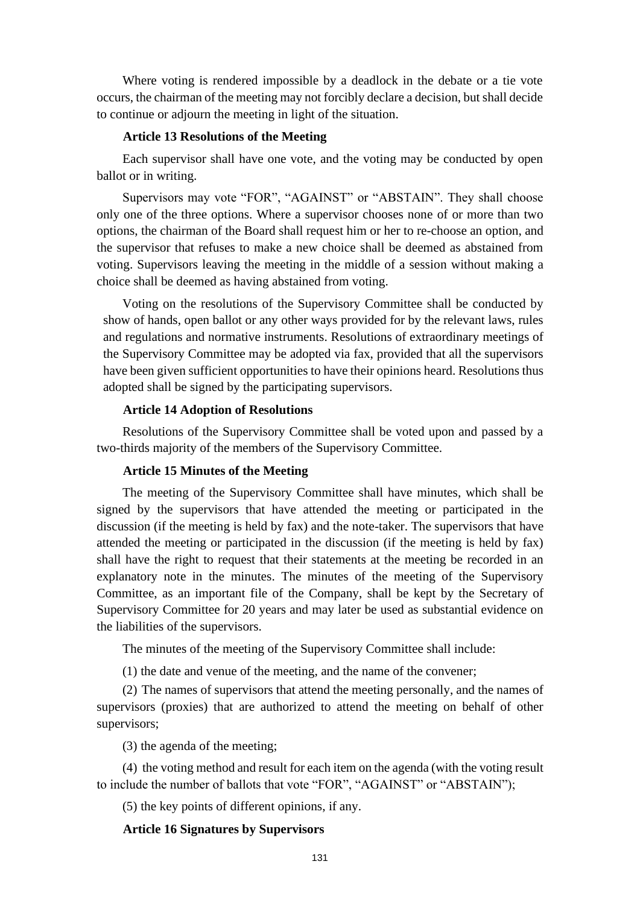Where voting is rendered impossible by a deadlock in the debate or a tie vote occurs, the chairman of the meeting may not forcibly declare a decision, but shall decide to continue or adjourn the meeting in light of the situation.

## **Article 13 Resolutions of the Meeting**

Each supervisor shall have one vote, and the voting may be conducted by open ballot or in writing.

Supervisors may vote "FOR", "AGAINST" or "ABSTAIN". They shall choose only one of the three options. Where a supervisor chooses none of or more than two options, the chairman of the Board shall request him or her to re-choose an option, and the supervisor that refuses to make a new choice shall be deemed as abstained from voting. Supervisors leaving the meeting in the middle of a session without making a choice shall be deemed as having abstained from voting.

Voting on the resolutions of the Supervisory Committee shall be conducted by show of hands, open ballot or any other ways provided for by the relevant laws, rules and regulations and normative instruments. Resolutions of extraordinary meetings of the Supervisory Committee may be adopted via fax, provided that all the supervisors have been given sufficient opportunities to have their opinions heard. Resolutions thus adopted shall be signed by the participating supervisors.

#### **Article 14 Adoption of Resolutions**

Resolutions of the Supervisory Committee shall be voted upon and passed by a two-thirds majority of the members of the Supervisory Committee.

### **Article 15 Minutes of the Meeting**

The meeting of the Supervisory Committee shall have minutes, which shall be signed by the supervisors that have attended the meeting or participated in the discussion (if the meeting is held by fax) and the note-taker. The supervisors that have attended the meeting or participated in the discussion (if the meeting is held by fax) shall have the right to request that their statements at the meeting be recorded in an explanatory note in the minutes. The minutes of the meeting of the Supervisory Committee, as an important file of the Company, shall be kept by the Secretary of Supervisory Committee for 20 years and may later be used as substantial evidence on the liabilities of the supervisors.

The minutes of the meeting of the Supervisory Committee shall include:

(1) the date and venue of the meeting, and the name of the convener;

(2) The names of supervisors that attend the meeting personally, and the names of supervisors (proxies) that are authorized to attend the meeting on behalf of other supervisors;

(3) the agenda of the meeting;

(4) the voting method and result for each item on the agenda (with the voting result to include the number of ballots that vote "FOR", "AGAINST" or "ABSTAIN");

(5) the key points of different opinions, if any.

#### **Article 16 Signatures by Supervisors**